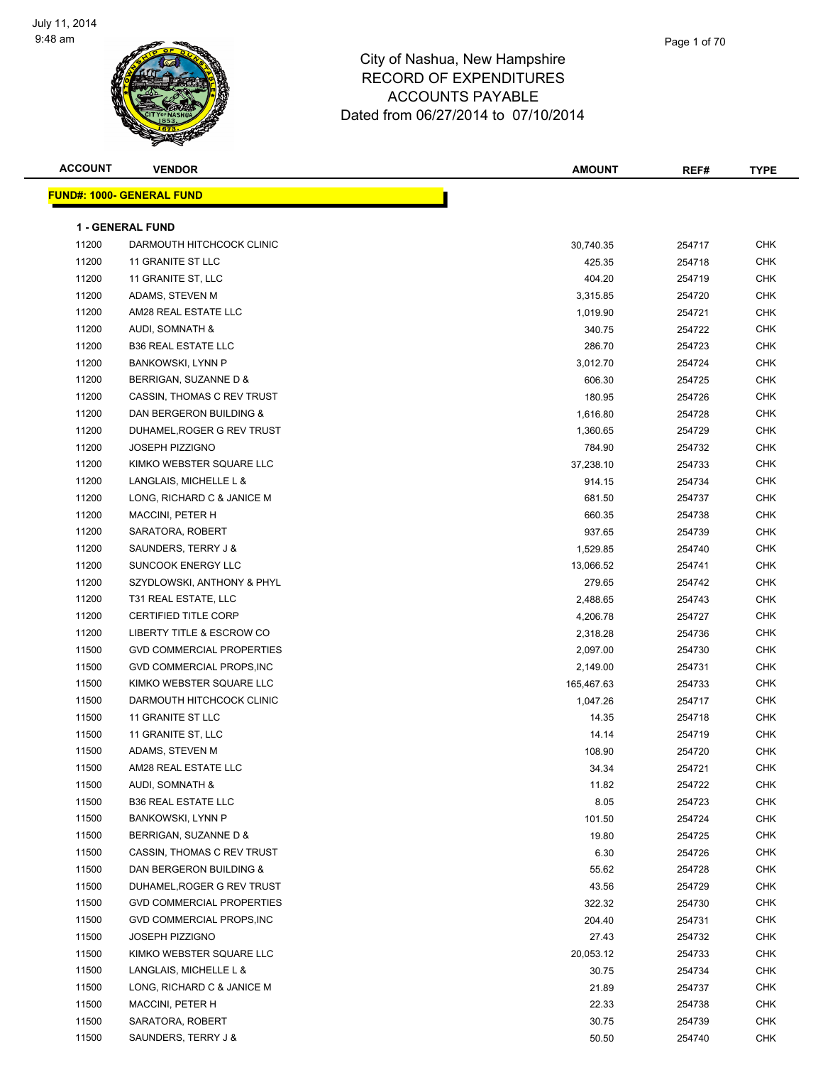

| Page 1 of 70 |  |
|--------------|--|
|              |  |

| <b>ACCOUNT</b> | <b>VENDOR</b>                    | <b>AMOUNT</b> | REF#   | <b>TYPE</b> |
|----------------|----------------------------------|---------------|--------|-------------|
|                | <b>FUND#: 1000- GENERAL FUND</b> |               |        |             |
|                |                                  |               |        |             |
|                | <b>1 - GENERAL FUND</b>          |               |        |             |
| 11200          | DARMOUTH HITCHCOCK CLINIC        | 30,740.35     | 254717 | <b>CHK</b>  |
| 11200          | 11 GRANITE ST LLC                | 425.35        | 254718 | <b>CHK</b>  |
| 11200          | 11 GRANITE ST, LLC               | 404.20        | 254719 | <b>CHK</b>  |
| 11200          | ADAMS, STEVEN M                  | 3,315.85      | 254720 | CHK         |
| 11200          | AM28 REAL ESTATE LLC             | 1,019.90      | 254721 | CHK         |
| 11200          | AUDI, SOMNATH &                  | 340.75        | 254722 | CHK         |
| 11200          | <b>B36 REAL ESTATE LLC</b>       | 286.70        | 254723 | CHK         |
| 11200          | <b>BANKOWSKI, LYNN P</b>         | 3,012.70      | 254724 | CHK         |
| 11200          | BERRIGAN, SUZANNE D &            | 606.30        | 254725 | <b>CHK</b>  |
| 11200          | CASSIN, THOMAS C REV TRUST       | 180.95        | 254726 | <b>CHK</b>  |
| 11200          | DAN BERGERON BUILDING &          | 1,616.80      | 254728 | <b>CHK</b>  |
| 11200          | DUHAMEL, ROGER G REV TRUST       | 1,360.65      | 254729 | <b>CHK</b>  |
| 11200          | <b>JOSEPH PIZZIGNO</b>           | 784.90        | 254732 | CHK         |
| 11200          | KIMKO WEBSTER SQUARE LLC         | 37,238.10     | 254733 | <b>CHK</b>  |
| 11200          | LANGLAIS, MICHELLE L &           | 914.15        | 254734 | CHK         |
| 11200          | LONG, RICHARD C & JANICE M       | 681.50        | 254737 | <b>CHK</b>  |
| 11200          | <b>MACCINI, PETER H</b>          | 660.35        | 254738 | CHK         |
| 11200          | SARATORA, ROBERT                 | 937.65        | 254739 | CHK         |
| 11200          | SAUNDERS, TERRY J &              | 1,529.85      | 254740 | CHK         |
| 11200          | <b>SUNCOOK ENERGY LLC</b>        | 13,066.52     | 254741 | CHK         |
| 11200          | SZYDLOWSKI, ANTHONY & PHYL       | 279.65        | 254742 | CHK         |
| 11200          | T31 REAL ESTATE, LLC             | 2,488.65      | 254743 | <b>CHK</b>  |
| 11200          | <b>CERTIFIED TITLE CORP</b>      | 4,206.78      | 254727 | <b>CHK</b>  |
| 11200          | LIBERTY TITLE & ESCROW CO        | 2,318.28      | 254736 | <b>CHK</b>  |
| 11500          | <b>GVD COMMERCIAL PROPERTIES</b> | 2,097.00      | 254730 | <b>CHK</b>  |
| 11500          | GVD COMMERCIAL PROPS, INC        | 2,149.00      | 254731 | CHK         |
| 11500          | KIMKO WEBSTER SQUARE LLC         | 165,467.63    | 254733 | CHK         |
| 11500          | DARMOUTH HITCHCOCK CLINIC        | 1,047.26      | 254717 | CHK         |
| 11500          | 11 GRANITE ST LLC                | 14.35         | 254718 | CHK         |
| 11500          | 11 GRANITE ST, LLC               | 14.14         | 254719 | CHK         |
| 11500          | ADAMS, STEVEN M                  | 108.90        | 254720 | <b>CHK</b>  |
| 11500          | AM28 REAL ESTATE LLC             | 34.34         | 254721 | CHK         |
| 11500          | AUDI, SOMNATH &                  | 11.82         | 254722 | <b>CHK</b>  |
| 11500          | <b>B36 REAL ESTATE LLC</b>       | 8.05          | 254723 | <b>CHK</b>  |
| 11500          | <b>BANKOWSKI, LYNN P</b>         | 101.50        | 254724 | <b>CHK</b>  |
| 11500          | BERRIGAN, SUZANNE D &            | 19.80         | 254725 | <b>CHK</b>  |
| 11500          | CASSIN, THOMAS C REV TRUST       | 6.30          | 254726 | CHK         |
| 11500          | DAN BERGERON BUILDING &          | 55.62         | 254728 | CHK         |
| 11500          | DUHAMEL, ROGER G REV TRUST       | 43.56         | 254729 | CHK         |
| 11500          | <b>GVD COMMERCIAL PROPERTIES</b> | 322.32        | 254730 | CHK         |
| 11500          | GVD COMMERCIAL PROPS, INC        | 204.40        | 254731 | CHK         |
| 11500          | <b>JOSEPH PIZZIGNO</b>           | 27.43         | 254732 | CHK         |
| 11500          | KIMKO WEBSTER SQUARE LLC         | 20,053.12     | 254733 | CHK         |
| 11500          | LANGLAIS, MICHELLE L &           | 30.75         | 254734 | <b>CHK</b>  |
| 11500          | LONG, RICHARD C & JANICE M       | 21.89         | 254737 | CHK         |
| 11500          | <b>MACCINI, PETER H</b>          | 22.33         | 254738 | CHK         |
| 11500          | SARATORA, ROBERT                 | 30.75         | 254739 | CHK         |
| 11500          | SAUNDERS, TERRY J &              | 50.50         | 254740 | <b>CHK</b>  |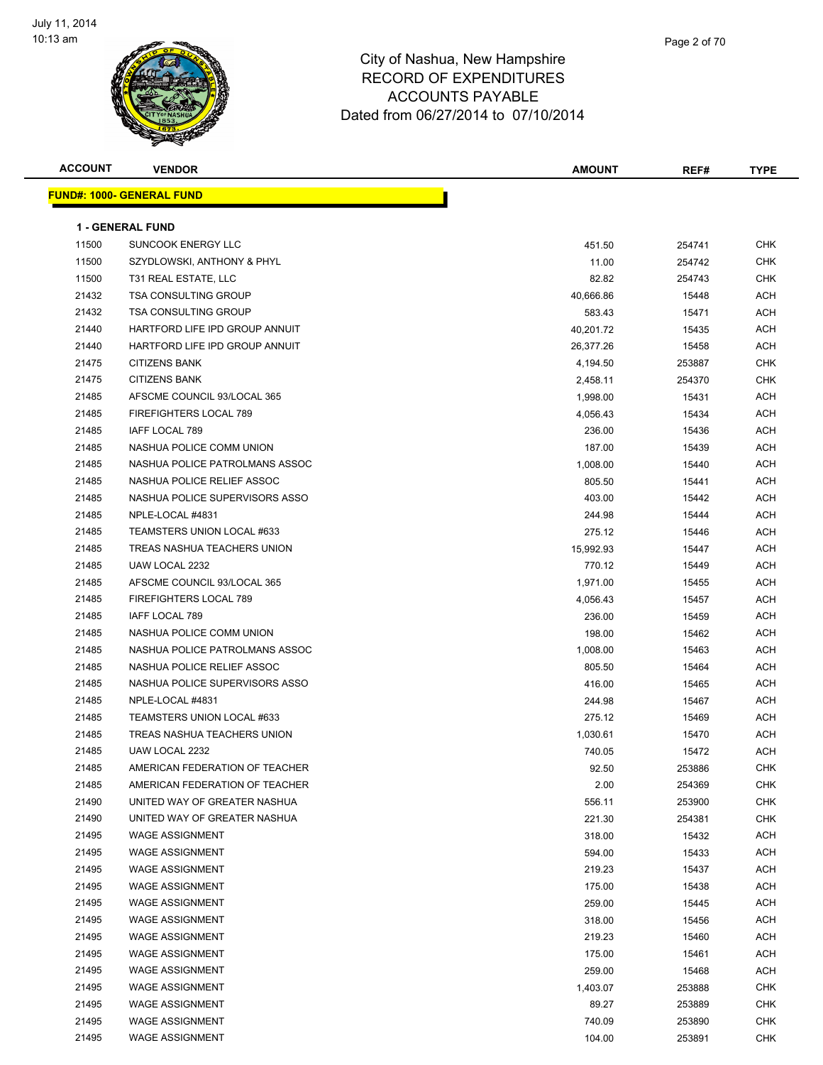

| <b>ACCOUNT</b> | <b>VENDOR</b>                    | <b>AMOUNT</b> | REF#   | <b>TYPE</b> |
|----------------|----------------------------------|---------------|--------|-------------|
|                | <b>FUND#: 1000- GENERAL FUND</b> |               |        |             |
|                |                                  |               |        |             |
|                | <b>1 - GENERAL FUND</b>          |               |        |             |
| 11500          | <b>SUNCOOK ENERGY LLC</b>        | 451.50        | 254741 | <b>CHK</b>  |
| 11500          | SZYDLOWSKI, ANTHONY & PHYL       | 11.00         | 254742 | CHK         |
| 11500          | T31 REAL ESTATE, LLC             | 82.82         | 254743 | <b>CHK</b>  |
| 21432          | <b>TSA CONSULTING GROUP</b>      | 40,666.86     | 15448  | ACH         |
| 21432          | <b>TSA CONSULTING GROUP</b>      | 583.43        | 15471  | ACH         |
| 21440          | HARTFORD LIFE IPD GROUP ANNUIT   | 40,201.72     | 15435  | <b>ACH</b>  |
| 21440          | HARTFORD LIFE IPD GROUP ANNUIT   | 26,377.26     | 15458  | ACH         |
| 21475          | <b>CITIZENS BANK</b>             | 4,194.50      | 253887 | CHK         |
| 21475          | <b>CITIZENS BANK</b>             | 2,458.11      | 254370 | CHK         |
| 21485          | AFSCME COUNCIL 93/LOCAL 365      | 1,998.00      | 15431  | ACH         |
| 21485          | <b>FIREFIGHTERS LOCAL 789</b>    | 4,056.43      | 15434  | ACH         |
| 21485          | IAFF LOCAL 789                   | 236.00        | 15436  | ACH         |
| 21485          | NASHUA POLICE COMM UNION         | 187.00        | 15439  | ACH         |
| 21485          | NASHUA POLICE PATROLMANS ASSOC   | 1,008.00      | 15440  | ACH         |
| 21485          | NASHUA POLICE RELIEF ASSOC       | 805.50        | 15441  | <b>ACH</b>  |
| 21485          | NASHUA POLICE SUPERVISORS ASSO   | 403.00        | 15442  | ACH         |
| 21485          | NPLE-LOCAL #4831                 | 244.98        | 15444  | ACH         |
| 21485          | TEAMSTERS UNION LOCAL #633       | 275.12        | 15446  | ACH         |
| 21485          | TREAS NASHUA TEACHERS UNION      | 15,992.93     | 15447  | ACH         |
| 21485          | UAW LOCAL 2232                   | 770.12        | 15449  | ACH         |
| 21485          | AFSCME COUNCIL 93/LOCAL 365      | 1,971.00      | 15455  | ACH         |
| 21485          | <b>FIREFIGHTERS LOCAL 789</b>    | 4,056.43      | 15457  | ACH         |
| 21485          | IAFF LOCAL 789                   | 236.00        | 15459  | ACH         |
| 21485          | NASHUA POLICE COMM UNION         | 198.00        | 15462  | ACH         |
| 21485          | NASHUA POLICE PATROLMANS ASSOC   | 1,008.00      | 15463  | ACH         |
| 21485          | NASHUA POLICE RELIEF ASSOC       | 805.50        | 15464  | ACH         |
| 21485          | NASHUA POLICE SUPERVISORS ASSO   | 416.00        | 15465  | <b>ACH</b>  |
| 21485          | NPLE-LOCAL #4831                 | 244.98        | 15467  | <b>ACH</b>  |
| 21485          | TEAMSTERS UNION LOCAL #633       | 275.12        | 15469  | ACH         |
| 21485          | TREAS NASHUA TEACHERS UNION      | 1,030.61      | 15470  | ACH         |
| 21485          | UAW LOCAL 2232                   | 740.05        | 15472  | ACH         |
| 21485          | AMERICAN FEDERATION OF TEACHER   | 92.50         | 253886 | CHK         |
| 21485          | AMERICAN FEDERATION OF TEACHER   | 2.00          | 254369 | <b>CHK</b>  |
| 21490          | UNITED WAY OF GREATER NASHUA     | 556.11        | 253900 | <b>CHK</b>  |
| 21490          | UNITED WAY OF GREATER NASHUA     | 221.30        | 254381 | <b>CHK</b>  |
| 21495          | <b>WAGE ASSIGNMENT</b>           | 318.00        | 15432  | <b>ACH</b>  |
| 21495          | <b>WAGE ASSIGNMENT</b>           | 594.00        | 15433  | <b>ACH</b>  |
| 21495          | <b>WAGE ASSIGNMENT</b>           | 219.23        | 15437  | <b>ACH</b>  |
| 21495          | <b>WAGE ASSIGNMENT</b>           | 175.00        | 15438  | <b>ACH</b>  |
| 21495          | <b>WAGE ASSIGNMENT</b>           | 259.00        | 15445  | <b>ACH</b>  |
| 21495          | <b>WAGE ASSIGNMENT</b>           | 318.00        | 15456  | <b>ACH</b>  |
| 21495          | <b>WAGE ASSIGNMENT</b>           | 219.23        | 15460  | <b>ACH</b>  |
| 21495          | <b>WAGE ASSIGNMENT</b>           | 175.00        | 15461  | <b>ACH</b>  |
| 21495          | <b>WAGE ASSIGNMENT</b>           | 259.00        | 15468  | <b>ACH</b>  |
| 21495          | <b>WAGE ASSIGNMENT</b>           | 1,403.07      | 253888 | CHK         |
| 21495          | <b>WAGE ASSIGNMENT</b>           | 89.27         | 253889 | CHK         |
| 21495          | WAGE ASSIGNMENT                  | 740.09        | 253890 | <b>CHK</b>  |
| 21495          | <b>WAGE ASSIGNMENT</b>           | 104.00        | 253891 | <b>CHK</b>  |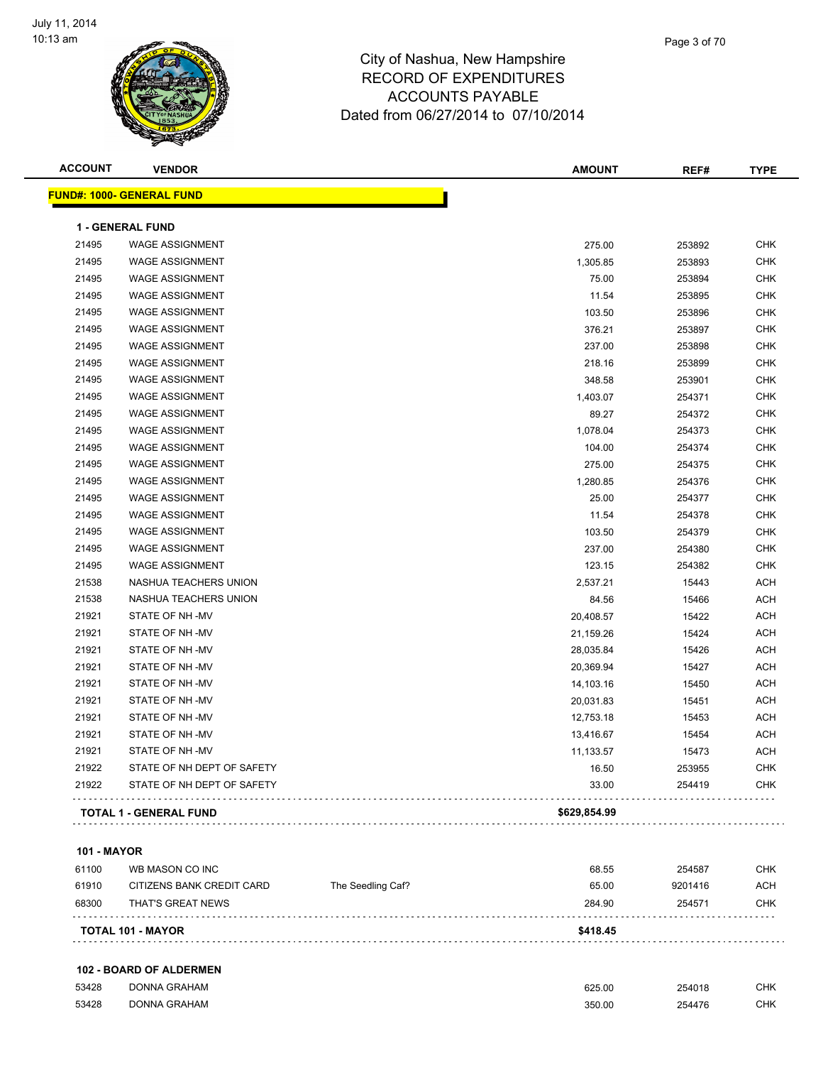

| <b>ACCOUNT</b> | <b>VENDOR</b>                     | <b>AMOUNT</b> | REF#   | <b>TYPE</b> |
|----------------|-----------------------------------|---------------|--------|-------------|
|                | <u> FUND#: 1000- GENERAL FUND</u> |               |        |             |
|                | <b>1 - GENERAL FUND</b>           |               |        |             |
| 21495          | <b>WAGE ASSIGNMENT</b>            | 275.00        | 253892 | <b>CHK</b>  |
| 21495          | <b>WAGE ASSIGNMENT</b>            | 1,305.85      | 253893 | <b>CHK</b>  |
| 21495          | <b>WAGE ASSIGNMENT</b>            | 75.00         | 253894 | <b>CHK</b>  |
| 21495          | <b>WAGE ASSIGNMENT</b>            | 11.54         | 253895 | <b>CHK</b>  |
| 21495          | <b>WAGE ASSIGNMENT</b>            | 103.50        | 253896 | <b>CHK</b>  |
| 21495          | <b>WAGE ASSIGNMENT</b>            | 376.21        | 253897 | <b>CHK</b>  |
| 21495          | <b>WAGE ASSIGNMENT</b>            | 237.00        | 253898 | <b>CHK</b>  |
| 21495          | <b>WAGE ASSIGNMENT</b>            | 218.16        | 253899 | <b>CHK</b>  |
| 21495          | <b>WAGE ASSIGNMENT</b>            | 348.58        | 253901 | <b>CHK</b>  |
| 21495          | <b>WAGE ASSIGNMENT</b>            | 1,403.07      | 254371 | <b>CHK</b>  |
| 21495          | <b>WAGE ASSIGNMENT</b>            | 89.27         | 254372 | <b>CHK</b>  |
| 21495          | <b>WAGE ASSIGNMENT</b>            | 1,078.04      | 254373 | <b>CHK</b>  |
| 21495          | <b>WAGE ASSIGNMENT</b>            | 104.00        | 254374 | <b>CHK</b>  |
| 21495          | <b>WAGE ASSIGNMENT</b>            | 275.00        | 254375 | <b>CHK</b>  |
| 21495          | <b>WAGE ASSIGNMENT</b>            | 1,280.85      | 254376 | <b>CHK</b>  |
| 21495          | <b>WAGE ASSIGNMENT</b>            | 25.00         | 254377 | <b>CHK</b>  |
| 21495          | <b>WAGE ASSIGNMENT</b>            | 11.54         | 254378 | <b>CHK</b>  |
| 21495          | <b>WAGE ASSIGNMENT</b>            | 103.50        | 254379 | <b>CHK</b>  |
| 21495          | <b>WAGE ASSIGNMENT</b>            | 237.00        | 254380 | <b>CHK</b>  |
| 21495          | <b>WAGE ASSIGNMENT</b>            | 123.15        | 254382 | <b>CHK</b>  |
| 21538          | NASHUA TEACHERS UNION             | 2,537.21      | 15443  | <b>ACH</b>  |
| 21538          | NASHUA TEACHERS UNION             | 84.56         | 15466  | <b>ACH</b>  |
| 21921          | STATE OF NH-MV                    | 20,408.57     | 15422  | <b>ACH</b>  |
| 21921          | STATE OF NH-MV                    | 21,159.26     | 15424  | <b>ACH</b>  |
| 21921          | STATE OF NH -MV                   | 28,035.84     | 15426  | <b>ACH</b>  |
| 21921          | STATE OF NH-MV                    | 20,369.94     | 15427  | <b>ACH</b>  |
| 21921          | STATE OF NH-MV                    | 14,103.16     | 15450  | <b>ACH</b>  |
| 21921          | STATE OF NH-MV                    | 20,031.83     | 15451  | <b>ACH</b>  |
| 21921          | STATE OF NH-MV                    | 12,753.18     | 15453  | <b>ACH</b>  |
| 21921          | STATE OF NH -MV                   | 13,416.67     | 15454  | <b>ACH</b>  |
| 21921          | STATE OF NH-MV                    | 11,133.57     | 15473  | <b>ACH</b>  |
| 21922          | STATE OF NH DEPT OF SAFETY        | 16.50         | 253955 | <b>CHK</b>  |
| 21922          | STATE OF NH DEPT OF SAFETY        | 33.00         | 254419 | CHK         |
|                | <b>TOTAL 1 - GENERAL FUND</b>     | \$629,854.99  |        |             |
|                |                                   |               |        |             |

#### **101 - MAYOR**

| 61100 | WB MASON CO INC           | The Seedling Caf? | 68.55    | 254587  | CHK        |
|-------|---------------------------|-------------------|----------|---------|------------|
| 61910 | CITIZENS BANK CREDIT CARD |                   | 65.00    | 9201416 | <b>ACH</b> |
| 68300 | THAT'S GREAT NEWS         |                   | 284.90   | 254571  | CHK        |
|       | <b>TOTAL 101 - MAYOR</b>  |                   | \$418.45 |         |            |

#### **102 - BOARD OF ALDERMEN**

| 53428 | DONNA GRAHAM | 625.00 | 254018 | <b>CHK</b> |
|-------|--------------|--------|--------|------------|
| 53428 | DONNA GRAHAM | 350.00 | 254476 | СНК        |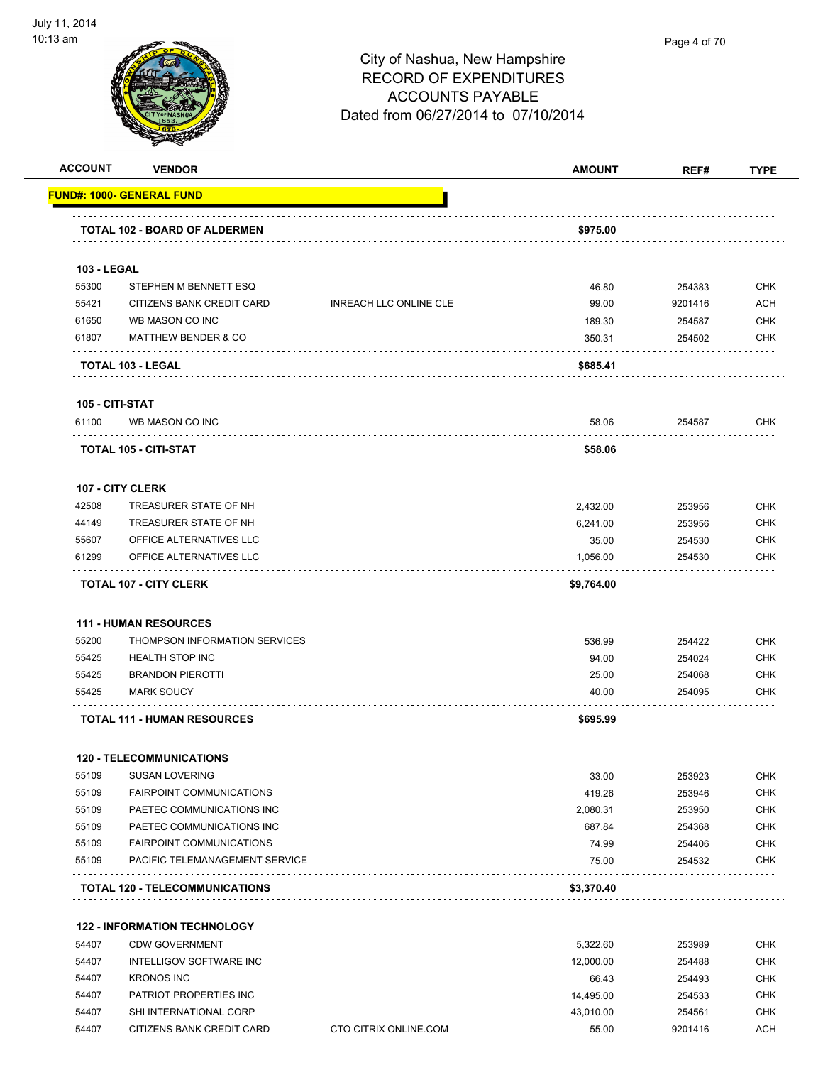

| <b>ACCOUNT</b>     | <b>VENDOR</b>                         |                               | <b>AMOUNT</b> | REF#    | <b>TYPE</b> |
|--------------------|---------------------------------------|-------------------------------|---------------|---------|-------------|
|                    | <u> FUND#: 1000- GENERAL FUND</u>     |                               |               |         |             |
|                    | TOTAL 102 - BOARD OF ALDERMEN         |                               | \$975.00      |         |             |
| <b>103 - LEGAL</b> |                                       |                               |               |         |             |
| 55300              | STEPHEN M BENNETT ESQ                 |                               | 46.80         | 254383  | <b>CHK</b>  |
| 55421              | CITIZENS BANK CREDIT CARD             | <b>INREACH LLC ONLINE CLE</b> | 99.00         | 9201416 | ACH         |
| 61650              | WB MASON CO INC                       |                               | 189.30        | 254587  | <b>CHK</b>  |
| 61807              | <b>MATTHEW BENDER &amp; CO</b>        |                               | 350.31        | 254502  | <b>CHK</b>  |
|                    | TOTAL 103 - LEGAL                     |                               | \$685.41      |         |             |
| 105 - CITI-STAT    |                                       |                               |               |         |             |
| 61100              | WB MASON CO INC                       |                               | 58.06         | 254587  | <b>CHK</b>  |
|                    | TOTAL 105 - CITI-STAT                 |                               | \$58.06       |         |             |
|                    | <b>107 - CITY CLERK</b>               |                               |               |         |             |
| 42508              | TREASURER STATE OF NH                 |                               | 2,432.00      | 253956  | <b>CHK</b>  |
| 44149              | TREASURER STATE OF NH                 |                               | 6,241.00      | 253956  | <b>CHK</b>  |
| 55607              | OFFICE ALTERNATIVES LLC               |                               | 35.00         | 254530  | <b>CHK</b>  |
| 61299              | OFFICE ALTERNATIVES LLC               |                               | 1,056.00      | 254530  | CHK         |
|                    | <b>TOTAL 107 - CITY CLERK</b>         |                               | \$9,764.00    |         |             |
|                    | <b>111 - HUMAN RESOURCES</b>          |                               |               |         |             |
| 55200              | THOMPSON INFORMATION SERVICES         |                               | 536.99        | 254422  | <b>CHK</b>  |
| 55425              | <b>HEALTH STOP INC</b>                |                               | 94.00         | 254024  | <b>CHK</b>  |
| 55425              | <b>BRANDON PIEROTTI</b>               |                               | 25.00         | 254068  | <b>CHK</b>  |
| 55425              | <b>MARK SOUCY</b>                     |                               | 40.00         | 254095  | <b>CHK</b>  |
|                    | <b>TOTAL 111 - HUMAN RESOURCES</b>    |                               | \$695.99      |         |             |
|                    | <b>120 - TELECOMMUNICATIONS</b>       |                               |               |         |             |
| 55109              | <b>SUSAN LOVERING</b>                 |                               | 33.00         | 253923  | <b>CHK</b>  |
| 55109              | FAIRPOINT COMMUNICATIONS              |                               | 419.26        | 253946  | <b>CHK</b>  |
| 55109              | PAETEC COMMUNICATIONS INC             |                               | 2,080.31      | 253950  | <b>CHK</b>  |
| 55109              | PAETEC COMMUNICATIONS INC             |                               | 687.84        | 254368  | <b>CHK</b>  |
| 55109              | <b>FAIRPOINT COMMUNICATIONS</b>       |                               | 74.99         | 254406  | <b>CHK</b>  |
| 55109              | PACIFIC TELEMANAGEMENT SERVICE        |                               | 75.00         | 254532  | <b>CHK</b>  |
|                    | <b>TOTAL 120 - TELECOMMUNICATIONS</b> |                               | \$3,370.40    |         |             |
|                    | <b>122 - INFORMATION TECHNOLOGY</b>   |                               |               |         |             |
| 54407              | <b>CDW GOVERNMENT</b>                 |                               | 5,322.60      | 253989  | <b>CHK</b>  |
| 54407              | <b>INTELLIGOV SOFTWARE INC</b>        |                               | 12,000.00     | 254488  | <b>CHK</b>  |
| 54407              | <b>KRONOS INC</b>                     |                               | 66.43         | 254493  | <b>CHK</b>  |
| 54407              | PATRIOT PROPERTIES INC                |                               | 14,495.00     | 254533  | <b>CHK</b>  |
| 54407              | SHI INTERNATIONAL CORP                |                               | 43,010.00     | 254561  | <b>CHK</b>  |
|                    |                                       |                               |               |         | <b>ACH</b>  |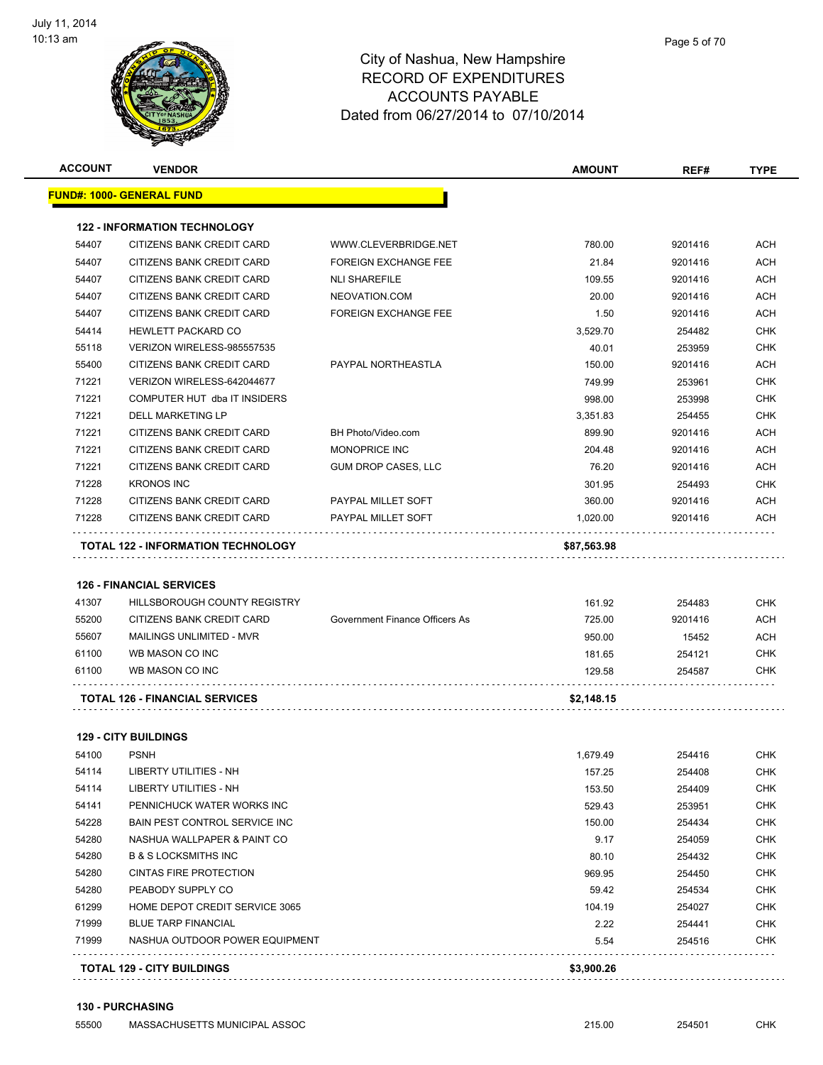

|                | <b>VENDOR</b>                                                   |                                | <b>AMOUNT</b> | REF#             | <b>TYPE</b>                                                                                                                                                                               |
|----------------|-----------------------------------------------------------------|--------------------------------|---------------|------------------|-------------------------------------------------------------------------------------------------------------------------------------------------------------------------------------------|
|                | <u> FUND#: 1000- GENERAL FUND</u>                               |                                |               |                  |                                                                                                                                                                                           |
|                | <b>122 - INFORMATION TECHNOLOGY</b>                             |                                |               |                  |                                                                                                                                                                                           |
| 54407          | CITIZENS BANK CREDIT CARD                                       | WWW.CLEVERBRIDGE.NET           | 780.00        | 9201416          | ACH                                                                                                                                                                                       |
| 54407          | CITIZENS BANK CREDIT CARD                                       | <b>FOREIGN EXCHANGE FEE</b>    | 21.84         | 9201416          | ACH                                                                                                                                                                                       |
| 54407          | CITIZENS BANK CREDIT CARD                                       | <b>NLI SHAREFILE</b>           | 109.55        | 9201416          | ACH                                                                                                                                                                                       |
| 54407          | CITIZENS BANK CREDIT CARD                                       | NEOVATION.COM                  | 20.00         | 9201416          | ACH                                                                                                                                                                                       |
| 54407          | CITIZENS BANK CREDIT CARD                                       | <b>FOREIGN EXCHANGE FEE</b>    | 1.50          | 9201416          | <b>ACH</b>                                                                                                                                                                                |
| 54414          | <b>HEWLETT PACKARD CO</b>                                       |                                | 3,529.70      | 254482           | <b>CHK</b>                                                                                                                                                                                |
| 55118          | VERIZON WIRELESS-985557535                                      |                                | 40.01         | 253959           | <b>CHK</b>                                                                                                                                                                                |
| 55400          | CITIZENS BANK CREDIT CARD                                       | PAYPAL NORTHEASTLA             | 150.00        | 9201416          | <b>ACH</b>                                                                                                                                                                                |
| 71221          | VERIZON WIRELESS-642044677                                      |                                | 749.99        | 253961           | <b>CHK</b>                                                                                                                                                                                |
| 71221          | COMPUTER HUT dba IT INSIDERS                                    |                                | 998.00        | 253998           | <b>CHK</b>                                                                                                                                                                                |
| 71221          | DELL MARKETING LP                                               |                                | 3,351.83      | 254455           | <b>CHK</b>                                                                                                                                                                                |
| 71221          | CITIZENS BANK CREDIT CARD                                       | BH Photo/Video.com             | 899.90        | 9201416          | ACH                                                                                                                                                                                       |
| 71221          | CITIZENS BANK CREDIT CARD                                       | MONOPRICE INC                  | 204.48        | 9201416          | ACH                                                                                                                                                                                       |
| 71221          | CITIZENS BANK CREDIT CARD                                       | <b>GUM DROP CASES, LLC</b>     | 76.20         | 9201416          | ACH                                                                                                                                                                                       |
| 71228          | <b>KRONOS INC</b>                                               |                                | 301.95        | 254493           | <b>CHK</b>                                                                                                                                                                                |
| 71228          | CITIZENS BANK CREDIT CARD                                       | PAYPAL MILLET SOFT             | 360.00        | 9201416          | ACH                                                                                                                                                                                       |
| 71228          | CITIZENS BANK CREDIT CARD                                       | PAYPAL MILLET SOFT             | 1,020.00      | 9201416          | <b>ACH</b>                                                                                                                                                                                |
|                | <b>TOTAL 122 - INFORMATION TECHNOLOGY</b>                       |                                | \$87,563.98   |                  |                                                                                                                                                                                           |
| 41307          | <b>126 - FINANCIAL SERVICES</b><br>HILLSBOROUGH COUNTY REGISTRY |                                | 161.92        | 254483           |                                                                                                                                                                                           |
| 55200          | CITIZENS BANK CREDIT CARD                                       | Government Finance Officers As | 725.00        | 9201416          |                                                                                                                                                                                           |
| 55607          | MAILINGS UNLIMITED - MVR                                        |                                | 950.00        | 15452            |                                                                                                                                                                                           |
| 61100          | WB MASON CO INC                                                 |                                | 181.65        | 254121           |                                                                                                                                                                                           |
| 61100          | WB MASON CO INC                                                 |                                | 129.58        | 254587           |                                                                                                                                                                                           |
|                | <b>TOTAL 126 - FINANCIAL SERVICES</b>                           |                                | \$2,148.15    |                  |                                                                                                                                                                                           |
|                | <b>129 - CITY BUILDINGS</b>                                     |                                |               |                  |                                                                                                                                                                                           |
| 54100          | <b>PSNH</b>                                                     |                                |               | 254416           |                                                                                                                                                                                           |
|                |                                                                 |                                | 1,679.49      |                  |                                                                                                                                                                                           |
| 54114          | LIBERTY UTILITIES - NH<br><b>LIBERTY UTILITIES - NH</b>         |                                | 157.25        | 254408           |                                                                                                                                                                                           |
| 54114<br>54141 | PENNICHUCK WATER WORKS INC                                      |                                | 153.50        | 254409           |                                                                                                                                                                                           |
| 54228          | <b>BAIN PEST CONTROL SERVICE INC</b>                            |                                | 529.43        | 253951           |                                                                                                                                                                                           |
| 54280          | NASHUA WALLPAPER & PAINT CO                                     |                                | 150.00        | 254434           |                                                                                                                                                                                           |
| 54280          | <b>B &amp; S LOCKSMITHS INC</b>                                 |                                | 9.17<br>80.10 | 254059<br>254432 |                                                                                                                                                                                           |
| 54280          | <b>CINTAS FIRE PROTECTION</b>                                   |                                | 969.95        | 254450           |                                                                                                                                                                                           |
| 54280          | PEABODY SUPPLY CO                                               |                                | 59.42         | 254534           |                                                                                                                                                                                           |
| 61299          | HOME DEPOT CREDIT SERVICE 3065                                  |                                | 104.19        | 254027           |                                                                                                                                                                                           |
| 71999          | <b>BLUE TARP FINANCIAL</b>                                      |                                | 2.22          | 254441           | <b>CHK</b><br>ACH<br>ACH<br><b>CHK</b><br>CHK<br>CHK<br><b>CHK</b><br>CHK<br><b>CHK</b><br><b>CHK</b><br><b>CHK</b><br><b>CHK</b><br><b>CHK</b><br><b>CHK</b><br><b>CHK</b><br><b>CHK</b> |

#### **130 - PURCHASING**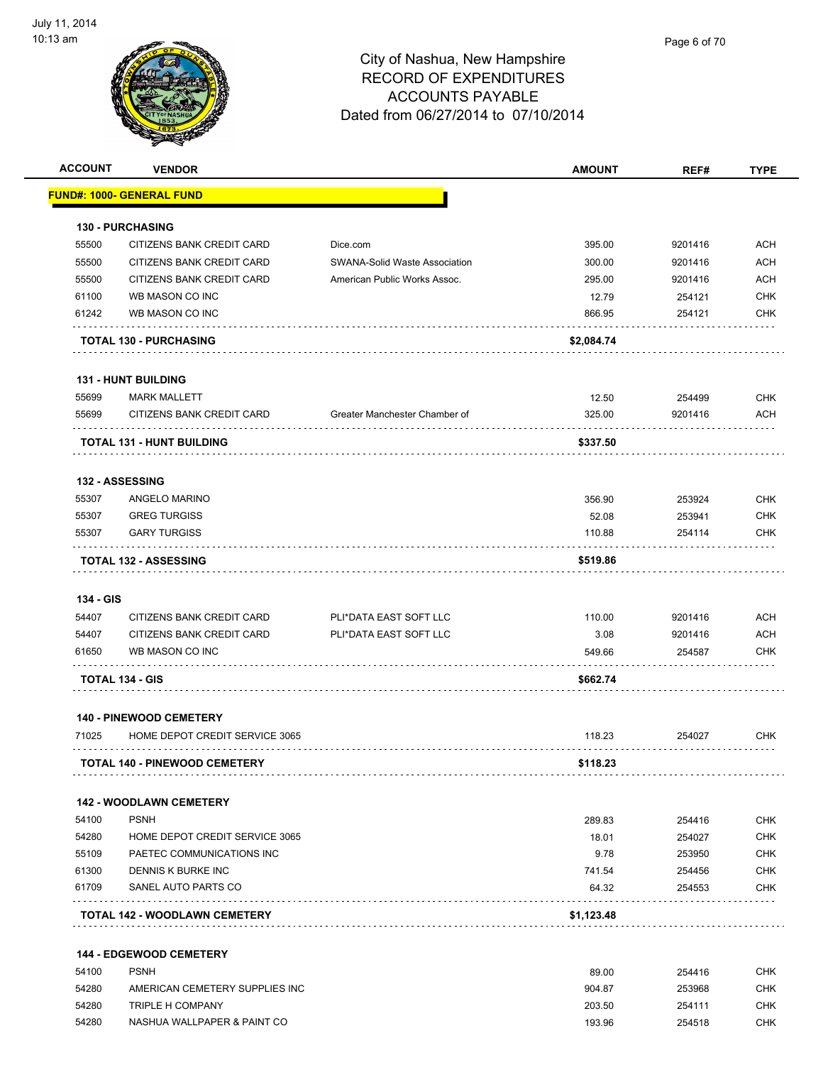| <b>ACCOUNT</b> | <b>VENDOR</b>                                |                               | <b>AMOUNT</b>  | REF#              | <b>TYPE</b>              |
|----------------|----------------------------------------------|-------------------------------|----------------|-------------------|--------------------------|
|                | <u> FUND#: 1000- GENERAL FUND</u>            |                               |                |                   |                          |
|                | <b>130 - PURCHASING</b>                      |                               |                |                   |                          |
| 55500          | CITIZENS BANK CREDIT CARD                    | Dice.com                      | 395.00         | 9201416           | <b>ACH</b>               |
| 55500          | CITIZENS BANK CREDIT CARD                    | SWANA-Solid Waste Association | 300.00         | 9201416           | <b>ACH</b>               |
| 55500          | CITIZENS BANK CREDIT CARD                    | American Public Works Assoc.  | 295.00         | 9201416           | <b>ACH</b>               |
| 61100          | WB MASON CO INC                              |                               | 12.79          | 254121            | <b>CHK</b>               |
| 61242          | WB MASON CO INC                              |                               | 866.95         | 254121            | <b>CHK</b>               |
|                | <b>TOTAL 130 - PURCHASING</b>                |                               | \$2,084.74     |                   |                          |
|                | <b>131 - HUNT BUILDING</b>                   |                               |                |                   |                          |
| 55699          | <b>MARK MALLETT</b>                          |                               | 12.50          | 254499            | <b>CHK</b>               |
| 55699          | CITIZENS BANK CREDIT CARD                    | Greater Manchester Chamber of | 325.00         | 9201416           | <b>ACH</b>               |
|                | <b>TOTAL 131 - HUNT BUILDING</b>             |                               | \$337.50       |                   |                          |
|                |                                              |                               |                |                   |                          |
|                | <b>132 - ASSESSING</b>                       |                               |                |                   |                          |
| 55307          | ANGELO MARINO                                |                               | 356.90         | 253924            | <b>CHK</b>               |
| 55307          | <b>GREG TURGISS</b>                          |                               | 52.08          | 253941            | <b>CHK</b>               |
| 55307          | <b>GARY TURGISS</b>                          |                               | 110.88         | 254114            | <b>CHK</b>               |
|                | <b>TOTAL 132 - ASSESSING</b>                 |                               | \$519.86       |                   |                          |
|                |                                              |                               |                |                   |                          |
| 134 - GIS      |                                              |                               |                |                   |                          |
| 54407          | CITIZENS BANK CREDIT CARD                    | PLI*DATA EAST SOFT LLC        | 110.00         | 9201416           | <b>ACH</b>               |
| 54407<br>61650 | CITIZENS BANK CREDIT CARD<br>WB MASON CO INC | PLI*DATA EAST SOFT LLC        | 3.08<br>549.66 | 9201416<br>254587 | <b>ACH</b><br><b>CHK</b> |
|                |                                              |                               |                |                   |                          |
|                | <b>TOTAL 134 - GIS</b>                       |                               | \$662.74       |                   |                          |
|                | <b>140 - PINEWOOD CEMETERY</b>               |                               |                |                   |                          |
| 71025          | HOME DEPOT CREDIT SERVICE 3065               |                               | 118.23         | 254027            | <b>CHK</b>               |
|                | <b>TOTAL 140 - PINEWOOD CEMETERY</b>         |                               | \$118.23       |                   |                          |
|                | <b>142 - WOODLAWN CEMETERY</b>               |                               |                |                   |                          |
| 54100          | <b>PSNH</b>                                  |                               | 289.83         | 254416            | <b>CHK</b>               |
| 54280          | HOME DEPOT CREDIT SERVICE 3065               |                               | 18.01          | 254027            | <b>CHK</b>               |
| 55109          | PAETEC COMMUNICATIONS INC                    |                               | 9.78           | 253950            | <b>CHK</b>               |
| 61300          | DENNIS K BURKE INC                           |                               | 741.54         | 254456            | <b>CHK</b>               |
| 61709          | SANEL AUTO PARTS CO                          |                               | 64.32          | 254553            | <b>CHK</b>               |
|                | <b>TOTAL 142 - WOODLAWN CEMETERY</b>         |                               | \$1,123.48     |                   |                          |
|                | 144 - EDGEWOOD CEMETERY                      |                               |                |                   |                          |
| 54100          | <b>PSNH</b>                                  |                               | 89.00          | 254416            | <b>CHK</b>               |
| 54280          | AMERICAN CEMETERY SUPPLIES INC               |                               | 904.87         | 253968            | <b>CHK</b>               |
| 54280          | TRIPLE H COMPANY                             |                               | 203.50         | 254111            | <b>CHK</b>               |
| 54280          | NASHUA WALLPAPER & PAINT CO                  |                               | 193.96         | 254518            | <b>CHK</b>               |
|                |                                              |                               |                |                   |                          |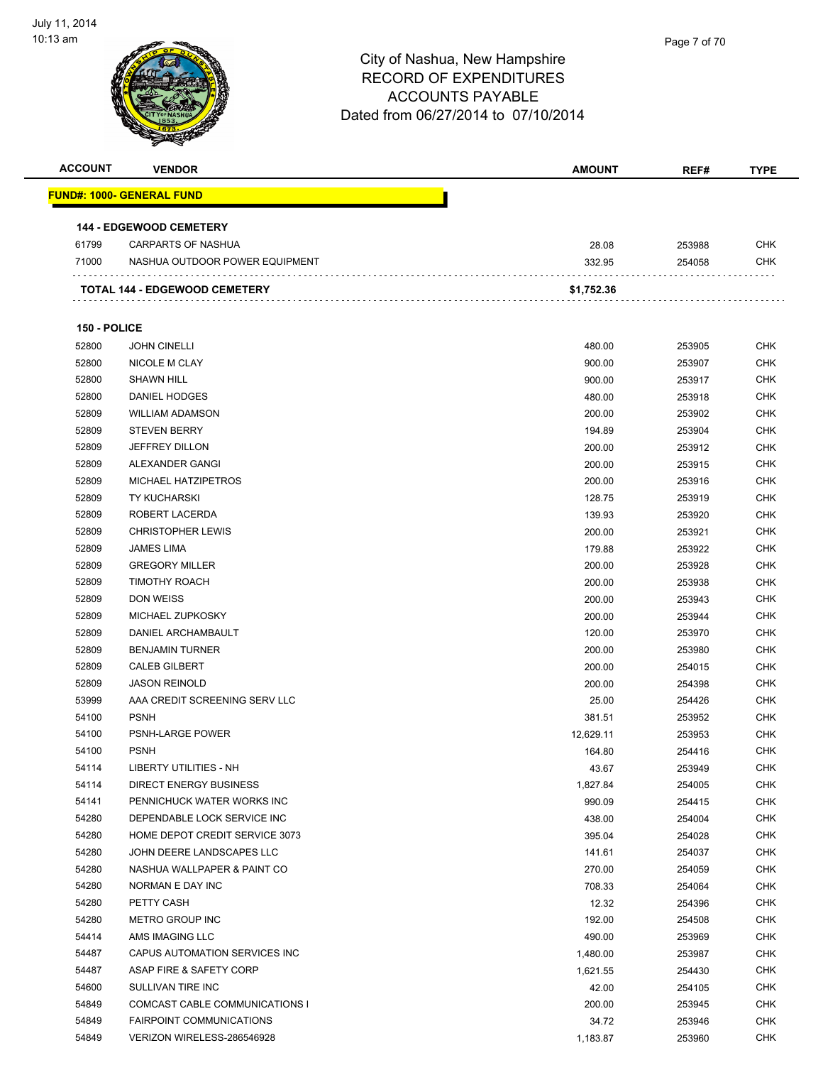

| <b>ACCOUNT</b> | <b>VENDOR</b>                        | <b>AMOUNT</b> | REF#   | <b>TYPE</b> |
|----------------|--------------------------------------|---------------|--------|-------------|
|                | <b>FUND#: 1000- GENERAL FUND</b>     |               |        |             |
|                |                                      |               |        |             |
|                | <b>144 - EDGEWOOD CEMETERY</b>       |               |        |             |
| 61799          | <b>CARPARTS OF NASHUA</b>            | 28.08         | 253988 | <b>CHK</b>  |
| 71000          | NASHUA OUTDOOR POWER EQUIPMENT       | 332.95        | 254058 | <b>CHK</b>  |
|                | <b>TOTAL 144 - EDGEWOOD CEMETERY</b> | \$1,752.36    |        |             |
|                |                                      |               |        |             |
| 150 - POLICE   |                                      |               |        |             |
| 52800          | <b>JOHN CINELLI</b>                  | 480.00        | 253905 | CHK         |
| 52800          | NICOLE M CLAY                        | 900.00        | 253907 | <b>CHK</b>  |
| 52800          | <b>SHAWN HILL</b>                    | 900.00        | 253917 | <b>CHK</b>  |
| 52800          | DANIEL HODGES                        | 480.00        | 253918 | <b>CHK</b>  |
| 52809          | <b>WILLIAM ADAMSON</b>               | 200.00        | 253902 | <b>CHK</b>  |
| 52809          | <b>STEVEN BERRY</b>                  | 194.89        | 253904 | CHK         |
| 52809          | <b>JEFFREY DILLON</b>                | 200.00        | 253912 | <b>CHK</b>  |
| 52809          | ALEXANDER GANGI                      | 200.00        | 253915 | CHK         |
| 52809          | MICHAEL HATZIPETROS                  | 200.00        | 253916 | CHK         |
| 52809          | <b>TY KUCHARSKI</b>                  | 128.75        | 253919 | <b>CHK</b>  |
| 52809          | ROBERT LACERDA                       | 139.93        | 253920 | <b>CHK</b>  |
| 52809          | <b>CHRISTOPHER LEWIS</b>             | 200.00        | 253921 | <b>CHK</b>  |
| 52809          | <b>JAMES LIMA</b>                    | 179.88        | 253922 | <b>CHK</b>  |
| 52809          | <b>GREGORY MILLER</b>                | 200.00        | 253928 | <b>CHK</b>  |
| 52809          | <b>TIMOTHY ROACH</b>                 | 200.00        | 253938 | <b>CHK</b>  |
| 52809          | <b>DON WEISS</b>                     | 200.00        | 253943 | <b>CHK</b>  |
| 52809          | MICHAEL ZUPKOSKY                     | 200.00        | 253944 | <b>CHK</b>  |
| 52809          | DANIEL ARCHAMBAULT                   | 120.00        | 253970 | <b>CHK</b>  |
| 52809          | <b>BENJAMIN TURNER</b>               | 200.00        | 253980 | <b>CHK</b>  |
| 52809          | <b>CALEB GILBERT</b>                 | 200.00        | 254015 | CHK         |
| 52809          | <b>JASON REINOLD</b>                 | 200.00        | 254398 | <b>CHK</b>  |
| 53999          | AAA CREDIT SCREENING SERV LLC        | 25.00         | 254426 | <b>CHK</b>  |
| 54100          | <b>PSNH</b>                          | 381.51        | 253952 | <b>CHK</b>  |
| 54100          | PSNH-LARGE POWER                     | 12,629.11     | 253953 | <b>CHK</b>  |
| 54100          | <b>PSNH</b>                          | 164.80        | 254416 | <b>CHK</b>  |
| 54114          | LIBERTY UTILITIES - NH               | 43.67         | 253949 | <b>CHK</b>  |
| 54114          | <b>DIRECT ENERGY BUSINESS</b>        | 1,827.84      | 254005 | <b>CHK</b>  |
| 54141          | PENNICHUCK WATER WORKS INC           | 990.09        | 254415 | <b>CHK</b>  |
| 54280          | DEPENDABLE LOCK SERVICE INC          | 438.00        | 254004 | <b>CHK</b>  |
| 54280          | HOME DEPOT CREDIT SERVICE 3073       | 395.04        | 254028 | <b>CHK</b>  |
| 54280          | JOHN DEERE LANDSCAPES LLC            | 141.61        | 254037 | <b>CHK</b>  |
| 54280          | NASHUA WALLPAPER & PAINT CO          | 270.00        | 254059 | <b>CHK</b>  |
| 54280          | NORMAN E DAY INC                     | 708.33        | 254064 | <b>CHK</b>  |
| 54280          | PETTY CASH                           | 12.32         | 254396 | <b>CHK</b>  |
| 54280          | <b>METRO GROUP INC</b>               | 192.00        | 254508 | <b>CHK</b>  |
| 54414          | AMS IMAGING LLC                      | 490.00        | 253969 | CHK         |
| 54487          | CAPUS AUTOMATION SERVICES INC        | 1,480.00      | 253987 | <b>CHK</b>  |
| 54487          | ASAP FIRE & SAFETY CORP              | 1,621.55      | 254430 | CHK         |
| 54600          | SULLIVAN TIRE INC                    | 42.00         | 254105 | CHK         |
| 54849          | COMCAST CABLE COMMUNICATIONS I       | 200.00        | 253945 | <b>CHK</b>  |
| 54849          | FAIRPOINT COMMUNICATIONS             | 34.72         | 253946 | CHK         |
| 54849          | VERIZON WIRELESS-286546928           | 1,183.87      | 253960 | <b>CHK</b>  |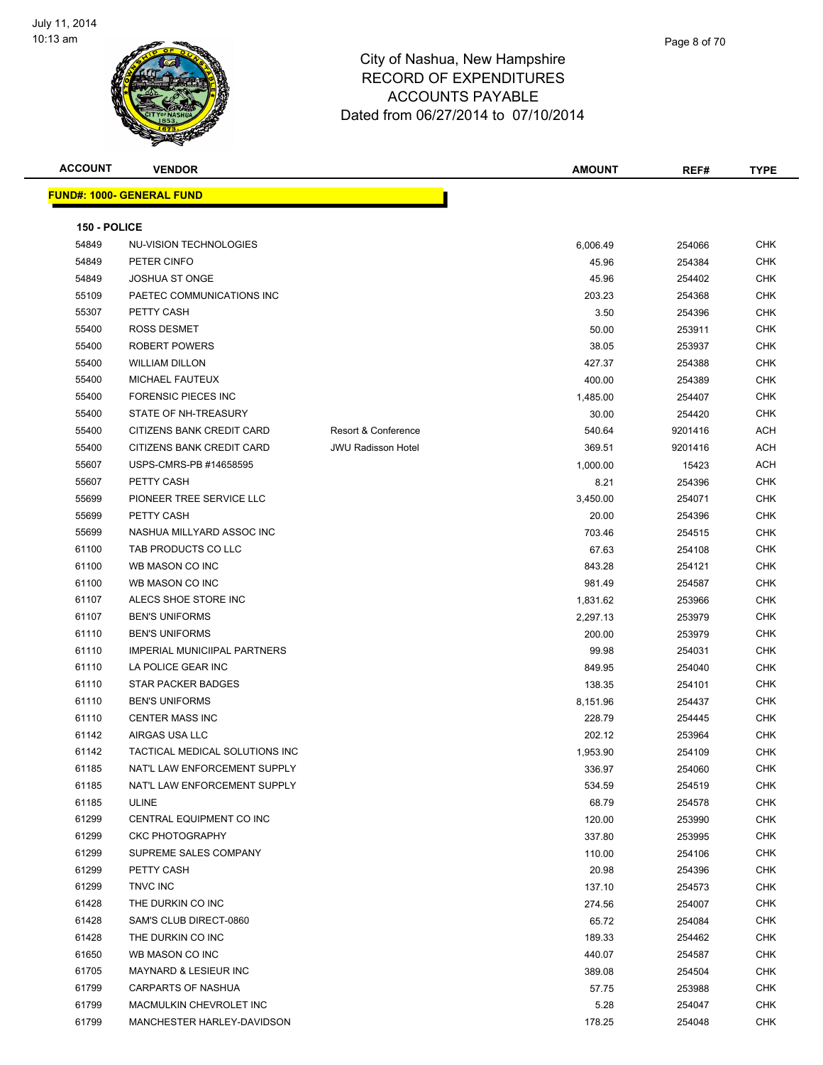

**ACCOUNT VENDOR AMOUNT REF# TYPE FUND#: 1000- GENERAL FUND 150 - POLICE** NU-VISION TECHNOLOGIES 6,006.49 254066 CHK PETER CINFO 45.96 254384 CHK JOSHUA ST ONGE 45.96 254402 CHK PAETEC COMMUNICATIONS INC 203.23 254368 CHK PETTY CASH 3.50 254396 CHK ROSS DESMET 50.00 253911 CHK ROBERT POWERS 38.05 253937 CHK WILLIAM DILLON 427.37 254388 CHK MICHAEL FAUTEUX 400.00 254389 CHK FORENSIC PIECES INC 1,485.00 254407 CHK STATE OF NH-TREASURY 30.00 254420 CHK 55400 CITIZENS BANK CREDIT CARD Resort & Conference 540.64 9201416 ACH 55400 CITIZENS BANK CREDIT CARD JWU Radisson Hotel 369.51 9201416 ACH USPS-CMRS-PB #14658595 1,000.00 15423 ACH PETTY CASH 8.21 254396 CHK PIONEER TREE SERVICE LLC 3,450.00 254071 CHK PETTY CASH 20.00 254396 CHK NASHUA MILLYARD ASSOC INC 703.46 254515 CHK TAB PRODUCTS CO LLC 67.63 254108 CHK WB MASON CO INC 843.28 254121 CHK WB MASON CO INC 981.49 254587 CHK ALECS SHOE STORE INC 1,831.62 253966 CHK BEN'S UNIFORMS 2,297.13 253979 CHK BEN'S UNIFORMS 200.00 253979 CHK IMPERIAL MUNICIIPAL PARTNERS 99.98 254031 CHK er 1110 LA POLICE GEAR INC No. 12 September 2014 10:00 254040 AM 254040 CHK er and the STAR PACKER BADGES and the state of the state of the state of the state of the state of the state of the state of the state of the state of the state of the state of the state of the state of the state of the st BEN'S UNIFORMS 8,151.96 254437 CHK CENTER MASS INC 228.79 254445 CHK AIRGAS USA LLC 202.12 253964 CHK TACTICAL MEDICAL SOLUTIONS INC 1,953.90 254109 CHK NAT'L LAW ENFORCEMENT SUPPLY 336.97 254060 CHK NAT'L LAW ENFORCEMENT SUPPLY 534.59 254519 CHK ULINE 68.79 254578 CHK CENTRAL EQUIPMENT CO INC 120.00 253990 CHK CKC PHOTOGRAPHY 337.80 253995 CHK SUPREME SALES COMPANY 110.00 254106 CHK PETTY CASH 20.98 254396 CHK TNVC INC 137.10 254573 CHK THE DURKIN CO INC 274.56 254007 CHK SAM'S CLUB DIRECT-0860 65.72 254084 CHK THE DURKIN CO INC 189.33 254462 CHK WB MASON CO INC 440.07 254587 CHK

 MAYNARD & LESIEUR INC 389.08 254504 CHK CARPARTS OF NASHUA 57.75 253988 CHK MACMULKIN CHEVROLET INC 5.28 254047 CHK MANCHESTER HARLEY-DAVIDSON 178.25 254048 CHK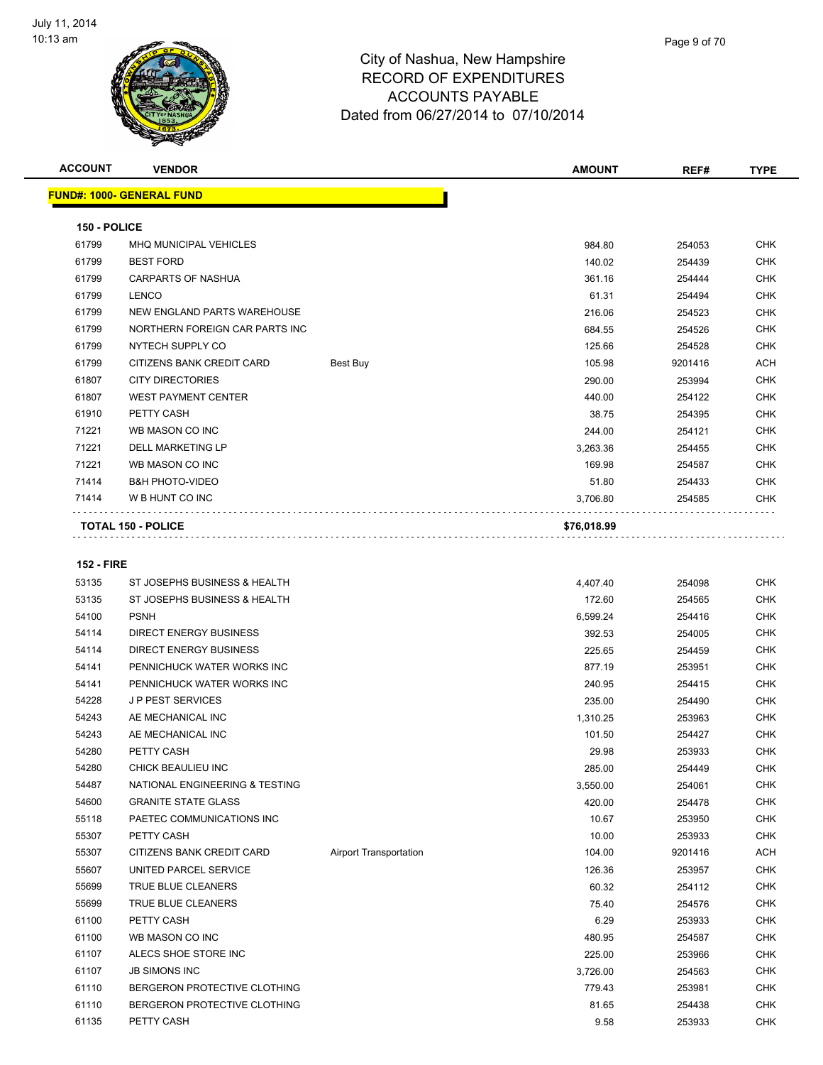

| Page 9 of 70 |
|--------------|
|              |

| <b>ACCOUNT</b>    | <b>VENDOR</b>                     |          | <b>AMOUNT</b> | REF#    | <b>TYPE</b> |
|-------------------|-----------------------------------|----------|---------------|---------|-------------|
|                   | <u> FUND#: 1000- GENERAL FUND</u> |          |               |         |             |
| 150 - POLICE      |                                   |          |               |         |             |
| 61799             | MHQ MUNICIPAL VEHICLES            |          | 984.80        | 254053  | <b>CHK</b>  |
| 61799             | <b>BEST FORD</b>                  |          | 140.02        | 254439  | <b>CHK</b>  |
| 61799             | <b>CARPARTS OF NASHUA</b>         |          | 361.16        | 254444  | <b>CHK</b>  |
| 61799             | <b>LENCO</b>                      |          | 61.31         | 254494  | <b>CHK</b>  |
| 61799             | NEW ENGLAND PARTS WAREHOUSE       |          | 216.06        | 254523  | <b>CHK</b>  |
| 61799             | NORTHERN FOREIGN CAR PARTS INC    |          | 684.55        | 254526  | <b>CHK</b>  |
| 61799             | NYTECH SUPPLY CO                  |          | 125.66        | 254528  | <b>CHK</b>  |
| 61799             | CITIZENS BANK CREDIT CARD         | Best Buy | 105.98        | 9201416 | <b>ACH</b>  |
| 61807             | <b>CITY DIRECTORIES</b>           |          | 290.00        | 253994  | <b>CHK</b>  |
| 61807             | <b>WEST PAYMENT CENTER</b>        |          | 440.00        | 254122  | <b>CHK</b>  |
| 61910             | PETTY CASH                        |          | 38.75         | 254395  | <b>CHK</b>  |
| 71221             | WB MASON CO INC                   |          | 244.00        | 254121  | <b>CHK</b>  |
| 71221             | <b>DELL MARKETING LP</b>          |          | 3,263.36      | 254455  | <b>CHK</b>  |
| 71221             | WB MASON CO INC                   |          | 169.98        | 254587  | <b>CHK</b>  |
| 71414             | <b>B&amp;H PHOTO-VIDEO</b>        |          | 51.80         | 254433  | <b>CHK</b>  |
| 71414             | W B HUNT CO INC                   |          | 3,706.80      | 254585  | <b>CHK</b>  |
|                   | <b>TOTAL 150 - POLICE</b>         |          | \$76,018.99   |         |             |
| <b>152 - FIRE</b> |                                   |          |               |         |             |
| 53135             | ST JOSEPHS BUSINESS & HEALTH      |          | 4,407.40      | 254098  | <b>CHK</b>  |
| 53135             | ST JOSEPHS BUSINESS & HEALTH      |          | 172.60        | 254565  | <b>CHK</b>  |
| 54100             | <b>PSNH</b>                       |          | 6,599.24      | 254416  | <b>CHK</b>  |
| 54114             | <b>DIRECT ENERGY BUSINESS</b>     |          | 392.53        | 254005  | <b>CHK</b>  |

| 54100 | <b>PSNH</b>                    |                               | 6,599.24 | 254416  | <b>CHK</b> |
|-------|--------------------------------|-------------------------------|----------|---------|------------|
| 54114 | <b>DIRECT ENERGY BUSINESS</b>  |                               | 392.53   | 254005  | <b>CHK</b> |
| 54114 | <b>DIRECT ENERGY BUSINESS</b>  |                               | 225.65   | 254459  | <b>CHK</b> |
| 54141 | PENNICHUCK WATER WORKS INC     |                               | 877.19   | 253951  | <b>CHK</b> |
| 54141 | PENNICHUCK WATER WORKS INC     |                               | 240.95   | 254415  | <b>CHK</b> |
| 54228 | <b>JP PEST SERVICES</b>        |                               | 235.00   | 254490  | <b>CHK</b> |
| 54243 | AE MECHANICAL INC              |                               | 1,310.25 | 253963  | <b>CHK</b> |
| 54243 | AE MECHANICAL INC              |                               | 101.50   | 254427  | <b>CHK</b> |
| 54280 | PETTY CASH                     |                               | 29.98    | 253933  | <b>CHK</b> |
| 54280 | CHICK BEAULIEU INC             |                               | 285.00   | 254449  | <b>CHK</b> |
| 54487 | NATIONAL ENGINEERING & TESTING |                               | 3,550.00 | 254061  | <b>CHK</b> |
| 54600 | <b>GRANITE STATE GLASS</b>     |                               | 420.00   | 254478  | <b>CHK</b> |
| 55118 | PAETEC COMMUNICATIONS INC      |                               | 10.67    | 253950  | <b>CHK</b> |
| 55307 | PETTY CASH                     |                               | 10.00    | 253933  | <b>CHK</b> |
| 55307 | CITIZENS BANK CREDIT CARD      | <b>Airport Transportation</b> | 104.00   | 9201416 | <b>ACH</b> |
| 55607 | UNITED PARCEL SERVICE          |                               | 126.36   | 253957  | <b>CHK</b> |
| 55699 | <b>TRUE BLUE CLEANERS</b>      |                               | 60.32    | 254112  | <b>CHK</b> |
| 55699 | <b>TRUE BLUE CLEANERS</b>      |                               | 75.40    | 254576  | <b>CHK</b> |
| 61100 | PETTY CASH                     |                               | 6.29     | 253933  | <b>CHK</b> |
| 61100 | WB MASON CO INC                |                               | 480.95   | 254587  | <b>CHK</b> |
| 61107 | ALECS SHOE STORE INC           |                               | 225.00   | 253966  | <b>CHK</b> |
| 61107 | <b>JB SIMONS INC</b>           |                               | 3,726.00 | 254563  | <b>CHK</b> |
| 61110 | BERGERON PROTECTIVE CLOTHING   |                               | 779.43   | 253981  | <b>CHK</b> |
| 61110 | BERGERON PROTECTIVE CLOTHING   |                               | 81.65    | 254438  | <b>CHK</b> |
| 61135 | PETTY CASH                     |                               | 9.58     | 253933  | <b>CHK</b> |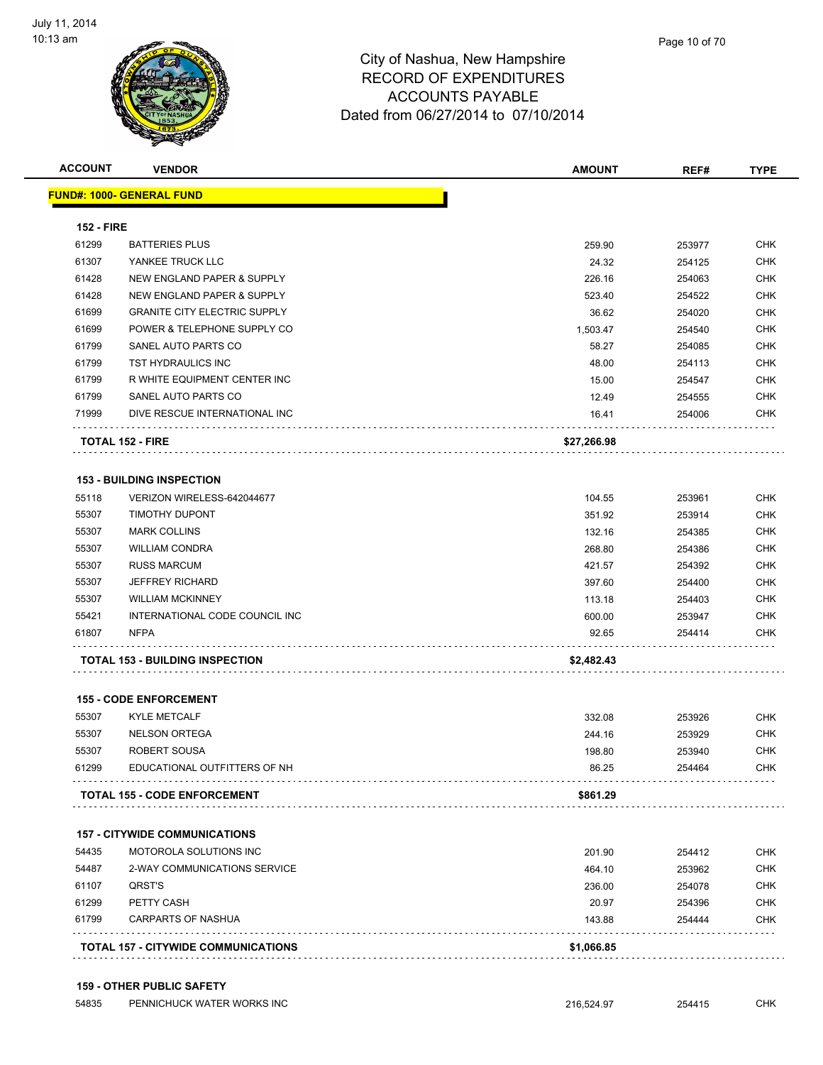

| <b>ACCOUNT</b>    | <b>VENDOR</b>                              | <b>AMOUNT</b> | REF#   | <b>TYPE</b> |
|-------------------|--------------------------------------------|---------------|--------|-------------|
|                   | <b>FUND#: 1000- GENERAL FUND</b>           |               |        |             |
| <b>152 - FIRE</b> |                                            |               |        |             |
| 61299             | <b>BATTERIES PLUS</b>                      | 259.90        | 253977 | <b>CHK</b>  |
| 61307             | YANKEE TRUCK LLC                           | 24.32         | 254125 | CHK         |
| 61428             | NEW ENGLAND PAPER & SUPPLY                 | 226.16        | 254063 | <b>CHK</b>  |
| 61428             | <b>NEW ENGLAND PAPER &amp; SUPPLY</b>      | 523.40        | 254522 | <b>CHK</b>  |
| 61699             | <b>GRANITE CITY ELECTRIC SUPPLY</b>        | 36.62         | 254020 | <b>CHK</b>  |
| 61699             | POWER & TELEPHONE SUPPLY CO                | 1,503.47      | 254540 | <b>CHK</b>  |
| 61799             | SANEL AUTO PARTS CO                        | 58.27         | 254085 | <b>CHK</b>  |
| 61799             | TST HYDRAULICS INC                         | 48.00         | 254113 | <b>CHK</b>  |
| 61799             | R WHITE EQUIPMENT CENTER INC               | 15.00         | 254547 | <b>CHK</b>  |
| 61799             | SANEL AUTO PARTS CO                        | 12.49         | 254555 | <b>CHK</b>  |
| 71999             | DIVE RESCUE INTERNATIONAL INC              | 16.41         | 254006 | <b>CHK</b>  |
|                   |                                            |               |        |             |
|                   | <b>TOTAL 152 - FIRE</b>                    | \$27,266.98   |        |             |
|                   | <b>153 - BUILDING INSPECTION</b>           |               |        |             |
| 55118             | VERIZON WIRELESS-642044677                 | 104.55        | 253961 | <b>CHK</b>  |
| 55307             | <b>TIMOTHY DUPONT</b>                      | 351.92        | 253914 | <b>CHK</b>  |
| 55307             | <b>MARK COLLINS</b>                        | 132.16        | 254385 | <b>CHK</b>  |
| 55307             | <b>WILLIAM CONDRA</b>                      | 268.80        | 254386 | <b>CHK</b>  |
| 55307             | <b>RUSS MARCUM</b>                         | 421.57        | 254392 | <b>CHK</b>  |
| 55307             | <b>JEFFREY RICHARD</b>                     | 397.60        | 254400 | <b>CHK</b>  |
| 55307             | <b>WILLIAM MCKINNEY</b>                    | 113.18        | 254403 | <b>CHK</b>  |
| 55421             | INTERNATIONAL CODE COUNCIL INC             | 600.00        | 253947 | <b>CHK</b>  |
| 61807             | <b>NFPA</b>                                | 92.65         | 254414 | <b>CHK</b>  |
|                   | <b>TOTAL 153 - BUILDING INSPECTION</b>     | \$2,482.43    |        |             |
|                   |                                            |               |        |             |
|                   | <b>155 - CODE ENFORCEMENT</b>              |               |        |             |
| 55307             | <b>KYLE METCALF</b>                        | 332.08        | 253926 | <b>CHK</b>  |
| 55307             | <b>NELSON ORTEGA</b>                       | 244.16        | 253929 | <b>CHK</b>  |
| 55307             | ROBERT SOUSA                               | 198.80        | 253940 | <b>CHK</b>  |
| 61299             | EDUCATIONAL OUTFITTERS OF NH               | 86.25         | 254464 | <b>CHK</b>  |
|                   | TOTAL 155 - CODE ENFORCEMENT               | \$861.29      |        |             |
|                   |                                            |               |        |             |
|                   | <b>157 - CITYWIDE COMMUNICATIONS</b>       |               |        |             |
| 54435             | MOTOROLA SOLUTIONS INC                     | 201.90        | 254412 | <b>CHK</b>  |
| 54487             | 2-WAY COMMUNICATIONS SERVICE               | 464.10        | 253962 | <b>CHK</b>  |
| 61107             | QRST'S                                     | 236.00        | 254078 | <b>CHK</b>  |
| 61299             | PETTY CASH                                 | 20.97         | 254396 | <b>CHK</b>  |
| 61799             | <b>CARPARTS OF NASHUA</b>                  | 143.88        | 254444 | <b>CHK</b>  |
|                   | <b>TOTAL 157 - CITYWIDE COMMUNICATIONS</b> | \$1,066.85    |        |             |
|                   |                                            |               |        |             |

#### **159 - OTHER PUBLIC SAFETY**

| 54835<br>PENNICHUCK WATER WORKS INC | 216.<br>.724<br>. <i>. .</i> . | 254415 | C <sub>1</sub> 11/<br>∪⊓N |
|-------------------------------------|--------------------------------|--------|---------------------------|
|-------------------------------------|--------------------------------|--------|---------------------------|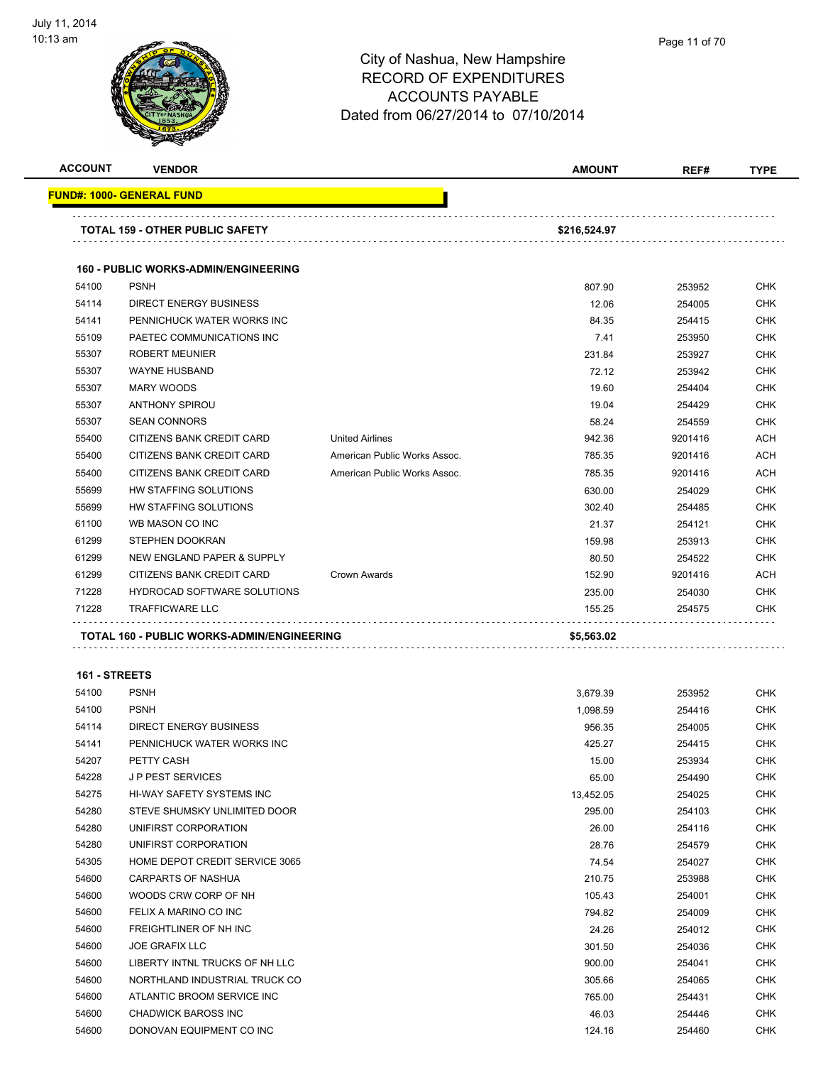

| <b>ACCOUNT</b>         | <b>VENDOR</b>                               |                              | <b>AMOUNT</b> | REF#    | <b>TYPE</b>       |
|------------------------|---------------------------------------------|------------------------------|---------------|---------|-------------------|
|                        | <b>FUND#: 1000- GENERAL FUND</b>            |                              |               |         |                   |
|                        | TOTAL 159 - OTHER PUBLIC SAFETY             |                              | \$216,524.97  |         |                   |
|                        | <b>160 - PUBLIC WORKS-ADMIN/ENGINEERING</b> |                              |               |         |                   |
| 54100                  | <b>PSNH</b>                                 |                              | 807.90        | 253952  | <b>CHK</b>        |
| 54114                  | DIRECT ENERGY BUSINESS                      |                              | 12.06         | 254005  | <b>CHK</b>        |
| 54141                  | PENNICHUCK WATER WORKS INC                  |                              | 84.35         | 254415  | <b>CHK</b>        |
| 55109                  | PAETEC COMMUNICATIONS INC                   |                              | 7.41          | 253950  | <b>CHK</b>        |
| 55307                  | <b>ROBERT MEUNIER</b>                       |                              | 231.84        | 253927  | <b>CHK</b>        |
| 55307                  | <b>WAYNE HUSBAND</b>                        |                              | 72.12         | 253942  | <b>CHK</b>        |
| 55307                  | <b>MARY WOODS</b>                           |                              | 19.60         | 254404  | <b>CHK</b>        |
| 55307                  | <b>ANTHONY SPIROU</b>                       |                              | 19.04         | 254429  | <b>CHK</b>        |
| 55307                  | <b>SEAN CONNORS</b>                         |                              | 58.24         | 254559  | <b>CHK</b>        |
| 55400                  | CITIZENS BANK CREDIT CARD                   | <b>United Airlines</b>       | 942.36        | 9201416 | ACH               |
| 55400                  | CITIZENS BANK CREDIT CARD                   | American Public Works Assoc. | 785.35        | 9201416 | <b>ACH</b>        |
| 55400                  | CITIZENS BANK CREDIT CARD                   | American Public Works Assoc. | 785.35        | 9201416 | <b>ACH</b>        |
| 55699                  | HW STAFFING SOLUTIONS                       |                              | 630.00        | 254029  | <b>CHK</b>        |
| 55699                  | HW STAFFING SOLUTIONS                       |                              | 302.40        | 254485  | <b>CHK</b>        |
| 61100                  | WB MASON CO INC                             |                              | 21.37         | 254121  | <b>CHK</b>        |
| 61299                  | STEPHEN DOOKRAN                             |                              | 159.98        | 253913  | <b>CHK</b>        |
| 61299                  | NEW ENGLAND PAPER & SUPPLY                  |                              | 80.50         | 254522  | <b>CHK</b>        |
| 61299                  | CITIZENS BANK CREDIT CARD                   | Crown Awards                 | 152.90        | 9201416 | <b>ACH</b>        |
| 71228                  | <b>HYDROCAD SOFTWARE SOLUTIONS</b>          |                              | 235.00        | 254030  | <b>CHK</b>        |
| 71228                  | <b>TRAFFICWARE LLC</b>                      |                              | 155.25        | 254575  | CHK               |
|                        | TOTAL 160 - PUBLIC WORKS-ADMIN/ENGINEERING  |                              | \$5,563.02    |         |                   |
|                        |                                             |                              |               |         |                   |
| 161 - STREETS<br>54100 | <b>PSNH</b>                                 |                              | 3,679.39      | 253952  | <b>CHK</b>        |
| 54100                  | <b>PSNH</b>                                 |                              | 1,098.59      | 254416  | <b>CHK</b>        |
| FAAAA                  | DIDECT ENEDOV BUOINECO                      |                              | 0.5000        | 0.51005 | $\sim$ 11/ $\sim$ |

| 54100 | <b>PSNH</b>                    | 1,098.59  | 254416 | <b>CHK</b> |
|-------|--------------------------------|-----------|--------|------------|
| 54114 | DIRECT ENERGY BUSINESS         | 956.35    | 254005 | <b>CHK</b> |
| 54141 | PENNICHUCK WATER WORKS INC     | 425.27    | 254415 | <b>CHK</b> |
| 54207 | PETTY CASH                     | 15.00     | 253934 | <b>CHK</b> |
| 54228 | <b>JP PEST SERVICES</b>        | 65.00     | 254490 | <b>CHK</b> |
| 54275 | HI-WAY SAFETY SYSTEMS INC      | 13,452.05 | 254025 | CHK        |
| 54280 | STEVE SHUMSKY UNLIMITED DOOR   | 295.00    | 254103 | <b>CHK</b> |
| 54280 | UNIFIRST CORPORATION           | 26.00     | 254116 | <b>CHK</b> |
| 54280 | UNIFIRST CORPORATION           | 28.76     | 254579 | <b>CHK</b> |
| 54305 | HOME DEPOT CREDIT SERVICE 3065 | 74.54     | 254027 | <b>CHK</b> |
| 54600 | <b>CARPARTS OF NASHUA</b>      | 210.75    | 253988 | <b>CHK</b> |
| 54600 | WOODS CRW CORP OF NH           | 105.43    | 254001 | <b>CHK</b> |
| 54600 | FELIX A MARINO CO INC          | 794.82    | 254009 | <b>CHK</b> |
| 54600 | FREIGHTLINER OF NH INC         | 24.26     | 254012 | CHK        |
| 54600 | <b>JOE GRAFIX LLC</b>          | 301.50    | 254036 | <b>CHK</b> |
| 54600 | LIBERTY INTNL TRUCKS OF NH LLC | 900.00    | 254041 | <b>CHK</b> |
| 54600 | NORTHLAND INDUSTRIAL TRUCK CO  | 305.66    | 254065 | <b>CHK</b> |
| 54600 | ATLANTIC BROOM SERVICE INC     | 765.00    | 254431 | <b>CHK</b> |
| 54600 | <b>CHADWICK BAROSS INC</b>     | 46.03     | 254446 | <b>CHK</b> |
| 54600 | DONOVAN EQUIPMENT CO INC       | 124.16    | 254460 | <b>CHK</b> |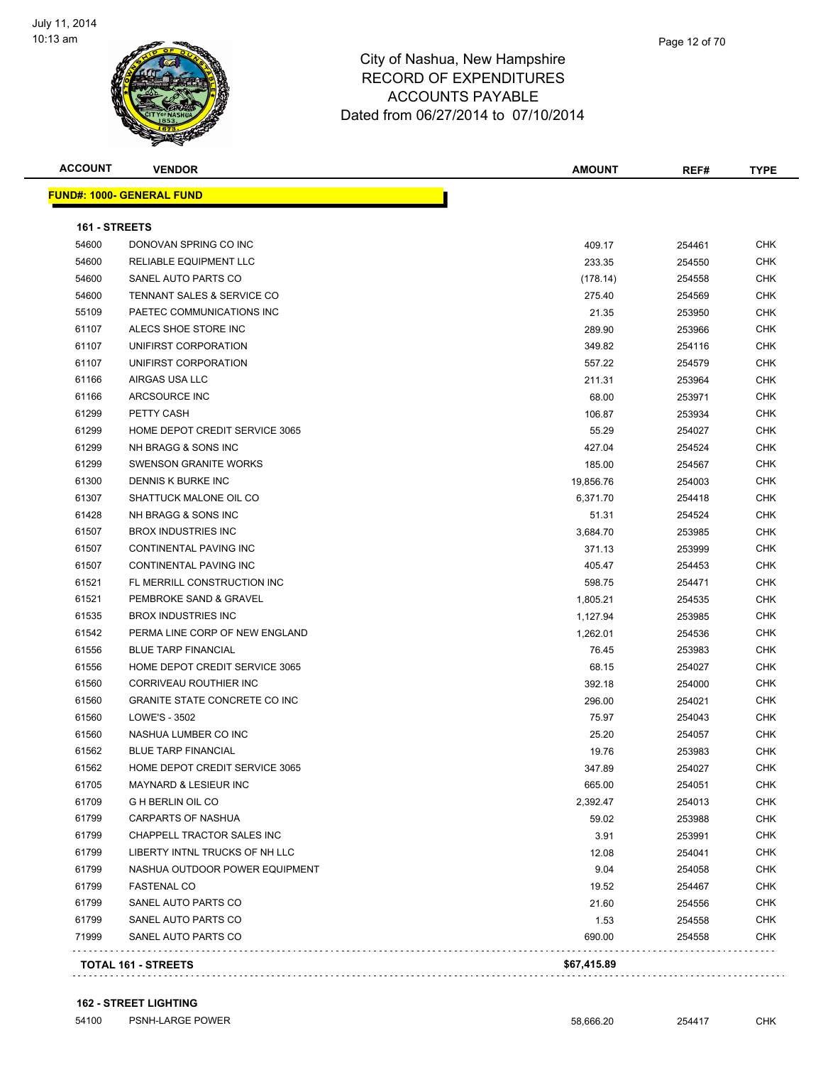

**ACCOUNT VENDOR AMOUNT REF# TYPE**

**FUND#: 1000- GENERAL FUND 161 - STREETS** DONOVAN SPRING CO INC 409.17 254461 CHK RELIABLE EQUIPMENT LLC 233.35 254550 CHK SANEL AUTO PARTS CO (178.14) 254558 CHK TENNANT SALES & SERVICE CO 275.40 254569 CHK PAETEC COMMUNICATIONS INC 21.35 253950 CHK ALECS SHOE STORE INC 289.90 253966 CHK 61107 UNIFIRST CORPORATION 61.0 CHK 349.82 254116 CHK 61107 UNIFIRST CORPORATION 66 CHK CORPORATION 557.22 254579 CHK AIRGAS USA LLC 211.31 253964 CHK ARCSOURCE INC 68.00 253971 CHK PETTY CASH 106.87 253934 CHK HOME DEPOT CREDIT SERVICE 3065 55.29 254027 CHK NH BRAGG & SONS INC 427.04 254524 CHK SWENSON GRANITE WORKS 185.00 254567 CHK DENNIS K BURKE INC 19,856.76 254003 CHK er and the SHATTUCK MALONE OIL CO and the state of the state of the state of the state of the state of the state of the state of the state of the state of the state of the state of the state of the state of the state of th NH BRAGG & SONS INC 51.31 254524 CHK BROX INDUSTRIES INC 3,684.70 253985 CHK 61507 CONTINENTAL PAVING INC 25399 CHK 61507 CONTINENTAL PAVING INC 61 CHK (1999) 254453 CHK (1999) 254453 CHK FL MERRILL CONSTRUCTION INC 598.75 254471 CHK PEMBROKE SAND & GRAVEL 1,805.21 254535 CHK BROX INDUSTRIES INC 1,127.94 253985 CHK PERMA LINE CORP OF NEW ENGLAND 1,262.01 254536 CHK BLUE TARP FINANCIAL 76.45 253983 CHK HOME DEPOT CREDIT SERVICE 3065 68.15 254027 CHK CORRIVEAU ROUTHIER INC 392.18 254000 CHK GRANITE STATE CONCRETE CO INC 296.00 254021 CHK LOWE'S - 3502 75.97 254043 CHK NASHUA LUMBER CO INC 25.20 254057 CHK BLUE TARP FINANCIAL 19.76 253983 CHK HOME DEPOT CREDIT SERVICE 3065 347.89 254027 CHK MAYNARD & LESIEUR INC 665.00 254051 CHK G H BERLIN OIL CO 2,392.47 254013 CHK CARPARTS OF NASHUA 59.02 253988 CHK er by the chappell tractor sales increased by the chappel of the chappel of the chappel of the chappel of the chappel of the chappel of the chappel of the chappel of the chappel of the chappel of the chappel of the chappel LIBERTY INTNL TRUCKS OF NH LLC 12.08 254041 CHK 61799 NASHUA OUTDOOR POWER EQUIPMENT CHARGE AND RESERVE THE SERVE AND RESERVE THE SERVE AND RESERVE THE SERVE FASTENAL CO 19.52 254467 CHK SANEL AUTO PARTS CO 21.60 254556 CHK er 1799 SANEL AUTO PARTS CO 1.53 254558 CHK SANEL AUTO PARTS CO 690.00 254558 CHK . . . . . . . . . . . . . . . . . . . . . . . . . . . . . **TOTAL 161 - STREETS \$67,415.89**

#### **162 - STREET LIGHTING**

54100 PSNH-LARGE POWER 58,666.20 254417 CHK

. . . . . . . . . . .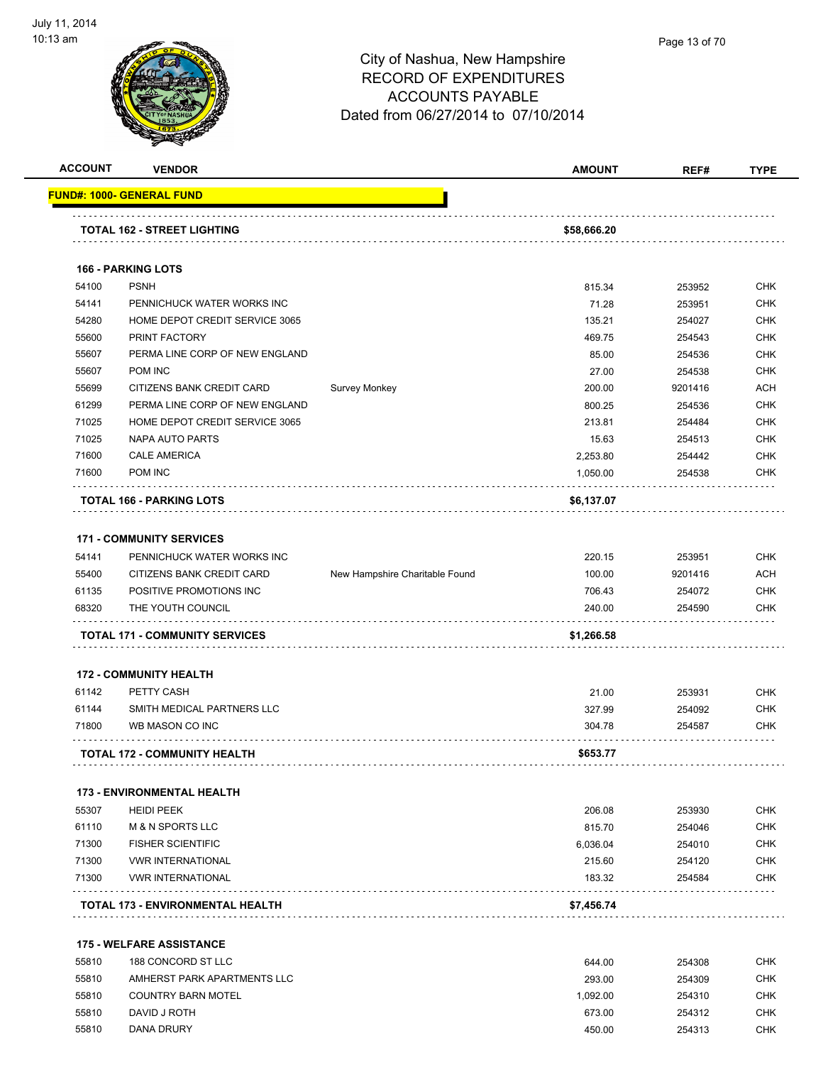

|                | <b>VENDOR</b>                             |                                | <b>AMOUNT</b>      | REF#             | <b>TYPE</b>                                                                                    |
|----------------|-------------------------------------------|--------------------------------|--------------------|------------------|------------------------------------------------------------------------------------------------|
|                | <b>FUND#: 1000- GENERAL FUND</b>          |                                |                    |                  |                                                                                                |
|                | <b>TOTAL 162 - STREET LIGHTING</b>        |                                | \$58,666.20        |                  |                                                                                                |
|                | <b>166 - PARKING LOTS</b>                 |                                |                    |                  |                                                                                                |
| 54100          | <b>PSNH</b>                               |                                | 815.34             | 253952           | <b>CHK</b>                                                                                     |
| 54141          | PENNICHUCK WATER WORKS INC                |                                | 71.28              | 253951           | <b>CHK</b>                                                                                     |
| 54280          | HOME DEPOT CREDIT SERVICE 3065            |                                | 135.21             | 254027           | <b>CHK</b>                                                                                     |
| 55600          | PRINT FACTORY                             |                                | 469.75             | 254543           | <b>CHK</b>                                                                                     |
| 55607          | PERMA LINE CORP OF NEW ENGLAND            |                                | 85.00              | 254536           | <b>CHK</b>                                                                                     |
| 55607          | POM INC                                   |                                | 27.00              | 254538           | <b>CHK</b>                                                                                     |
| 55699          | CITIZENS BANK CREDIT CARD                 | Survey Monkey                  | 200.00             | 9201416          | <b>ACH</b>                                                                                     |
| 61299          | PERMA LINE CORP OF NEW ENGLAND            |                                | 800.25             | 254536           | <b>CHK</b>                                                                                     |
| 71025          | HOME DEPOT CREDIT SERVICE 3065            |                                | 213.81             | 254484           | <b>CHK</b>                                                                                     |
| 71025          | <b>NAPA AUTO PARTS</b>                    |                                | 15.63              | 254513           | <b>CHK</b>                                                                                     |
| 71600          | <b>CALE AMERICA</b>                       |                                | 2,253.80           | 254442           | <b>CHK</b>                                                                                     |
| 71600          | POM INC                                   |                                | 1,050.00           | 254538           | <b>CHK</b>                                                                                     |
|                | TOTAL 166 - PARKING LOTS                  |                                | \$6,137.07         |                  |                                                                                                |
|                | <b>171 - COMMUNITY SERVICES</b>           |                                |                    |                  |                                                                                                |
| 54141          | PENNICHUCK WATER WORKS INC                |                                | 220.15             | 253951           | <b>CHK</b>                                                                                     |
| 55400          | CITIZENS BANK CREDIT CARD                 | New Hampshire Charitable Found | 100.00             | 9201416          | <b>ACH</b>                                                                                     |
| 61135          | POSITIVE PROMOTIONS INC                   |                                | 706.43             | 254072           | <b>CHK</b>                                                                                     |
| 68320          | THE YOUTH COUNCIL                         |                                | 240.00             | 254590           | <b>CHK</b>                                                                                     |
|                | <b>TOTAL 171 - COMMUNITY SERVICES</b>     |                                | \$1,266.58         |                  |                                                                                                |
|                |                                           |                                |                    |                  |                                                                                                |
|                | <b>172 - COMMUNITY HEALTH</b>             |                                |                    |                  |                                                                                                |
| 61142          | PETTY CASH                                |                                | 21.00              | 253931           | <b>CHK</b>                                                                                     |
|                |                                           |                                | 327.99             |                  |                                                                                                |
| 61144          | SMITH MEDICAL PARTNERS LLC                |                                |                    | 254092           | <b>CHK</b>                                                                                     |
| 71800          | WB MASON CO INC                           |                                | 304.78             | 254587           |                                                                                                |
|                | <b>TOTAL 172 - COMMUNITY HEALTH</b>       |                                | \$653.77           |                  |                                                                                                |
|                | <b>173 - ENVIRONMENTAL HEALTH</b>         |                                |                    |                  |                                                                                                |
| 55307          | <b>HEIDI PEEK</b>                         |                                | 206.08             | 253930           |                                                                                                |
| 61110          | <b>M &amp; N SPORTS LLC</b>               |                                | 815.70             | 254046           |                                                                                                |
| 71300          | <b>FISHER SCIENTIFIC</b>                  |                                | 6,036.04           | 254010           |                                                                                                |
| 71300          | <b>VWR INTERNATIONAL</b>                  |                                | 215.60             | 254120           |                                                                                                |
| 71300          | <b>VWR INTERNATIONAL</b>                  |                                | 183.32             | 254584           |                                                                                                |
|                | TOTAL 173 - ENVIRONMENTAL HEALTH          |                                | \$7,456.74         |                  |                                                                                                |
|                |                                           |                                |                    |                  |                                                                                                |
|                | <b>175 - WELFARE ASSISTANCE</b>           |                                |                    |                  |                                                                                                |
| 55810          | 188 CONCORD ST LLC                        |                                | 644.00             | 254308           | <b>CHK</b><br><b>CHK</b><br><b>CHK</b><br><b>CHK</b><br><b>CHK</b><br><b>CHK</b><br><b>CHK</b> |
| 55810          | AMHERST PARK APARTMENTS LLC               |                                | 293.00             | 254309           | <b>CHK</b>                                                                                     |
| 55810<br>55810 | <b>COUNTRY BARN MOTEL</b><br>DAVID J ROTH |                                | 1,092.00<br>673.00 | 254310<br>254312 | <b>CHK</b><br><b>CHK</b>                                                                       |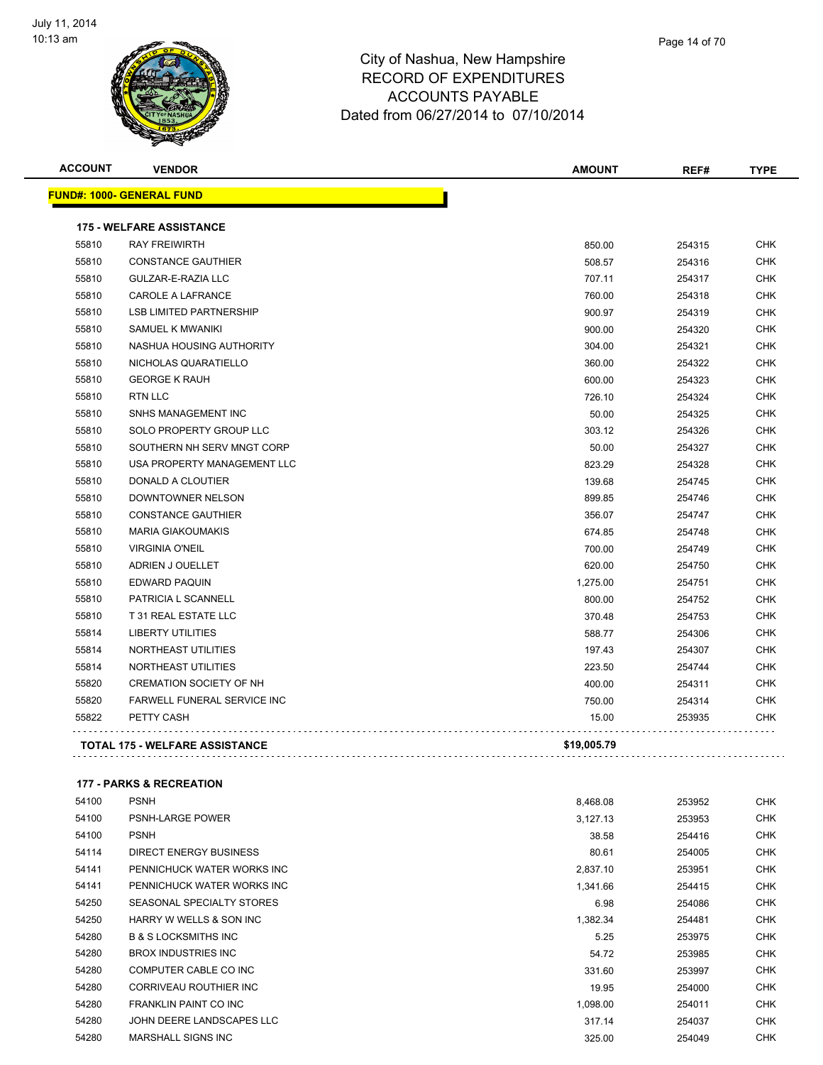

| Page 14 of 70 |
|---------------|
|               |

| <b>ACCOUNT</b> | <b>VENDOR</b>                         | <b>AMOUNT</b> | REF#   | <b>TYPE</b> |
|----------------|---------------------------------------|---------------|--------|-------------|
|                | <u> FUND#: 1000- GENERAL FUND</u>     |               |        |             |
|                | <b>175 - WELFARE ASSISTANCE</b>       |               |        |             |
| 55810          | <b>RAY FREIWIRTH</b>                  | 850.00        | 254315 | <b>CHK</b>  |
| 55810          | <b>CONSTANCE GAUTHIER</b>             | 508.57        | 254316 | <b>CHK</b>  |
| 55810          | GULZAR-E-RAZIA LLC                    | 707.11        | 254317 | <b>CHK</b>  |
| 55810          | CAROLE A LAFRANCE                     | 760.00        | 254318 | <b>CHK</b>  |
| 55810          | <b>LSB LIMITED PARTNERSHIP</b>        | 900.97        | 254319 | <b>CHK</b>  |
| 55810          | SAMUEL K MWANIKI                      | 900.00        | 254320 | <b>CHK</b>  |
| 55810          | NASHUA HOUSING AUTHORITY              | 304.00        | 254321 | <b>CHK</b>  |
| 55810          | NICHOLAS QUARATIELLO                  | 360.00        | 254322 | <b>CHK</b>  |
| 55810          | <b>GEORGE K RAUH</b>                  | 600.00        | 254323 | <b>CHK</b>  |
| 55810          | <b>RTN LLC</b>                        | 726.10        | 254324 | <b>CHK</b>  |
| 55810          | SNHS MANAGEMENT INC                   | 50.00         | 254325 | <b>CHK</b>  |
| 55810          | SOLO PROPERTY GROUP LLC               | 303.12        | 254326 | <b>CHK</b>  |
| 55810          | SOUTHERN NH SERV MNGT CORP            | 50.00         | 254327 | CHK         |
| 55810          | USA PROPERTY MANAGEMENT LLC           | 823.29        | 254328 | <b>CHK</b>  |
| 55810          | DONALD A CLOUTIER                     | 139.68        | 254745 | <b>CHK</b>  |
| 55810          | DOWNTOWNER NELSON                     | 899.85        | 254746 | <b>CHK</b>  |
| 55810          | <b>CONSTANCE GAUTHIER</b>             | 356.07        | 254747 | <b>CHK</b>  |
| 55810          | <b>MARIA GIAKOUMAKIS</b>              | 674.85        | 254748 | <b>CHK</b>  |
| 55810          | <b>VIRGINIA O'NEIL</b>                | 700.00        | 254749 | <b>CHK</b>  |
| 55810          | ADRIEN J OUELLET                      | 620.00        | 254750 | <b>CHK</b>  |
| 55810          | <b>EDWARD PAQUIN</b>                  | 1,275.00      | 254751 | <b>CHK</b>  |
| 55810          | <b>PATRICIA L SCANNELL</b>            | 800.00        | 254752 | <b>CHK</b>  |
| 55810          | T 31 REAL ESTATE LLC                  | 370.48        | 254753 | <b>CHK</b>  |
| 55814          | <b>LIBERTY UTILITIES</b>              | 588.77        | 254306 | <b>CHK</b>  |
| 55814          | NORTHEAST UTILITIES                   | 197.43        | 254307 | <b>CHK</b>  |
| 55814          | NORTHEAST UTILITIES                   | 223.50        | 254744 | <b>CHK</b>  |
| 55820          | <b>CREMATION SOCIETY OF NH</b>        | 400.00        | 254311 | <b>CHK</b>  |
| 55820          | FARWELL FUNERAL SERVICE INC           | 750.00        | 254314 | <b>CHK</b>  |
| 55822          | PETTY CASH                            | 15.00         | 253935 | CHK         |
|                | <b>TOTAL 175 - WELFARE ASSISTANCE</b> | \$19,005.79   |        |             |
|                |                                       |               |        |             |

#### **177 - PARKS & RECREATION**

| 54100 | <b>PSNH</b>                     | 8,468.08 | 253952 | <b>CHK</b> |
|-------|---------------------------------|----------|--------|------------|
| 54100 | <b>PSNH-LARGE POWER</b>         | 3,127.13 | 253953 | <b>CHK</b> |
| 54100 | <b>PSNH</b>                     | 38.58    | 254416 | <b>CHK</b> |
| 54114 | <b>DIRECT ENERGY BUSINESS</b>   | 80.61    | 254005 | <b>CHK</b> |
| 54141 | PENNICHUCK WATER WORKS INC      | 2,837.10 | 253951 | <b>CHK</b> |
| 54141 | PENNICHUCK WATER WORKS INC      | 1,341.66 | 254415 | <b>CHK</b> |
| 54250 | SEASONAL SPECIALTY STORES       | 6.98     | 254086 | <b>CHK</b> |
| 54250 | HARRY W WELLS & SON INC         | 1,382.34 | 254481 | <b>CHK</b> |
| 54280 | <b>B &amp; S LOCKSMITHS INC</b> | 5.25     | 253975 | <b>CHK</b> |
| 54280 | BROX INDUSTRIES INC             | 54.72    | 253985 | <b>CHK</b> |
| 54280 | COMPUTER CABLE CO INC           | 331.60   | 253997 | <b>CHK</b> |
| 54280 | CORRIVEAU ROUTHIER INC          | 19.95    | 254000 | <b>CHK</b> |
| 54280 | <b>FRANKLIN PAINT CO INC</b>    | 1,098.00 | 254011 | <b>CHK</b> |
| 54280 | JOHN DEERE LANDSCAPES LLC       | 317.14   | 254037 | <b>CHK</b> |
| 54280 | <b>MARSHALL SIGNS INC</b>       | 325.00   | 254049 | <b>CHK</b> |
|       |                                 |          |        |            |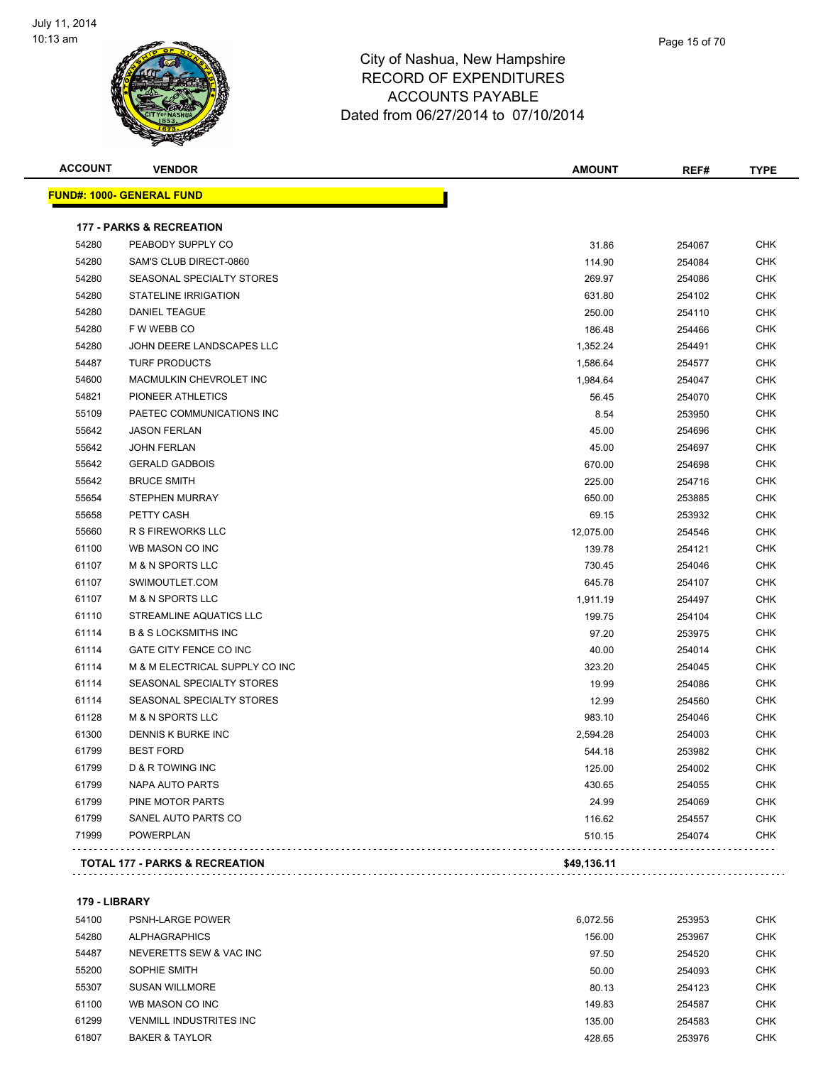

| <b>ACCOUNT</b> | <b>VENDOR</b>                       | <b>AMOUNT</b> | REF#   | <b>TYPE</b> |
|----------------|-------------------------------------|---------------|--------|-------------|
|                | <u> FUND#: 1000- GENERAL FUND</u>   |               |        |             |
|                | <b>177 - PARKS &amp; RECREATION</b> |               |        |             |
| 54280          | PEABODY SUPPLY CO                   | 31.86         | 254067 | <b>CHK</b>  |
| 54280          | SAM'S CLUB DIRECT-0860              | 114.90        | 254084 | <b>CHK</b>  |
| 54280          | SEASONAL SPECIALTY STORES           | 269.97        | 254086 | <b>CHK</b>  |
| 54280          | STATELINE IRRIGATION                | 631.80        | 254102 | <b>CHK</b>  |
| 54280          | <b>DANIEL TEAGUE</b>                | 250.00        | 254110 | <b>CHK</b>  |
| 54280          | F W WEBB CO                         | 186.48        | 254466 | <b>CHK</b>  |
| 54280          | JOHN DEERE LANDSCAPES LLC           | 1,352.24      | 254491 | <b>CHK</b>  |
| 54487          | <b>TURF PRODUCTS</b>                | 1,586.64      | 254577 | <b>CHK</b>  |
| 54600          | MACMULKIN CHEVROLET INC             | 1,984.64      | 254047 | <b>CHK</b>  |
| 54821          | PIONEER ATHLETICS                   | 56.45         | 254070 | <b>CHK</b>  |
| 55109          | PAETEC COMMUNICATIONS INC           | 8.54          | 253950 | <b>CHK</b>  |
| 55642          | <b>JASON FERLAN</b>                 | 45.00         | 254696 | <b>CHK</b>  |
| 55642          | <b>JOHN FERLAN</b>                  | 45.00         | 254697 | <b>CHK</b>  |
| 55642          | <b>GERALD GADBOIS</b>               | 670.00        | 254698 | <b>CHK</b>  |
| 55642          | <b>BRUCE SMITH</b>                  | 225.00        | 254716 | <b>CHK</b>  |
| 55654          | <b>STEPHEN MURRAY</b>               | 650.00        | 253885 | <b>CHK</b>  |
| 55658          | PETTY CASH                          | 69.15         | 253932 | <b>CHK</b>  |
| 55660          | <b>R S FIREWORKS LLC</b>            | 12,075.00     | 254546 | <b>CHK</b>  |
| 61100          | WB MASON CO INC                     | 139.78        | 254121 | <b>CHK</b>  |
| 61107          | <b>M &amp; N SPORTS LLC</b>         | 730.45        | 254046 | <b>CHK</b>  |
| 61107          | SWIMOUTLET.COM                      | 645.78        | 254107 | <b>CHK</b>  |
| 61107          | <b>M &amp; N SPORTS LLC</b>         | 1,911.19      | 254497 | <b>CHK</b>  |
| 61110          | STREAMLINE AQUATICS LLC             | 199.75        | 254104 | <b>CHK</b>  |
| 61114          | <b>B &amp; S LOCKSMITHS INC</b>     | 97.20         | 253975 | <b>CHK</b>  |
| 61114          | GATE CITY FENCE CO INC              | 40.00         | 254014 | <b>CHK</b>  |
| 61114          | M & M ELECTRICAL SUPPLY CO INC      | 323.20        | 254045 | <b>CHK</b>  |
| 61114          | SEASONAL SPECIALTY STORES           | 19.99         | 254086 | <b>CHK</b>  |
| 61114          | SEASONAL SPECIALTY STORES           | 12.99         | 254560 | <b>CHK</b>  |
| 61128          | <b>M &amp; N SPORTS LLC</b>         | 983.10        | 254046 | <b>CHK</b>  |
| 61300          | DENNIS K BURKE INC                  | 2,594.28      | 254003 | <b>CHK</b>  |
| 61799          | <b>BEST FORD</b>                    | 544.18        | 253982 | <b>CHK</b>  |
| 61799          | D & R TOWING INC                    | 125.00        | 254002 | <b>CHK</b>  |
| 61799          | <b>NAPA AUTO PARTS</b>              | 430.65        | 254055 | <b>CHK</b>  |
| 61799          | PINE MOTOR PARTS                    | 24.99         | 254069 | <b>CHK</b>  |
| 61799          | SANEL AUTO PARTS CO                 | 116.62        | 254557 | <b>CHK</b>  |
| 71999          | <b>POWERPLAN</b>                    | 510.15        | 254074 | <b>CHK</b>  |

**179 - LIBRARY**

| .     | ------                    |          |        |            |
|-------|---------------------------|----------|--------|------------|
| 54100 | <b>PSNH-LARGE POWER</b>   | 6.072.56 | 253953 | <b>CHK</b> |
| 54280 | <b>ALPHAGRAPHICS</b>      | 156.00   | 253967 | <b>CHK</b> |
| 54487 | NEVERETTS SEW & VAC INC   | 97.50    | 254520 | <b>CHK</b> |
| 55200 | SOPHIE SMITH              | 50.00    | 254093 | <b>CHK</b> |
| 55307 | <b>SUSAN WILLMORE</b>     | 80.13    | 254123 | <b>CHK</b> |
| 61100 | WB MASON CO INC           | 149.83   | 254587 | <b>CHK</b> |
| 61299 | VENMILL INDUSTRITES INC   | 135.00   | 254583 | <b>CHK</b> |
| 61807 | <b>BAKER &amp; TAYLOR</b> | 428.65   | 253976 | <b>CHK</b> |
|       |                           |          |        |            |

**TOTAL 177 - PARKS & RECREATION \$49,136.11**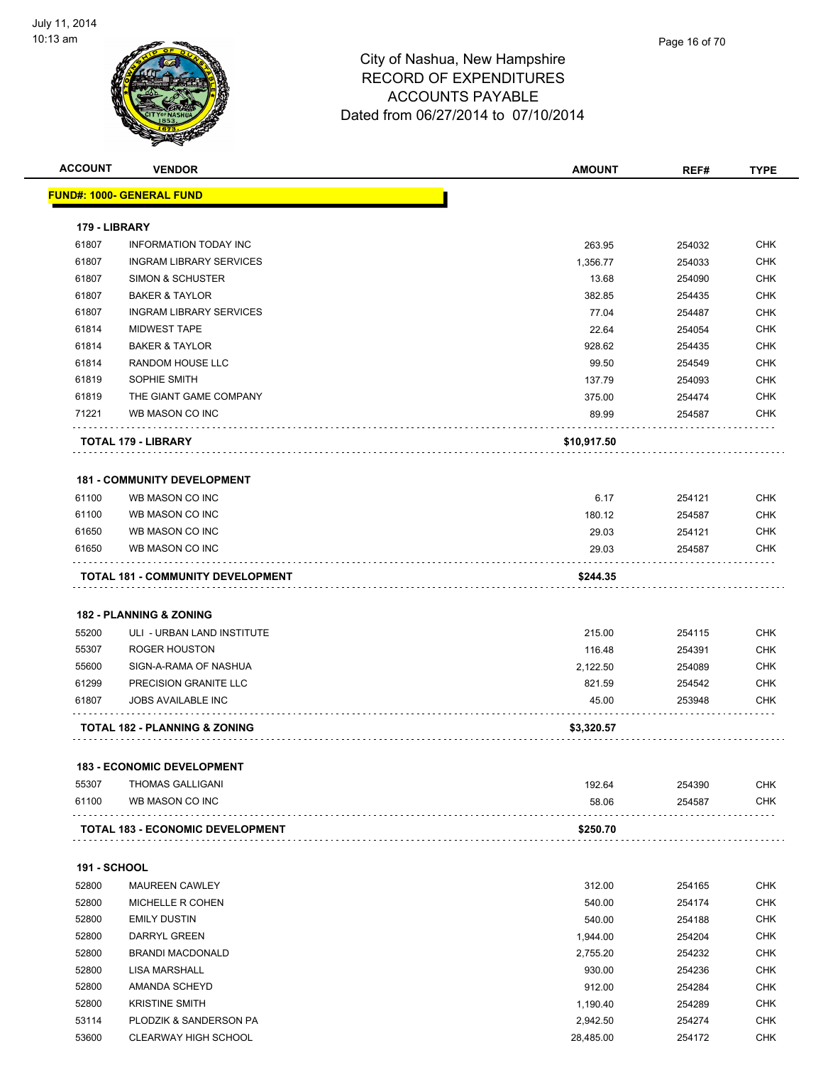

| <b>ACCOUNT</b>      | <b>VENDOR</b>                            | <b>AMOUNT</b> | REF#   | <b>TYPE</b> |
|---------------------|------------------------------------------|---------------|--------|-------------|
|                     | <u> FUND#: 1000- GENERAL FUND</u>        |               |        |             |
| 179 - LIBRARY       |                                          |               |        |             |
| 61807               | <b>INFORMATION TODAY INC</b>             | 263.95        | 254032 | <b>CHK</b>  |
| 61807               | <b>INGRAM LIBRARY SERVICES</b>           | 1,356.77      | 254033 | <b>CHK</b>  |
| 61807               | <b>SIMON &amp; SCHUSTER</b>              | 13.68         | 254090 | CHK         |
| 61807               | <b>BAKER &amp; TAYLOR</b>                | 382.85        | 254435 | <b>CHK</b>  |
| 61807               | <b>INGRAM LIBRARY SERVICES</b>           | 77.04         | 254487 | <b>CHK</b>  |
| 61814               | <b>MIDWEST TAPE</b>                      | 22.64         | 254054 | CHK         |
| 61814               | <b>BAKER &amp; TAYLOR</b>                | 928.62        | 254435 | <b>CHK</b>  |
| 61814               | RANDOM HOUSE LLC                         | 99.50         | 254549 | <b>CHK</b>  |
| 61819               | SOPHIE SMITH                             | 137.79        | 254093 | <b>CHK</b>  |
| 61819               | THE GIANT GAME COMPANY                   | 375.00        | 254474 | <b>CHK</b>  |
| 71221               | WB MASON CO INC                          | 89.99         | 254587 | CHK         |
|                     | <b>TOTAL 179 - LIBRARY</b>               | \$10,917.50   |        |             |
|                     | <b>181 - COMMUNITY DEVELOPMENT</b>       |               |        |             |
| 61100               | WB MASON CO INC                          | 6.17          | 254121 | <b>CHK</b>  |
| 61100               | WB MASON CO INC                          | 180.12        | 254587 | CHK         |
| 61650               | WB MASON CO INC                          | 29.03         | 254121 | CHK         |
| 61650               | WB MASON CO INC                          | 29.03         | 254587 | CHK         |
|                     | TOTAL 181 - COMMUNITY DEVELOPMENT        | \$244.35      |        |             |
|                     | 182 - PLANNING & ZONING                  |               |        |             |
| 55200               | ULI - URBAN LAND INSTITUTE               | 215.00        | 254115 | <b>CHK</b>  |
| 55307               | <b>ROGER HOUSTON</b>                     | 116.48        | 254391 | CHK         |
| 55600               | SIGN-A-RAMA OF NASHUA                    | 2,122.50      | 254089 | CHK         |
| 61299               | PRECISION GRANITE LLC                    | 821.59        | 254542 | <b>CHK</b>  |
| 61807               | <b>JOBS AVAILABLE INC</b>                | 45.00         | 253948 | CHK         |
|                     | <b>TOTAL 182 - PLANNING &amp; ZONING</b> | \$3,320.57    |        |             |
|                     |                                          |               |        |             |
|                     | <b>183 - ECONOMIC DEVELOPMENT</b>        |               |        |             |
| 55307               | <b>THOMAS GALLIGANI</b>                  | 192.64        | 254390 | <b>CHK</b>  |
| 61100               | WB MASON CO INC                          | 58.06         | 254587 | CHK         |
|                     | <b>TOTAL 183 - ECONOMIC DEVELOPMENT</b>  | \$250.70      |        |             |
| <b>191 - SCHOOL</b> |                                          |               |        |             |
| 52800               | <b>MAUREEN CAWLEY</b>                    | 312.00        | 254165 | CHK         |
| 52800               | MICHELLE R COHEN                         | 540.00        | 254174 | <b>CHK</b>  |
| 52800               | <b>EMILY DUSTIN</b>                      | 540.00        | 254188 | <b>CHK</b>  |
| 52800               | DARRYL GREEN                             | 1,944.00      | 254204 | <b>CHK</b>  |
| 52800               | <b>BRANDI MACDONALD</b>                  | 2,755.20      | 254232 | <b>CHK</b>  |
| 52800               | LISA MARSHALL                            | 930.00        | 254236 | <b>CHK</b>  |
| 52800               | AMANDA SCHEYD                            | 912.00        | 254284 | <b>CHK</b>  |
| 52800               | <b>KRISTINE SMITH</b>                    | 1,190.40      | 254289 | <b>CHK</b>  |
| 53114               | PLODZIK & SANDERSON PA                   | 2,942.50      | 254274 | CHK         |
| 53600               | <b>CLEARWAY HIGH SCHOOL</b>              | 28,485.00     | 254172 | <b>CHK</b>  |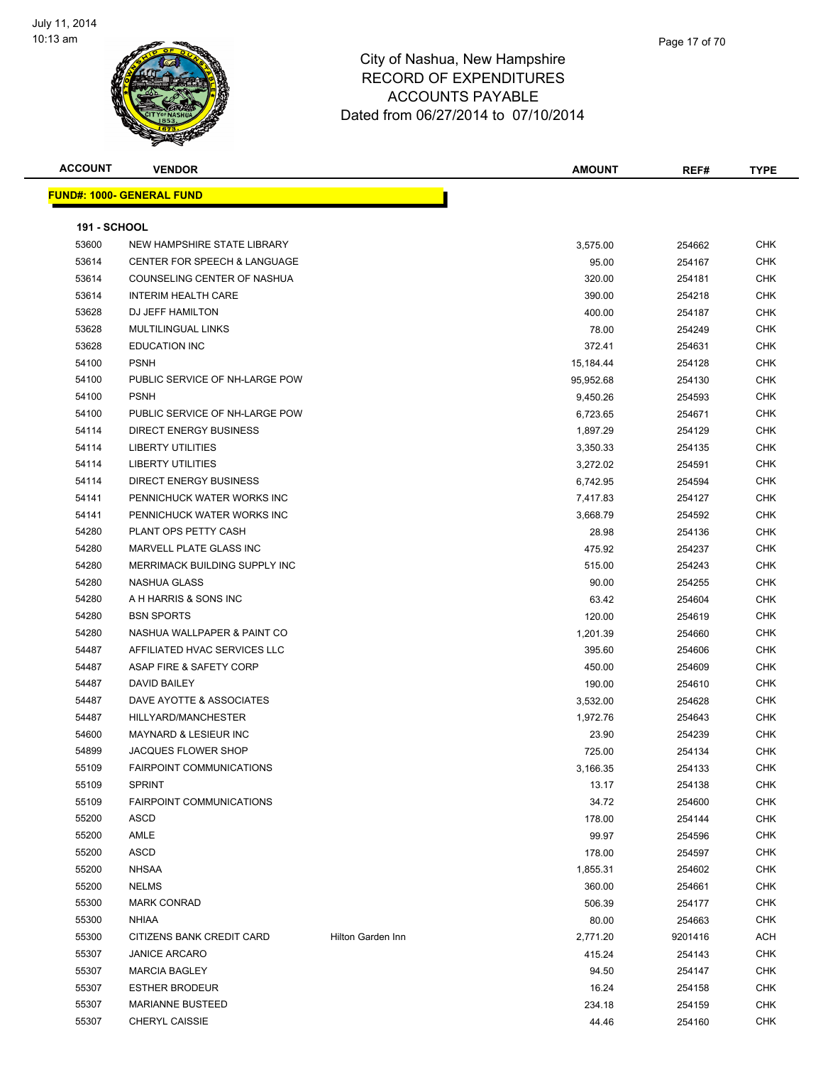

| <b>ACCOUNT</b>      | <b>VENDOR</b>                           |                   | <b>AMOUNT</b> | REF#    | <b>TYPE</b> |
|---------------------|-----------------------------------------|-------------------|---------------|---------|-------------|
|                     | <b>FUND#: 1000- GENERAL FUND</b>        |                   |               |         |             |
|                     |                                         |                   |               |         |             |
| <b>191 - SCHOOL</b> |                                         |                   |               |         |             |
| 53600               | NEW HAMPSHIRE STATE LIBRARY             |                   | 3,575.00      | 254662  | <b>CHK</b>  |
| 53614               | <b>CENTER FOR SPEECH &amp; LANGUAGE</b> |                   | 95.00         | 254167  | <b>CHK</b>  |
| 53614               | COUNSELING CENTER OF NASHUA             |                   | 320.00        | 254181  | <b>CHK</b>  |
| 53614               | <b>INTERIM HEALTH CARE</b>              |                   | 390.00        | 254218  | <b>CHK</b>  |
| 53628               | DJ JEFF HAMILTON                        |                   | 400.00        | 254187  | <b>CHK</b>  |
| 53628               | <b>MULTILINGUAL LINKS</b>               |                   | 78.00         | 254249  | <b>CHK</b>  |
| 53628               | <b>EDUCATION INC</b>                    |                   | 372.41        | 254631  | <b>CHK</b>  |
| 54100               | <b>PSNH</b>                             |                   | 15,184.44     | 254128  | <b>CHK</b>  |
| 54100               | PUBLIC SERVICE OF NH-LARGE POW          |                   | 95,952.68     | 254130  | <b>CHK</b>  |
| 54100               | <b>PSNH</b>                             |                   | 9,450.26      | 254593  | <b>CHK</b>  |
| 54100               | PUBLIC SERVICE OF NH-LARGE POW          |                   | 6,723.65      | 254671  | <b>CHK</b>  |
| 54114               | <b>DIRECT ENERGY BUSINESS</b>           |                   | 1,897.29      | 254129  | <b>CHK</b>  |
| 54114               | <b>LIBERTY UTILITIES</b>                |                   | 3,350.33      | 254135  | <b>CHK</b>  |
| 54114               | <b>LIBERTY UTILITIES</b>                |                   | 3,272.02      | 254591  | <b>CHK</b>  |
| 54114               | DIRECT ENERGY BUSINESS                  |                   | 6,742.95      | 254594  | <b>CHK</b>  |
| 54141               | PENNICHUCK WATER WORKS INC              |                   | 7,417.83      | 254127  | <b>CHK</b>  |
| 54141               | PENNICHUCK WATER WORKS INC              |                   | 3,668.79      | 254592  | <b>CHK</b>  |
| 54280               | PLANT OPS PETTY CASH                    |                   | 28.98         | 254136  | <b>CHK</b>  |
| 54280               | MARVELL PLATE GLASS INC                 |                   | 475.92        | 254237  | <b>CHK</b>  |
| 54280               | MERRIMACK BUILDING SUPPLY INC           |                   | 515.00        | 254243  | <b>CHK</b>  |
| 54280               | NASHUA GLASS                            |                   | 90.00         | 254255  | <b>CHK</b>  |
| 54280               | A H HARRIS & SONS INC                   |                   | 63.42         | 254604  | <b>CHK</b>  |
| 54280               | <b>BSN SPORTS</b>                       |                   | 120.00        | 254619  | <b>CHK</b>  |
| 54280               | NASHUA WALLPAPER & PAINT CO             |                   | 1,201.39      | 254660  | <b>CHK</b>  |
| 54487               | AFFILIATED HVAC SERVICES LLC            |                   | 395.60        | 254606  | <b>CHK</b>  |
| 54487               | ASAP FIRE & SAFETY CORP                 |                   | 450.00        | 254609  | <b>CHK</b>  |
| 54487               | DAVID BAILEY                            |                   | 190.00        | 254610  | <b>CHK</b>  |
| 54487               | DAVE AYOTTE & ASSOCIATES                |                   | 3,532.00      | 254628  | <b>CHK</b>  |
| 54487               | HILLYARD/MANCHESTER                     |                   | 1,972.76      | 254643  | <b>CHK</b>  |
| 54600               | MAYNARD & LESIEUR INC                   |                   | 23.90         | 254239  | <b>CHK</b>  |
| 54899               | <b>JACQUES FLOWER SHOP</b>              |                   | 725.00        | 254134  | <b>CHK</b>  |
| 55109               | FAIRPOINT COMMUNICATIONS                |                   | 3,166.35      | 254133  | <b>CHK</b>  |
| 55109               | <b>SPRINT</b>                           |                   | 13.17         | 254138  | <b>CHK</b>  |
| 55109               | <b>FAIRPOINT COMMUNICATIONS</b>         |                   | 34.72         | 254600  | <b>CHK</b>  |
| 55200               | <b>ASCD</b>                             |                   | 178.00        | 254144  | <b>CHK</b>  |
| 55200               | AMLE                                    |                   | 99.97         | 254596  | <b>CHK</b>  |
| 55200               | ASCD                                    |                   | 178.00        | 254597  | <b>CHK</b>  |
| 55200               | <b>NHSAA</b>                            |                   | 1,855.31      | 254602  | <b>CHK</b>  |
| 55200               | <b>NELMS</b>                            |                   | 360.00        | 254661  | <b>CHK</b>  |
| 55300               | <b>MARK CONRAD</b>                      |                   | 506.39        | 254177  | <b>CHK</b>  |
| 55300               | <b>NHIAA</b>                            |                   | 80.00         | 254663  | <b>CHK</b>  |
| 55300               | CITIZENS BANK CREDIT CARD               | Hilton Garden Inn | 2,771.20      | 9201416 | <b>ACH</b>  |
| 55307               | <b>JANICE ARCARO</b>                    |                   | 415.24        | 254143  | <b>CHK</b>  |
| 55307               | <b>MARCIA BAGLEY</b>                    |                   | 94.50         | 254147  | <b>CHK</b>  |
| 55307               | <b>ESTHER BRODEUR</b>                   |                   | 16.24         | 254158  | <b>CHK</b>  |
| 55307               | <b>MARIANNE BUSTEED</b>                 |                   | 234.18        | 254159  | <b>CHK</b>  |
| 55307               | CHERYL CAISSIE                          |                   | 44.46         | 254160  | <b>CHK</b>  |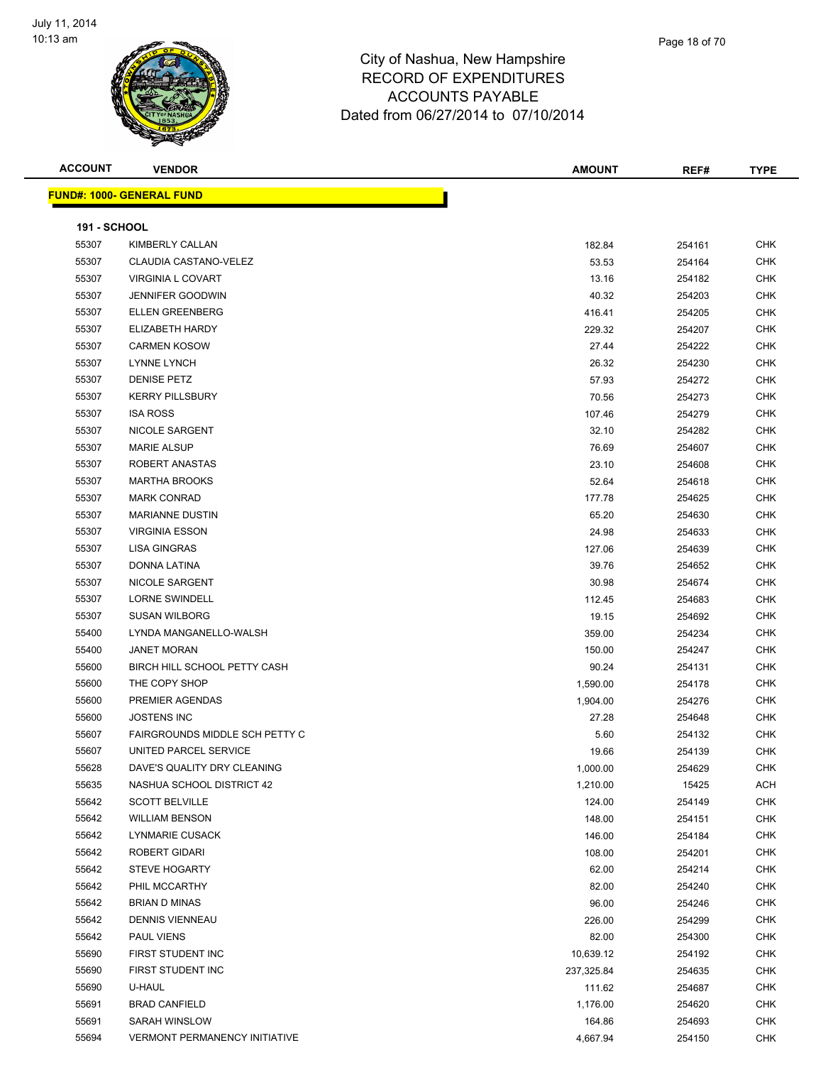

| Page 18 of 70 |
|---------------|
|               |

| <b>ACCOUNT</b>      | <b>VENDOR</b>                        | <b>AMOUNT</b> | REF#   | <b>TYPE</b> |
|---------------------|--------------------------------------|---------------|--------|-------------|
|                     | <b>FUND#: 1000- GENERAL FUND</b>     |               |        |             |
|                     |                                      |               |        |             |
| <b>191 - SCHOOL</b> |                                      |               |        |             |
| 55307               | KIMBERLY CALLAN                      | 182.84        | 254161 | <b>CHK</b>  |
| 55307               | CLAUDIA CASTANO-VELEZ                | 53.53         | 254164 | <b>CHK</b>  |
| 55307               | VIRGINIA L COVART                    | 13.16         | 254182 | <b>CHK</b>  |
| 55307               | <b>JENNIFER GOODWIN</b>              | 40.32         | 254203 | <b>CHK</b>  |
| 55307               | <b>ELLEN GREENBERG</b>               | 416.41        | 254205 | <b>CHK</b>  |
| 55307               | ELIZABETH HARDY                      | 229.32        | 254207 | <b>CHK</b>  |
| 55307               | <b>CARMEN KOSOW</b>                  | 27.44         | 254222 | <b>CHK</b>  |
| 55307               | <b>LYNNE LYNCH</b>                   | 26.32         | 254230 | <b>CHK</b>  |
| 55307               | <b>DENISE PETZ</b>                   | 57.93         | 254272 | <b>CHK</b>  |
| 55307               | <b>KERRY PILLSBURY</b>               | 70.56         | 254273 | CHK         |
| 55307               | <b>ISA ROSS</b>                      | 107.46        | 254279 | <b>CHK</b>  |
| 55307               | NICOLE SARGENT                       | 32.10         | 254282 | <b>CHK</b>  |
| 55307               | <b>MARIE ALSUP</b>                   | 76.69         | 254607 | <b>CHK</b>  |
| 55307               | ROBERT ANASTAS                       | 23.10         | 254608 | <b>CHK</b>  |
| 55307               | <b>MARTHA BROOKS</b>                 | 52.64         | 254618 | <b>CHK</b>  |
| 55307               | <b>MARK CONRAD</b>                   | 177.78        | 254625 | <b>CHK</b>  |
| 55307               | <b>MARIANNE DUSTIN</b>               | 65.20         | 254630 | <b>CHK</b>  |
| 55307               | <b>VIRGINIA ESSON</b>                | 24.98         | 254633 | CHK         |
| 55307               | <b>LISA GINGRAS</b>                  | 127.06        | 254639 | <b>CHK</b>  |
| 55307               | DONNA LATINA                         | 39.76         | 254652 | CHK         |
| 55307               | NICOLE SARGENT                       | 30.98         | 254674 | <b>CHK</b>  |
| 55307               | <b>LORNE SWINDELL</b>                | 112.45        | 254683 | <b>CHK</b>  |
| 55307               | <b>SUSAN WILBORG</b>                 | 19.15         | 254692 | <b>CHK</b>  |
| 55400               | LYNDA MANGANELLO-WALSH               | 359.00        | 254234 | <b>CHK</b>  |
| 55400               | <b>JANET MORAN</b>                   | 150.00        | 254247 | <b>CHK</b>  |
| 55600               | BIRCH HILL SCHOOL PETTY CASH         | 90.24         | 254131 | <b>CHK</b>  |
| 55600               | THE COPY SHOP                        | 1,590.00      | 254178 | <b>CHK</b>  |
| 55600               | PREMIER AGENDAS                      | 1,904.00      | 254276 | <b>CHK</b>  |
| 55600               | <b>JOSTENS INC</b>                   | 27.28         | 254648 | <b>CHK</b>  |
| 55607               | FAIRGROUNDS MIDDLE SCH PETTY C       | 5.60          | 254132 | <b>CHK</b>  |
| 55607               | UNITED PARCEL SERVICE                | 19.66         | 254139 | CHK         |
| 55628               | DAVE'S QUALITY DRY CLEANING          | 1,000.00      | 254629 | <b>CHK</b>  |
| 55635               | NASHUA SCHOOL DISTRICT 42            | 1,210.00      | 15425  | ACH         |
| 55642               | <b>SCOTT BELVILLE</b>                | 124.00        | 254149 | CHK         |
| 55642               | <b>WILLIAM BENSON</b>                | 148.00        | 254151 | CHK         |
| 55642               | <b>LYNMARIE CUSACK</b>               | 146.00        | 254184 | CHK         |
| 55642               | ROBERT GIDARI                        | 108.00        | 254201 | <b>CHK</b>  |
| 55642               | <b>STEVE HOGARTY</b>                 | 62.00         | 254214 | CHK         |
| 55642               | PHIL MCCARTHY                        | 82.00         | 254240 | <b>CHK</b>  |
| 55642               | <b>BRIAN D MINAS</b>                 | 96.00         | 254246 | <b>CHK</b>  |
| 55642               | <b>DENNIS VIENNEAU</b>               | 226.00        | 254299 | CHK         |
| 55642               | PAUL VIENS                           | 82.00         | 254300 | CHK         |
| 55690               | FIRST STUDENT INC                    | 10,639.12     | 254192 | <b>CHK</b>  |
| 55690               | FIRST STUDENT INC                    | 237,325.84    | 254635 | CHK         |
| 55690               | U-HAUL                               | 111.62        | 254687 | CHK         |
| 55691               | <b>BRAD CANFIELD</b>                 | 1,176.00      | 254620 | CHK         |
| 55691               | SARAH WINSLOW                        | 164.86        | 254693 | CHK         |
| 55694               | <b>VERMONT PERMANENCY INITIATIVE</b> | 4,667.94      | 254150 | <b>CHK</b>  |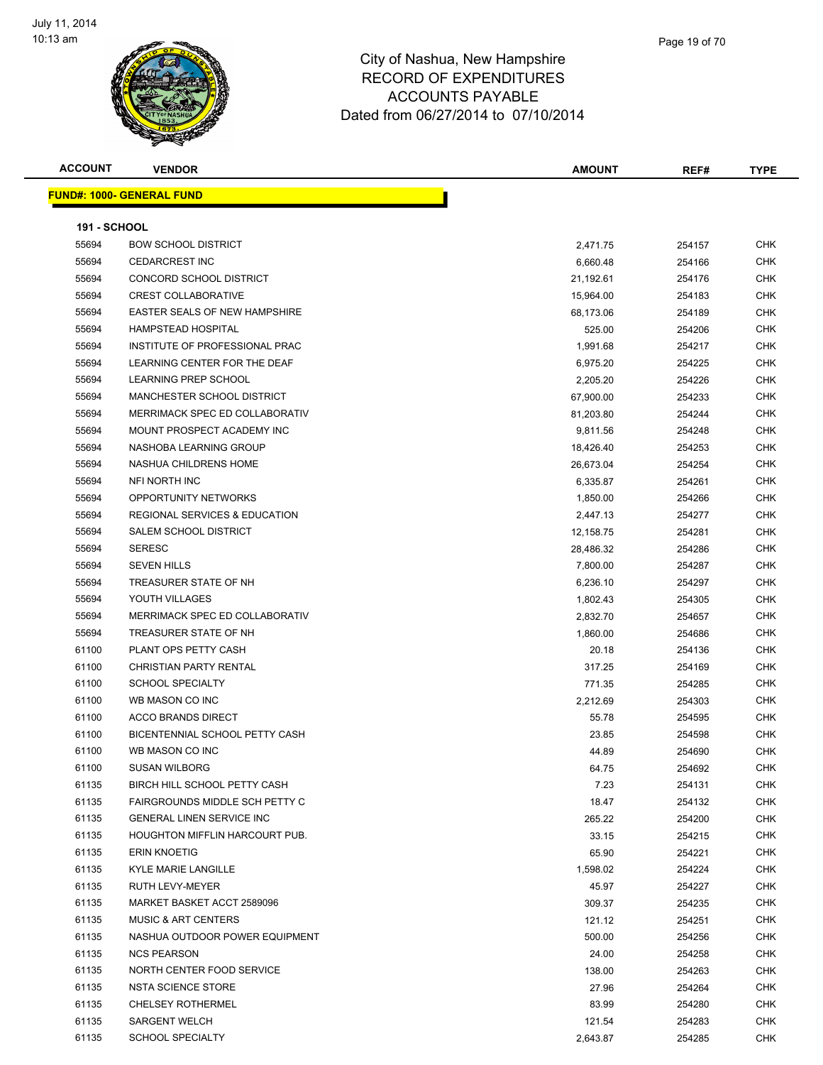

**ACCOUNT VENDOR AMOUNT REF# TYPE**

**FUND#: 1000- GENERAL FUND 191 - SCHOOL** BOW SCHOOL DISTRICT 2,471.75 254157 CHK CEDARCREST INC 6,660.48 254166 CHK CONCORD SCHOOL DISTRICT 21,192.61 254176 CHK CREST COLLABORATIVE 15,964.00 254183 CHK EASTER SEALS OF NEW HAMPSHIRE 68,173.06 254189 CHK HAMPSTEAD HOSPITAL 525.00 254206 CHK INSTITUTE OF PROFESSIONAL PRAC 1,991.68 254217 CHK 55694 LEARNING CENTER FOR THE DEAF 6,975.20 254225 CHK LEARNING PREP SCHOOL 2,205.20 254226 CHK MANCHESTER SCHOOL DISTRICT 67,900.00 254233 CHK MERRIMACK SPEC ED COLLABORATIV 81,203.80 254244 CHK MOUNT PROSPECT ACADEMY INC 9,811.56 254248 CHK NASHOBA LEARNING GROUP 18,426.40 254253 CHK NASHUA CHILDRENS HOME 26,673.04 254254 CHK NFI NORTH INC 6,335.87 254261 CHK OPPORTUNITY NETWORKS 1,850.00 254266 CHK REGIONAL SERVICES & EDUCATION 2,447.13 254277 CHK SALEM SCHOOL DISTRICT 12,158.75 254281 CHK SERESC 28,486.32 254286 CHK SEVEN HILLS 7,800.00 254287 CHK TREASURER STATE OF NH 6,236.10 254297 CHK YOUTH VILLAGES 1,802.43 254305 CHK MERRIMACK SPEC ED COLLABORATIV 2,832.70 254657 CHK TREASURER STATE OF NH 1,860.00 254686 CHK PLANT OPS PETTY CASH 20.18 254136 CHK CHRISTIAN PARTY RENTAL 317.25 254169 CHK SCHOOL SPECIALTY 771.35 254285 CHK WB MASON CO INC 2,212.69 254303 CHK er and the state of the state of the state of the state of the state of the state of the state of the state of the state of the state of the state of the state of the state of the state of the state of the state of the sta BICENTENNIAL SCHOOL PETTY CASH 23.85 254598 CHK WB MASON CO INC 44.89 254690 CHK SUSAN WILBORG 64.75 254692 CHK 61135 BIRCH HILL SCHOOL PETTY CASH 7.23 254131 CHK 61135 FAIRGROUNDS MIDDLE SCH PETTY C 18.47 254132 CHK GENERAL LINEN SERVICE INC 265.22 254200 CHK

 HOUGHTON MIFFLIN HARCOURT PUB. 33.15 254215 CHK ERIN KNOETIG 65.90 254221 CHK KYLE MARIE LANGILLE 1,598.02 254224 CHK RUTH LEVY-MEYER 45.97 254227 CHK MARKET BASKET ACCT 2589096 309.37 254235 CHK 61135 MUSIC & ART CENTERS **121.12** 254251 CHK NASHUA OUTDOOR POWER EQUIPMENT 500.00 254256 CHK NCS PEARSON 24.00 254258 CHK 61135 NORTH CENTER FOOD SERVICE 138.00 254263 CHK NSTA SCIENCE STORE 27.96 254264 CHK

er and the CHELSEY ROTHERMEL CHER STATE STATE STATE STATE STATE STATE STATE STATE STATE STATE STATE STATE STATE STATE STATE STATE STATE STATE STATE STATE STATE STATE STATE STATE STATE STATE STATE STATE STATE STATE STATE ST SARGENT WELCH 121.54 254283 CHK SCHOOL SPECIALTY 2,643.87 254285 CHK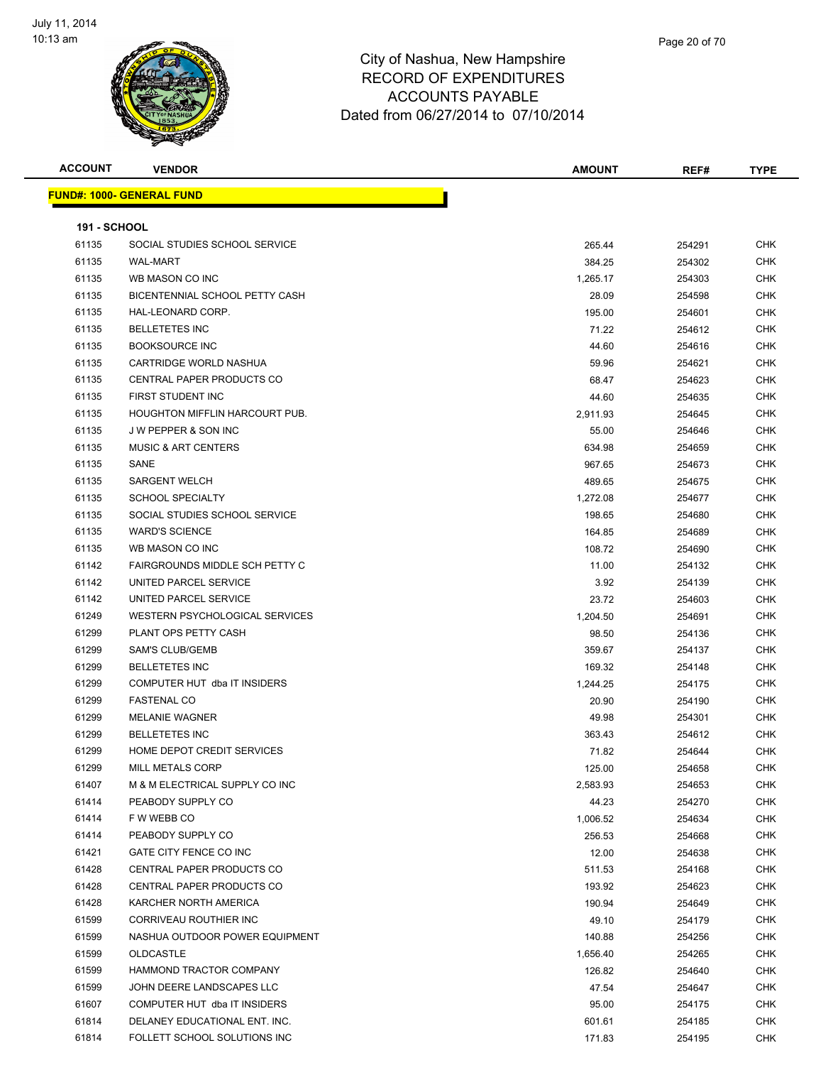

| Page 20 of 70 |  |
|---------------|--|
|               |  |
|               |  |

| <b>ACCOUNT</b>      | <b>VENDOR</b>                         | <b>AMOUNT</b> | REF#   | <b>TYPE</b> |
|---------------------|---------------------------------------|---------------|--------|-------------|
|                     | <b>FUND#: 1000- GENERAL FUND</b>      |               |        |             |
|                     |                                       |               |        |             |
| <b>191 - SCHOOL</b> |                                       |               |        |             |
| 61135               | SOCIAL STUDIES SCHOOL SERVICE         | 265.44        | 254291 | <b>CHK</b>  |
| 61135               | <b>WAL-MART</b>                       | 384.25        | 254302 | CHK         |
| 61135               | WB MASON CO INC                       | 1,265.17      | 254303 | CHK         |
| 61135               | BICENTENNIAL SCHOOL PETTY CASH        | 28.09         | 254598 | CHK         |
| 61135               | HAL-LEONARD CORP.                     | 195.00        | 254601 | CHK         |
| 61135               | <b>BELLETETES INC</b>                 | 71.22         | 254612 | CHK         |
| 61135               | <b>BOOKSOURCE INC</b>                 | 44.60         | 254616 | CHK         |
| 61135               | CARTRIDGE WORLD NASHUA                | 59.96         | 254621 | CHK         |
| 61135               | CENTRAL PAPER PRODUCTS CO             | 68.47         | 254623 | <b>CHK</b>  |
| 61135               | FIRST STUDENT INC                     | 44.60         | 254635 | CHK         |
| 61135               | <b>HOUGHTON MIFFLIN HARCOURT PUB.</b> | 2,911.93      | 254645 | CHK         |
| 61135               | <b>JW PEPPER &amp; SON INC</b>        | 55.00         | 254646 | CHK         |
| 61135               | <b>MUSIC &amp; ART CENTERS</b>        | 634.98        | 254659 | CHK         |
| 61135               | SANE                                  | 967.65        | 254673 | CHK         |
| 61135               | <b>SARGENT WELCH</b>                  | 489.65        | 254675 | CHK         |
| 61135               | <b>SCHOOL SPECIALTY</b>               | 1,272.08      | 254677 | CHK         |
| 61135               | SOCIAL STUDIES SCHOOL SERVICE         | 198.65        | 254680 | CHK         |
| 61135               | <b>WARD'S SCIENCE</b>                 | 164.85        | 254689 | CHK         |
| 61135               | WB MASON CO INC                       | 108.72        | 254690 | CHK         |
| 61142               | FAIRGROUNDS MIDDLE SCH PETTY C        | 11.00         | 254132 | <b>CHK</b>  |
| 61142               | UNITED PARCEL SERVICE                 | 3.92          | 254139 | CHK         |
| 61142               | UNITED PARCEL SERVICE                 | 23.72         | 254603 | CHK         |
| 61249               | WESTERN PSYCHOLOGICAL SERVICES        | 1,204.50      | 254691 | <b>CHK</b>  |
| 61299               | PLANT OPS PETTY CASH                  | 98.50         | 254136 | CHK         |
| 61299               | <b>SAM'S CLUB/GEMB</b>                | 359.67        | 254137 | CHK         |
| 61299               | <b>BELLETETES INC</b>                 | 169.32        | 254148 | CHK         |
| 61299               | COMPUTER HUT dba IT INSIDERS          | 1,244.25      | 254175 | CHK         |
| 61299               | <b>FASTENAL CO</b>                    | 20.90         | 254190 | CHK         |
| 61299               | <b>MELANIE WAGNER</b>                 | 49.98         | 254301 | CHK         |
| 61299               | <b>BELLETETES INC</b>                 | 363.43        | 254612 | <b>CHK</b>  |
| 61299               | HOME DEPOT CREDIT SERVICES            | 71.82         | 254644 | CHK         |
| 61299               | MILL METALS CORP                      | 125.00        | 254658 | <b>CHK</b>  |
| 61407               | M & M ELECTRICAL SUPPLY CO INC        | 2,583.93      | 254653 | <b>CHK</b>  |
| 61414               | PEABODY SUPPLY CO                     | 44.23         | 254270 | <b>CHK</b>  |
| 61414               | F W WEBB CO                           | 1,006.52      | 254634 | CHK         |
| 61414               | PEABODY SUPPLY CO                     | 256.53        | 254668 | CHK         |
| 61421               | GATE CITY FENCE CO INC                | 12.00         | 254638 | <b>CHK</b>  |
| 61428               | <b>CENTRAL PAPER PRODUCTS CO</b>      | 511.53        | 254168 | <b>CHK</b>  |
| 61428               | CENTRAL PAPER PRODUCTS CO             | 193.92        | 254623 | <b>CHK</b>  |
| 61428               | KARCHER NORTH AMERICA                 | 190.94        | 254649 | CHK         |
| 61599               | CORRIVEAU ROUTHIER INC                | 49.10         | 254179 | <b>CHK</b>  |
| 61599               | NASHUA OUTDOOR POWER EQUIPMENT        | 140.88        | 254256 | <b>CHK</b>  |
| 61599               | <b>OLDCASTLE</b>                      | 1,656.40      | 254265 | CHK         |
| 61599               | HAMMOND TRACTOR COMPANY               | 126.82        | 254640 | CHK         |
| 61599               | JOHN DEERE LANDSCAPES LLC             | 47.54         | 254647 | <b>CHK</b>  |
| 61607               | COMPUTER HUT dba IT INSIDERS          | 95.00         | 254175 | CHK         |
| 61814               | DELANEY EDUCATIONAL ENT. INC.         | 601.61        | 254185 | CHK         |
| 61814               | FOLLETT SCHOOL SOLUTIONS INC          | 171.83        | 254195 | CHK         |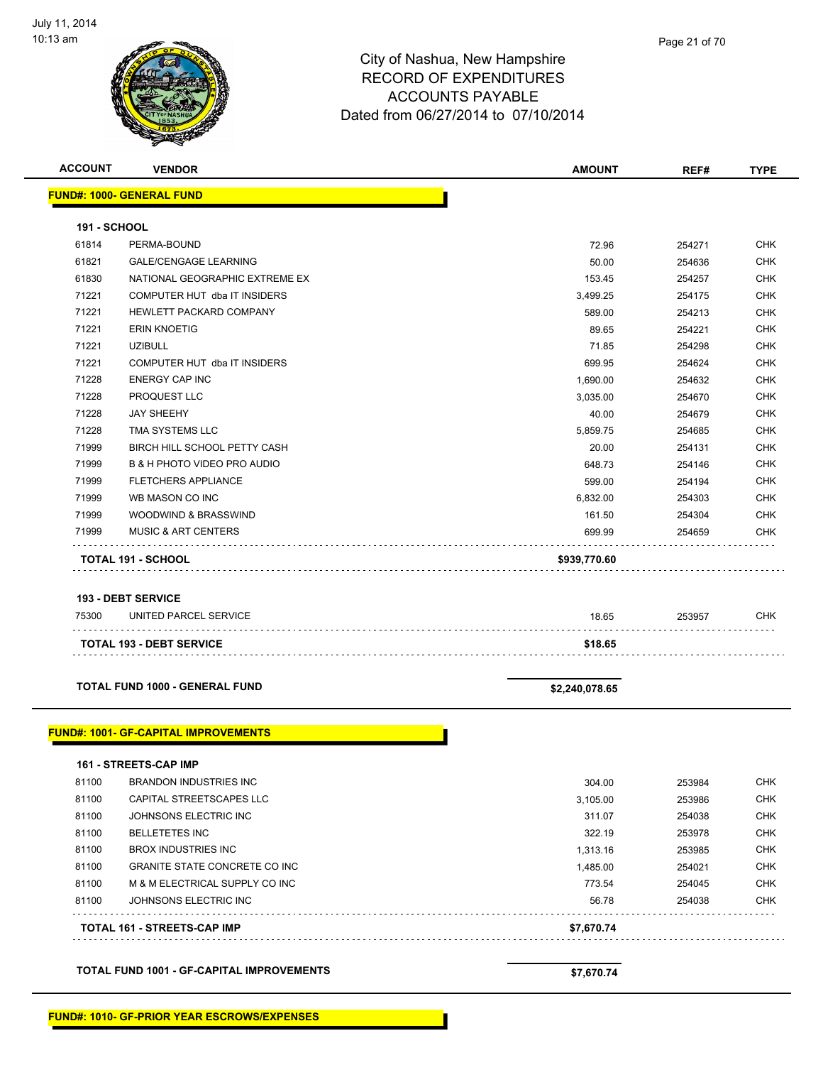

| <b>ACCOUNT</b>      | <b>VENDOR</b>                                      | <b>AMOUNT</b>  | REF#   | <b>TYPE</b> |
|---------------------|----------------------------------------------------|----------------|--------|-------------|
|                     | <b>FUND#: 1000- GENERAL FUND</b>                   |                |        |             |
| <b>191 - SCHOOL</b> |                                                    |                |        |             |
| 61814               | PERMA-BOUND                                        | 72.96          | 254271 | <b>CHK</b>  |
| 61821               | <b>GALE/CENGAGE LEARNING</b>                       | 50.00          | 254636 | <b>CHK</b>  |
| 61830               | NATIONAL GEOGRAPHIC EXTREME EX                     | 153.45         | 254257 | <b>CHK</b>  |
| 71221               | COMPUTER HUT dba IT INSIDERS                       | 3,499.25       | 254175 | <b>CHK</b>  |
| 71221               | HEWLETT PACKARD COMPANY                            | 589.00         | 254213 | CHK         |
| 71221               | <b>ERIN KNOETIG</b>                                | 89.65          | 254221 | <b>CHK</b>  |
| 71221               | <b>UZIBULL</b>                                     | 71.85          | 254298 | <b>CHK</b>  |
| 71221               | COMPUTER HUT dba IT INSIDERS                       | 699.95         | 254624 | CHK         |
| 71228               | <b>ENERGY CAP INC</b>                              | 1,690.00       | 254632 | <b>CHK</b>  |
| 71228               | PROQUEST LLC                                       | 3,035.00       | 254670 | <b>CHK</b>  |
| 71228               | <b>JAY SHEEHY</b>                                  | 40.00          | 254679 | CHK         |
| 71228               | TMA SYSTEMS LLC                                    | 5,859.75       | 254685 | <b>CHK</b>  |
| 71999               | BIRCH HILL SCHOOL PETTY CASH                       | 20.00          | 254131 | CHK         |
| 71999               | <b>B &amp; H PHOTO VIDEO PRO AUDIO</b>             | 648.73         | 254146 | <b>CHK</b>  |
| 71999               | <b>FLETCHERS APPLIANCE</b>                         | 599.00         | 254194 | <b>CHK</b>  |
| 71999               | WB MASON CO INC                                    | 6,832.00       | 254303 | CHK         |
| 71999               | WOODWIND & BRASSWIND                               | 161.50         | 254304 | CHK         |
| 71999               | <b>MUSIC &amp; ART CENTERS</b>                     | 699.99         | 254659 | CHK         |
|                     | TOTAL 191 - SCHOOL                                 | \$939,770.60   |        |             |
|                     |                                                    |                |        |             |
| 75300               | <b>193 - DEBT SERVICE</b><br>UNITED PARCEL SERVICE | 18.65          | 253957 | <b>CHK</b>  |
|                     | <b>TOTAL 193 - DEBT SERVICE</b>                    | \$18.65        |        |             |
|                     | <b>TOTAL FUND 1000 - GENERAL FUND</b>              | \$2,240,078.65 |        |             |
|                     |                                                    |                |        |             |
|                     | <u> FUND#: 1001- GF-CAPITAL IMPROVEMENTS</u>       |                |        |             |
|                     | 161 - STREETS-CAP IMP                              |                |        |             |
| 81100               | <b>BRANDON INDUSTRIES INC</b>                      | 304.00         | 253984 | <b>CHK</b>  |
| 81100               | CAPITAL STREETSCAPES LLC                           | 3,105.00       | 253986 | <b>CHK</b>  |
| 81100               | JOHNSONS ELECTRIC INC                              | 311.07         | 254038 | <b>CHK</b>  |
| 81100               | <b>BELLETETES INC</b>                              | 322.19         | 253978 | CHK         |
| 81100               | <b>BROX INDUSTRIES INC</b>                         | 1,313.16       | 253985 | <b>CHK</b>  |
| 81100               | <b>GRANITE STATE CONCRETE CO INC</b>               | 1,485.00       | 254021 | CHK         |
| 81100               | M & M ELECTRICAL SUPPLY CO INC                     | 773.54         | 254045 | CHK         |
| 81100               | JOHNSONS ELECTRIC INC                              | 56.78          | 254038 | <b>CHK</b>  |
|                     | TOTAL 161 - STREETS-CAP IMP                        | \$7,670.74     |        |             |
|                     |                                                    |                |        |             |
|                     | <b>TOTAL FUND 1001 - GF-CAPITAL IMPROVEMENTS</b>   | \$7,670.74     |        |             |

Г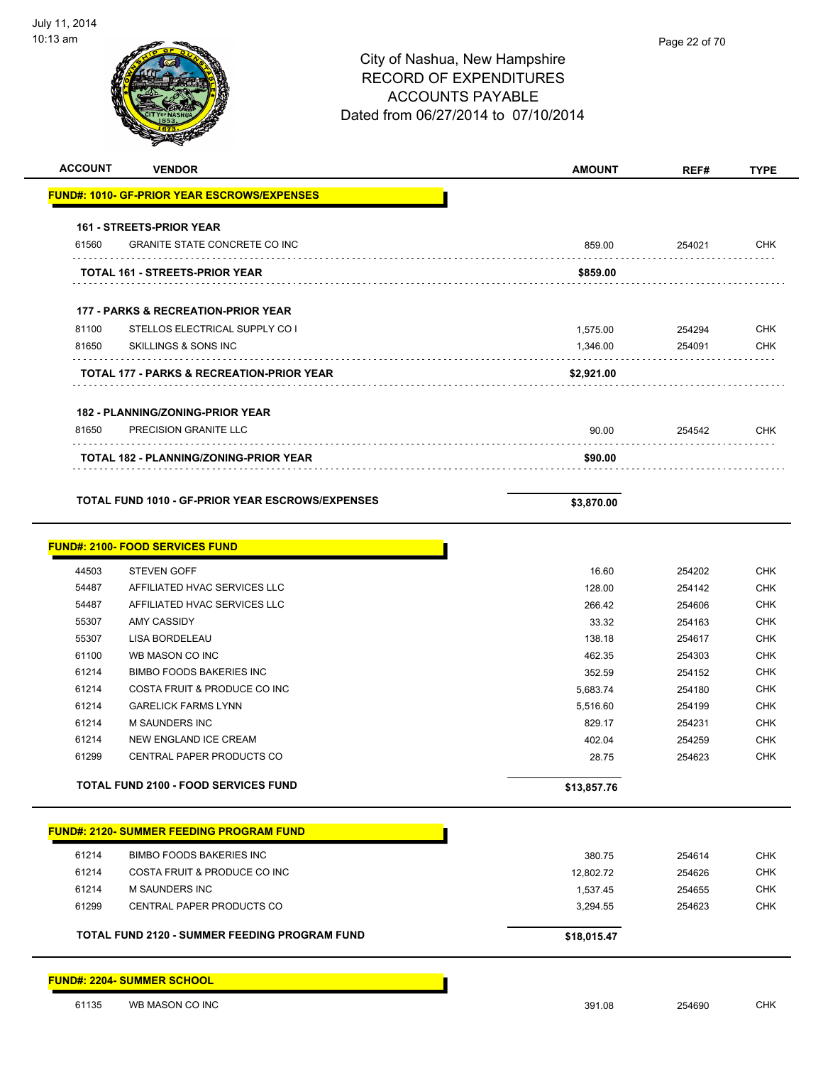| <b>ACCOUNT</b> | <b>VENDOR</b>                                           | <b>AMOUNT</b>   | REF#             | <b>TYPE</b>                                                                                                                                                                                      |
|----------------|---------------------------------------------------------|-----------------|------------------|--------------------------------------------------------------------------------------------------------------------------------------------------------------------------------------------------|
|                | <b>FUND#: 1010- GF-PRIOR YEAR ESCROWS/EXPENSES</b>      |                 |                  |                                                                                                                                                                                                  |
|                | 161 - STREETS-PRIOR YEAR                                |                 |                  |                                                                                                                                                                                                  |
| 61560          | <b>GRANITE STATE CONCRETE CO INC</b>                    | 859.00          | 254021           | <b>CHK</b>                                                                                                                                                                                       |
|                | TOTAL 161 - STREETS-PRIOR YEAR                          | \$859.00        |                  |                                                                                                                                                                                                  |
|                | 177 - PARKS & RECREATION-PRIOR YEAR                     |                 |                  |                                                                                                                                                                                                  |
| 81100          | STELLOS ELECTRICAL SUPPLY CO I                          | 1,575.00        | 254294           | <b>CHK</b>                                                                                                                                                                                       |
| 81650          | SKILLINGS & SONS INC                                    | 1,346.00        | 254091           | <b>CHK</b>                                                                                                                                                                                       |
|                | <b>TOTAL 177 - PARKS &amp; RECREATION-PRIOR YEAR</b>    | \$2,921.00      |                  |                                                                                                                                                                                                  |
|                | <b>182 - PLANNING/ZONING-PRIOR YEAR</b>                 |                 |                  |                                                                                                                                                                                                  |
| 81650          | PRECISION GRANITE LLC                                   | 90.00           | 254542           | <b>CHK</b>                                                                                                                                                                                       |
|                | <b>TOTAL 182 - PLANNING/ZONING-PRIOR YEAR</b>           | \$90.00         |                  |                                                                                                                                                                                                  |
|                | <b>TOTAL FUND 1010 - GF-PRIOR YEAR ESCROWS/EXPENSES</b> | \$3,870.00      |                  |                                                                                                                                                                                                  |
|                |                                                         |                 |                  |                                                                                                                                                                                                  |
|                |                                                         |                 |                  |                                                                                                                                                                                                  |
|                | <b>FUND#: 2100- FOOD SERVICES FUND</b>                  |                 |                  |                                                                                                                                                                                                  |
| 44503          | <b>STEVEN GOFF</b>                                      | 16.60           | 254202           |                                                                                                                                                                                                  |
| 54487          | AFFILIATED HVAC SERVICES LLC                            | 128.00          | 254142           |                                                                                                                                                                                                  |
| 54487<br>55307 | AFFILIATED HVAC SERVICES LLC<br><b>AMY CASSIDY</b>      | 266.42          | 254606           |                                                                                                                                                                                                  |
| 55307          | LISA BORDELEAU                                          | 33.32<br>138.18 | 254163<br>254617 |                                                                                                                                                                                                  |
| 61100          | WB MASON CO INC                                         | 462.35          | 254303           |                                                                                                                                                                                                  |
| 61214          | <b>BIMBO FOODS BAKERIES INC</b>                         | 352.59          | 254152           |                                                                                                                                                                                                  |
| 61214          | COSTA FRUIT & PRODUCE CO INC                            | 5,683.74        | 254180           |                                                                                                                                                                                                  |
| 61214          | <b>GARELICK FARMS LYNN</b>                              | 5,516.60        | 254199           |                                                                                                                                                                                                  |
| 61214          | M SAUNDERS INC                                          | 829.17          | 254231           |                                                                                                                                                                                                  |
| 61214          | NEW ENGLAND ICE CREAM                                   | 402.04          | 254259           |                                                                                                                                                                                                  |
| 61299          | CENTRAL PAPER PRODUCTS CO                               | 28.75           | 254623           |                                                                                                                                                                                                  |
|                | <b>TOTAL FUND 2100 - FOOD SERVICES FUND</b>             | \$13,857.76     |                  |                                                                                                                                                                                                  |
|                | <b>FUND#: 2120- SUMMER FEEDING PROGRAM FUND</b>         |                 |                  |                                                                                                                                                                                                  |
| 61214          | <b>BIMBO FOODS BAKERIES INC</b>                         | 380.75          | 254614           |                                                                                                                                                                                                  |
| 61214          | COSTA FRUIT & PRODUCE CO INC                            | 12,802.72       | 254626           | <b>CHK</b><br><b>CHK</b><br><b>CHK</b><br><b>CHK</b><br><b>CHK</b><br><b>CHK</b><br><b>CHK</b><br><b>CHK</b><br><b>CHK</b><br><b>CHK</b><br><b>CHK</b><br><b>CHK</b><br><b>CHK</b><br><b>CHK</b> |
| 61214          | M SAUNDERS INC                                          | 1,537.45        | 254655           |                                                                                                                                                                                                  |
| 61299          | CENTRAL PAPER PRODUCTS CO                               | 3,294.55        | 254623           | <b>CHK</b><br><b>CHK</b>                                                                                                                                                                         |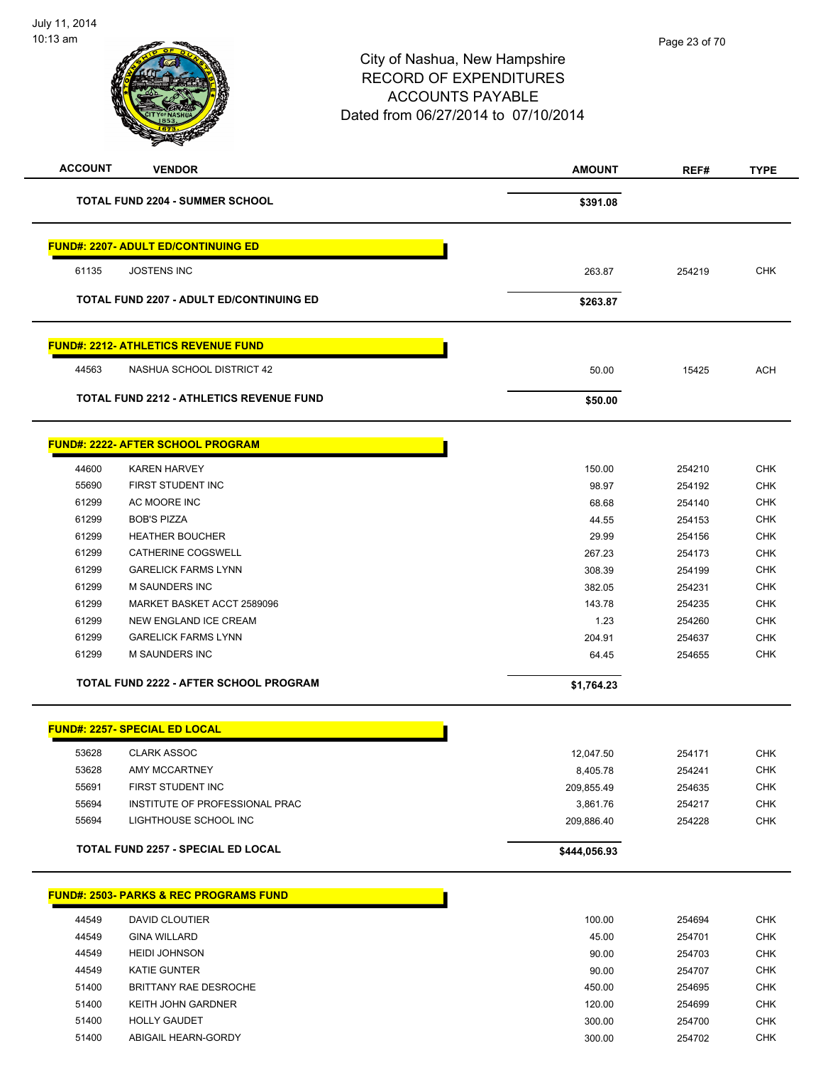| <b>ACCOUNT</b> | <b>VENDOR</b>                                     | <b>AMOUNT</b> | REF#   | <b>TYPE</b> |
|----------------|---------------------------------------------------|---------------|--------|-------------|
|                | <b>TOTAL FUND 2204 - SUMMER SCHOOL</b>            | \$391.08      |        |             |
|                | <b>FUND#: 2207- ADULT ED/CONTINUING ED</b>        |               |        |             |
| 61135          | <b>JOSTENS INC</b>                                | 263.87        | 254219 | <b>CHK</b>  |
|                | <b>TOTAL FUND 2207 - ADULT ED/CONTINUING ED</b>   | \$263.87      |        |             |
|                | <b>FUND#: 2212- ATHLETICS REVENUE FUND</b>        |               |        |             |
| 44563          | NASHUA SCHOOL DISTRICT 42                         | 50.00         | 15425  | <b>ACH</b>  |
|                | <b>TOTAL FUND 2212 - ATHLETICS REVENUE FUND</b>   | \$50.00       |        |             |
|                | <b>FUND#: 2222- AFTER SCHOOL PROGRAM</b>          |               |        |             |
| 44600          | <b>KAREN HARVEY</b>                               | 150.00        | 254210 | <b>CHK</b>  |
| 55690          | FIRST STUDENT INC                                 | 98.97         | 254192 | <b>CHK</b>  |
| 61299          | AC MOORE INC                                      | 68.68         | 254140 | <b>CHK</b>  |
| 61299          | <b>BOB'S PIZZA</b>                                | 44.55         | 254153 | <b>CHK</b>  |
| 61299          | <b>HEATHER BOUCHER</b>                            | 29.99         | 254156 | <b>CHK</b>  |
| 61299          | CATHERINE COGSWELL                                | 267.23        | 254173 | <b>CHK</b>  |
| 61299          | <b>GARELICK FARMS LYNN</b>                        | 308.39        | 254199 | <b>CHK</b>  |
| 61299          | <b>M SAUNDERS INC</b>                             | 382.05        | 254231 | <b>CHK</b>  |
| 61299          | MARKET BASKET ACCT 2589096                        | 143.78        | 254235 | <b>CHK</b>  |
| 61299          | NEW ENGLAND ICE CREAM                             | 1.23          | 254260 | <b>CHK</b>  |
| 61299          | <b>GARELICK FARMS LYNN</b>                        | 204.91        | 254637 | <b>CHK</b>  |
| 61299          | <b>M SAUNDERS INC</b>                             | 64.45         | 254655 | <b>CHK</b>  |
|                | TOTAL FUND 2222 - AFTER SCHOOL PROGRAM            | \$1,764.23    |        |             |
|                | <b>FUND#: 2257- SPECIAL ED LOCAL</b>              |               |        |             |
| 53628          | <b>CLARK ASSOC</b>                                | 12,047.50     | 254171 | CHK         |
| 53628          | AMY MCCARTNEY                                     | 8,405.78      | 254241 | <b>CHK</b>  |
| 55691          | FIRST STUDENT INC                                 | 209,855.49    | 254635 | <b>CHK</b>  |
| 55694          | INSTITUTE OF PROFESSIONAL PRAC                    | 3,861.76      | 254217 | <b>CHK</b>  |
| 55694          | LIGHTHOUSE SCHOOL INC                             | 209,886.40    | 254228 | <b>CHK</b>  |
|                | TOTAL FUND 2257 - SPECIAL ED LOCAL                | \$444,056.93  |        |             |
|                | <b>FUND#: 2503- PARKS &amp; REC PROGRAMS FUND</b> |               |        |             |
| 44549          | DAVID CLOUTIER                                    | 100.00        | 254694 | <b>CHK</b>  |
| 44549          | <b>GINA WILLARD</b>                               | 45.00         | 254701 | CHK         |
| 44549          | <b>HEIDI JOHNSON</b>                              | 90.00         | 254703 | <b>CHK</b>  |
| 44549          | <b>KATIE GUNTER</b>                               | 90.00         | 254707 | <b>CHK</b>  |
| 51400          | BRITTANY RAE DESROCHE                             | 450.00        | 254695 | CHK         |
| 51400          | KEITH JOHN GARDNER                                | 120.00        | 254699 | <b>CHK</b>  |
| 51400          | <b>HOLLY GAUDET</b>                               | 300.00        | 254700 | <b>CHK</b>  |
| 51400          | ABIGAIL HEARN-GORDY                               | 300.00        | 254702 | <b>CHK</b>  |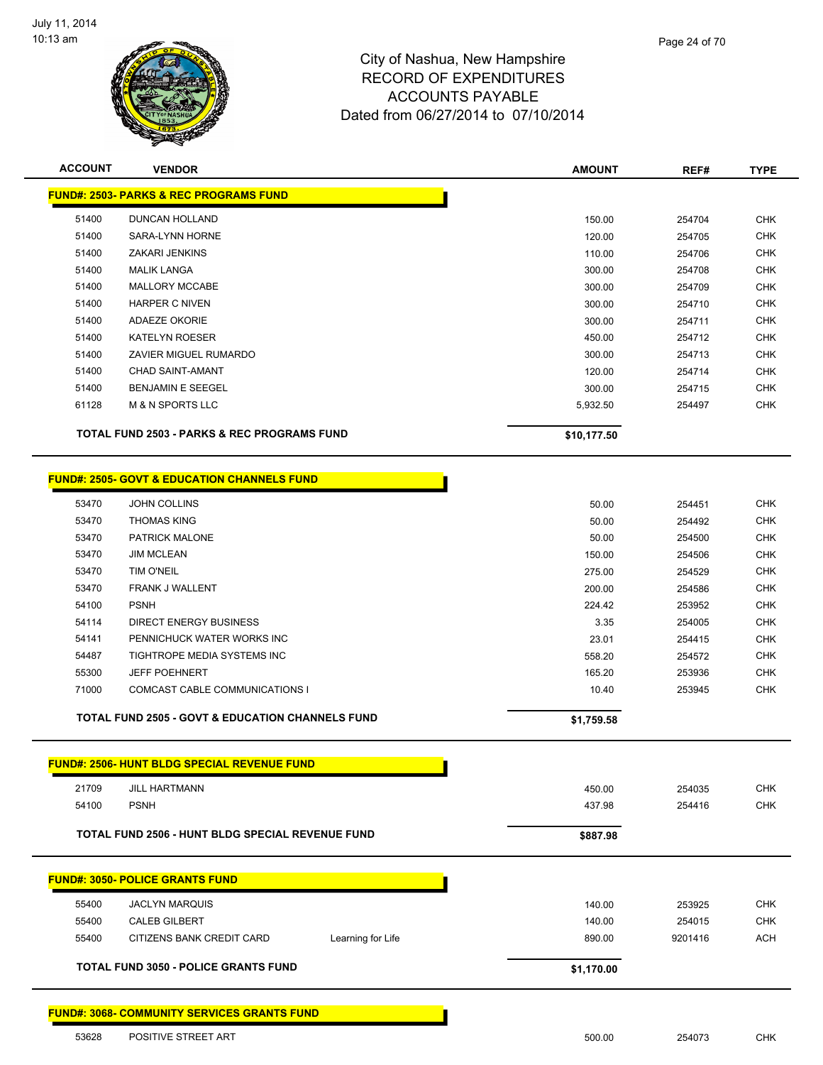

| <b>ACCOUNT</b> | <b>VENDOR</b>                                               | <b>AMOUNT</b> | REF#    | <b>TYPE</b> |
|----------------|-------------------------------------------------------------|---------------|---------|-------------|
|                | <b>FUND#: 2503- PARKS &amp; REC PROGRAMS FUND</b>           |               |         |             |
| 51400          | DUNCAN HOLLAND                                              | 150.00        | 254704  | <b>CHK</b>  |
| 51400          | SARA-LYNN HORNE                                             | 120.00        | 254705  | <b>CHK</b>  |
| 51400          | <b>ZAKARI JENKINS</b>                                       | 110.00        | 254706  | <b>CHK</b>  |
| 51400          | <b>MALIK LANGA</b>                                          | 300.00        | 254708  | <b>CHK</b>  |
| 51400          | MALLORY MCCABE                                              | 300.00        | 254709  | <b>CHK</b>  |
| 51400          | <b>HARPER C NIVEN</b>                                       | 300.00        | 254710  | <b>CHK</b>  |
| 51400          | ADAEZE OKORIE                                               | 300.00        | 254711  | <b>CHK</b>  |
| 51400          | <b>KATELYN ROESER</b>                                       | 450.00        | 254712  | <b>CHK</b>  |
| 51400          | ZAVIER MIGUEL RUMARDO                                       | 300.00        | 254713  | <b>CHK</b>  |
| 51400          | <b>CHAD SAINT-AMANT</b>                                     | 120.00        | 254714  | <b>CHK</b>  |
| 51400          | <b>BENJAMIN E SEEGEL</b>                                    | 300.00        | 254715  | <b>CHK</b>  |
| 61128          | <b>M &amp; N SPORTS LLC</b>                                 | 5,932.50      | 254497  | <b>CHK</b>  |
|                | <b>TOTAL FUND 2503 - PARKS &amp; REC PROGRAMS FUND</b>      | \$10,177.50   |         |             |
|                | <b>FUND#: 2505- GOVT &amp; EDUCATION CHANNELS FUND</b>      |               |         |             |
| 53470          | <b>JOHN COLLINS</b>                                         | 50.00         | 254451  | <b>CHK</b>  |
| 53470          | <b>THOMAS KING</b>                                          | 50.00         | 254492  | <b>CHK</b>  |
| 53470          | PATRICK MALONE                                              | 50.00         | 254500  | <b>CHK</b>  |
| 53470          | <b>JIM MCLEAN</b>                                           | 150.00        | 254506  | <b>CHK</b>  |
| 53470          | TIM O'NEIL                                                  | 275.00        | 254529  | <b>CHK</b>  |
| 53470          | FRANK J WALLENT                                             | 200.00        | 254586  | <b>CHK</b>  |
| 54100          | <b>PSNH</b>                                                 | 224.42        | 253952  | <b>CHK</b>  |
| 54114          | <b>DIRECT ENERGY BUSINESS</b>                               | 3.35          | 254005  | <b>CHK</b>  |
| 54141          | PENNICHUCK WATER WORKS INC                                  | 23.01         | 254415  | <b>CHK</b>  |
| 54487          | TIGHTROPE MEDIA SYSTEMS INC                                 | 558.20        | 254572  | <b>CHK</b>  |
| 55300          | <b>JEFF POEHNERT</b>                                        | 165.20        | 253936  | <b>CHK</b>  |
| 71000          | COMCAST CABLE COMMUNICATIONS I                              | 10.40         | 253945  | <b>CHK</b>  |
|                | <b>TOTAL FUND 2505 - GOVT &amp; EDUCATION CHANNELS FUND</b> | \$1,759.58    |         |             |
|                | <u> FUND#: 2506- HUNT BLDG SPECIAL REVENUE FUND</u>         |               |         |             |
| 21709          | <b>JILL HARTMANN</b>                                        | 450.00        | 254035  | <b>CHK</b>  |
| 54100          | <b>PSNH</b>                                                 | 437.98        | 254416  | <b>CHK</b>  |
|                | <b>TOTAL FUND 2506 - HUNT BLDG SPECIAL REVENUE FUND</b>     | \$887.98      |         |             |
|                | <b>FUND#: 3050- POLICE GRANTS FUND</b>                      |               |         |             |
| 55400          | <b>JACLYN MARQUIS</b>                                       | 140.00        | 253925  | <b>CHK</b>  |
| 55400          | <b>CALEB GILBERT</b>                                        | 140.00        | 254015  | <b>CHK</b>  |
| 55400          | CITIZENS BANK CREDIT CARD<br>Learning for Life              | 890.00        | 9201416 | <b>ACH</b>  |
|                |                                                             |               |         |             |
|                | <b>TOTAL FUND 3050 - POLICE GRANTS FUND</b>                 | \$1,170.00    |         |             |
|                | <u> FUND#: 3068- COMMUNITY SERVICES GRANTS FUND</u>         |               |         |             |
| 53628          | POSITIVE STREET ART                                         | 500.00        | 254073  | <b>CHK</b>  |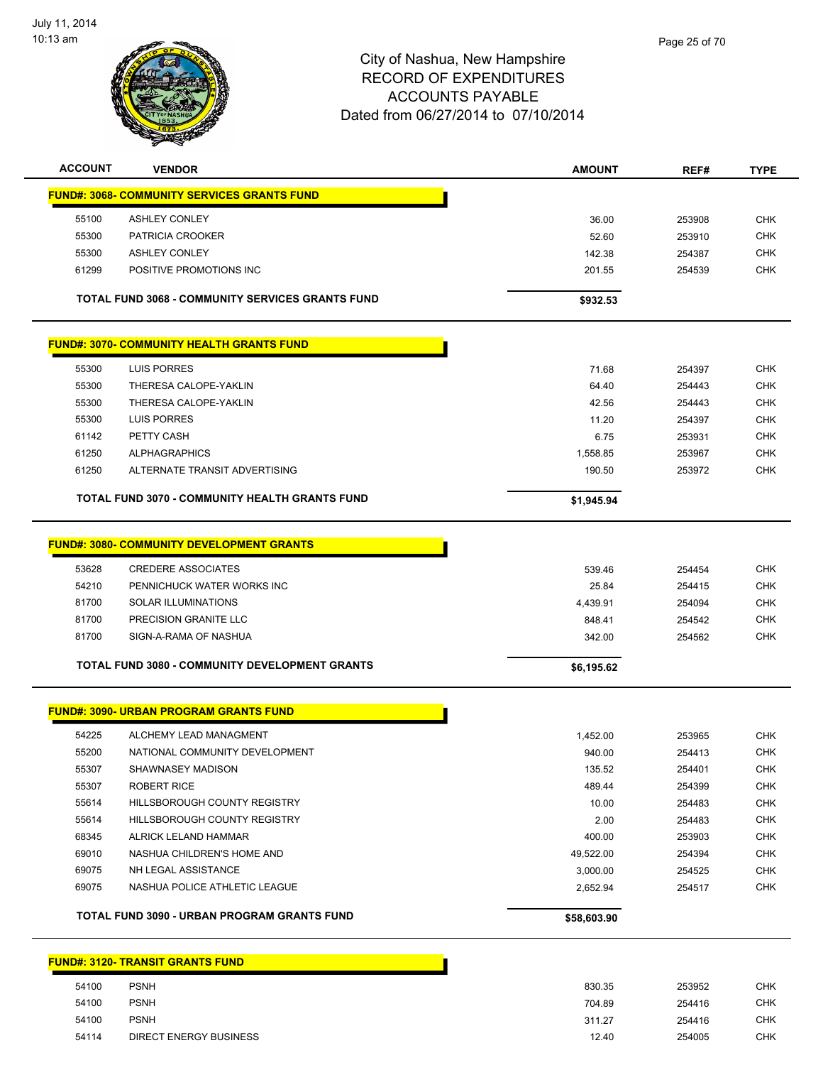

| <b>ACCOUNT</b> | <b>VENDOR</b>                                           | <b>AMOUNT</b>        | REF#   | <b>TYPE</b> |
|----------------|---------------------------------------------------------|----------------------|--------|-------------|
|                | <b>FUND#: 3068- COMMUNITY SERVICES GRANTS FUND</b>      |                      |        |             |
| 55100          | <b>ASHLEY CONLEY</b>                                    | 36.00                | 253908 | <b>CHK</b>  |
| 55300          | PATRICIA CROOKER                                        | 52.60                | 253910 | <b>CHK</b>  |
| 55300          | <b>ASHLEY CONLEY</b>                                    | 142.38               | 254387 | <b>CHK</b>  |
| 61299          | POSITIVE PROMOTIONS INC                                 | 201.55               | 254539 | <b>CHK</b>  |
|                | <b>TOTAL FUND 3068 - COMMUNITY SERVICES GRANTS FUND</b> | \$932.53             |        |             |
|                | <b>FUND#: 3070- COMMUNITY HEALTH GRANTS FUND</b>        |                      |        |             |
| 55300          | LUIS PORRES                                             | 71.68                | 254397 | <b>CHK</b>  |
| 55300          | THERESA CALOPE-YAKLIN                                   | 64.40                | 254443 | <b>CHK</b>  |
| 55300          | THERESA CALOPE-YAKLIN                                   | 42.56                | 254443 | <b>CHK</b>  |
| 55300          | LUIS PORRES                                             | 11.20                | 254397 | CHK         |
| 61142          | PETTY CASH                                              | 6.75                 | 253931 | <b>CHK</b>  |
| 61250          | <b>ALPHAGRAPHICS</b>                                    | 1,558.85             | 253967 | <b>CHK</b>  |
| 61250          | ALTERNATE TRANSIT ADVERTISING                           | 190.50               | 253972 | <b>CHK</b>  |
|                | <b>TOTAL FUND 3070 - COMMUNITY HEALTH GRANTS FUND</b>   | \$1,945.94           |        |             |
|                | <b>FUND#: 3080- COMMUNITY DEVELOPMENT GRANTS</b>        |                      |        |             |
| 53628          | <b>CREDERE ASSOCIATES</b>                               | 539.46               | 254454 | <b>CHK</b>  |
| 54210          | PENNICHUCK WATER WORKS INC                              | 25.84                | 254415 | <b>CHK</b>  |
| 81700          | <b>SOLAR ILLUMINATIONS</b>                              | 4,439.91             | 254094 | <b>CHK</b>  |
| 81700          | PRECISION GRANITE LLC                                   | 848.41               | 254542 | <b>CHK</b>  |
| 81700          | SIGN-A-RAMA OF NASHUA                                   | 342.00               | 254562 | <b>CHK</b>  |
|                | TOTAL FUND 3080 - COMMUNITY DEVELOPMENT GRANTS          | \$6,195.62           |        |             |
|                | <b>FUND#: 3090- URBAN PROGRAM GRANTS FUND</b>           |                      |        |             |
| 54225          | ALCHEMY LEAD MANAGMENT                                  | 1,452.00             | 253965 | <b>CHK</b>  |
| 55200          | NATIONAL COMMUNITY DEVELOPMENT                          | 940.00               | 254413 | <b>CHK</b>  |
| 55307          | SHAWNASEY MADISON                                       | 135.52               | 254401 | <b>CHK</b>  |
| 55307          | <b>ROBERT RICE</b>                                      | 489.44               | 254399 | <b>CHK</b>  |
| 55614          | HILLSBOROUGH COUNTY REGISTRY                            | 10.00                | 254483 | <b>CHK</b>  |
| 55614          | HILLSBOROUGH COUNTY REGISTRY                            | 2.00                 | 254483 | <b>CHK</b>  |
| 68345          | ALRICK LELAND HAMMAR                                    | 400.00               | 253903 | <b>CHK</b>  |
|                | NASHUA CHILDREN'S HOME AND                              | 49,522.00            | 254394 | <b>CHK</b>  |
| 69010          |                                                         |                      |        | <b>CHK</b>  |
| 69075          | NH LEGAL ASSISTANCE                                     |                      | 254525 |             |
| 69075          | NASHUA POLICE ATHLETIC LEAGUE                           | 3,000.00<br>2,652.94 | 254517 | <b>CHK</b>  |

| 54100 | <b>PSNH</b>                   | 830.35 | 253952 |
|-------|-------------------------------|--------|--------|
| 54100 | <b>PSNH</b>                   | 704.89 | 254416 |
| 54100 | <b>PSNH</b>                   | 311.27 | 254416 |
| 54114 | <b>DIRECT ENERGY BUSINESS</b> | 12.40  | 254005 |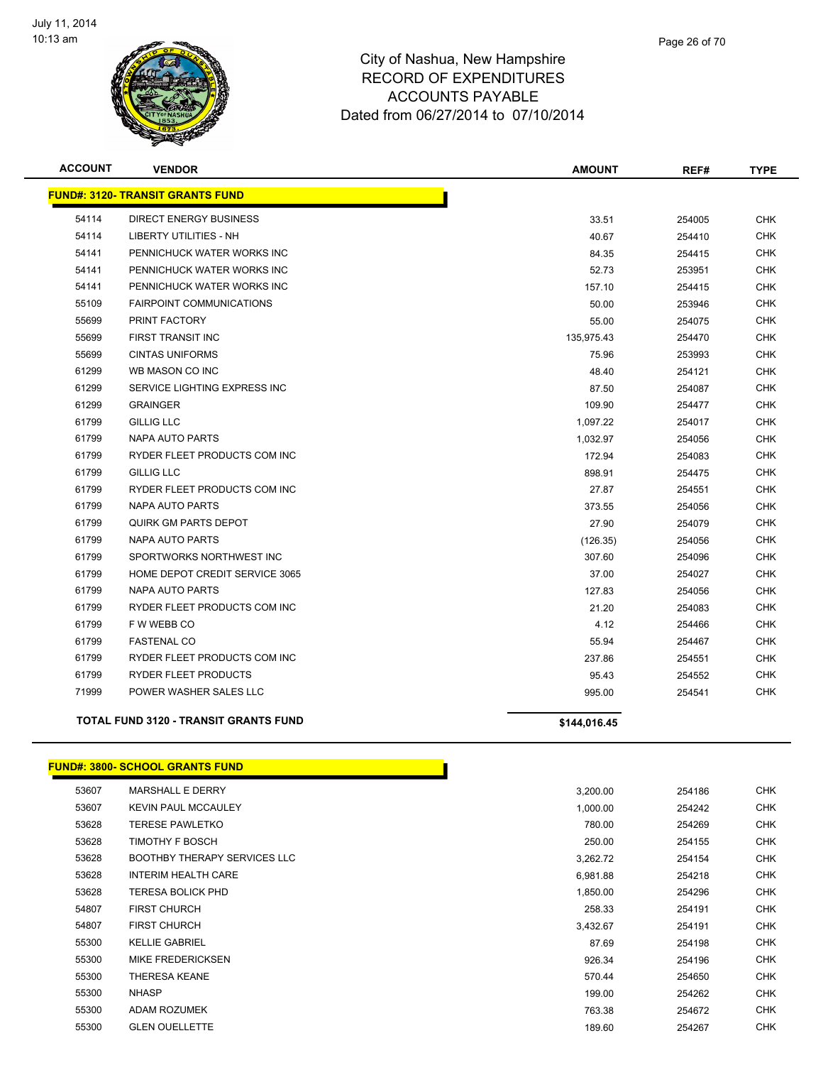

| <b>ACCOUNT</b> | <b>VENDOR</b>                                | <b>AMOUNT</b> | REF#   | <b>TYPE</b> |
|----------------|----------------------------------------------|---------------|--------|-------------|
|                | <b>FUND#: 3120- TRANSIT GRANTS FUND</b>      |               |        |             |
| 54114          | <b>DIRECT ENERGY BUSINESS</b>                | 33.51         | 254005 | <b>CHK</b>  |
| 54114          | <b>LIBERTY UTILITIES - NH</b>                | 40.67         | 254410 | <b>CHK</b>  |
| 54141          | PENNICHUCK WATER WORKS INC                   | 84.35         | 254415 | <b>CHK</b>  |
| 54141          | PENNICHUCK WATER WORKS INC                   | 52.73         | 253951 | CHK         |
| 54141          | PENNICHUCK WATER WORKS INC                   | 157.10        | 254415 | <b>CHK</b>  |
| 55109          | <b>FAIRPOINT COMMUNICATIONS</b>              | 50.00         | 253946 | <b>CHK</b>  |
| 55699          | <b>PRINT FACTORY</b>                         | 55.00         | 254075 | <b>CHK</b>  |
| 55699          | FIRST TRANSIT INC                            | 135,975.43    | 254470 | CHK         |
| 55699          | <b>CINTAS UNIFORMS</b>                       | 75.96         | 253993 | <b>CHK</b>  |
| 61299          | WB MASON CO INC                              | 48.40         | 254121 | <b>CHK</b>  |
| 61299          | SERVICE LIGHTING EXPRESS INC                 | 87.50         | 254087 | <b>CHK</b>  |
| 61299          | <b>GRAINGER</b>                              | 109.90        | 254477 | <b>CHK</b>  |
| 61799          | <b>GILLIG LLC</b>                            | 1,097.22      | 254017 | <b>CHK</b>  |
| 61799          | <b>NAPA AUTO PARTS</b>                       | 1,032.97      | 254056 | <b>CHK</b>  |
| 61799          | RYDER FLEET PRODUCTS COM INC                 | 172.94        | 254083 | <b>CHK</b>  |
| 61799          | <b>GILLIG LLC</b>                            | 898.91        | 254475 | <b>CHK</b>  |
| 61799          | RYDER FLEET PRODUCTS COM INC                 | 27.87         | 254551 | <b>CHK</b>  |
| 61799          | <b>NAPA AUTO PARTS</b>                       | 373.55        | 254056 | <b>CHK</b>  |
| 61799          | <b>QUIRK GM PARTS DEPOT</b>                  | 27.90         | 254079 | <b>CHK</b>  |
| 61799          | <b>NAPA AUTO PARTS</b>                       | (126.35)      | 254056 | <b>CHK</b>  |
| 61799          | SPORTWORKS NORTHWEST INC                     | 307.60        | 254096 | <b>CHK</b>  |
| 61799          | HOME DEPOT CREDIT SERVICE 3065               | 37.00         | 254027 | <b>CHK</b>  |
| 61799          | NAPA AUTO PARTS                              | 127.83        | 254056 | <b>CHK</b>  |
| 61799          | RYDER FLEET PRODUCTS COM INC                 | 21.20         | 254083 | <b>CHK</b>  |
| 61799          | F W WEBB CO                                  | 4.12          | 254466 | <b>CHK</b>  |
| 61799          | <b>FASTENAL CO</b>                           | 55.94         | 254467 | <b>CHK</b>  |
| 61799          | RYDER FLEET PRODUCTS COM INC                 | 237.86        | 254551 | <b>CHK</b>  |
| 61799          | <b>RYDER FLEET PRODUCTS</b>                  | 95.43         | 254552 | <b>CHK</b>  |
| 71999          | POWER WASHER SALES LLC                       | 995.00        | 254541 | <b>CHK</b>  |
|                | <b>TOTAL FUND 3120 - TRANSIT GRANTS FUND</b> | \$144,016.45  |        |             |

#### **FUND#: 3800- SCHOOL GRANTS FUND**

| 53607 |       | <b>MARSHALL E DERRY</b>             | 3,200.00 | 254186 | <b>CHK</b> |
|-------|-------|-------------------------------------|----------|--------|------------|
| 53607 |       | <b>KEVIN PAUL MCCAULEY</b>          | 1,000.00 | 254242 | <b>CHK</b> |
| 53628 |       | <b>TERESE PAWLETKO</b>              | 780.00   | 254269 | <b>CHK</b> |
| 53628 |       | <b>TIMOTHY F BOSCH</b>              | 250.00   | 254155 | <b>CHK</b> |
| 53628 |       | <b>BOOTHBY THERAPY SERVICES LLC</b> | 3,262.72 | 254154 | <b>CHK</b> |
| 53628 |       | <b>INTERIM HEALTH CARE</b>          | 6,981.88 | 254218 | <b>CHK</b> |
| 53628 |       | <b>TERESA BOLICK PHD</b>            | 1,850.00 | 254296 | <b>CHK</b> |
| 54807 |       | <b>FIRST CHURCH</b>                 | 258.33   | 254191 | <b>CHK</b> |
| 54807 |       | <b>FIRST CHURCH</b>                 | 3,432.67 | 254191 | <b>CHK</b> |
|       | 55300 | <b>KELLIE GABRIEL</b>               | 87.69    | 254198 | <b>CHK</b> |
|       | 55300 | <b>MIKE FREDERICKSEN</b>            | 926.34   | 254196 | <b>CHK</b> |
|       | 55300 | <b>THERESA KEANE</b>                | 570.44   | 254650 | <b>CHK</b> |
| 55300 |       | <b>NHASP</b>                        | 199.00   | 254262 | <b>CHK</b> |
|       | 55300 | ADAM ROZUMEK                        | 763.38   | 254672 | <b>CHK</b> |
| 55300 |       | <b>GLEN OUELLETTE</b>               | 189.60   | 254267 | <b>CHK</b> |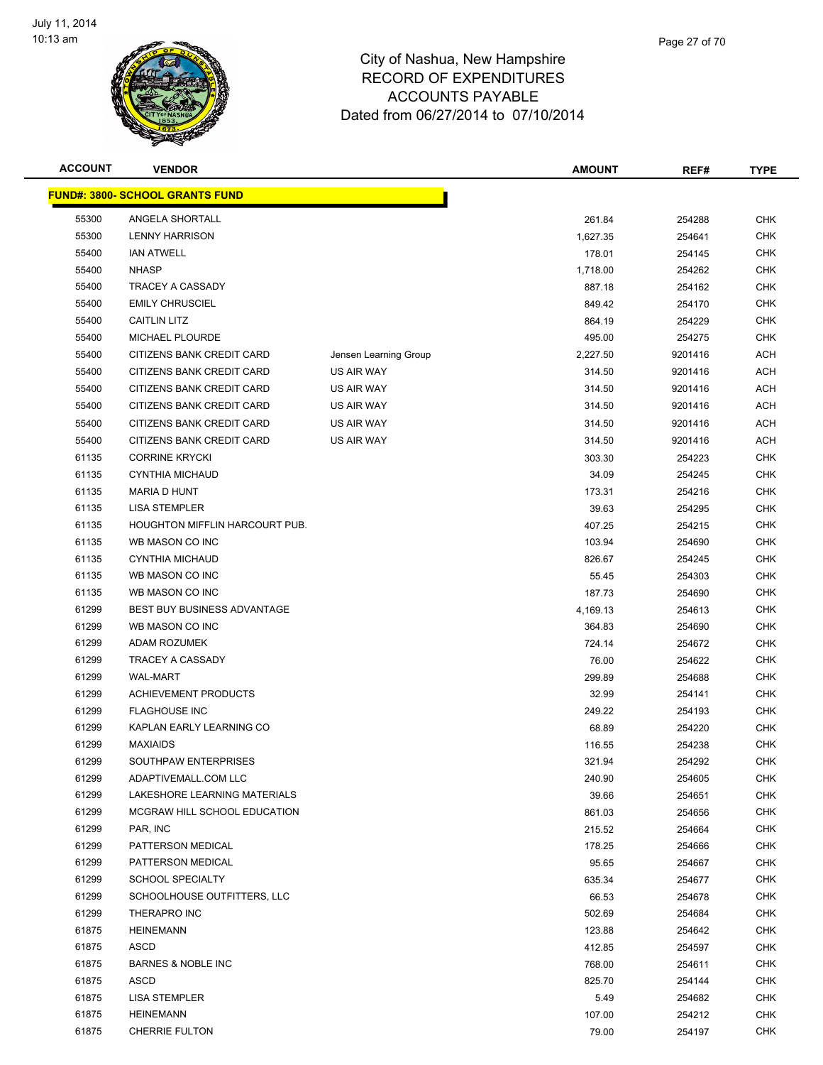

| <b>ACCOUNT</b> | <b>VENDOR</b>                          |                       | <b>AMOUNT</b>    | REF#             | <b>TYPE</b>              |
|----------------|----------------------------------------|-----------------------|------------------|------------------|--------------------------|
|                | <b>FUND#: 3800- SCHOOL GRANTS FUND</b> |                       |                  |                  |                          |
| 55300          | ANGELA SHORTALL                        |                       | 261.84           | 254288           | <b>CHK</b>               |
| 55300          | <b>LENNY HARRISON</b>                  |                       | 1,627.35         | 254641           | <b>CHK</b>               |
| 55400          | <b>IAN ATWELL</b>                      |                       | 178.01           | 254145           | <b>CHK</b>               |
| 55400          | <b>NHASP</b>                           |                       | 1,718.00         | 254262           | <b>CHK</b>               |
| 55400          | TRACEY A CASSADY                       |                       | 887.18           | 254162           | <b>CHK</b>               |
| 55400          | <b>EMILY CHRUSCIEL</b>                 |                       | 849.42           | 254170           | <b>CHK</b>               |
| 55400          | <b>CAITLIN LITZ</b>                    |                       | 864.19           | 254229           | <b>CHK</b>               |
| 55400          | <b>MICHAEL PLOURDE</b>                 |                       | 495.00           | 254275           | <b>CHK</b>               |
| 55400          | CITIZENS BANK CREDIT CARD              | Jensen Learning Group | 2,227.50         | 9201416          | <b>ACH</b>               |
| 55400          | CITIZENS BANK CREDIT CARD              | US AIR WAY            | 314.50           | 9201416          | <b>ACH</b>               |
| 55400          | CITIZENS BANK CREDIT CARD              | US AIR WAY            | 314.50           | 9201416          | <b>ACH</b>               |
| 55400          | CITIZENS BANK CREDIT CARD              | US AIR WAY            | 314.50           | 9201416          | <b>ACH</b>               |
| 55400          | CITIZENS BANK CREDIT CARD              | US AIR WAY            | 314.50           | 9201416          | <b>ACH</b>               |
| 55400          | CITIZENS BANK CREDIT CARD              | US AIR WAY            | 314.50           | 9201416          | <b>ACH</b>               |
| 61135          | <b>CORRINE KRYCKI</b>                  |                       | 303.30           | 254223           | <b>CHK</b>               |
| 61135          | <b>CYNTHIA MICHAUD</b>                 |                       | 34.09            | 254245           | <b>CHK</b>               |
| 61135          | <b>MARIA D HUNT</b>                    |                       | 173.31           | 254216           | <b>CHK</b>               |
| 61135          | <b>LISA STEMPLER</b>                   |                       | 39.63            | 254295           | <b>CHK</b>               |
| 61135          | <b>HOUGHTON MIFFLIN HARCOURT PUB.</b>  |                       | 407.25           | 254215           | <b>CHK</b>               |
| 61135          | WB MASON CO INC                        |                       | 103.94           | 254690           | <b>CHK</b>               |
| 61135          | <b>CYNTHIA MICHAUD</b>                 |                       | 826.67           | 254245           | <b>CHK</b>               |
| 61135          | WB MASON CO INC                        |                       | 55.45            | 254303           | <b>CHK</b>               |
| 61135          | WB MASON CO INC                        |                       | 187.73           | 254690           | <b>CHK</b>               |
| 61299          | <b>BEST BUY BUSINESS ADVANTAGE</b>     |                       | 4,169.13         | 254613           | <b>CHK</b>               |
| 61299          | WB MASON CO INC                        |                       | 364.83           | 254690           | <b>CHK</b>               |
| 61299          | ADAM ROZUMEK                           |                       | 724.14           | 254672           | <b>CHK</b>               |
| 61299          | <b>TRACEY A CASSADY</b>                |                       | 76.00            | 254622           | <b>CHK</b>               |
| 61299          | <b>WAL-MART</b>                        |                       | 299.89           | 254688           | <b>CHK</b>               |
| 61299          | <b>ACHIEVEMENT PRODUCTS</b>            |                       | 32.99            | 254141           | <b>CHK</b>               |
| 61299          | <b>FLAGHOUSE INC</b>                   |                       | 249.22           | 254193           | <b>CHK</b>               |
| 61299          | KAPLAN EARLY LEARNING CO               |                       | 68.89            | 254220           | <b>CHK</b>               |
| 61299          | <b>MAXIAIDS</b>                        |                       | 116.55           | 254238           | <b>CHK</b>               |
| 61299          | SOUTHPAW ENTERPRISES                   |                       | 321.94           | 254292           | <b>CHK</b>               |
| 61299          | ADAPTIVEMALL.COM LLC                   |                       | 240.90           | 254605           | <b>CHK</b>               |
| 61299          | LAKESHORE LEARNING MATERIALS           |                       | 39.66            | 254651           | <b>CHK</b>               |
| 61299          | MCGRAW HILL SCHOOL EDUCATION           |                       | 861.03           | 254656           | <b>CHK</b>               |
| 61299          | PAR, INC                               |                       | 215.52           | 254664           | CHK                      |
| 61299          | PATTERSON MEDICAL                      |                       | 178.25           | 254666           | <b>CHK</b>               |
| 61299          | PATTERSON MEDICAL                      |                       | 95.65            | 254667           | <b>CHK</b>               |
| 61299          | <b>SCHOOL SPECIALTY</b>                |                       | 635.34           | 254677           | CHK                      |
| 61299          | SCHOOLHOUSE OUTFITTERS, LLC            |                       | 66.53            | 254678           | <b>CHK</b>               |
| 61299<br>61875 | THERAPRO INC                           |                       | 502.69           | 254684           | <b>CHK</b><br><b>CHK</b> |
| 61875          | <b>HEINEMANN</b>                       |                       | 123.88           | 254642           | <b>CHK</b>               |
| 61875          | ASCD<br><b>BARNES &amp; NOBLE INC</b>  |                       | 412.85<br>768.00 | 254597<br>254611 | <b>CHK</b>               |
| 61875          | ASCD                                   |                       | 825.70           | 254144           | <b>CHK</b>               |
| 61875          | <b>LISA STEMPLER</b>                   |                       | 5.49             | 254682           | <b>CHK</b>               |
| 61875          | <b>HEINEMANN</b>                       |                       | 107.00           | 254212           | <b>CHK</b>               |
| 61875          | <b>CHERRIE FULTON</b>                  |                       | 79.00            | 254197           | <b>CHK</b>               |
|                |                                        |                       |                  |                  |                          |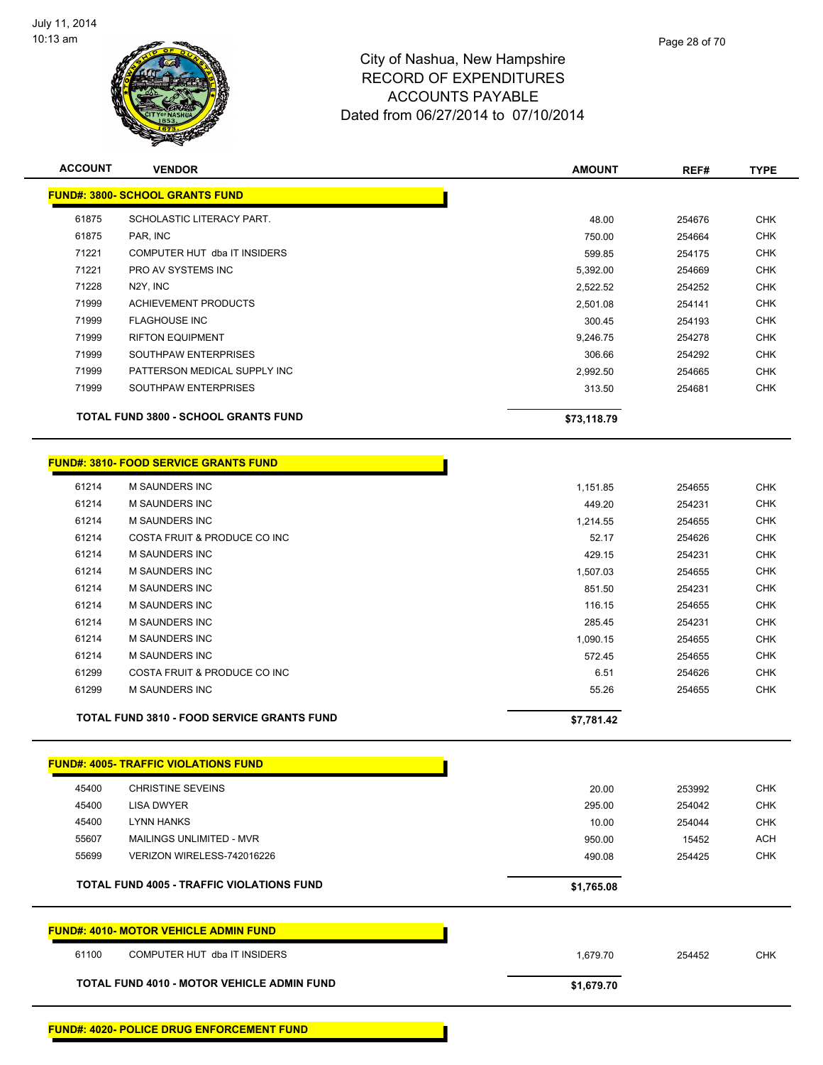

| <b>ACCOUNT</b> | <b>VENDOR</b>                                     | <b>AMOUNT</b> | REF#   | <b>TYPE</b> |
|----------------|---------------------------------------------------|---------------|--------|-------------|
|                | <b>FUND#: 3800- SCHOOL GRANTS FUND</b>            |               |        |             |
| 61875          | SCHOLASTIC LITERACY PART.                         | 48.00         | 254676 | <b>CHK</b>  |
| 61875          | PAR, INC                                          | 750.00        | 254664 | <b>CHK</b>  |
| 71221          | COMPUTER HUT dba IT INSIDERS                      | 599.85        | 254175 | <b>CHK</b>  |
| 71221          | PRO AV SYSTEMS INC                                | 5,392.00      | 254669 | <b>CHK</b>  |
| 71228          | N2Y, INC                                          | 2,522.52      | 254252 | <b>CHK</b>  |
| 71999          | <b>ACHIEVEMENT PRODUCTS</b>                       | 2,501.08      | 254141 | <b>CHK</b>  |
| 71999          | <b>FLAGHOUSE INC</b>                              | 300.45        | 254193 | <b>CHK</b>  |
| 71999          | <b>RIFTON EQUIPMENT</b>                           | 9,246.75      | 254278 | <b>CHK</b>  |
| 71999          | SOUTHPAW ENTERPRISES                              | 306.66        | 254292 | <b>CHK</b>  |
| 71999          | PATTERSON MEDICAL SUPPLY INC                      | 2,992.50      | 254665 | <b>CHK</b>  |
| 71999          | SOUTHPAW ENTERPRISES                              | 313.50        | 254681 | <b>CHK</b>  |
|                | <b>TOTAL FUND 3800 - SCHOOL GRANTS FUND</b>       | \$73,118.79   |        |             |
|                | <b>FUND#: 3810- FOOD SERVICE GRANTS FUND</b>      |               |        |             |
| 61214          | <b>M SAUNDERS INC</b>                             | 1,151.85      | 254655 | <b>CHK</b>  |
| 61214          | <b>M SAUNDERS INC</b>                             | 449.20        | 254231 | <b>CHK</b>  |
| 61214          | M SAUNDERS INC                                    | 1,214.55      | 254655 | <b>CHK</b>  |
| 61214          | COSTA FRUIT & PRODUCE CO INC                      | 52.17         | 254626 | <b>CHK</b>  |
| 61214          | M SAUNDERS INC                                    | 429.15        | 254231 | <b>CHK</b>  |
| 61214          | M SAUNDERS INC                                    | 1,507.03      | 254655 | <b>CHK</b>  |
| 61214          | <b>M SAUNDERS INC</b>                             | 851.50        | 254231 | <b>CHK</b>  |
| 61214          | <b>M SAUNDERS INC</b>                             | 116.15        | 254655 | <b>CHK</b>  |
| 61214          | M SAUNDERS INC                                    | 285.45        | 254231 | <b>CHK</b>  |
| 61214          | M SAUNDERS INC                                    | 1,090.15      | 254655 | <b>CHK</b>  |
| 61214          | M SAUNDERS INC                                    | 572.45        | 254655 | <b>CHK</b>  |
| 61299          | COSTA FRUIT & PRODUCE CO INC                      | 6.51          | 254626 | <b>CHK</b>  |
| 61299          | M SAUNDERS INC                                    | 55.26         | 254655 | <b>CHK</b>  |
|                | <b>TOTAL FUND 3810 - FOOD SERVICE GRANTS FUND</b> | \$7,781.42    |        |             |
|                | <b>FUND#: 4005- TRAFFIC VIOLATIONS FUND</b>       |               |        |             |
| 45400          | <b>CHRISTINE SEVEINS</b>                          | 20.00         | 253992 | <b>CHK</b>  |
| 45400          | LISA DWYER                                        | 295.00        | 254042 | <b>CHK</b>  |
| 45400          | <b>LYNN HANKS</b>                                 | 10.00         | 254044 | <b>CHK</b>  |
| 55607          | MAILINGS UNLIMITED - MVR                          | 950.00        | 15452  | <b>ACH</b>  |
| 55699          | VERIZON WIRELESS-742016226                        | 490.08        | 254425 | <b>CHK</b>  |
|                | <b>TOTAL FUND 4005 - TRAFFIC VIOLATIONS FUND</b>  | \$1,765.08    |        |             |
|                | <b>FUND#: 4010- MOTOR VEHICLE ADMIN FUND</b>      |               |        |             |
| 61100          | COMPUTER HUT dba IT INSIDERS                      | 1,679.70      | 254452 | <b>CHK</b>  |
|                | <b>TOTAL FUND 4010 - MOTOR VEHICLE ADMIN FUND</b> | \$1,679.70    |        |             |
|                |                                                   |               |        |             |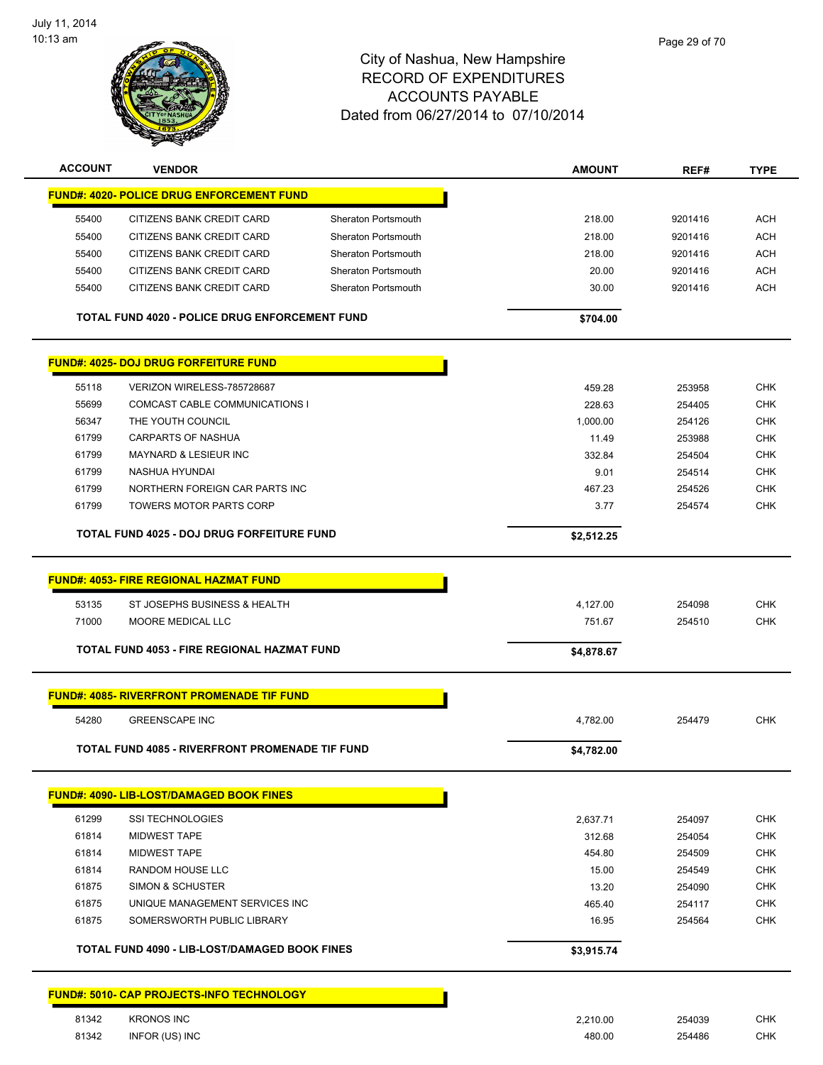

| <b>ACCOUNT</b> | <b>VENDOR</b>                                         |                            | <b>AMOUNT</b> | REF#    | <b>TYPE</b> |
|----------------|-------------------------------------------------------|----------------------------|---------------|---------|-------------|
|                | <b>FUND#: 4020- POLICE DRUG ENFORCEMENT FUND</b>      |                            |               |         |             |
| 55400          | CITIZENS BANK CREDIT CARD                             | Sheraton Portsmouth        | 218.00        | 9201416 | <b>ACH</b>  |
| 55400          | CITIZENS BANK CREDIT CARD                             | Sheraton Portsmouth        | 218.00        | 9201416 | <b>ACH</b>  |
| 55400          | CITIZENS BANK CREDIT CARD                             | <b>Sheraton Portsmouth</b> | 218.00        | 9201416 | <b>ACH</b>  |
| 55400          | CITIZENS BANK CREDIT CARD                             | Sheraton Portsmouth        | 20.00         | 9201416 | ACH         |
|                |                                                       | <b>Sheraton Portsmouth</b> |               |         | <b>ACH</b>  |
| 55400          | CITIZENS BANK CREDIT CARD                             |                            | 30.00         | 9201416 |             |
|                | <b>TOTAL FUND 4020 - POLICE DRUG ENFORCEMENT FUND</b> |                            | \$704.00      |         |             |
|                | <b>FUND#: 4025- DOJ DRUG FORFEITURE FUND</b>          |                            |               |         |             |
| 55118          | VERIZON WIRELESS-785728687                            |                            | 459.28        | 253958  | CHK         |
| 55699          | COMCAST CABLE COMMUNICATIONS I                        |                            | 228.63        | 254405  | <b>CHK</b>  |
| 56347          | THE YOUTH COUNCIL                                     |                            | 1,000.00      | 254126  | <b>CHK</b>  |
| 61799          | CARPARTS OF NASHUA                                    |                            | 11.49         | 253988  | CHK         |
| 61799          | MAYNARD & LESIEUR INC                                 |                            | 332.84        | 254504  | <b>CHK</b>  |
| 61799          | NASHUA HYUNDAI                                        |                            | 9.01          | 254514  | <b>CHK</b>  |
| 61799          | NORTHERN FOREIGN CAR PARTS INC                        |                            | 467.23        | 254526  | <b>CHK</b>  |
| 61799          | <b>TOWERS MOTOR PARTS CORP</b>                        |                            | 3.77          | 254574  | <b>CHK</b>  |
|                |                                                       |                            |               |         |             |
|                | TOTAL FUND 4025 - DOJ DRUG FORFEITURE FUND            |                            | \$2,512.25    |         |             |
|                | <b>FUND#: 4053- FIRE REGIONAL HAZMAT FUND</b>         |                            |               |         |             |
|                |                                                       |                            |               |         |             |
| 53135          | ST JOSEPHS BUSINESS & HEALTH                          |                            | 4,127.00      | 254098  | <b>CHK</b>  |
| 71000          | MOORE MEDICAL LLC                                     |                            | 751.67        | 254510  | <b>CHK</b>  |
|                | TOTAL FUND 4053 - FIRE REGIONAL HAZMAT FUND           |                            | \$4,878.67    |         |             |
|                | <b>FUND#: 4085- RIVERFRONT PROMENADE TIF FUND</b>     |                            |               |         |             |
|                |                                                       |                            |               |         |             |
| 54280          | <b>GREENSCAPE INC</b>                                 |                            | 4,782.00      | 254479  | CHK         |
|                | TOTAL FUND 4085 - RIVERFRONT PROMENADE TIF FUND       |                            | \$4,782.00    |         |             |
|                | <b>FUND#: 4090- LIB-LOST/DAMAGED BOOK FINES</b>       |                            |               |         |             |
| 61299          | <b>SSI TECHNOLOGIES</b>                               |                            | 2,637.71      | 254097  | <b>CHK</b>  |
| 61814          | <b>MIDWEST TAPE</b>                                   |                            | 312.68        | 254054  | <b>CHK</b>  |
| 61814          | <b>MIDWEST TAPE</b>                                   |                            | 454.80        | 254509  | <b>CHK</b>  |
| 61814          | RANDOM HOUSE LLC                                      |                            | 15.00         | 254549  | <b>CHK</b>  |
| 61875          | <b>SIMON &amp; SCHUSTER</b>                           |                            | 13.20         | 254090  | <b>CHK</b>  |
| 61875          | UNIQUE MANAGEMENT SERVICES INC                        |                            | 465.40        | 254117  | <b>CHK</b>  |
| 61875          | SOMERSWORTH PUBLIC LIBRARY                            |                            | 16.95         | 254564  | <b>CHK</b>  |
|                | <b>TOTAL FUND 4090 - LIB-LOST/DAMAGED BOOK FINES</b>  |                            | \$3,915.74    |         |             |
|                |                                                       |                            |               |         |             |
|                | <b>FUND#: 5010- CAP PROJECTS-INFO TECHNOLOGY</b>      |                            |               |         |             |
| 81342          | <b>KRONOS INC</b>                                     |                            | 2,210.00      | 254039  | <b>CHK</b>  |
| 81342          | INFOR (US) INC                                        |                            | 480.00        | 254486  | <b>CHK</b>  |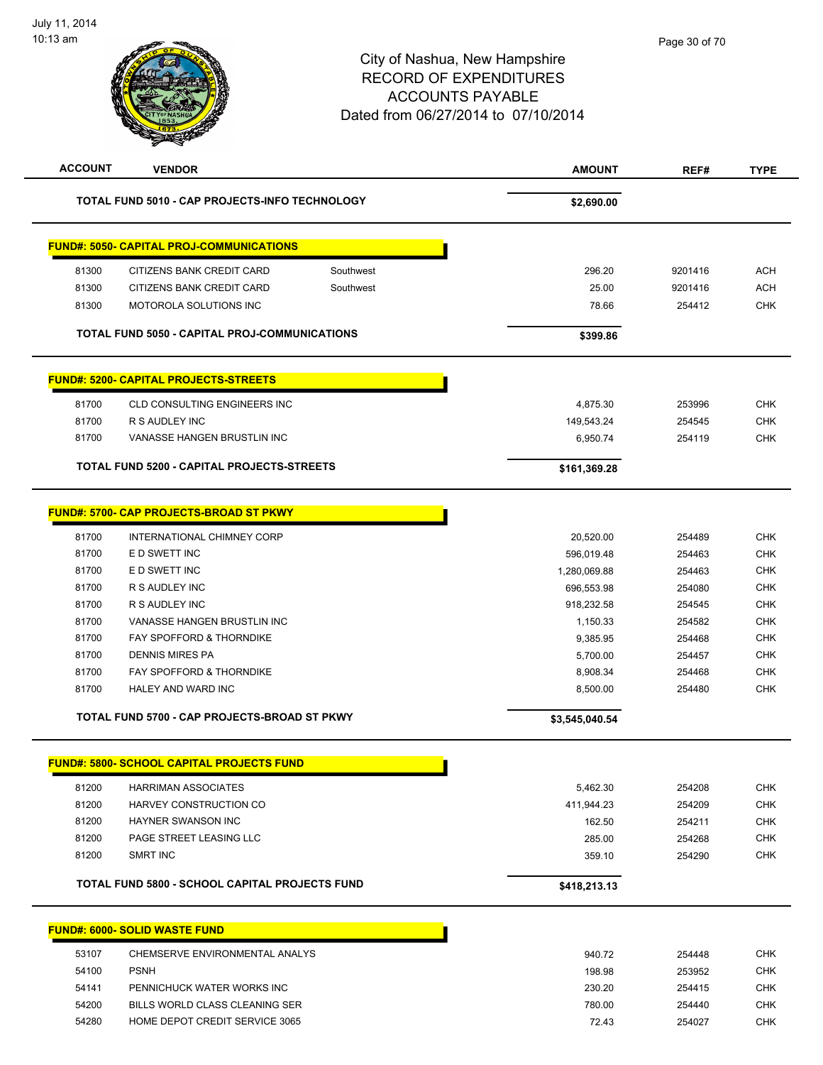| <b>ACCOUNT</b> | <b>VENDOR</b>                                     |           | <b>AMOUNT</b>  | REF#    | <b>TYPE</b> |
|----------------|---------------------------------------------------|-----------|----------------|---------|-------------|
|                | TOTAL FUND 5010 - CAP PROJECTS-INFO TECHNOLOGY    |           | \$2,690.00     |         |             |
|                | <b>FUND#: 5050- CAPITAL PROJ-COMMUNICATIONS</b>   |           |                |         |             |
| 81300          | CITIZENS BANK CREDIT CARD                         | Southwest | 296.20         | 9201416 | <b>ACH</b>  |
| 81300          | CITIZENS BANK CREDIT CARD                         | Southwest | 25.00          | 9201416 | <b>ACH</b>  |
| 81300          | MOTOROLA SOLUTIONS INC                            |           | 78.66          | 254412  | <b>CHK</b>  |
|                | TOTAL FUND 5050 - CAPITAL PROJ-COMMUNICATIONS     |           | \$399.86       |         |             |
|                | <b>FUND#: 5200- CAPITAL PROJECTS-STREETS</b>      |           |                |         |             |
| 81700          | CLD CONSULTING ENGINEERS INC                      |           | 4,875.30       | 253996  | <b>CHK</b>  |
| 81700          | R S AUDLEY INC                                    |           | 149,543.24     | 254545  | <b>CHK</b>  |
| 81700          | VANASSE HANGEN BRUSTLIN INC                       |           | 6,950.74       | 254119  | <b>CHK</b>  |
|                | <b>TOTAL FUND 5200 - CAPITAL PROJECTS-STREETS</b> |           | \$161,369.28   |         |             |
|                |                                                   |           |                |         |             |
|                | <b>FUND#: 5700- CAP PROJECTS-BROAD ST PKWY</b>    |           |                |         |             |
| 81700          | INTERNATIONAL CHIMNEY CORP                        |           | 20,520.00      | 254489  | <b>CHK</b>  |
| 81700          | E D SWETT INC                                     |           | 596,019.48     | 254463  | CHK         |
| 81700          | E D SWETT INC                                     |           | 1,280,069.88   | 254463  | <b>CHK</b>  |
| 81700          | R S AUDLEY INC                                    |           | 696,553.98     | 254080  | <b>CHK</b>  |
| 81700          | R S AUDLEY INC                                    |           | 918,232.58     | 254545  | <b>CHK</b>  |
| 81700          | VANASSE HANGEN BRUSTLIN INC                       |           | 1,150.33       | 254582  | <b>CHK</b>  |
| 81700          | FAY SPOFFORD & THORNDIKE                          |           | 9,385.95       | 254468  | <b>CHK</b>  |
| 81700          | DENNIS MIRES PA                                   |           | 5,700.00       | 254457  | <b>CHK</b>  |
| 81700          | FAY SPOFFORD & THORNDIKE                          |           | 8,908.34       | 254468  | <b>CHK</b>  |
| 81700          | HALEY AND WARD INC                                |           | 8,500.00       | 254480  | <b>CHK</b>  |
|                | TOTAL FUND 5700 - CAP PROJECTS-BROAD ST PKWY      |           | \$3,545,040.54 |         |             |
|                | <u> FUND#: 5800- SCHOOL CAPITAL PROJECTS FUND</u> |           |                |         |             |
| 81200          | <b>HARRIMAN ASSOCIATES</b>                        |           | 5,462.30       | 254208  | <b>CHK</b>  |
| 81200          | HARVEY CONSTRUCTION CO                            |           | 411,944.23     | 254209  | <b>CHK</b>  |
| 81200          | <b>HAYNER SWANSON INC</b>                         |           | 162.50         | 254211  | <b>CHK</b>  |
| 81200          | PAGE STREET LEASING LLC                           |           | 285.00         | 254268  | <b>CHK</b>  |
| 81200          | SMRT INC                                          |           | 359.10         | 254290  | <b>CHK</b>  |
|                | TOTAL FUND 5800 - SCHOOL CAPITAL PROJECTS FUND    |           | \$418,213.13   |         |             |
|                |                                                   |           |                |         |             |
|                | <b>FUND#: 6000- SOLID WASTE FUND</b>              |           |                |         |             |
| 53107          | CHEMSERVE ENVIRONMENTAL ANALYS                    |           | 940.72         | 254448  | <b>CHK</b>  |
| 54100          | <b>PSNH</b>                                       |           | 198.98         | 253952  | <b>CHK</b>  |
| 54141          | PENNICHUCK WATER WORKS INC                        |           | 230.20         | 254415  | <b>CHK</b>  |
| 54200          | BILLS WORLD CLASS CLEANING SER                    |           | 780.00         | 254440  | <b>CHK</b>  |
| 54280          | HOME DEPOT CREDIT SERVICE 3065                    |           | 72.43          | 254027  | <b>CHK</b>  |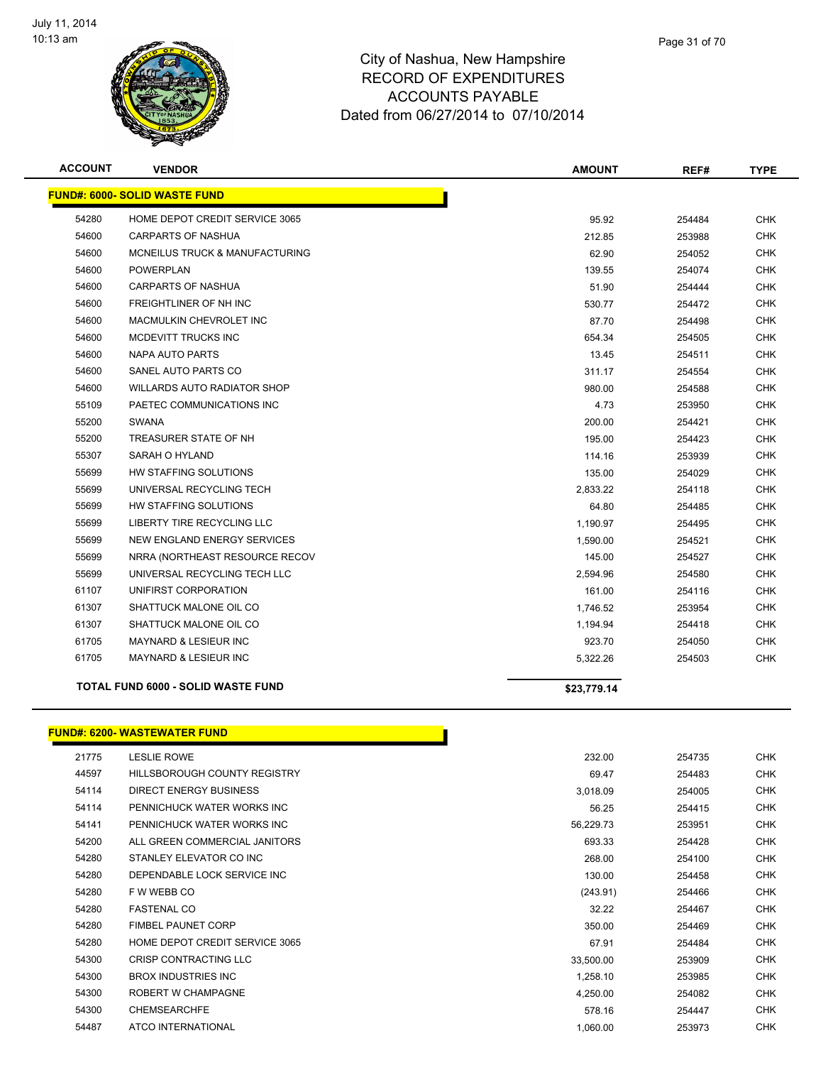

| <b>ACCOUNT</b> | <b>VENDOR</b>                             | <b>AMOUNT</b> | REF#   | <b>TYPE</b> |
|----------------|-------------------------------------------|---------------|--------|-------------|
|                | <b>FUND#: 6000- SOLID WASTE FUND</b>      |               |        |             |
| 54280          | HOME DEPOT CREDIT SERVICE 3065            | 95.92         | 254484 | <b>CHK</b>  |
| 54600          | <b>CARPARTS OF NASHUA</b>                 | 212.85        | 253988 | <b>CHK</b>  |
| 54600          | <b>MCNEILUS TRUCK &amp; MANUFACTURING</b> | 62.90         | 254052 | <b>CHK</b>  |
| 54600          | <b>POWERPLAN</b>                          | 139.55        | 254074 | <b>CHK</b>  |
| 54600          | <b>CARPARTS OF NASHUA</b>                 | 51.90         | 254444 | CHK         |
| 54600          | FREIGHTLINER OF NH INC                    | 530.77        | 254472 | <b>CHK</b>  |
| 54600          | MACMULKIN CHEVROLET INC                   | 87.70         | 254498 | <b>CHK</b>  |
| 54600          | MCDEVITT TRUCKS INC                       | 654.34        | 254505 | <b>CHK</b>  |
| 54600          | <b>NAPA AUTO PARTS</b>                    | 13.45         | 254511 | <b>CHK</b>  |
| 54600          | SANEL AUTO PARTS CO                       | 311.17        | 254554 | <b>CHK</b>  |
| 54600          | WILLARDS AUTO RADIATOR SHOP               | 980.00        | 254588 | <b>CHK</b>  |
| 55109          | PAETEC COMMUNICATIONS INC                 | 4.73          | 253950 | <b>CHK</b>  |
| 55200          | <b>SWANA</b>                              | 200.00        | 254421 | <b>CHK</b>  |
| 55200          | TREASURER STATE OF NH                     | 195.00        | 254423 | <b>CHK</b>  |
| 55307          | SARAH O HYLAND                            | 114.16        | 253939 | <b>CHK</b>  |
| 55699          | HW STAFFING SOLUTIONS                     | 135.00        | 254029 | <b>CHK</b>  |
| 55699          | UNIVERSAL RECYCLING TECH                  | 2,833.22      | 254118 | <b>CHK</b>  |
| 55699          | HW STAFFING SOLUTIONS                     | 64.80         | 254485 | <b>CHK</b>  |
| 55699          | LIBERTY TIRE RECYCLING LLC                | 1,190.97      | 254495 | <b>CHK</b>  |
| 55699          | NEW ENGLAND ENERGY SERVICES               | 1,590.00      | 254521 | <b>CHK</b>  |
| 55699          | NRRA (NORTHEAST RESOURCE RECOV            | 145.00        | 254527 | <b>CHK</b>  |
| 55699          | UNIVERSAL RECYCLING TECH LLC              | 2,594.96      | 254580 | <b>CHK</b>  |
| 61107          | UNIFIRST CORPORATION                      | 161.00        | 254116 | <b>CHK</b>  |
| 61307          | SHATTUCK MALONE OIL CO                    | 1,746.52      | 253954 | <b>CHK</b>  |
| 61307          | SHATTUCK MALONE OIL CO                    | 1,194.94      | 254418 | <b>CHK</b>  |
| 61705          | <b>MAYNARD &amp; LESIEUR INC</b>          | 923.70        | 254050 | <b>CHK</b>  |
| 61705          | MAYNARD & LESIEUR INC                     | 5,322.26      | 254503 | <b>CHK</b>  |
|                | <b>TOTAL FUND 6000 - SOLID WASTE FUND</b> | \$23,779.14   |        |             |
|                |                                           |               |        |             |

#### **FUND#: 6200- WASTEWATER FUND**

| 21775 | <b>LESLIE ROWE</b>             | 232.00    | 254735 | <b>CHK</b> |
|-------|--------------------------------|-----------|--------|------------|
| 44597 | HILLSBOROUGH COUNTY REGISTRY   | 69.47     | 254483 | <b>CHK</b> |
| 54114 | DIRECT ENERGY BUSINESS         | 3,018.09  | 254005 | <b>CHK</b> |
| 54114 | PENNICHUCK WATER WORKS INC     | 56.25     | 254415 | <b>CHK</b> |
| 54141 | PENNICHUCK WATER WORKS INC     | 56,229.73 | 253951 | <b>CHK</b> |
| 54200 | ALL GREEN COMMERCIAL JANITORS  | 693.33    | 254428 | <b>CHK</b> |
| 54280 | STANLEY ELEVATOR CO INC        | 268.00    | 254100 | <b>CHK</b> |
| 54280 | DEPENDABLE LOCK SERVICE INC    | 130.00    | 254458 | <b>CHK</b> |
| 54280 | F W WEBB CO                    | (243.91)  | 254466 | <b>CHK</b> |
| 54280 | <b>FASTENAL CO</b>             | 32.22     | 254467 | <b>CHK</b> |
| 54280 | <b>FIMBEL PAUNET CORP</b>      | 350.00    | 254469 | <b>CHK</b> |
| 54280 | HOME DEPOT CREDIT SERVICE 3065 | 67.91     | 254484 | <b>CHK</b> |
| 54300 | <b>CRISP CONTRACTING LLC</b>   | 33,500.00 | 253909 | <b>CHK</b> |
| 54300 | <b>BROX INDUSTRIES INC</b>     | 1,258.10  | 253985 | <b>CHK</b> |
| 54300 | ROBERT W CHAMPAGNE             | 4,250.00  | 254082 | <b>CHK</b> |
| 54300 | <b>CHEMSEARCHFE</b>            | 578.16    | 254447 | <b>CHK</b> |
| 54487 | ATCO INTERNATIONAL             | 1,060.00  | 253973 | <b>CHK</b> |

Г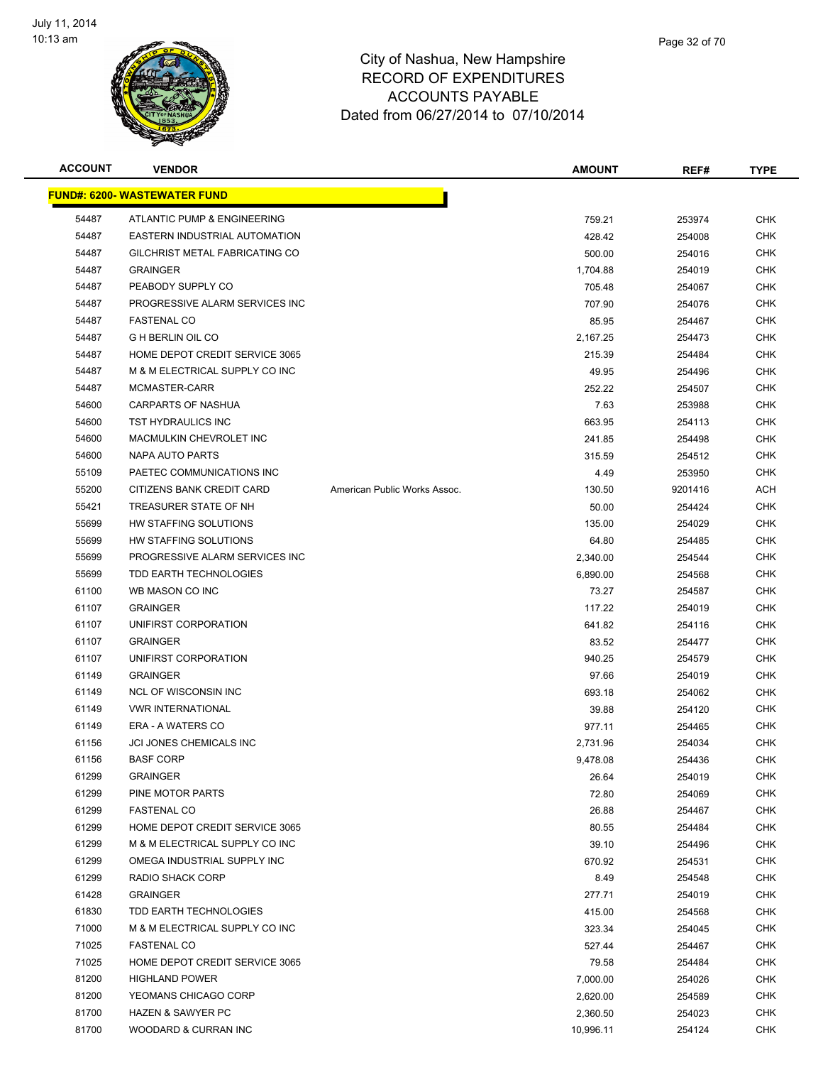

| <b>ACCOUNT</b> | <b>VENDOR</b>                       |                              | <b>AMOUNT</b> | REF#    | <b>TYPE</b> |
|----------------|-------------------------------------|------------------------------|---------------|---------|-------------|
|                | <b>FUND#: 6200- WASTEWATER FUND</b> |                              |               |         |             |
| 54487          | ATLANTIC PUMP & ENGINEERING         |                              | 759.21        | 253974  | <b>CHK</b>  |
| 54487          | EASTERN INDUSTRIAL AUTOMATION       |                              | 428.42        | 254008  | <b>CHK</b>  |
| 54487          | GILCHRIST METAL FABRICATING CO      |                              | 500.00        | 254016  | <b>CHK</b>  |
| 54487          | <b>GRAINGER</b>                     |                              | 1,704.88      | 254019  | <b>CHK</b>  |
| 54487          | PEABODY SUPPLY CO                   |                              | 705.48        | 254067  | <b>CHK</b>  |
| 54487          | PROGRESSIVE ALARM SERVICES INC      |                              | 707.90        | 254076  | <b>CHK</b>  |
| 54487          | <b>FASTENAL CO</b>                  |                              | 85.95         | 254467  | <b>CHK</b>  |
| 54487          | <b>G H BERLIN OIL CO</b>            |                              | 2,167.25      | 254473  | <b>CHK</b>  |
| 54487          | HOME DEPOT CREDIT SERVICE 3065      |                              | 215.39        | 254484  | <b>CHK</b>  |
| 54487          | M & M ELECTRICAL SUPPLY CO INC      |                              | 49.95         | 254496  | <b>CHK</b>  |
| 54487          | MCMASTER-CARR                       |                              | 252.22        | 254507  | <b>CHK</b>  |
| 54600          | CARPARTS OF NASHUA                  |                              | 7.63          | 253988  | <b>CHK</b>  |
| 54600          | TST HYDRAULICS INC                  |                              | 663.95        | 254113  | <b>CHK</b>  |
| 54600          | MACMULKIN CHEVROLET INC             |                              | 241.85        | 254498  | <b>CHK</b>  |
| 54600          | NAPA AUTO PARTS                     |                              | 315.59        | 254512  | <b>CHK</b>  |
| 55109          | PAETEC COMMUNICATIONS INC           |                              | 4.49          | 253950  | <b>CHK</b>  |
| 55200          | CITIZENS BANK CREDIT CARD           | American Public Works Assoc. | 130.50        | 9201416 | <b>ACH</b>  |
| 55421          | TREASURER STATE OF NH               |                              | 50.00         | 254424  | <b>CHK</b>  |
| 55699          | HW STAFFING SOLUTIONS               |                              | 135.00        | 254029  | <b>CHK</b>  |
| 55699          | HW STAFFING SOLUTIONS               |                              | 64.80         | 254485  | <b>CHK</b>  |
| 55699          | PROGRESSIVE ALARM SERVICES INC      |                              | 2,340.00      | 254544  | <b>CHK</b>  |
| 55699          | TDD EARTH TECHNOLOGIES              |                              | 6,890.00      | 254568  | <b>CHK</b>  |
| 61100          | WB MASON CO INC                     |                              | 73.27         | 254587  | <b>CHK</b>  |
| 61107          | <b>GRAINGER</b>                     |                              | 117.22        | 254019  | <b>CHK</b>  |
| 61107          | UNIFIRST CORPORATION                |                              | 641.82        | 254116  | <b>CHK</b>  |
| 61107          | <b>GRAINGER</b>                     |                              | 83.52         | 254477  | <b>CHK</b>  |
| 61107          | UNIFIRST CORPORATION                |                              | 940.25        | 254579  | <b>CHK</b>  |
| 61149          | <b>GRAINGER</b>                     |                              | 97.66         | 254019  | <b>CHK</b>  |
| 61149          | <b>NCL OF WISCONSIN INC</b>         |                              | 693.18        | 254062  | <b>CHK</b>  |
| 61149          | <b>VWR INTERNATIONAL</b>            |                              | 39.88         | 254120  | <b>CHK</b>  |
| 61149          | ERA - A WATERS CO                   |                              | 977.11        | 254465  | <b>CHK</b>  |
| 61156          | JCI JONES CHEMICALS INC             |                              | 2,731.96      | 254034  | CHK         |
| 61156          | <b>BASF CORP</b>                    |                              | 9,478.08      | 254436  | <b>CHK</b>  |
| 61299          | <b>GRAINGER</b>                     |                              | 26.64         | 254019  | <b>CHK</b>  |
| 61299          | PINE MOTOR PARTS                    |                              | 72.80         | 254069  | <b>CHK</b>  |
| 61299          | <b>FASTENAL CO</b>                  |                              | 26.88         | 254467  | <b>CHK</b>  |
| 61299          | HOME DEPOT CREDIT SERVICE 3065      |                              | 80.55         | 254484  | <b>CHK</b>  |
| 61299          | M & M ELECTRICAL SUPPLY CO INC      |                              | 39.10         | 254496  | <b>CHK</b>  |
| 61299          | OMEGA INDUSTRIAL SUPPLY INC         |                              | 670.92        | 254531  | <b>CHK</b>  |
| 61299          | <b>RADIO SHACK CORP</b>             |                              | 8.49          | 254548  | <b>CHK</b>  |
| 61428          | <b>GRAINGER</b>                     |                              | 277.71        | 254019  | <b>CHK</b>  |
| 61830          | TDD EARTH TECHNOLOGIES              |                              | 415.00        | 254568  | <b>CHK</b>  |
| 71000          | M & M ELECTRICAL SUPPLY CO INC      |                              | 323.34        | 254045  | <b>CHK</b>  |
| 71025          | <b>FASTENAL CO</b>                  |                              | 527.44        | 254467  | <b>CHK</b>  |
| 71025          | HOME DEPOT CREDIT SERVICE 3065      |                              | 79.58         | 254484  | <b>CHK</b>  |
| 81200          | <b>HIGHLAND POWER</b>               |                              | 7,000.00      | 254026  | <b>CHK</b>  |
| 81200          | YEOMANS CHICAGO CORP                |                              | 2,620.00      | 254589  | <b>CHK</b>  |
| 81700          | <b>HAZEN &amp; SAWYER PC</b>        |                              | 2,360.50      | 254023  | <b>CHK</b>  |
| 81700          | WOODARD & CURRAN INC                |                              | 10,996.11     | 254124  | <b>CHK</b>  |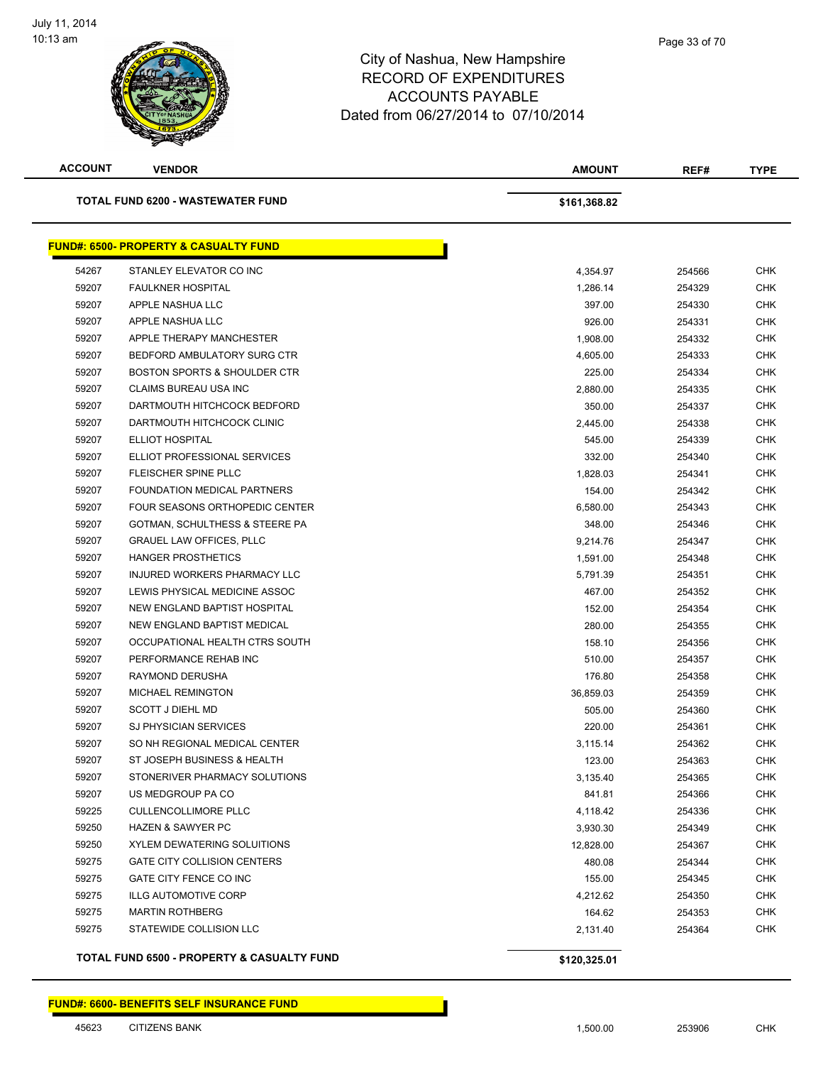

| <b>ACCOUNT</b> | <b>VENDOR</b>                                    | <b>AMOUNT</b> | REF#   | <b>TYPE</b> |
|----------------|--------------------------------------------------|---------------|--------|-------------|
|                | <b>TOTAL FUND 6200 - WASTEWATER FUND</b>         | \$161,368.82  |        |             |
|                | <b>FUND#: 6500- PROPERTY &amp; CASUALTY FUND</b> |               |        |             |
| 54267          | STANLEY ELEVATOR CO INC                          | 4,354.97      | 254566 | <b>CHK</b>  |
| 59207          | <b>FAULKNER HOSPITAL</b>                         | 1,286.14      | 254329 | <b>CHK</b>  |
| 59207          | APPLE NASHUA LLC                                 | 397.00        | 254330 | <b>CHK</b>  |
| 59207          | APPLE NASHUA LLC                                 | 926.00        | 254331 | <b>CHK</b>  |
| 59207          | APPLE THERAPY MANCHESTER                         | 1,908.00      | 254332 | <b>CHK</b>  |
| 59207          | BEDFORD AMBULATORY SURG CTR                      | 4,605.00      | 254333 | <b>CHK</b>  |
| 59207          | <b>BOSTON SPORTS &amp; SHOULDER CTR</b>          | 225.00        | 254334 | <b>CHK</b>  |
| 59207          | CLAIMS BUREAU USA INC                            | 2,880.00      | 254335 | <b>CHK</b>  |
| 59207          | DARTMOUTH HITCHCOCK BEDFORD                      | 350.00        | 254337 | <b>CHK</b>  |
| 59207          | DARTMOUTH HITCHCOCK CLINIC                       | 2,445.00      | 254338 | <b>CHK</b>  |
| 59207          | <b>ELLIOT HOSPITAL</b>                           | 545.00        | 254339 | <b>CHK</b>  |
| 59207          | ELLIOT PROFESSIONAL SERVICES                     | 332.00        | 254340 | <b>CHK</b>  |
| 59207          | FLEISCHER SPINE PLLC                             | 1,828.03      | 254341 | <b>CHK</b>  |
| 59207          | FOUNDATION MEDICAL PARTNERS                      | 154.00        | 254342 | <b>CHK</b>  |
| 59207          | FOUR SEASONS ORTHOPEDIC CENTER                   | 6,580.00      | 254343 | <b>CHK</b>  |
| 59207          | GOTMAN, SCHULTHESS & STEERE PA                   | 348.00        | 254346 | <b>CHK</b>  |
| 59207          | <b>GRAUEL LAW OFFICES, PLLC</b>                  | 9,214.76      | 254347 | <b>CHK</b>  |
| 59207          | <b>HANGER PROSTHETICS</b>                        | 1,591.00      | 254348 | <b>CHK</b>  |
| 59207          | INJURED WORKERS PHARMACY LLC                     | 5,791.39      | 254351 | <b>CHK</b>  |
| 59207          | LEWIS PHYSICAL MEDICINE ASSOC                    | 467.00        | 254352 | <b>CHK</b>  |
| 59207          | NEW ENGLAND BAPTIST HOSPITAL                     | 152.00        | 254354 | <b>CHK</b>  |
| 59207          | NEW ENGLAND BAPTIST MEDICAL                      | 280.00        | 254355 | <b>CHK</b>  |
| 59207          | OCCUPATIONAL HEALTH CTRS SOUTH                   | 158.10        | 254356 | <b>CHK</b>  |
| 59207          | PERFORMANCE REHAB INC                            | 510.00        | 254357 | <b>CHK</b>  |
| 59207          | RAYMOND DERUSHA                                  | 176.80        | 254358 | <b>CHK</b>  |
| 59207          | <b>MICHAEL REMINGTON</b>                         | 36,859.03     | 254359 | <b>CHK</b>  |
| 59207          | <b>SCOTT J DIEHL MD</b>                          | 505.00        | 254360 | <b>CHK</b>  |
| 59207          | <b>SJ PHYSICIAN SERVICES</b>                     | 220.00        | 254361 | <b>CHK</b>  |
| 59207          | SO NH REGIONAL MEDICAL CENTER                    | 3,115.14      | 254362 | CHK         |
| 59207          | ST JOSEPH BUSINESS & HEALTH                      | 123.00        | 254363 | CHK         |
| 59207          | STONERIVER PHARMACY SOLUTIONS                    | 3,135.40      | 254365 | <b>CHK</b>  |
| 59207          | US MEDGROUP PA CO                                | 841.81        | 254366 | <b>CHK</b>  |
| 59225          | <b>CULLENCOLLIMORE PLLC</b>                      | 4,118.42      | 254336 | <b>CHK</b>  |
| 59250          | <b>HAZEN &amp; SAWYER PC</b>                     | 3,930.30      | 254349 | <b>CHK</b>  |
| 59250          | XYLEM DEWATERING SOLUITIONS                      | 12,828.00     | 254367 | <b>CHK</b>  |
| 59275          | <b>GATE CITY COLLISION CENTERS</b>               | 480.08        | 254344 | <b>CHK</b>  |
| 59275          | GATE CITY FENCE CO INC                           | 155.00        | 254345 | <b>CHK</b>  |
| 59275          | <b>ILLG AUTOMOTIVE CORP</b>                      | 4,212.62      | 254350 | <b>CHK</b>  |
| 59275          | <b>MARTIN ROTHBERG</b>                           | 164.62        | 254353 | <b>CHK</b>  |
| 59275          | STATEWIDE COLLISION LLC                          | 2,131.40      | 254364 | CHK         |
|                | TOTAL FUND 6500 - PROPERTY & CASUALTY FUND       | \$120,325.01  |        |             |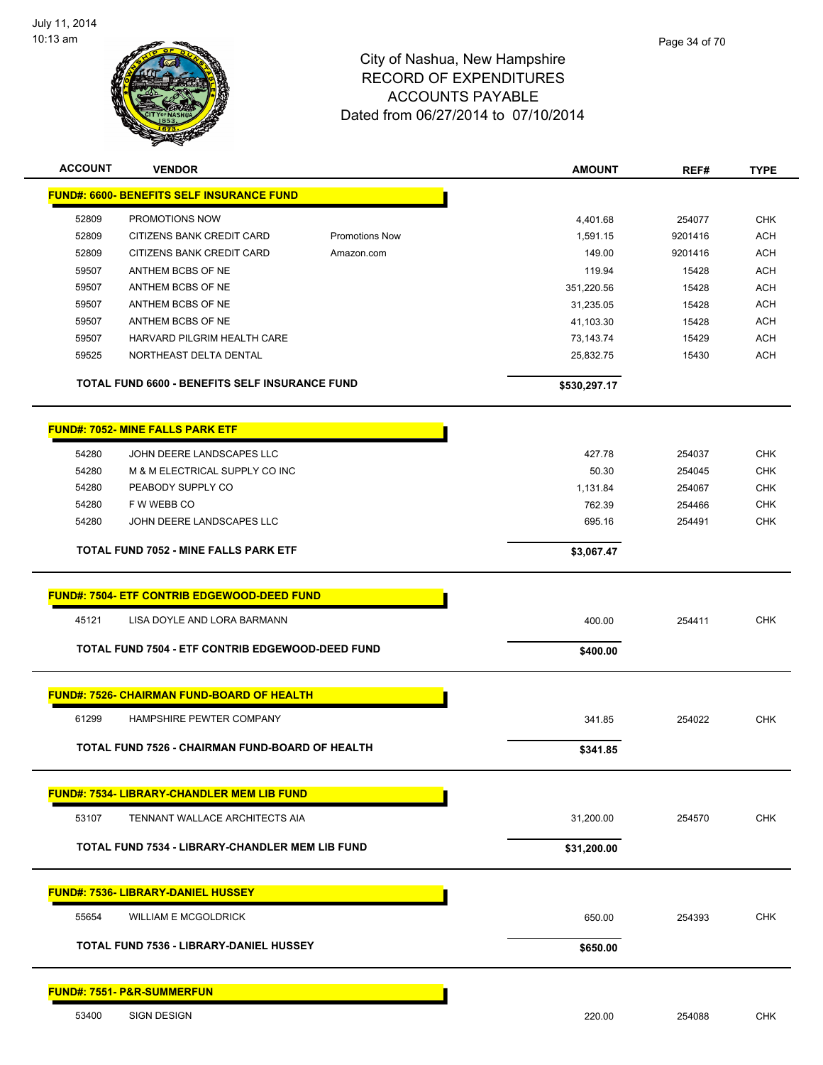

| <b>ACCOUNT</b> | <b>VENDOR</b>                                          |                       | <b>AMOUNT</b> | REF#    | <b>TYPE</b> |
|----------------|--------------------------------------------------------|-----------------------|---------------|---------|-------------|
|                | <b>FUND#: 6600- BENEFITS SELF INSURANCE FUND</b>       |                       |               |         |             |
| 52809          | PROMOTIONS NOW                                         |                       | 4,401.68      | 254077  | <b>CHK</b>  |
| 52809          | CITIZENS BANK CREDIT CARD                              | <b>Promotions Now</b> | 1,591.15      | 9201416 | ACH         |
| 52809          | CITIZENS BANK CREDIT CARD                              | Amazon.com            | 149.00        | 9201416 | <b>ACH</b>  |
| 59507          | ANTHEM BCBS OF NE                                      |                       | 119.94        | 15428   | <b>ACH</b>  |
| 59507          | ANTHEM BCBS OF NE                                      |                       | 351,220.56    | 15428   | <b>ACH</b>  |
| 59507          | ANTHEM BCBS OF NE                                      |                       | 31,235.05     | 15428   | <b>ACH</b>  |
| 59507          | ANTHEM BCBS OF NE                                      |                       | 41,103.30     | 15428   | <b>ACH</b>  |
| 59507          | HARVARD PILGRIM HEALTH CARE                            |                       | 73,143.74     | 15429   | <b>ACH</b>  |
| 59525          | NORTHEAST DELTA DENTAL                                 |                       | 25,832.75     | 15430   | <b>ACH</b>  |
|                | TOTAL FUND 6600 - BENEFITS SELF INSURANCE FUND         |                       | \$530,297.17  |         |             |
|                | <b>FUND#: 7052- MINE FALLS PARK ETF</b>                |                       |               |         |             |
| 54280          | JOHN DEERE LANDSCAPES LLC                              |                       | 427.78        | 254037  | <b>CHK</b>  |
| 54280          | M & M ELECTRICAL SUPPLY CO INC                         |                       | 50.30         | 254045  | <b>CHK</b>  |
| 54280          | PEABODY SUPPLY CO                                      |                       | 1,131.84      | 254067  | <b>CHK</b>  |
| 54280          | F W WEBB CO                                            |                       | 762.39        | 254466  | <b>CHK</b>  |
| 54280          | JOHN DEERE LANDSCAPES LLC                              |                       | 695.16        | 254491  | <b>CHK</b>  |
|                | <b>TOTAL FUND 7052 - MINE FALLS PARK ETF</b>           |                       | \$3,067.47    |         |             |
|                | <b>FUND#: 7504- ETF CONTRIB EDGEWOOD-DEED FUND</b>     |                       |               |         |             |
| 45121          | LISA DOYLE AND LORA BARMANN                            |                       | 400.00        | 254411  | <b>CHK</b>  |
|                | TOTAL FUND 7504 - ETF CONTRIB EDGEWOOD-DEED FUND       |                       | \$400.00      |         |             |
|                | <b>FUND#: 7526- CHAIRMAN FUND-BOARD OF HEALTH</b>      |                       |               |         |             |
| 61299          | HAMPSHIRE PEWTER COMPANY                               |                       | 341.85        | 254022  | <b>CHK</b>  |
|                | TOTAL FUND 7526 - CHAIRMAN FUND-BOARD OF HEALTH        |                       | \$341.85      |         |             |
|                |                                                        |                       |               |         |             |
|                | <b>FUND#: 7534- LIBRARY-CHANDLER MEM LIB FUND</b>      |                       |               |         |             |
| 53107          | TENNANT WALLACE ARCHITECTS AIA                         |                       | 31,200.00     | 254570  | CHK         |
|                | <b>TOTAL FUND 7534 - LIBRARY-CHANDLER MEM LIB FUND</b> |                       | \$31,200.00   |         |             |
|                | <b>FUND#: 7536- LIBRARY-DANIEL HUSSEY</b>              |                       |               |         |             |
| 55654          | <b>WILLIAM E MCGOLDRICK</b>                            |                       | 650.00        | 254393  | <b>CHK</b>  |
|                | <b>TOTAL FUND 7536 - LIBRARY-DANIEL HUSSEY</b>         |                       | \$650.00      |         |             |
|                |                                                        |                       |               |         |             |
|                | <b>FUND#: 7551- P&amp;R-SUMMERFUN</b>                  |                       |               |         |             |
| 53400          | SIGN DESIGN                                            |                       | 220.00        | 254088  | <b>CHK</b>  |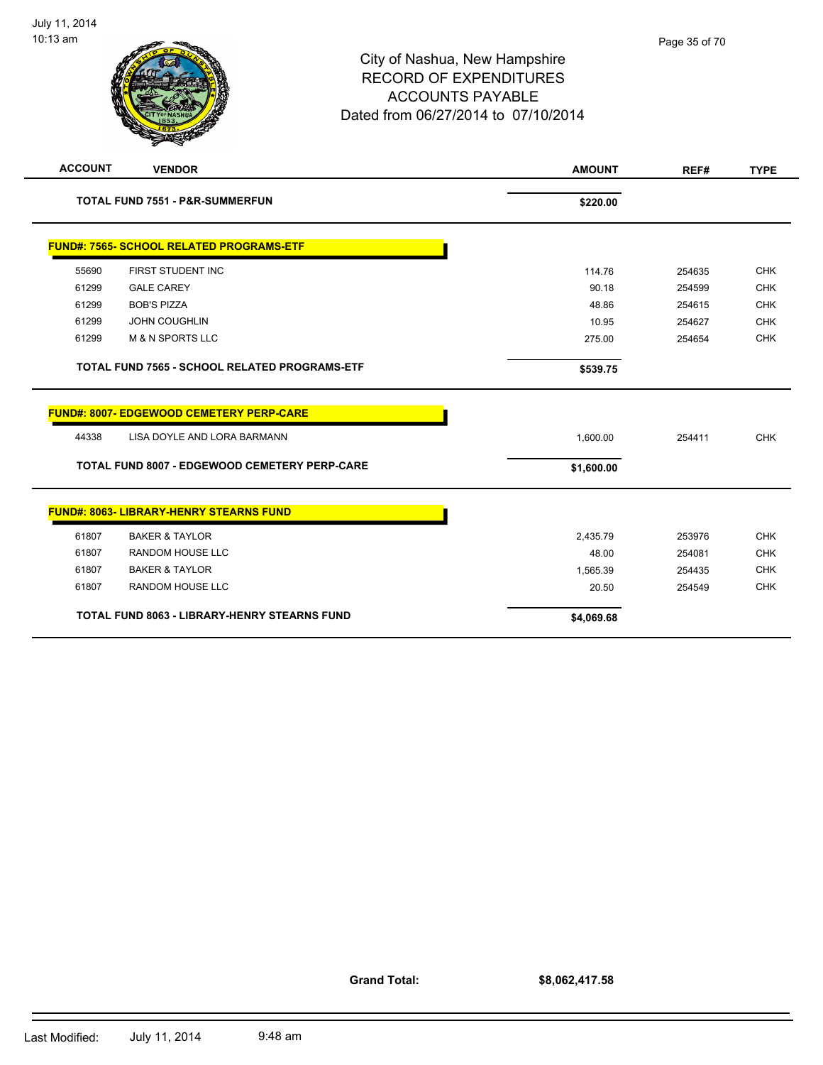| <b>ACCOUNT</b> | <b>VENDOR</b>                                        | <b>AMOUNT</b> | REF#   | <b>TYPE</b> |
|----------------|------------------------------------------------------|---------------|--------|-------------|
|                | <b>TOTAL FUND 7551 - P&amp;R-SUMMERFUN</b>           | \$220.00      |        |             |
|                | <b>FUND#: 7565- SCHOOL RELATED PROGRAMS-ETF</b>      |               |        |             |
| 55690          | FIRST STUDENT INC                                    | 114.76        | 254635 | <b>CHK</b>  |
| 61299          | <b>GALE CAREY</b>                                    | 90.18         | 254599 | <b>CHK</b>  |
| 61299          | <b>BOB'S PIZZA</b>                                   | 48.86         | 254615 | <b>CHK</b>  |
| 61299          | <b>JOHN COUGHLIN</b>                                 | 10.95         | 254627 | <b>CHK</b>  |
| 61299          | <b>M &amp; N SPORTS LLC</b>                          | 275.00        | 254654 | <b>CHK</b>  |
|                | TOTAL FUND 7565 - SCHOOL RELATED PROGRAMS-ETF        | \$539.75      |        |             |
|                | FUND#: 8007- EDGEWOOD CEMETERY PERP-CARE             |               |        |             |
| 44338          | LISA DOYLE AND LORA BARMANN                          | 1,600.00      | 254411 | <b>CHK</b>  |
|                | <b>TOTAL FUND 8007 - EDGEWOOD CEMETERY PERP-CARE</b> | \$1,600.00    |        |             |
|                | <b>FUND#: 8063- LIBRARY-HENRY STEARNS FUND</b>       |               |        |             |
| 61807          | <b>BAKER &amp; TAYLOR</b>                            | 2,435.79      | 253976 | <b>CHK</b>  |
| 61807          | <b>RANDOM HOUSE LLC</b>                              | 48.00         | 254081 | <b>CHK</b>  |
| 61807          | <b>BAKER &amp; TAYLOR</b>                            | 1,565.39      | 254435 | <b>CHK</b>  |
| 61807          | <b>RANDOM HOUSE LLC</b>                              | 20.50         | 254549 | <b>CHK</b>  |
|                | <b>TOTAL FUND 8063 - LIBRARY-HENRY STEARNS FUND</b>  | \$4,069.68    |        |             |

**Grand Total:**

**\$8,062,417.58**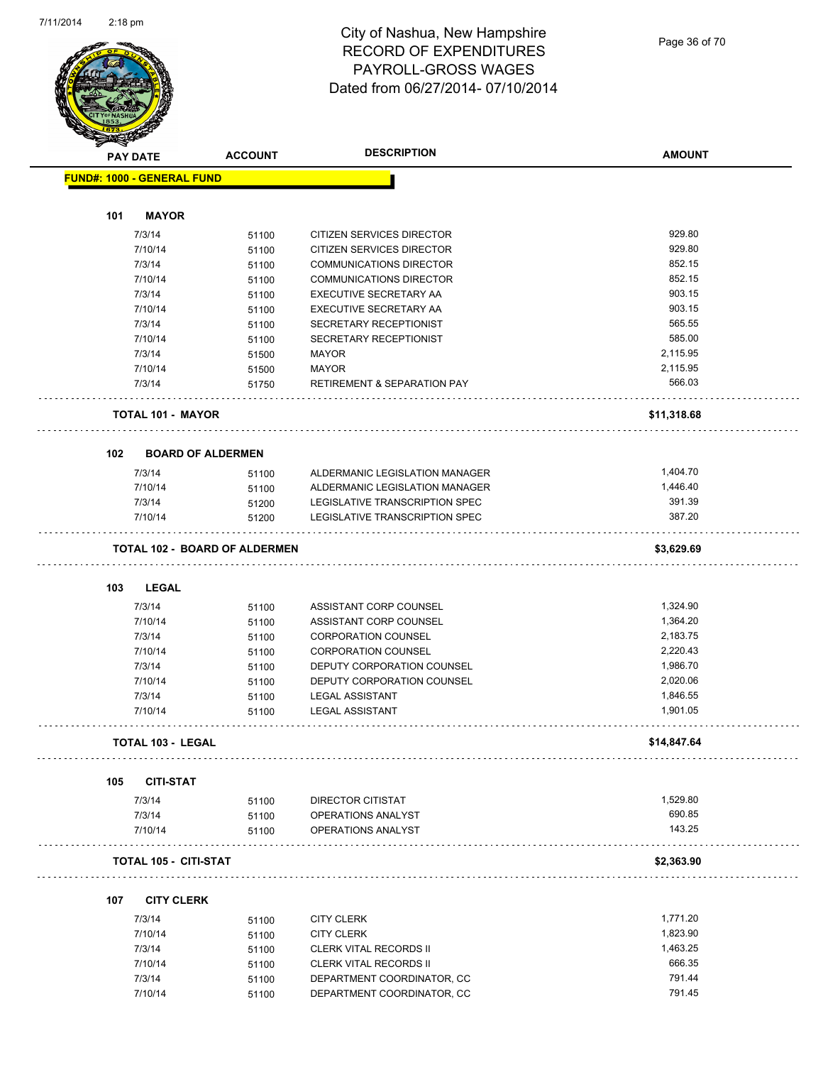

Page 36 of 70

| <b>STATERS</b> |                                      |                |                                        |               |
|----------------|--------------------------------------|----------------|----------------------------------------|---------------|
|                | <b>PAY DATE</b>                      | <b>ACCOUNT</b> | <b>DESCRIPTION</b>                     | <b>AMOUNT</b> |
|                | <b>FUND#: 1000 - GENERAL FUND</b>    |                |                                        |               |
|                |                                      |                |                                        |               |
| 101            | <b>MAYOR</b>                         |                |                                        |               |
|                | 7/3/14                               | 51100          | CITIZEN SERVICES DIRECTOR              | 929.80        |
|                | 7/10/14                              | 51100          | CITIZEN SERVICES DIRECTOR              | 929.80        |
|                | 7/3/14                               | 51100          | <b>COMMUNICATIONS DIRECTOR</b>         | 852.15        |
|                | 7/10/14                              | 51100          | <b>COMMUNICATIONS DIRECTOR</b>         | 852.15        |
|                | 7/3/14                               | 51100          | <b>EXECUTIVE SECRETARY AA</b>          | 903.15        |
|                | 7/10/14                              | 51100          | <b>EXECUTIVE SECRETARY AA</b>          | 903.15        |
|                | 7/3/14                               | 51100          | SECRETARY RECEPTIONIST                 | 565.55        |
|                | 7/10/14                              | 51100          | SECRETARY RECEPTIONIST                 | 585.00        |
|                | 7/3/14                               | 51500          | <b>MAYOR</b>                           | 2,115.95      |
|                | 7/10/14                              | 51500          | <b>MAYOR</b>                           | 2,115.95      |
|                | 7/3/14                               | 51750          | <b>RETIREMENT &amp; SEPARATION PAY</b> | 566.03        |
|                | <b>TOTAL 101 - MAYOR</b>             |                |                                        | \$11,318.68   |
| 102            | <b>BOARD OF ALDERMEN</b>             |                |                                        |               |
|                | 7/3/14                               | 51100          | ALDERMANIC LEGISLATION MANAGER         | 1,404.70      |
|                | 7/10/14                              | 51100          | ALDERMANIC LEGISLATION MANAGER         | 1,446.40      |
|                | 7/3/14                               | 51200          | LEGISLATIVE TRANSCRIPTION SPEC         | 391.39        |
|                | 7/10/14                              | 51200          | LEGISLATIVE TRANSCRIPTION SPEC         | 387.20        |
|                | <b>TOTAL 102 - BOARD OF ALDERMEN</b> |                |                                        | \$3,629.69    |
|                |                                      |                |                                        |               |
| 103            | <b>LEGAL</b>                         |                |                                        |               |
|                | 7/3/14                               | 51100          | ASSISTANT CORP COUNSEL                 | 1,324.90      |
|                | 7/10/14                              | 51100          | ASSISTANT CORP COUNSEL                 | 1,364.20      |
|                | 7/3/14                               | 51100          | <b>CORPORATION COUNSEL</b>             | 2,183.75      |
|                | 7/10/14                              | 51100          | <b>CORPORATION COUNSEL</b>             | 2,220.43      |
|                | 7/3/14                               | 51100          | DEPUTY CORPORATION COUNSEL             | 1,986.70      |
|                | 7/10/14                              | 51100          | DEPUTY CORPORATION COUNSEL             | 2,020.06      |
|                | 7/3/14                               | 51100          | <b>LEGAL ASSISTANT</b>                 | 1,846.55      |
|                | 7/10/14                              | 51100          | <b>LEGAL ASSISTANT</b>                 | 1,901.05      |
|                |                                      |                |                                        |               |
|                | TOTAL 103 - LEGAL                    |                |                                        | \$14,847.64   |
| 105            | <b>CITI-STAT</b>                     |                |                                        |               |
|                | 7/3/14                               | 51100          | DIRECTOR CITISTAT                      | 1,529.80      |
|                | 7/3/14                               | 51100          | OPERATIONS ANALYST                     | 690.85        |
|                | 7/10/14                              | 51100          | OPERATIONS ANALYST                     | 143.25        |
|                | <b>TOTAL 105 - CITI-STAT</b>         |                |                                        | \$2,363.90    |
|                |                                      |                |                                        |               |
| 107            | <b>CITY CLERK</b>                    |                |                                        |               |
|                | 7/3/14                               | 51100          | <b>CITY CLERK</b>                      | 1,771.20      |
|                | 7/10/14                              | 51100          | <b>CITY CLERK</b>                      | 1,823.90      |
|                | 7/3/14                               | 51100          | <b>CLERK VITAL RECORDS II</b>          | 1,463.25      |
|                | 7/10/14                              | 51100          | <b>CLERK VITAL RECORDS II</b>          | 666.35        |
|                | 7/3/14                               | 51100          | DEPARTMENT COORDINATOR, CC             | 791.44        |
|                | 7/10/14                              | 51100          | DEPARTMENT COORDINATOR, CC             | 791.45        |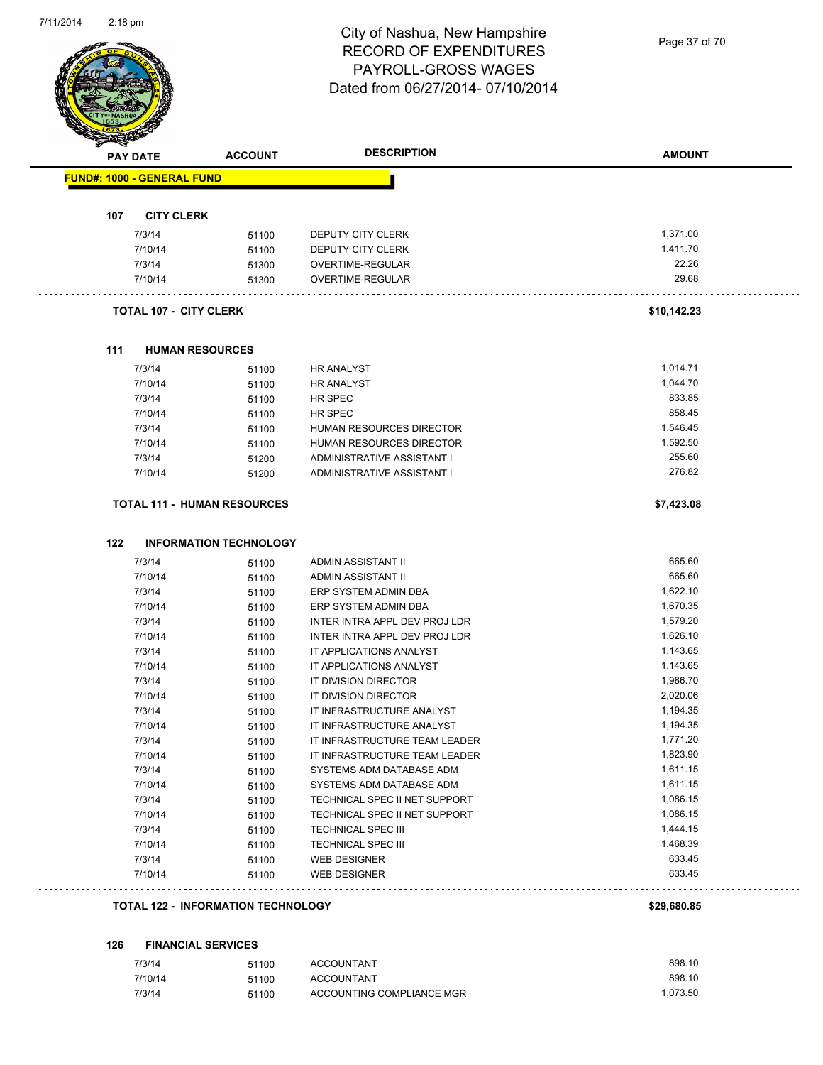

Page 37 of 70

|     | <b>PAY DATE</b>                   | <b>ACCOUNT</b>                            | <b>DESCRIPTION</b>                                       | <b>AMOUNT</b>    |
|-----|-----------------------------------|-------------------------------------------|----------------------------------------------------------|------------------|
|     | <b>FUND#: 1000 - GENERAL FUND</b> |                                           |                                                          |                  |
|     |                                   |                                           |                                                          |                  |
| 107 | <b>CITY CLERK</b><br>7/3/14       | 51100                                     | DEPUTY CITY CLERK                                        | 1,371.00         |
|     | 7/10/14                           | 51100                                     | DEPUTY CITY CLERK                                        | 1,411.70         |
|     | 7/3/14                            | 51300                                     | OVERTIME-REGULAR                                         | 22.26            |
|     | 7/10/14                           | 51300                                     | OVERTIME-REGULAR                                         | 29.68            |
|     | <b>TOTAL 107 - CITY CLERK</b>     |                                           |                                                          | \$10,142.23      |
| 111 | <b>HUMAN RESOURCES</b>            |                                           |                                                          |                  |
|     | 7/3/14                            |                                           | <b>HR ANALYST</b>                                        | 1,014.71         |
|     | 7/10/14                           | 51100                                     |                                                          | 1,044.70         |
|     | 7/3/14                            | 51100                                     | <b>HR ANALYST</b><br>HR SPEC                             | 833.85           |
|     |                                   | 51100                                     |                                                          | 858.45           |
|     | 7/10/14<br>7/3/14                 | 51100                                     | HR SPEC<br><b>HUMAN RESOURCES DIRECTOR</b>               | 1,546.45         |
|     |                                   | 51100                                     |                                                          | 1,592.50         |
|     | 7/10/14                           | 51100                                     | <b>HUMAN RESOURCES DIRECTOR</b>                          |                  |
|     | 7/3/14<br>7/10/14                 | 51200<br>51200                            | ADMINISTRATIVE ASSISTANT I<br>ADMINISTRATIVE ASSISTANT I | 255.60<br>276.82 |
|     |                                   | <b>TOTAL 111 - HUMAN RESOURCES</b>        |                                                          | \$7,423.08       |
|     |                                   |                                           |                                                          |                  |
| 122 |                                   | <b>INFORMATION TECHNOLOGY</b>             |                                                          |                  |
|     | 7/3/14                            | 51100                                     | ADMIN ASSISTANT II                                       | 665.60           |
|     | 7/10/14                           | 51100                                     | ADMIN ASSISTANT II                                       | 665.60           |
|     | 7/3/14                            | 51100                                     | ERP SYSTEM ADMIN DBA                                     | 1,622.10         |
|     | 7/10/14                           | 51100                                     | ERP SYSTEM ADMIN DBA                                     | 1,670.35         |
|     | 7/3/14                            | 51100                                     | INTER INTRA APPL DEV PROJ LDR                            | 1,579.20         |
|     | 7/10/14                           | 51100                                     | INTER INTRA APPL DEV PROJ LDR                            | 1,626.10         |
|     | 7/3/14                            | 51100                                     | IT APPLICATIONS ANALYST                                  | 1,143.65         |
|     | 7/10/14                           | 51100                                     | IT APPLICATIONS ANALYST                                  | 1,143.65         |
|     | 7/3/14                            | 51100                                     | IT DIVISION DIRECTOR                                     | 1,986.70         |
|     | 7/10/14                           | 51100                                     | IT DIVISION DIRECTOR                                     | 2,020.06         |
|     | 7/3/14                            | 51100                                     | IT INFRASTRUCTURE ANALYST                                | 1,194.35         |
|     | 7/10/14                           | 51100                                     | IT INFRASTRUCTURE ANALYST                                | 1,194.35         |
|     | 7/3/14                            | 51100                                     | IT INFRASTRUCTURE TEAM LEADER                            | 1,771.20         |
|     | 7/10/14                           | 51100                                     | IT INFRASTRUCTURE TEAM LEADER                            | 1,823.90         |
|     | 7/3/14                            | 51100                                     | SYSTEMS ADM DATABASE ADM                                 | 1,611.15         |
|     | 7/10/14                           | 51100                                     | SYSTEMS ADM DATABASE ADM                                 | 1,611.15         |
|     | 7/3/14                            | 51100                                     | TECHNICAL SPEC II NET SUPPORT                            | 1,086.15         |
|     | 7/10/14                           | 51100                                     | TECHNICAL SPEC II NET SUPPORT                            | 1,086.15         |
|     | 7/3/14                            | 51100                                     | <b>TECHNICAL SPEC III</b>                                | 1,444.15         |
|     | 7/10/14                           | 51100                                     | TECHNICAL SPEC III                                       | 1,468.39         |
|     | 7/3/14                            | 51100                                     | <b>WEB DESIGNER</b>                                      | 633.45           |
|     | 7/10/14                           | 51100                                     | <b>WEB DESIGNER</b>                                      | 633.45           |
|     |                                   | <b>TOTAL 122 - INFORMATION TECHNOLOGY</b> |                                                          | \$29,680.85      |
|     |                                   |                                           |                                                          |                  |
| 126 |                                   | <b>FINANCIAL SERVICES</b>                 |                                                          |                  |
|     | 7/3/14                            | 51100                                     | <b>ACCOUNTANT</b>                                        | 898.10           |
|     | 7/10/14                           | 51100                                     | <b>ACCOUNTANT</b>                                        | 898.10           |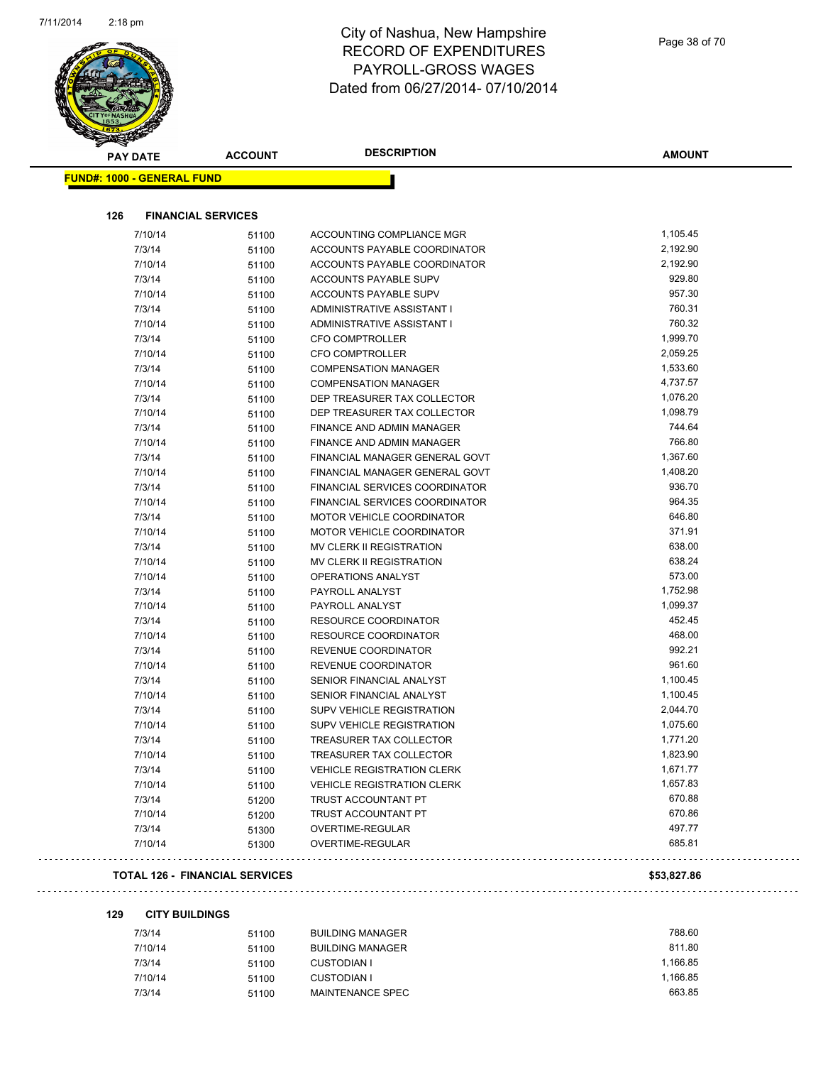

| <b>PAY DATE</b>                   | <b>ACCOUNT</b>            | <b>DESCRIPTION</b>                    | AMOUNT   |
|-----------------------------------|---------------------------|---------------------------------------|----------|
| <b>FUND#: 1000 - GENERAL FUND</b> |                           |                                       |          |
| 126                               | <b>FINANCIAL SERVICES</b> |                                       |          |
|                                   |                           |                                       |          |
| 7/10/14                           | 51100                     | ACCOUNTING COMPLIANCE MGR             | 1,105.45 |
| 7/3/14                            | 51100                     | ACCOUNTS PAYABLE COORDINATOR          | 2,192.90 |
| 7/10/14                           | 51100                     | ACCOUNTS PAYABLE COORDINATOR          | 2,192.90 |
| 7/3/14                            | 51100                     | <b>ACCOUNTS PAYABLE SUPV</b>          | 929.80   |
| 7/10/14                           | 51100                     | <b>ACCOUNTS PAYABLE SUPV</b>          | 957.30   |
| 7/3/14                            | 51100                     | ADMINISTRATIVE ASSISTANT I            | 760.31   |
| 7/10/14                           | 51100                     | ADMINISTRATIVE ASSISTANT I            | 760.32   |
| 7/3/14                            | 51100                     | <b>CFO COMPTROLLER</b>                | 1,999.70 |
| 7/10/14                           | 51100                     | <b>CFO COMPTROLLER</b>                | 2,059.25 |
| 7/3/14                            | 51100                     | <b>COMPENSATION MANAGER</b>           | 1,533.60 |
| 7/10/14                           | 51100                     | <b>COMPENSATION MANAGER</b>           | 4,737.57 |
| 7/3/14                            | 51100                     | DEP TREASURER TAX COLLECTOR           | 1,076.20 |
| 7/10/14                           | 51100                     | DEP TREASURER TAX COLLECTOR           | 1,098.79 |
| 7/3/14                            | 51100                     | FINANCE AND ADMIN MANAGER             | 744.64   |
| 7/10/14                           | 51100                     | FINANCE AND ADMIN MANAGER             | 766.80   |
| 7/3/14                            | 51100                     | FINANCIAL MANAGER GENERAL GOVT        | 1,367.60 |
| 7/10/14                           | 51100                     | FINANCIAL MANAGER GENERAL GOVT        | 1,408.20 |
| 7/3/14                            | 51100                     | <b>FINANCIAL SERVICES COORDINATOR</b> | 936.70   |
| 7/10/14                           | 51100                     | FINANCIAL SERVICES COORDINATOR        | 964.35   |
| 7/3/14                            | 51100                     | <b>MOTOR VEHICLE COORDINATOR</b>      | 646.80   |
| 7/10/14                           | 51100                     | <b>MOTOR VEHICLE COORDINATOR</b>      | 371.91   |
| 7/3/14                            | 51100                     | MV CLERK II REGISTRATION              | 638.00   |
| 7/10/14                           | 51100                     | MV CLERK II REGISTRATION              | 638.24   |
| 7/10/14                           | 51100                     | OPERATIONS ANALYST                    | 573.00   |
| 7/3/14                            | 51100                     | PAYROLL ANALYST                       | 1,752.98 |
| 7/10/14                           | 51100                     | PAYROLL ANALYST                       | 1,099.37 |
| 7/3/14                            | 51100                     | RESOURCE COORDINATOR                  | 452.45   |
| 7/10/14                           | 51100                     | RESOURCE COORDINATOR                  | 468.00   |
| 7/3/14                            | 51100                     | REVENUE COORDINATOR                   | 992.21   |
| 7/10/14                           | 51100                     | REVENUE COORDINATOR                   | 961.60   |
| 7/3/14                            | 51100                     | SENIOR FINANCIAL ANALYST              | 1,100.45 |
| 7/10/14                           | 51100                     | SENIOR FINANCIAL ANALYST              | 1,100.45 |
| 7/3/14                            | 51100                     | <b>SUPV VEHICLE REGISTRATION</b>      | 2,044.70 |
| 7/10/14                           | 51100                     | <b>SUPV VEHICLE REGISTRATION</b>      | 1,075.60 |
| 7/3/14                            | 51100                     | TREASURER TAX COLLECTOR               | 1,771.20 |
| 7/10/14                           | 51100                     | TREASURER TAX COLLECTOR               | 1,823.90 |
| 7/3/14                            | 51100                     | <b>VEHICLE REGISTRATION CLERK</b>     | 1,671.77 |
| 7/10/14                           | 51100                     | <b>VEHICLE REGISTRATION CLERK</b>     | 1,657.83 |
| 7/3/14                            | 51200                     | TRUST ACCOUNTANT PT                   | 670.88   |
| 7/10/14                           | 51200                     | TRUST ACCOUNTANT PT                   | 670.86   |
| 7/3/14                            | 51300                     | OVERTIME-REGULAR                      | 497.77   |
| 7/10/14                           | 51300                     | OVERTIME-REGULAR                      | 685.81   |

#### **TOTAL 126 - FINANCIAL SERVICES \$53,827.86**

 $\mathbb{Z}^2$  .  $\mathbb{Z}^2$  ,

**129 CITY BUILDINGS**

| 788.60   |
|----------|
| 811.80   |
| 1.166.85 |
| 1.166.85 |
| 663.85   |
|          |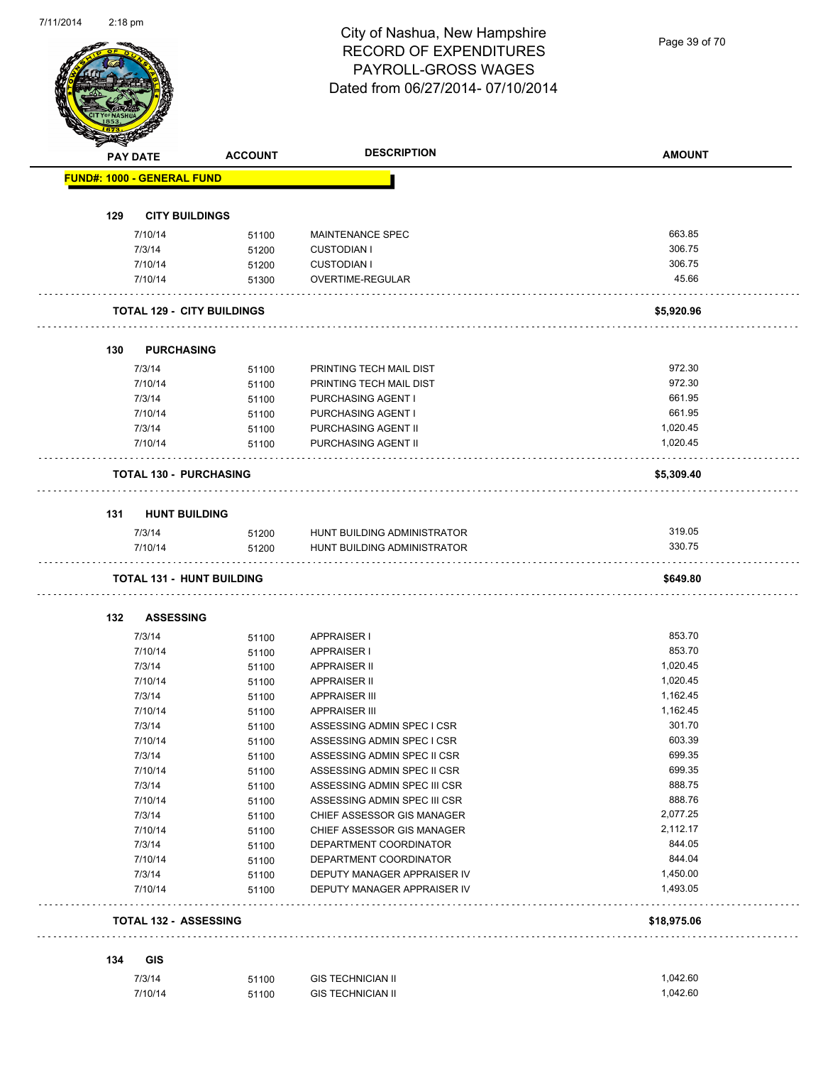Page 39 of 70

|     | <b>PAY DATE</b>                   | <b>ACCOUNT</b> | <b>DESCRIPTION</b>           | <b>AMOUNT</b> |
|-----|-----------------------------------|----------------|------------------------------|---------------|
|     | <b>FUND#: 1000 - GENERAL FUND</b> |                |                              |               |
|     |                                   |                |                              |               |
| 129 | <b>CITY BUILDINGS</b>             |                |                              |               |
|     | 7/10/14                           | 51100          | MAINTENANCE SPEC             | 663.85        |
|     | 7/3/14                            | 51200          | <b>CUSTODIAN I</b>           | 306.75        |
|     | 7/10/14                           | 51200          | <b>CUSTODIAN I</b>           | 306.75        |
|     | 7/10/14                           | 51300          | <b>OVERTIME-REGULAR</b>      | 45.66         |
|     | <b>TOTAL 129 - CITY BUILDINGS</b> |                |                              | \$5,920.96    |
| 130 | <b>PURCHASING</b>                 |                |                              |               |
|     | 7/3/14                            | 51100          | PRINTING TECH MAIL DIST      | 972.30        |
|     | 7/10/14                           | 51100          | PRINTING TECH MAIL DIST      | 972.30        |
|     | 7/3/14                            | 51100          | PURCHASING AGENT I           | 661.95        |
|     | 7/10/14                           | 51100          | PURCHASING AGENT I           | 661.95        |
|     | 7/3/14                            | 51100          | PURCHASING AGENT II          | 1,020.45      |
|     | 7/10/14                           | 51100          | PURCHASING AGENT II          | 1,020.45      |
|     | <b>TOTAL 130 - PURCHASING</b>     |                |                              | \$5,309.40    |
|     |                                   |                |                              |               |
| 131 | <b>HUNT BUILDING</b>              |                |                              |               |
|     | 7/3/14                            | 51200          | HUNT BUILDING ADMINISTRATOR  | 319.05        |
|     | 7/10/14                           | 51200          | HUNT BUILDING ADMINISTRATOR  | 330.75        |
|     | <b>TOTAL 131 - HUNT BUILDING</b>  |                |                              | \$649.80      |
| 132 | <b>ASSESSING</b>                  |                |                              |               |
|     | 7/3/14                            | 51100          | <b>APPRAISER I</b>           | 853.70        |
|     | 7/10/14                           | 51100          | <b>APPRAISER I</b>           | 853.70        |
|     | 7/3/14                            | 51100          | <b>APPRAISER II</b>          | 1,020.45      |
|     | 7/10/14                           | 51100          | <b>APPRAISER II</b>          | 1,020.45      |
|     | 7/3/14                            | 51100          | <b>APPRAISER III</b>         | 1,162.45      |
|     | 7/10/14                           | 51100          | <b>APPRAISER III</b>         | 1,162.45      |
|     | 7/3/14                            | 51100          | ASSESSING ADMIN SPEC I CSR   | 301.70        |
|     | 7/10/14                           | 51100          | ASSESSING ADMIN SPEC I CSR   | 603.39        |
|     | 7/3/14                            | 51100          | ASSESSING ADMIN SPEC II CSR  | 699.35        |
|     | 7/10/14                           | 51100          | ASSESSING ADMIN SPEC II CSR  | 699.35        |
|     | 7/3/14                            | 51100          | ASSESSING ADMIN SPEC III CSR | 888.75        |
|     | 7/10/14                           | 51100          | ASSESSING ADMIN SPEC III CSR | 888.76        |
|     | 7/3/14                            | 51100          | CHIEF ASSESSOR GIS MANAGER   | 2,077.25      |
|     | 7/10/14                           | 51100          | CHIEF ASSESSOR GIS MANAGER   | 2,112.17      |
|     | 7/3/14                            | 51100          | DEPARTMENT COORDINATOR       | 844.05        |
|     | 7/10/14                           | 51100          | DEPARTMENT COORDINATOR       | 844.04        |
|     | 7/3/14                            | 51100          | DEPUTY MANAGER APPRAISER IV  | 1,450.00      |
|     | 7/10/14                           | 51100          | DEPUTY MANAGER APPRAISER IV  | 1,493.05      |
|     | <b>TOTAL 132 - ASSESSING</b>      |                |                              | \$18,975.06   |
|     |                                   |                |                              |               |
|     |                                   |                |                              |               |
| 134 | GIS<br>7/3/14                     | 51100          | <b>GIS TECHNICIAN II</b>     | 1,042.60      |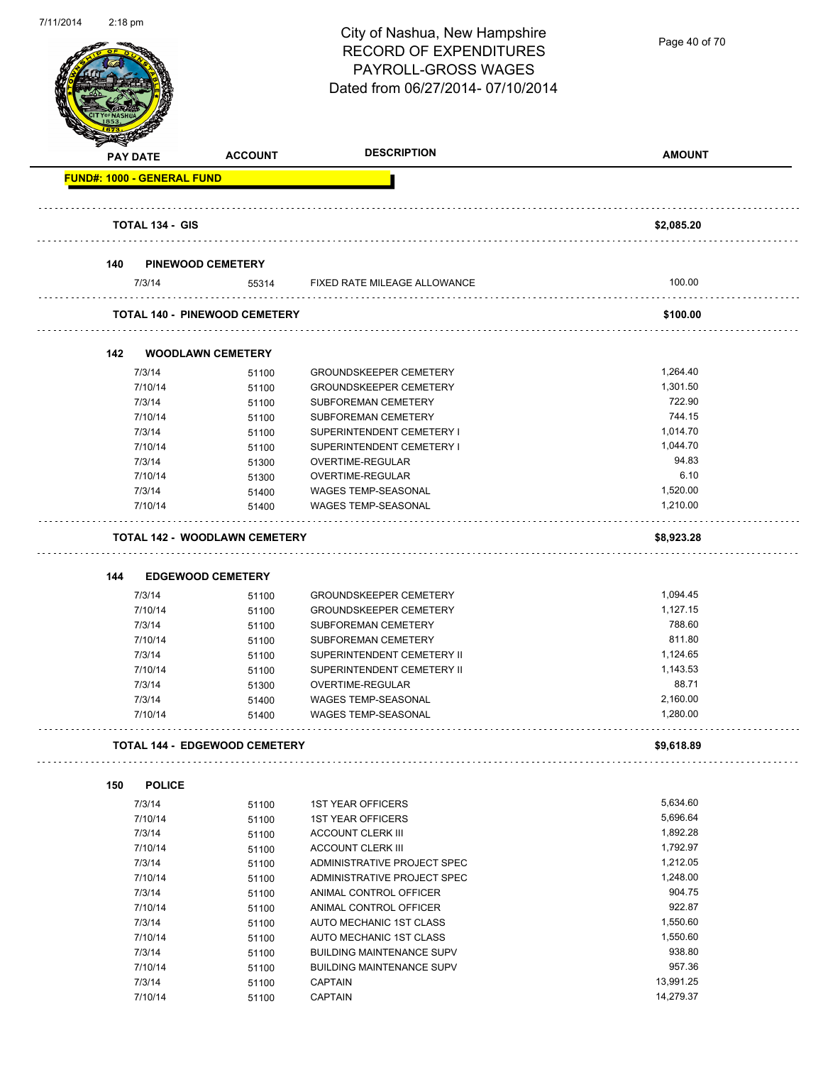

Page 40 of 70

|     | <b>PAY DATE</b>                   | <b>ACCOUNT</b>                       | <b>DESCRIPTION</b>                                 | <b>AMOUNT</b> |
|-----|-----------------------------------|--------------------------------------|----------------------------------------------------|---------------|
|     | <b>FUND#: 1000 - GENERAL FUND</b> |                                      |                                                    |               |
|     | <b>TOTAL 134 - GIS</b>            |                                      |                                                    | \$2,085.20    |
| 140 |                                   | <b>PINEWOOD CEMETERY</b>             |                                                    |               |
|     | 7/3/14                            | 55314                                | FIXED RATE MILEAGE ALLOWANCE                       | 100.00        |
|     |                                   | <b>TOTAL 140 - PINEWOOD CEMETERY</b> |                                                    | \$100.00      |
| 142 |                                   | <b>WOODLAWN CEMETERY</b>             |                                                    |               |
|     | 7/3/14                            | 51100                                | <b>GROUNDSKEEPER CEMETERY</b>                      | 1,264.40      |
|     | 7/10/14                           | 51100                                | <b>GROUNDSKEEPER CEMETERY</b>                      | 1,301.50      |
|     | 7/3/14                            | 51100                                | <b>SUBFOREMAN CEMETERY</b>                         | 722.90        |
|     | 7/10/14                           | 51100                                | SUBFOREMAN CEMETERY                                | 744.15        |
|     | 7/3/14                            | 51100                                | SUPERINTENDENT CEMETERY I                          | 1,014.70      |
|     | 7/10/14                           | 51100                                | SUPERINTENDENT CEMETERY I                          | 1,044.70      |
|     | 7/3/14                            | 51300                                | OVERTIME-REGULAR                                   | 94.83         |
|     | 7/10/14                           | 51300                                | OVERTIME-REGULAR                                   | 6.10          |
|     | 7/3/14                            | 51400                                | <b>WAGES TEMP-SEASONAL</b>                         | 1,520.00      |
|     | 7/10/14                           | 51400                                | <b>WAGES TEMP-SEASONAL</b>                         | 1,210.00      |
|     |                                   |                                      |                                                    |               |
|     |                                   | <b>TOTAL 142 - WOODLAWN CEMETERY</b> |                                                    | \$8,923.28    |
|     |                                   |                                      |                                                    |               |
|     |                                   |                                      |                                                    |               |
|     |                                   |                                      |                                                    |               |
| 144 |                                   | <b>EDGEWOOD CEMETERY</b>             |                                                    |               |
|     | 7/3/14                            | 51100                                | <b>GROUNDSKEEPER CEMETERY</b>                      | 1,094.45      |
|     | 7/10/14                           | 51100                                | <b>GROUNDSKEEPER CEMETERY</b>                      | 1,127.15      |
|     | 7/3/14                            | 51100                                | SUBFOREMAN CEMETERY                                | 788.60        |
|     | 7/10/14                           | 51100                                | SUBFOREMAN CEMETERY                                | 811.80        |
|     | 7/3/14                            | 51100                                | SUPERINTENDENT CEMETERY II                         | 1,124.65      |
|     | 7/10/14                           | 51100                                | SUPERINTENDENT CEMETERY II                         | 1,143.53      |
|     | 7/3/14                            | 51300                                | OVERTIME-REGULAR                                   | 88.71         |
|     | 7/3/14                            | 51400                                | WAGES TEMP-SEASONAL                                | 2,160.00      |
|     | 7/10/14                           | 51400                                | <b>WAGES TEMP-SEASONAL</b>                         | 1,280.00      |
|     |                                   | TOTAL 144 - EDGEWOOD CEMETERY        |                                                    | \$9,618.89    |
| 150 | <b>POLICE</b>                     |                                      |                                                    |               |
|     | 7/3/14                            |                                      | <b>1ST YEAR OFFICERS</b>                           | 5,634.60      |
|     | 7/10/14                           | 51100                                | <b>1ST YEAR OFFICERS</b>                           | 5,696.64      |
|     | 7/3/14                            | 51100                                | <b>ACCOUNT CLERK III</b>                           | 1,892.28      |
|     | 7/10/14                           | 51100                                | <b>ACCOUNT CLERK III</b>                           | 1,792.97      |
|     | 7/3/14                            | 51100                                | ADMINISTRATIVE PROJECT SPEC                        | 1,212.05      |
|     | 7/10/14                           | 51100                                | ADMINISTRATIVE PROJECT SPEC                        | 1,248.00      |
|     | 7/3/14                            | 51100                                | ANIMAL CONTROL OFFICER                             | 904.75        |
|     | 7/10/14                           | 51100                                | ANIMAL CONTROL OFFICER                             | 922.87        |
|     |                                   | 51100                                |                                                    | 1,550.60      |
|     | 7/3/14<br>7/10/14                 | 51100                                | AUTO MECHANIC 1ST CLASS<br>AUTO MECHANIC 1ST CLASS | 1,550.60      |
|     |                                   | 51100                                | <b>BUILDING MAINTENANCE SUPV</b>                   | 938.80        |
|     | 7/3/14                            | 51100                                |                                                    | 957.36        |
|     | 7/10/14<br>7/3/14                 | 51100<br>51100                       | <b>BUILDING MAINTENANCE SUPV</b><br><b>CAPTAIN</b> | 13,991.25     |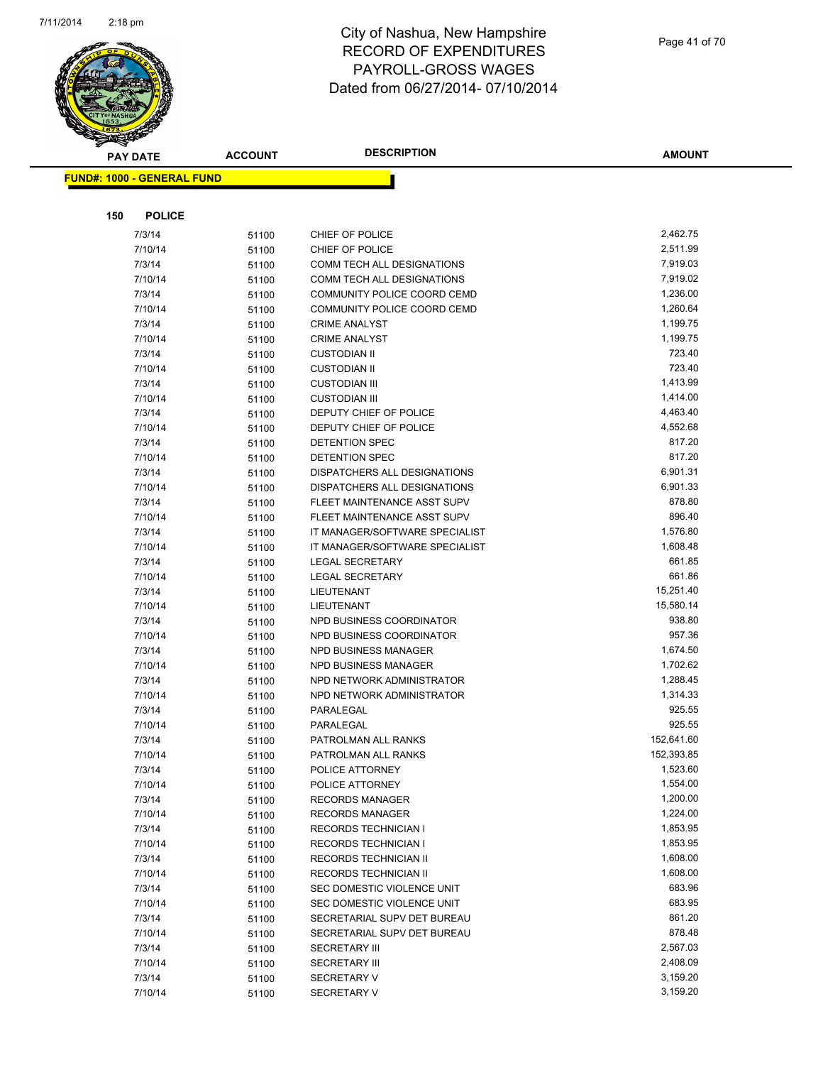

|     | <b>PAY DATE</b>                   | <b>ACCOUNT</b> | <b>DESCRIPTION</b>                                     | <b>AMOUNT</b>        |
|-----|-----------------------------------|----------------|--------------------------------------------------------|----------------------|
|     | <b>FUND#: 1000 - GENERAL FUND</b> |                |                                                        |                      |
|     |                                   |                |                                                        |                      |
|     |                                   |                |                                                        |                      |
| 150 | <b>POLICE</b>                     |                |                                                        |                      |
|     | 7/3/14                            | 51100          | CHIEF OF POLICE                                        | 2,462.75             |
|     | 7/10/14                           | 51100          | CHIEF OF POLICE                                        | 2,511.99             |
|     | 7/3/14                            | 51100          | COMM TECH ALL DESIGNATIONS                             | 7,919.03             |
|     | 7/10/14                           | 51100          | COMM TECH ALL DESIGNATIONS                             | 7,919.02             |
|     | 7/3/14                            | 51100          | COMMUNITY POLICE COORD CEMD                            | 1,236.00             |
|     | 7/10/14                           | 51100          | COMMUNITY POLICE COORD CEMD                            | 1,260.64             |
|     | 7/3/14                            | 51100          | <b>CRIME ANALYST</b>                                   | 1,199.75             |
|     | 7/10/14                           | 51100          | <b>CRIME ANALYST</b>                                   | 1,199.75             |
|     | 7/3/14                            | 51100          | <b>CUSTODIAN II</b>                                    | 723.40               |
|     | 7/10/14                           | 51100          | <b>CUSTODIAN II</b>                                    | 723.40               |
|     | 7/3/14                            | 51100          | <b>CUSTODIAN III</b>                                   | 1,413.99             |
|     | 7/10/14                           | 51100          | <b>CUSTODIAN III</b>                                   | 1,414.00             |
|     | 7/3/14                            | 51100          | DEPUTY CHIEF OF POLICE                                 | 4,463.40             |
|     | 7/10/14                           | 51100          | DEPUTY CHIEF OF POLICE                                 | 4,552.68             |
|     | 7/3/14                            | 51100          | DETENTION SPEC                                         | 817.20               |
|     | 7/10/14                           | 51100          | DETENTION SPEC                                         | 817.20               |
|     | 7/3/14                            | 51100          | DISPATCHERS ALL DESIGNATIONS                           | 6,901.31             |
|     | 7/10/14                           | 51100          | DISPATCHERS ALL DESIGNATIONS                           | 6,901.33             |
|     | 7/3/14                            | 51100          | FLEET MAINTENANCE ASST SUPV                            | 878.80               |
|     | 7/10/14                           | 51100          | FLEET MAINTENANCE ASST SUPV                            | 896.40               |
|     | 7/3/14                            | 51100          | IT MANAGER/SOFTWARE SPECIALIST                         | 1,576.80             |
|     | 7/10/14                           | 51100          | IT MANAGER/SOFTWARE SPECIALIST                         | 1,608.48             |
|     | 7/3/14                            | 51100          | <b>LEGAL SECRETARY</b>                                 | 661.85               |
|     | 7/10/14                           | 51100          | <b>LEGAL SECRETARY</b>                                 | 661.86               |
|     | 7/3/14                            | 51100          | LIEUTENANT                                             | 15,251.40            |
|     | 7/10/14                           | 51100          | LIEUTENANT                                             | 15,580.14            |
|     | 7/3/14                            | 51100          | NPD BUSINESS COORDINATOR                               | 938.80               |
|     | 7/10/14                           | 51100          | NPD BUSINESS COORDINATOR                               | 957.36               |
|     | 7/3/14                            | 51100          | NPD BUSINESS MANAGER                                   | 1,674.50             |
|     | 7/10/14                           | 51100          | NPD BUSINESS MANAGER                                   | 1,702.62<br>1,288.45 |
|     | 7/3/14                            | 51100          | NPD NETWORK ADMINISTRATOR<br>NPD NETWORK ADMINISTRATOR | 1,314.33             |
|     | 7/10/14<br>7/3/14                 | 51100          | PARALEGAL                                              | 925.55               |
|     | 7/10/14                           | 51100          | PARALEGAL                                              | 925.55               |
|     | 7/3/14                            | 51100<br>51100 | PATROLMAN ALL RANKS                                    | 152,641.60           |
|     | 7/10/14                           |                | PATROLMAN ALL RANKS                                    | 152,393.85           |
|     | 7/3/14                            | 51100<br>51100 | POLICE ATTORNEY                                        | 1,523.60             |
|     | 7/10/14                           | 51100          | POLICE ATTORNEY                                        | 1,554.00             |
|     | 7/3/14                            | 51100          | <b>RECORDS MANAGER</b>                                 | 1,200.00             |
|     | 7/10/14                           | 51100          | <b>RECORDS MANAGER</b>                                 | 1,224.00             |
|     | 7/3/14                            | 51100          | <b>RECORDS TECHNICIAN I</b>                            | 1,853.95             |
|     | 7/10/14                           | 51100          | RECORDS TECHNICIAN I                                   | 1,853.95             |
|     | 7/3/14                            | 51100          | RECORDS TECHNICIAN II                                  | 1,608.00             |
|     | 7/10/14                           | 51100          | <b>RECORDS TECHNICIAN II</b>                           | 1,608.00             |
|     | 7/3/14                            | 51100          | SEC DOMESTIC VIOLENCE UNIT                             | 683.96               |
|     | 7/10/14                           | 51100          | SEC DOMESTIC VIOLENCE UNIT                             | 683.95               |
|     | 7/3/14                            | 51100          | SECRETARIAL SUPV DET BUREAU                            | 861.20               |
|     | 7/10/14                           | 51100          | SECRETARIAL SUPV DET BUREAU                            | 878.48               |
|     | 7/3/14                            | 51100          | <b>SECRETARY III</b>                                   | 2,567.03             |
|     | 7/10/14                           | 51100          | <b>SECRETARY III</b>                                   | 2,408.09             |
|     | 7/3/14                            | 51100          | <b>SECRETARY V</b>                                     | 3,159.20             |
|     | 7/10/14                           | 51100          | <b>SECRETARY V</b>                                     | 3,159.20             |
|     |                                   |                |                                                        |                      |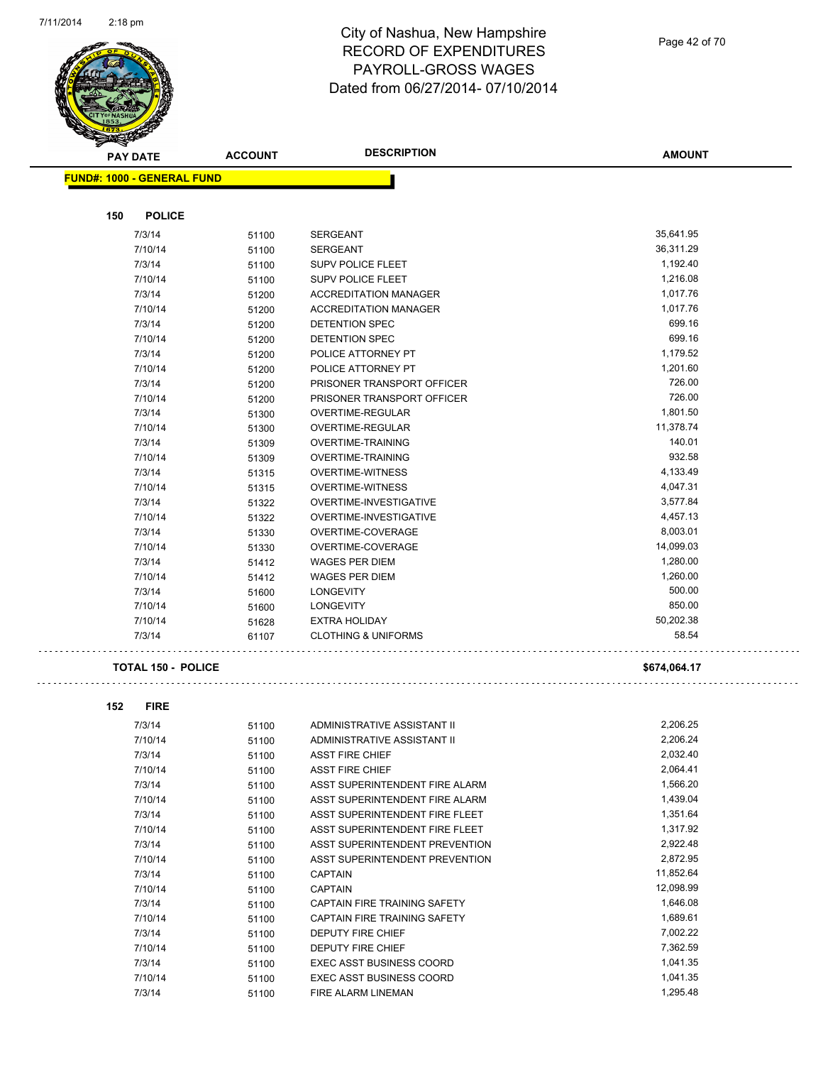

Page 42 of 70

|     | <b>PAY DATE</b>                   | <b>ACCOUNT</b> | <b>DESCRIPTION</b>             | <b>AMOUNT</b> |
|-----|-----------------------------------|----------------|--------------------------------|---------------|
|     | <b>FUND#: 1000 - GENERAL FUND</b> |                |                                |               |
|     |                                   |                |                                |               |
| 150 | <b>POLICE</b>                     |                |                                |               |
|     | 7/3/14                            | 51100          | <b>SERGEANT</b>                | 35,641.95     |
|     | 7/10/14                           | 51100          | <b>SERGEANT</b>                | 36,311.29     |
|     | 7/3/14                            | 51100          | SUPV POLICE FLEET              | 1,192.40      |
|     | 7/10/14                           | 51100          | <b>SUPV POLICE FLEET</b>       | 1,216.08      |
|     | 7/3/14                            | 51200          | <b>ACCREDITATION MANAGER</b>   | 1,017.76      |
|     | 7/10/14                           | 51200          | <b>ACCREDITATION MANAGER</b>   | 1,017.76      |
|     | 7/3/14                            | 51200          | <b>DETENTION SPEC</b>          | 699.16        |
|     | 7/10/14                           | 51200          | DETENTION SPEC                 | 699.16        |
|     | 7/3/14                            | 51200          | POLICE ATTORNEY PT             | 1,179.52      |
|     | 7/10/14                           | 51200          | POLICE ATTORNEY PT             | 1,201.60      |
|     | 7/3/14                            | 51200          | PRISONER TRANSPORT OFFICER     | 726.00        |
|     | 7/10/14                           | 51200          | PRISONER TRANSPORT OFFICER     | 726.00        |
|     | 7/3/14                            | 51300          | OVERTIME-REGULAR               | 1,801.50      |
|     | 7/10/14                           | 51300          | OVERTIME-REGULAR               | 11,378.74     |
|     | 7/3/14                            | 51309          | <b>OVERTIME-TRAINING</b>       | 140.01        |
|     | 7/10/14                           | 51309          | <b>OVERTIME-TRAINING</b>       | 932.58        |
|     | 7/3/14                            | 51315          | <b>OVERTIME-WITNESS</b>        | 4,133.49      |
|     | 7/10/14                           | 51315          | <b>OVERTIME-WITNESS</b>        | 4,047.31      |
|     | 7/3/14                            | 51322          | <b>OVERTIME-INVESTIGATIVE</b>  | 3,577.84      |
|     | 7/10/14                           | 51322          | OVERTIME-INVESTIGATIVE         | 4,457.13      |
|     | 7/3/14                            | 51330          | OVERTIME-COVERAGE              | 8,003.01      |
|     | 7/10/14                           | 51330          | OVERTIME-COVERAGE              | 14,099.03     |
|     | 7/3/14                            | 51412          | <b>WAGES PER DIEM</b>          | 1,280.00      |
|     | 7/10/14                           | 51412          | <b>WAGES PER DIEM</b>          | 1,260.00      |
|     | 7/3/14                            | 51600          | <b>LONGEVITY</b>               | 500.00        |
|     | 7/10/14                           | 51600          | <b>LONGEVITY</b>               | 850.00        |
|     | 7/10/14                           | 51628          | <b>EXTRA HOLIDAY</b>           | 50,202.38     |
|     | 7/3/14                            | 61107          | <b>CLOTHING &amp; UNIFORMS</b> | 58.54         |
|     |                                   |                |                                |               |

#### **TOTAL 150 - POLICE** \$674,064.17

# 

. . . . .

| 152 | <b>FIRE</b> |       |                                     |           |
|-----|-------------|-------|-------------------------------------|-----------|
|     | 7/3/14      | 51100 | ADMINISTRATIVE ASSISTANT II         | 2,206.25  |
|     | 7/10/14     | 51100 | ADMINISTRATIVE ASSISTANT II         | 2,206.24  |
|     | 7/3/14      | 51100 | <b>ASST FIRE CHIEF</b>              | 2,032.40  |
|     | 7/10/14     | 51100 | <b>ASST FIRE CHIEF</b>              | 2,064.41  |
|     | 7/3/14      | 51100 | ASST SUPERINTENDENT FIRE ALARM      | 1,566.20  |
|     | 7/10/14     | 51100 | ASST SUPERINTENDENT FIRE ALARM      | 1,439.04  |
|     | 7/3/14      | 51100 | ASST SUPERINTENDENT FIRE FLEET      | 1,351.64  |
|     | 7/10/14     | 51100 | ASST SUPERINTENDENT FIRE FLEET      | 1,317.92  |
|     | 7/3/14      | 51100 | ASST SUPERINTENDENT PREVENTION      | 2,922.48  |
|     | 7/10/14     | 51100 | ASST SUPERINTENDENT PREVENTION      | 2,872.95  |
|     | 7/3/14      | 51100 | <b>CAPTAIN</b>                      | 11,852.64 |
|     | 7/10/14     | 51100 | <b>CAPTAIN</b>                      | 12,098.99 |
|     | 7/3/14      | 51100 | CAPTAIN FIRE TRAINING SAFETY        | 1,646.08  |
|     | 7/10/14     | 51100 | <b>CAPTAIN FIRE TRAINING SAFETY</b> | 1,689.61  |
|     | 7/3/14      | 51100 | <b>DEPUTY FIRE CHIEF</b>            | 7,002.22  |
|     | 7/10/14     | 51100 | <b>DEPUTY FIRE CHIEF</b>            | 7,362.59  |
|     | 7/3/14      | 51100 | <b>EXEC ASST BUSINESS COORD</b>     | 1,041.35  |
|     | 7/10/14     | 51100 | <b>EXEC ASST BUSINESS COORD</b>     | 1,041.35  |
|     | 7/3/14      | 51100 | FIRE ALARM LINEMAN                  | 1,295.48  |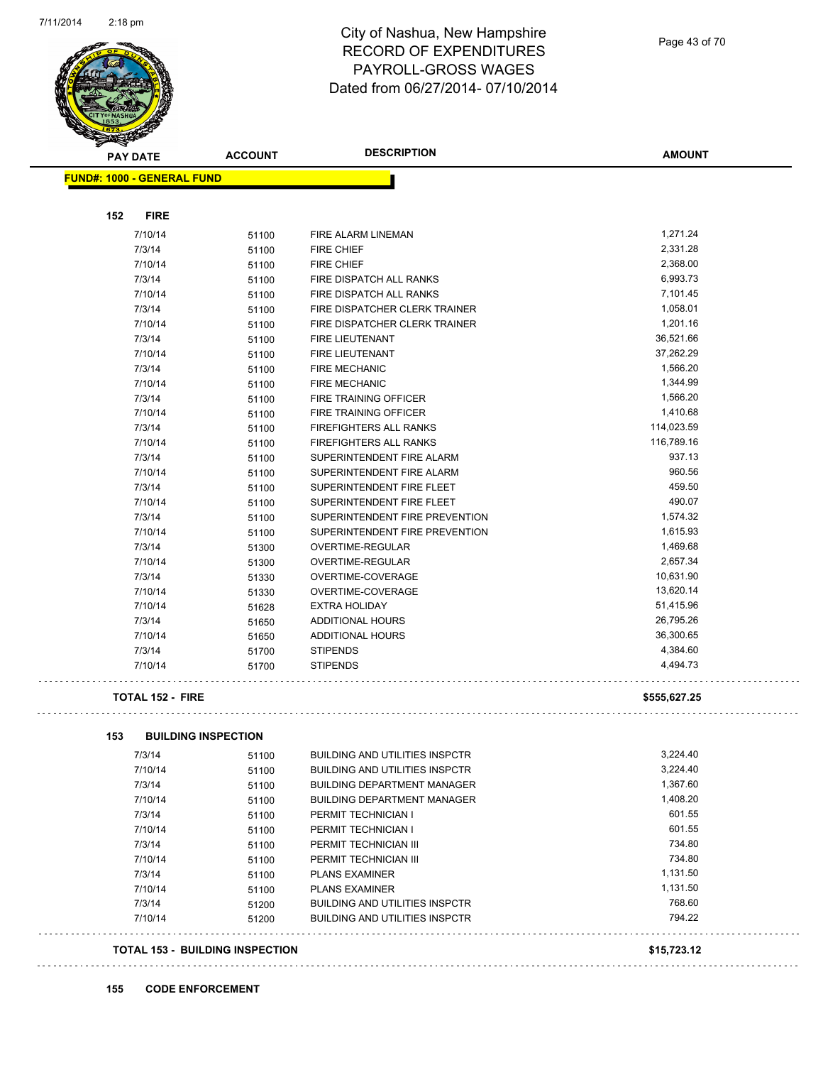

Page 43 of 70

| <b>PAY DATE</b>                   | <b>ACCOUNT</b>                      | <b>DESCRIPTION</b>                    | <b>AMOUNT</b> |
|-----------------------------------|-------------------------------------|---------------------------------------|---------------|
| <b>FUND#: 1000 - GENERAL FUND</b> |                                     |                                       |               |
| <b>FIRE</b><br>152                |                                     |                                       |               |
| 7/10/14                           | 51100                               | FIRE ALARM LINEMAN                    | 1,271.24      |
| 7/3/14                            | 51100                               | <b>FIRE CHIEF</b>                     | 2,331.28      |
| 7/10/14                           | 51100                               | <b>FIRE CHIEF</b>                     | 2,368.00      |
| 7/3/14                            | 51100                               | FIRE DISPATCH ALL RANKS               | 6,993.73      |
| 7/10/14                           | 51100                               | FIRE DISPATCH ALL RANKS               | 7,101.45      |
| 7/3/14                            | 51100                               | FIRE DISPATCHER CLERK TRAINER         | 1,058.01      |
| 7/10/14                           | 51100                               | FIRE DISPATCHER CLERK TRAINER         | 1,201.16      |
| 7/3/14                            | 51100                               | <b>FIRE LIEUTENANT</b>                | 36,521.66     |
| 7/10/14                           | 51100                               | FIRE LIEUTENANT                       | 37,262.29     |
| 7/3/14                            | 51100                               | <b>FIRE MECHANIC</b>                  | 1,566.20      |
| 7/10/14                           | 51100                               | <b>FIRE MECHANIC</b>                  | 1,344.99      |
| 7/3/14                            | 51100                               | FIRE TRAINING OFFICER                 | 1,566.20      |
| 7/10/14                           | 51100                               | FIRE TRAINING OFFICER                 | 1,410.68      |
| 7/3/14                            | 51100                               | <b>FIREFIGHTERS ALL RANKS</b>         | 114,023.59    |
| 7/10/14                           | 51100                               | FIREFIGHTERS ALL RANKS                | 116,789.16    |
| 7/3/14                            | 51100                               | SUPERINTENDENT FIRE ALARM             | 937.13        |
| 7/10/14                           | 51100                               | SUPERINTENDENT FIRE ALARM             | 960.56        |
| 7/3/14                            | 51100                               | SUPERINTENDENT FIRE FLEET             | 459.50        |
| 7/10/14                           | 51100                               | SUPERINTENDENT FIRE FLEET             | 490.07        |
| 7/3/14                            | 51100                               | SUPERINTENDENT FIRE PREVENTION        | 1,574.32      |
| 7/10/14                           | 51100                               | SUPERINTENDENT FIRE PREVENTION        | 1,615.93      |
| 7/3/14                            | 51300                               | OVERTIME-REGULAR                      | 1,469.68      |
| 7/10/14                           | 51300                               | OVERTIME-REGULAR                      | 2,657.34      |
| 7/3/14                            | 51330                               | OVERTIME-COVERAGE                     | 10,631.90     |
| 7/10/14                           | 51330                               | OVERTIME-COVERAGE                     | 13,620.14     |
| 7/10/14                           | 51628                               | <b>EXTRA HOLIDAY</b>                  | 51,415.96     |
| 7/3/14                            | 51650                               | <b>ADDITIONAL HOURS</b>               | 26,795.26     |
| 7/10/14                           | 51650                               | <b>ADDITIONAL HOURS</b>               | 36,300.65     |
| 7/3/14                            | 51700                               | <b>STIPENDS</b>                       | 4,384.60      |
| 7/10/14                           | 51700                               | <b>STIPENDS</b>                       | 4,494.73      |
| <b>TOTAL 152 - FIRE</b>           |                                     |                                       | \$555,627.25  |
|                                   |                                     |                                       |               |
| 153<br>7/3/14                     | <b>BUILDING INSPECTION</b><br>51100 | <b>BUILDING AND UTILITIES INSPCTR</b> | 3,224.40      |
| 7/10/14                           | 51100                               | <b>BUILDING AND UTILITIES INSPCTR</b> | 3.224.40      |
| 7/3/14                            | 51100                               | <b>BUILDING DEPARTMENT MANAGER</b>    | 1,367.60      |
| 7/10/14                           | 51100                               | <b>BUILDING DEPARTMENT MANAGER</b>    | 1,408.20      |
| 7/3/14                            | 51100                               | PERMIT TECHNICIAN I                   | 601.55        |
| 7/10/14                           | 51100                               | PERMIT TECHNICIAN I                   | 601.55        |
| 7/3/14                            | 51100                               | PERMIT TECHNICIAN III                 | 734.80        |
| 7/10/14                           | 51100                               | PERMIT TECHNICIAN III                 | 734.80        |
| 7/3/14                            | 51100                               | <b>PLANS EXAMINER</b>                 | 1,131.50      |
| 7/10/14                           | 51100                               | <b>PLANS EXAMINER</b>                 | 1,131.50      |
| 7/3/14                            | 51200                               | <b>BUILDING AND UTILITIES INSPCTR</b> | 768.60        |
| 7/10/14                           | 51200                               | <b>BUILDING AND UTILITIES INSPCTR</b> | 794.22        |
|                                   |                                     |                                       |               |

÷,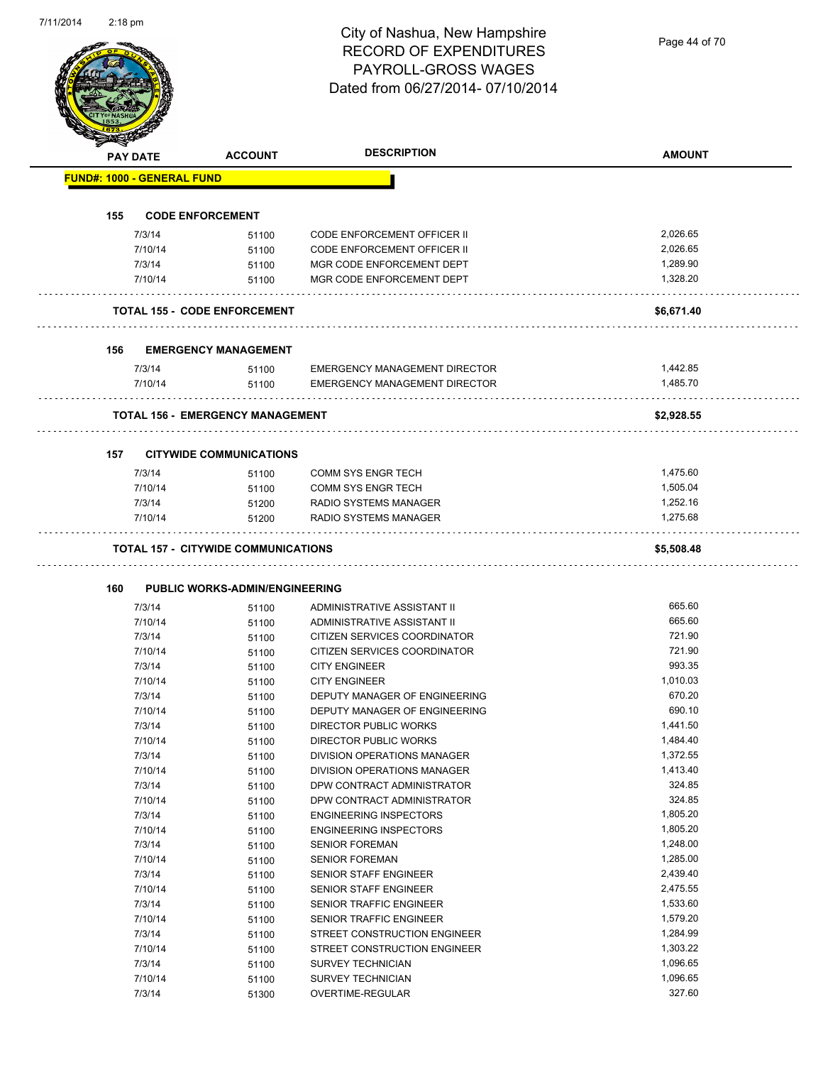| <b>PAY DATE</b>                   | <b>ACCOUNT</b>                          | <b>DESCRIPTION</b>                             | <b>AMOUNT</b>        |
|-----------------------------------|-----------------------------------------|------------------------------------------------|----------------------|
| <b>FUND#: 1000 - GENERAL FUND</b> |                                         |                                                |                      |
| 155                               | <b>CODE ENFORCEMENT</b>                 |                                                |                      |
| 7/3/14                            | 51100                                   | <b>CODE ENFORCEMENT OFFICER II</b>             | 2,026.65             |
| 7/10/14                           | 51100                                   | <b>CODE ENFORCEMENT OFFICER II</b>             | 2,026.65             |
| 7/3/14                            | 51100                                   | MGR CODE ENFORCEMENT DEPT                      | 1,289.90             |
| 7/10/14                           | 51100                                   | MGR CODE ENFORCEMENT DEPT                      | 1,328.20             |
|                                   | <b>TOTAL 155 - CODE ENFORCEMENT</b>     |                                                | \$6,671.40           |
| 156                               | <b>EMERGENCY MANAGEMENT</b>             |                                                |                      |
| 7/3/14                            | 51100                                   | <b>EMERGENCY MANAGEMENT DIRECTOR</b>           | 1,442.85             |
| 7/10/14                           | 51100                                   | <b>EMERGENCY MANAGEMENT DIRECTOR</b>           | 1,485.70             |
|                                   | <b>TOTAL 156 - EMERGENCY MANAGEMENT</b> |                                                | \$2,928.55           |
| 157                               | <b>CITYWIDE COMMUNICATIONS</b>          |                                                |                      |
| 7/3/14                            |                                         | <b>COMM SYS ENGR TECH</b>                      | 1,475.60             |
| 7/10/14                           | 51100<br>51100                          | <b>COMM SYS ENGR TECH</b>                      | 1,505.04             |
| 7/3/14                            | 51200                                   | RADIO SYSTEMS MANAGER                          | 1,252.16             |
| 7/10/14                           | 51200                                   | RADIO SYSTEMS MANAGER                          | 1,275.68             |
| 160                               | PUBLIC WORKS-ADMIN/ENGINEERING          |                                                |                      |
| 7/3/14                            | 51100                                   | ADMINISTRATIVE ASSISTANT II                    | 665.60               |
| 7/10/14                           | 51100                                   | ADMINISTRATIVE ASSISTANT II                    | 665.60               |
| 7/3/14                            | 51100                                   | CITIZEN SERVICES COORDINATOR                   | 721.90               |
| 7/10/14                           | 51100                                   | CITIZEN SERVICES COORDINATOR                   | 721.90               |
| 7/3/14                            | 51100                                   | <b>CITY ENGINEER</b>                           | 993.35               |
| 7/10/14                           | 51100                                   | <b>CITY ENGINEER</b>                           | 1,010.03             |
| 7/3/14                            | 51100                                   | DEPUTY MANAGER OF ENGINEERING                  | 670.20               |
| 7/10/14                           | 51100                                   | DEPUTY MANAGER OF ENGINEERING                  | 690.10               |
| 7/3/14                            | 51100                                   | <b>DIRECTOR PUBLIC WORKS</b>                   | 1,441.50             |
| 7/10/14                           | 51100                                   | DIRECTOR PUBLIC WORKS                          | 1,484.40             |
| 7/3/14                            | 51100                                   | DIVISION OPERATIONS MANAGER                    | 1,372.55             |
| 7/10/14                           | 51100                                   | DIVISION OPERATIONS MANAGER                    | 1,413.40             |
| 7/3/14                            | 51100                                   | DPW CONTRACT ADMINISTRATOR                     | 324.85               |
| 7/10/14                           | 51100                                   | DPW CONTRACT ADMINISTRATOR                     | 324.85               |
| 7/3/14                            | 51100                                   | <b>ENGINEERING INSPECTORS</b>                  | 1,805.20             |
| 7/10/14                           | 51100                                   | <b>ENGINEERING INSPECTORS</b>                  | 1,805.20             |
| 7/3/14<br>7/10/14                 | 51100                                   | <b>SENIOR FOREMAN</b><br><b>SENIOR FOREMAN</b> | 1,248.00<br>1,285.00 |
| 7/3/14                            | 51100                                   | SENIOR STAFF ENGINEER                          | 2,439.40             |
| 7/10/14                           | 51100                                   | SENIOR STAFF ENGINEER                          | 2,475.55             |
|                                   | 51100<br>51100                          | SENIOR TRAFFIC ENGINEER                        | 1,533.60             |
|                                   |                                         |                                                |                      |
| 7/3/14                            |                                         |                                                |                      |
| 7/10/14                           | 51100                                   | SENIOR TRAFFIC ENGINEER                        | 1,579.20             |
| 7/3/14                            | 51100                                   | STREET CONSTRUCTION ENGINEER                   | 1,284.99             |
| 7/10/14                           | 51100                                   | STREET CONSTRUCTION ENGINEER                   | 1,303.22             |
| 7/3/14                            | 51100                                   | SURVEY TECHNICIAN                              | 1,096.65<br>1,096.65 |
| 7/10/14<br>7/3/14                 | 51100<br>51300                          | SURVEY TECHNICIAN<br>OVERTIME-REGULAR          | 327.60               |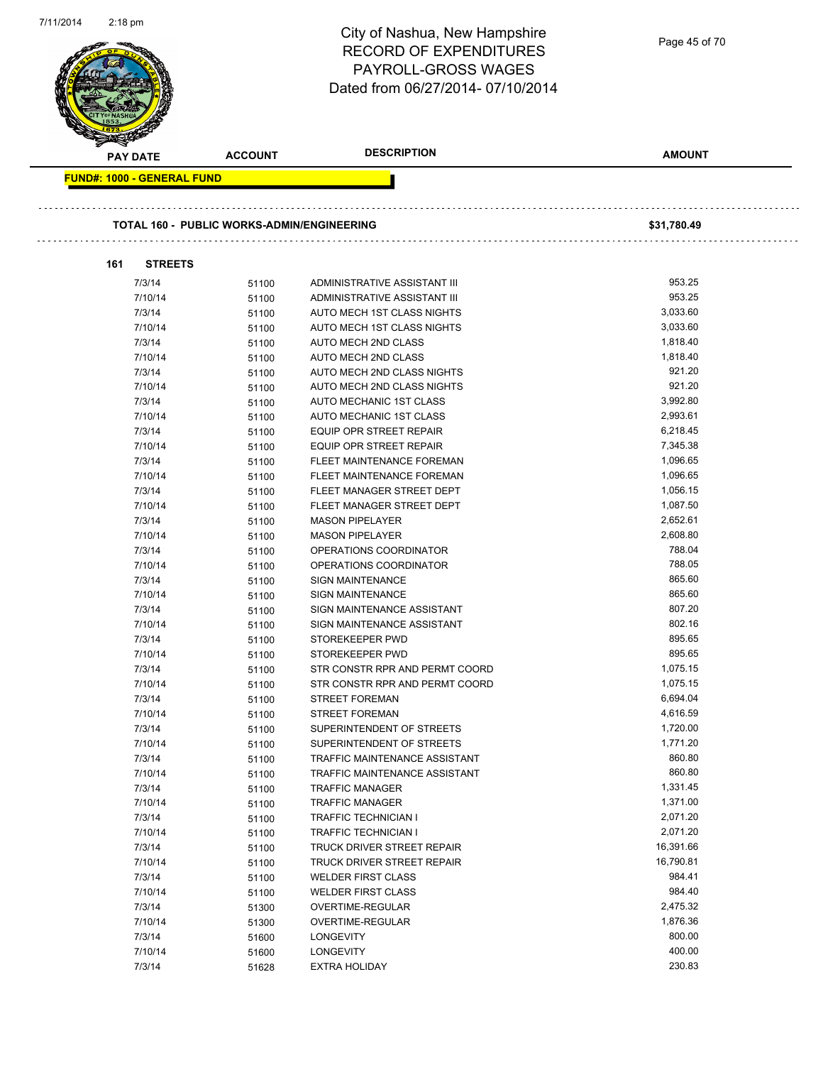|                                   |                                                   | <b>RECORD OF EXPENDITURES</b><br><b>PAYROLL-GROSS WAGES</b><br>Dated from 06/27/2014-07/10/2014 | Page 45 of 70        |
|-----------------------------------|---------------------------------------------------|-------------------------------------------------------------------------------------------------|----------------------|
| <b>PAY DATE</b>                   | <b>ACCOUNT</b>                                    | <b>DESCRIPTION</b>                                                                              | <b>AMOUNT</b>        |
| <b>FUND#: 1000 - GENERAL FUND</b> |                                                   |                                                                                                 |                      |
|                                   | <b>TOTAL 160 - PUBLIC WORKS-ADMIN/ENGINEERING</b> |                                                                                                 | \$31,780.49          |
| 161<br><b>STREETS</b>             |                                                   |                                                                                                 |                      |
| 7/3/14                            | 51100                                             | ADMINISTRATIVE ASSISTANT III                                                                    | 953.25               |
| 7/10/14                           | 51100                                             | ADMINISTRATIVE ASSISTANT III                                                                    | 953.25               |
| 7/3/14                            | 51100                                             | AUTO MECH 1ST CLASS NIGHTS                                                                      | 3,033.60             |
| 7/10/14                           | 51100                                             | AUTO MECH 1ST CLASS NIGHTS                                                                      | 3,033.60             |
| 7/3/14                            | 51100                                             | AUTO MECH 2ND CLASS                                                                             | 1,818.40             |
| 7/10/14                           | 51100                                             | AUTO MECH 2ND CLASS                                                                             | 1,818.40             |
| 7/3/14                            | 51100                                             | AUTO MECH 2ND CLASS NIGHTS                                                                      | 921.20               |
| 7/10/14                           | 51100                                             | AUTO MECH 2ND CLASS NIGHTS                                                                      | 921.20               |
| 7/3/14                            | 51100                                             | AUTO MECHANIC 1ST CLASS                                                                         | 3,992.80             |
| 7/10/14                           | 51100                                             | AUTO MECHANIC 1ST CLASS                                                                         | 2,993.61<br>6,218.45 |
| 7/3/14<br>7/10/14                 | 51100                                             | EQUIP OPR STREET REPAIR<br><b>EQUIP OPR STREET REPAIR</b>                                       | 7,345.38             |
| 7/3/14                            | 51100                                             | FLEET MAINTENANCE FOREMAN                                                                       | 1,096.65             |
| 7/10/14                           | 51100                                             | FLEET MAINTENANCE FOREMAN                                                                       | 1,096.65             |
| 7/3/14                            | 51100<br>51100                                    | FLEET MANAGER STREET DEPT                                                                       | 1,056.15             |
| 7/10/14                           | 51100                                             | FLEET MANAGER STREET DEPT                                                                       | 1,087.50             |
| 7/3/14                            | 51100                                             | <b>MASON PIPELAYER</b>                                                                          | 2,652.61             |
| 7/10/14                           | 51100                                             | <b>MASON PIPELAYER</b>                                                                          | 2,608.80             |
| 7/3/14                            | 51100                                             | OPERATIONS COORDINATOR                                                                          | 788.04               |
| 7/10/14                           | 51100                                             | OPERATIONS COORDINATOR                                                                          | 788.05               |
| 7/3/14                            | 51100                                             | SIGN MAINTENANCE                                                                                | 865.60               |
| 7/10/14                           | 51100                                             | SIGN MAINTENANCE                                                                                | 865.60               |
| 7/3/14                            | 51100                                             | SIGN MAINTENANCE ASSISTANT                                                                      | 807.20               |
| 7/10/14                           | 51100                                             | SIGN MAINTENANCE ASSISTANT                                                                      | 802.16               |
| 7/3/14                            | 51100                                             | STOREKEEPER PWD                                                                                 | 895.65               |
| 7/10/14                           | 51100                                             | STOREKEEPER PWD                                                                                 | 895.65               |
| 7/3/14                            | 51100                                             | STR CONSTR RPR AND PERMT COORD                                                                  | 1,075.15             |
| 7/10/14                           | 51100                                             | STR CONSTR RPR AND PERMT COORD                                                                  | 1,075.15             |
| 7/3/14                            | 51100                                             | <b>STREET FOREMAN</b>                                                                           | 6,694.04             |
| 7/10/14                           | 51100                                             | <b>STREET FOREMAN</b>                                                                           | 4,616.59             |
| 7/3/14                            | 51100                                             | SUPERINTENDENT OF STREETS                                                                       | 1,720.00             |
| 7/10/14                           | 51100                                             | SUPERINTENDENT OF STREETS                                                                       | 1,771.20             |
| 7/3/14                            | 51100                                             | TRAFFIC MAINTENANCE ASSISTANT                                                                   | 860.80               |
| 7/10/14                           | 51100                                             | TRAFFIC MAINTENANCE ASSISTANT                                                                   | 860.80               |
| 7/3/14                            | 51100                                             | <b>TRAFFIC MANAGER</b>                                                                          | 1,331.45             |
| 7/10/14                           | 51100                                             | <b>TRAFFIC MANAGER</b>                                                                          | 1,371.00             |
| 7/3/14                            | 51100                                             | <b>TRAFFIC TECHNICIAN I</b>                                                                     | 2,071.20             |
| 7/10/14                           | 51100                                             | <b>TRAFFIC TECHNICIAN I</b>                                                                     | 2,071.20             |
| 7/3/14                            | 51100                                             | TRUCK DRIVER STREET REPAIR                                                                      | 16,391.66            |
| 7/10/14                           | 51100                                             | TRUCK DRIVER STREET REPAIR                                                                      | 16,790.81<br>984.41  |
| 7/3/14<br>7/10/14                 | 51100                                             | <b>WELDER FIRST CLASS</b>                                                                       | 984.40               |
|                                   | 51100                                             | <b>WELDER FIRST CLASS</b>                                                                       | 2,475.32             |
| 7/3/14                            | 51300                                             | OVERTIME-REGULAR                                                                                |                      |
| 7/10/14                           | 51300                                             | OVERTIME-REGULAR                                                                                | 1,876.36<br>800.00   |
| 7/3/14<br>7/10/14                 | 51600<br>51600                                    | <b>LONGEVITY</b><br><b>LONGEVITY</b>                                                            | 400.00               |
|                                   |                                                   |                                                                                                 |                      |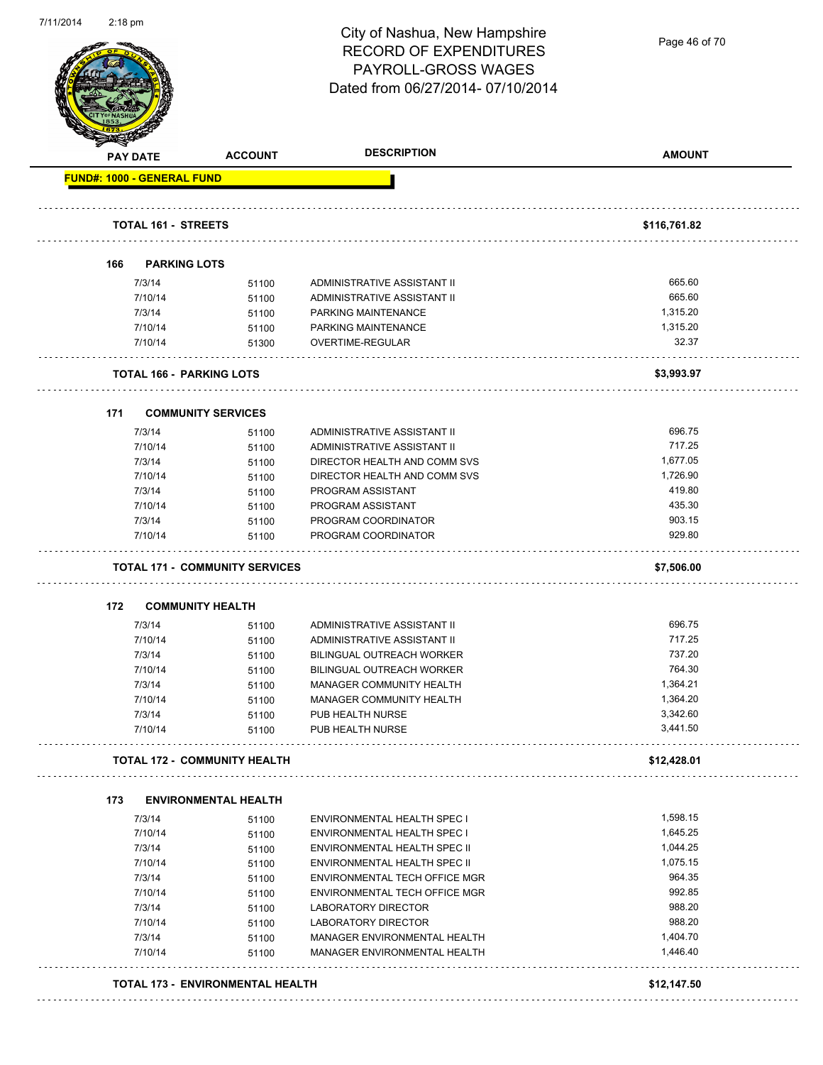

Page 46 of 70

|     | <b>PAY DATE</b>                   | <b>ACCOUNT</b>                                                   | <b>DESCRIPTION</b>                                   | <b>AMOUNT</b>      |
|-----|-----------------------------------|------------------------------------------------------------------|------------------------------------------------------|--------------------|
|     | <b>FUND#: 1000 - GENERAL FUND</b> |                                                                  |                                                      |                    |
|     | <b>TOTAL 161 - STREETS</b>        |                                                                  |                                                      | \$116,761.82       |
|     |                                   |                                                                  |                                                      |                    |
| 166 | <b>PARKING LOTS</b>               |                                                                  |                                                      |                    |
|     | 7/3/14                            | 51100                                                            | ADMINISTRATIVE ASSISTANT II                          | 665.60             |
|     | 7/10/14                           | 51100                                                            | ADMINISTRATIVE ASSISTANT II                          | 665.60             |
|     | 7/3/14                            | 51100                                                            | PARKING MAINTENANCE                                  | 1,315.20           |
|     | 7/10/14                           | 51100                                                            | PARKING MAINTENANCE                                  | 1,315.20           |
|     | 7/10/14                           | 51300                                                            | OVERTIME-REGULAR                                     | 32.37              |
|     |                                   | <b>TOTAL 166 - PARKING LOTS</b>                                  |                                                      | \$3,993.97         |
| 171 |                                   | <b>COMMUNITY SERVICES</b>                                        |                                                      |                    |
|     | 7/3/14                            | 51100                                                            | ADMINISTRATIVE ASSISTANT II                          | 696.75             |
|     | 7/10/14                           | 51100                                                            | ADMINISTRATIVE ASSISTANT II                          | 717.25             |
|     | 7/3/14                            | 51100                                                            | DIRECTOR HEALTH AND COMM SVS                         | 1,677.05           |
|     | 7/10/14                           | 51100                                                            | DIRECTOR HEALTH AND COMM SVS                         | 1,726.90           |
|     | 7/3/14                            | 51100                                                            | PROGRAM ASSISTANT                                    | 419.80             |
|     | 7/10/14                           | 51100                                                            | PROGRAM ASSISTANT                                    | 435.30             |
|     | 7/3/14                            | 51100                                                            | PROGRAM COORDINATOR                                  | 903.15             |
|     | 7/10/14                           | 51100                                                            | PROGRAM COORDINATOR                                  | 929.80             |
| 172 |                                   | <b>TOTAL 171 - COMMUNITY SERVICES</b><br><b>COMMUNITY HEALTH</b> |                                                      | \$7,506.00         |
|     | 7/3/14                            | 51100                                                            | ADMINISTRATIVE ASSISTANT II                          | 696.75             |
|     |                                   |                                                                  |                                                      |                    |
|     |                                   |                                                                  |                                                      | 717.25             |
|     | 7/10/14                           | 51100                                                            | ADMINISTRATIVE ASSISTANT II                          | 737.20             |
|     | 7/3/14                            | 51100                                                            | <b>BILINGUAL OUTREACH WORKER</b>                     |                    |
|     | 7/10/14                           | 51100                                                            | BILINGUAL OUTREACH WORKER                            | 764.30<br>1,364.21 |
|     | 7/3/14<br>7/10/14                 | 51100<br>51100                                                   | MANAGER COMMUNITY HEALTH<br>MANAGER COMMUNITY HEALTH | 1,364.20           |
|     | 7/3/14                            | 51100                                                            | PUB HEALTH NURSE                                     | 3,342.60           |
|     | 7/10/14                           | 51100                                                            | PUB HEALTH NURSE                                     | 3,441.50           |
|     |                                   | <b>TOTAL 172 - COMMUNITY HEALTH</b>                              |                                                      | \$12,428.01        |
| 173 |                                   | <b>ENVIRONMENTAL HEALTH</b>                                      |                                                      |                    |
|     | 7/3/14                            | 51100                                                            | <b>ENVIRONMENTAL HEALTH SPEC I</b>                   | 1,598.15           |
|     | 7/10/14                           | 51100                                                            | <b>ENVIRONMENTAL HEALTH SPEC I</b>                   | 1,645.25           |
|     | 7/3/14                            | 51100                                                            | ENVIRONMENTAL HEALTH SPEC II                         | 1,044.25           |
|     | 7/10/14                           | 51100                                                            | ENVIRONMENTAL HEALTH SPEC II                         | 1,075.15           |
|     | 7/3/14                            | 51100                                                            | ENVIRONMENTAL TECH OFFICE MGR                        | 964.35             |
|     | 7/10/14                           | 51100                                                            | ENVIRONMENTAL TECH OFFICE MGR                        | 992.85             |
|     | 7/3/14                            | 51100                                                            | LABORATORY DIRECTOR                                  | 988.20             |
|     | 7/10/14                           |                                                                  | <b>LABORATORY DIRECTOR</b>                           | 988.20             |
|     | 7/3/14                            | 51100                                                            | MANAGER ENVIRONMENTAL HEALTH                         | 1,404.70           |
|     | 7/10/14                           | 51100<br>51100                                                   | MANAGER ENVIRONMENTAL HEALTH                         | 1,446.40           |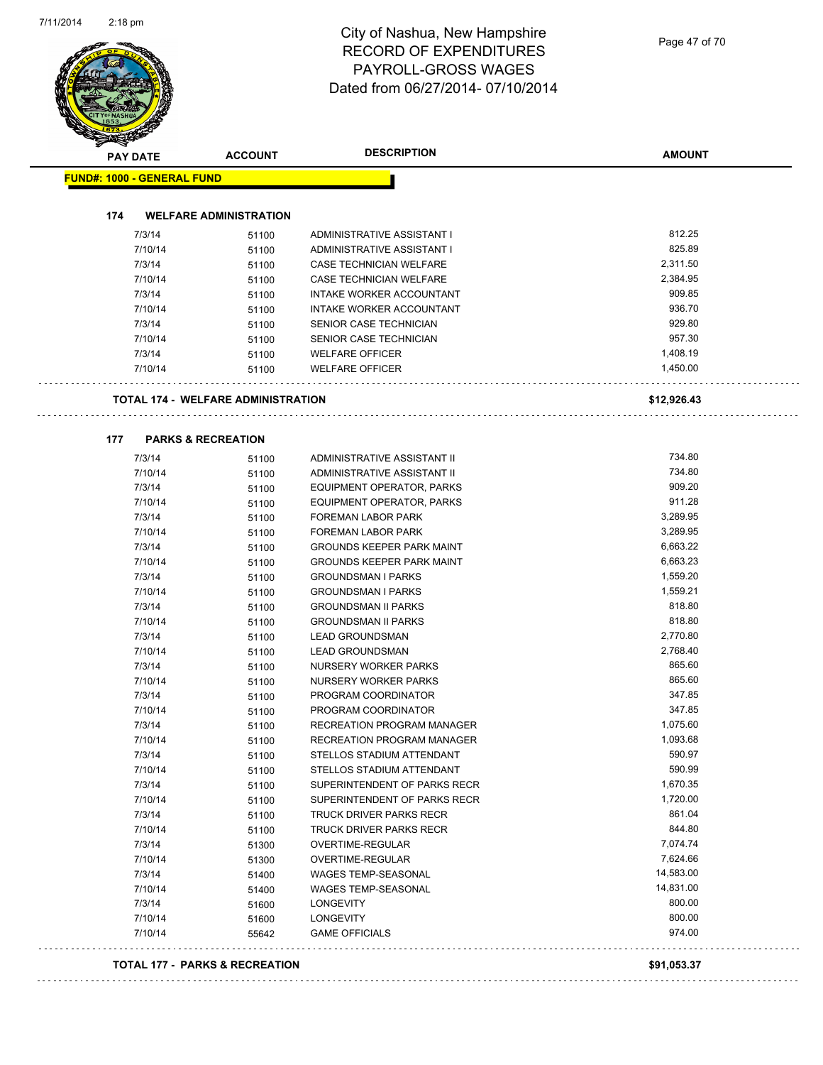| <b>PAY DATE</b> |                                           | <b>ACCOUNT</b> | <b>DESCRIPTION</b>               | <b>AMOUNT</b>    |
|-----------------|-------------------------------------------|----------------|----------------------------------|------------------|
|                 | <b>FUND#: 1000 - GENERAL FUND</b>         |                |                                  |                  |
|                 |                                           |                |                                  |                  |
| 174             | <b>WELFARE ADMINISTRATION</b>             |                |                                  |                  |
|                 | 7/3/14                                    | 51100          | ADMINISTRATIVE ASSISTANT I       | 812.25           |
|                 | 7/10/14                                   | 51100          | ADMINISTRATIVE ASSISTANT I       | 825.89           |
|                 | 7/3/14                                    | 51100          | <b>CASE TECHNICIAN WELFARE</b>   | 2,311.50         |
|                 | 7/10/14                                   | 51100          | <b>CASE TECHNICIAN WELFARE</b>   | 2,384.95         |
|                 | 7/3/14                                    | 51100          | INTAKE WORKER ACCOUNTANT         | 909.85           |
|                 | 7/10/14                                   | 51100          | INTAKE WORKER ACCOUNTANT         | 936.70<br>929.80 |
|                 | 7/3/14                                    | 51100          | SENIOR CASE TECHNICIAN           | 957.30           |
|                 | 7/10/14                                   | 51100          | SENIOR CASE TECHNICIAN           | 1,408.19         |
|                 | 7/3/14                                    | 51100          | <b>WELFARE OFFICER</b>           | 1,450.00         |
|                 | 7/10/14                                   | 51100          | <b>WELFARE OFFICER</b>           |                  |
|                 | <b>TOTAL 174 - WELFARE ADMINISTRATION</b> |                |                                  | \$12,926.43      |
|                 |                                           |                |                                  |                  |
| 177             | <b>PARKS &amp; RECREATION</b><br>7/3/14   |                | ADMINISTRATIVE ASSISTANT II      | 734.80           |
|                 | 7/10/14                                   | 51100          | ADMINISTRATIVE ASSISTANT II      | 734.80           |
|                 | 7/3/14                                    | 51100          | <b>EQUIPMENT OPERATOR, PARKS</b> | 909.20           |
|                 | 7/10/14                                   | 51100          | EQUIPMENT OPERATOR, PARKS        | 911.28           |
|                 | 7/3/14                                    | 51100          | <b>FOREMAN LABOR PARK</b>        | 3,289.95         |
|                 | 7/10/14                                   | 51100<br>51100 | <b>FOREMAN LABOR PARK</b>        | 3,289.95         |
|                 | 7/3/14                                    | 51100          | <b>GROUNDS KEEPER PARK MAINT</b> | 6,663.22         |
|                 | 7/10/14                                   | 51100          | <b>GROUNDS KEEPER PARK MAINT</b> | 6,663.23         |
|                 | 7/3/14                                    | 51100          | <b>GROUNDSMAN I PARKS</b>        | 1,559.20         |
|                 | 7/10/14                                   | 51100          | <b>GROUNDSMAN I PARKS</b>        | 1,559.21         |
|                 | 7/3/14                                    | 51100          | <b>GROUNDSMAN II PARKS</b>       | 818.80           |
|                 | 7/10/14                                   | 51100          | <b>GROUNDSMAN II PARKS</b>       | 818.80           |
|                 | 7/3/14                                    | 51100          | <b>LEAD GROUNDSMAN</b>           | 2,770.80         |
|                 | 7/10/14                                   | 51100          | <b>LEAD GROUNDSMAN</b>           | 2,768.40         |
|                 | 7/3/14                                    | 51100          | NURSERY WORKER PARKS             | 865.60           |
|                 | 7/10/14                                   | 51100          | NURSERY WORKER PARKS             | 865.60           |
|                 | 7/3/14                                    | 51100          | PROGRAM COORDINATOR              | 347.85           |
|                 | 7/10/14                                   | 51100          | PROGRAM COORDINATOR              | 347.85           |
|                 | 7/3/14                                    | 51100          | RECREATION PROGRAM MANAGER       | 1,075.60         |
|                 | 7/10/14                                   | 51100          | RECREATION PROGRAM MANAGER       | 1,093.68         |
|                 | 7/3/14                                    | 51100          | STELLOS STADIUM ATTENDANT        | 590.97           |
|                 | 7/10/14                                   | 51100          | STELLOS STADIUM ATTENDANT        | 590.99           |
|                 | 7/3/14                                    | 51100          | SUPERINTENDENT OF PARKS RECR     | 1,670.35         |
|                 | 7/10/14                                   | 51100          | SUPERINTENDENT OF PARKS RECR     | 1,720.00         |
|                 | 7/3/14                                    | 51100          | TRUCK DRIVER PARKS RECR          | 861.04           |
|                 | 7/10/14                                   | 51100          | <b>TRUCK DRIVER PARKS RECR</b>   | 844.80           |
|                 | 7/3/14                                    | 51300          | OVERTIME-REGULAR                 | 7,074.74         |
|                 | 7/10/14                                   | 51300          | OVERTIME-REGULAR                 | 7,624.66         |
|                 | 7/3/14                                    | 51400          | <b>WAGES TEMP-SEASONAL</b>       | 14,583.00        |
|                 | 7/10/14                                   | 51400          | WAGES TEMP-SEASONAL              | 14,831.00        |
|                 | 7/3/14                                    | 51600          | <b>LONGEVITY</b>                 | 800.00           |
|                 | 7/10/14                                   | 51600          | <b>LONGEVITY</b>                 | 800.00           |
|                 | 7/10/14                                   | 55642          | <b>GAME OFFICIALS</b>            | 974.00           |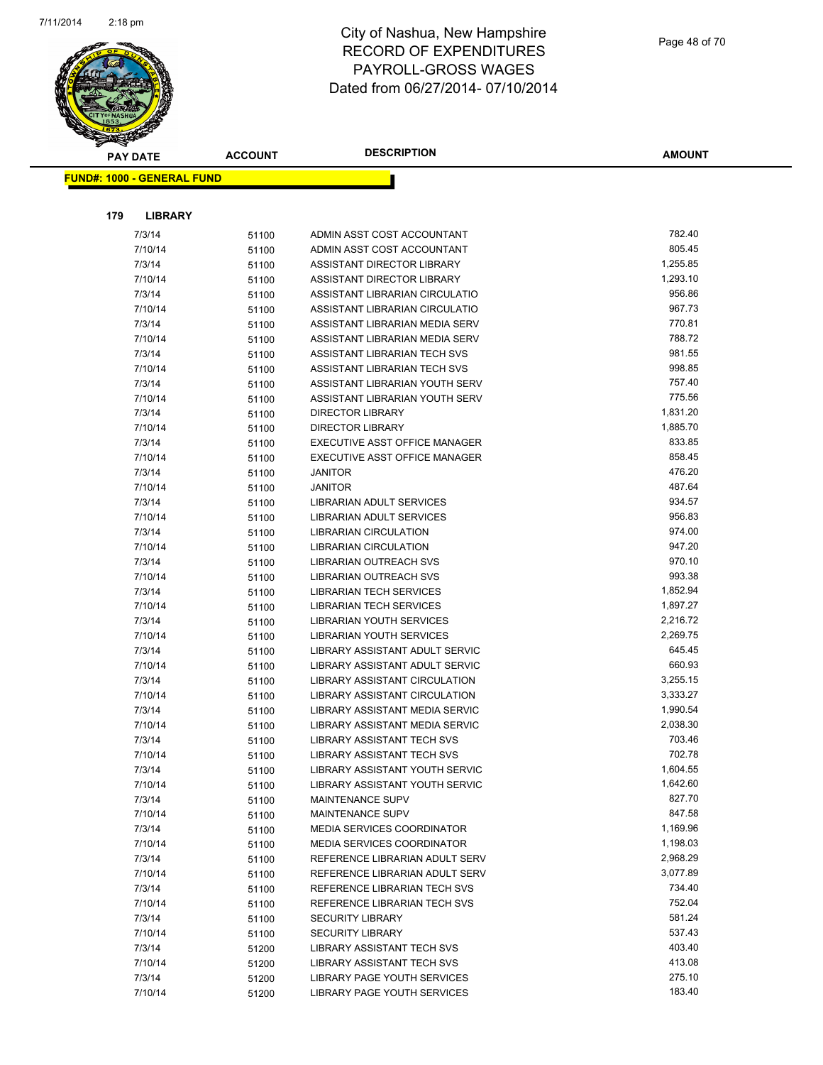

|     | <b>PAY DATE</b>                   | <b>ACCOUNT</b> | <b>DESCRIPTION</b>                                           | <b>AMOUNT</b>    |
|-----|-----------------------------------|----------------|--------------------------------------------------------------|------------------|
|     | <b>FUND#: 1000 - GENERAL FUND</b> |                |                                                              |                  |
|     |                                   |                |                                                              |                  |
|     |                                   |                |                                                              |                  |
| 179 | <b>LIBRARY</b>                    |                |                                                              |                  |
|     | 7/3/14                            | 51100          | ADMIN ASST COST ACCOUNTANT                                   | 782.40           |
|     | 7/10/14                           | 51100          | ADMIN ASST COST ACCOUNTANT                                   | 805.45           |
|     | 7/3/14                            | 51100          | ASSISTANT DIRECTOR LIBRARY                                   | 1,255.85         |
|     | 7/10/14                           | 51100          | ASSISTANT DIRECTOR LIBRARY                                   | 1,293.10         |
|     | 7/3/14                            | 51100          | ASSISTANT LIBRARIAN CIRCULATIO                               | 956.86           |
|     | 7/10/14                           | 51100          | ASSISTANT LIBRARIAN CIRCULATIO                               | 967.73           |
|     | 7/3/14                            | 51100          | ASSISTANT LIBRARIAN MEDIA SERV                               | 770.81<br>788.72 |
|     | 7/10/14                           | 51100          | ASSISTANT LIBRARIAN MEDIA SERV                               | 981.55           |
|     | 7/3/14<br>7/10/14                 | 51100          | ASSISTANT LIBRARIAN TECH SVS<br>ASSISTANT LIBRARIAN TECH SVS | 998.85           |
|     | 7/3/14                            | 51100          | ASSISTANT LIBRARIAN YOUTH SERV                               | 757.40           |
|     | 7/10/14                           | 51100          | ASSISTANT LIBRARIAN YOUTH SERV                               | 775.56           |
|     | 7/3/14                            | 51100          | <b>DIRECTOR LIBRARY</b>                                      | 1,831.20         |
|     | 7/10/14                           | 51100<br>51100 | <b>DIRECTOR LIBRARY</b>                                      | 1,885.70         |
|     | 7/3/14                            | 51100          | EXECUTIVE ASST OFFICE MANAGER                                | 833.85           |
|     | 7/10/14                           | 51100          | <b>EXECUTIVE ASST OFFICE MANAGER</b>                         | 858.45           |
|     | 7/3/14                            | 51100          | <b>JANITOR</b>                                               | 476.20           |
|     | 7/10/14                           | 51100          | <b>JANITOR</b>                                               | 487.64           |
|     | 7/3/14                            | 51100          | <b>LIBRARIAN ADULT SERVICES</b>                              | 934.57           |
|     | 7/10/14                           | 51100          | LIBRARIAN ADULT SERVICES                                     | 956.83           |
|     | 7/3/14                            | 51100          | <b>LIBRARIAN CIRCULATION</b>                                 | 974.00           |
|     | 7/10/14                           | 51100          | <b>LIBRARIAN CIRCULATION</b>                                 | 947.20           |
|     | 7/3/14                            | 51100          | LIBRARIAN OUTREACH SVS                                       | 970.10           |
|     | 7/10/14                           | 51100          | LIBRARIAN OUTREACH SVS                                       | 993.38           |
|     | 7/3/14                            | 51100          | <b>LIBRARIAN TECH SERVICES</b>                               | 1,852.94         |
|     | 7/10/14                           | 51100          | <b>LIBRARIAN TECH SERVICES</b>                               | 1,897.27         |
|     | 7/3/14                            | 51100          | LIBRARIAN YOUTH SERVICES                                     | 2,216.72         |
|     | 7/10/14                           | 51100          | LIBRARIAN YOUTH SERVICES                                     | 2,269.75         |
|     | 7/3/14                            | 51100          | LIBRARY ASSISTANT ADULT SERVIC                               | 645.45           |
|     | 7/10/14                           | 51100          | LIBRARY ASSISTANT ADULT SERVIC                               | 660.93           |
|     | 7/3/14                            | 51100          | LIBRARY ASSISTANT CIRCULATION                                | 3,255.15         |
|     | 7/10/14                           | 51100          | LIBRARY ASSISTANT CIRCULATION                                | 3,333.27         |
|     | 7/3/14                            | 51100          | LIBRARY ASSISTANT MEDIA SERVIC                               | 1,990.54         |
|     | 7/10/14                           | 51100          | LIBRARY ASSISTANT MEDIA SERVIC                               | 2,038.30         |
|     | 7/3/14                            | 51100          | <b>LIBRARY ASSISTANT TECH SVS</b>                            | 703.46           |
|     | 7/10/14                           | 51100          | LIBRARY ASSISTANT TECH SVS                                   | 702.78           |
|     | 7/3/14                            | 51100          | LIBRARY ASSISTANT YOUTH SERVIC                               | 1,604.55         |
|     | 7/10/14                           | 51100          | LIBRARY ASSISTANT YOUTH SERVIC                               | 1,642.60         |
|     | 7/3/14                            | 51100          | <b>MAINTENANCE SUPV</b>                                      | 827.70           |
|     | 7/10/14                           | 51100          | MAINTENANCE SUPV                                             | 847.58           |
|     | 7/3/14                            | 51100          | MEDIA SERVICES COORDINATOR                                   | 1,169.96         |
|     | 7/10/14                           | 51100          | <b>MEDIA SERVICES COORDINATOR</b>                            | 1,198.03         |
|     | 7/3/14                            | 51100          | REFERENCE LIBRARIAN ADULT SERV                               | 2,968.29         |
|     | 7/10/14                           | 51100          | REFERENCE LIBRARIAN ADULT SERV                               | 3,077.89         |
|     | 7/3/14                            | 51100          | REFERENCE LIBRARIAN TECH SVS                                 | 734.40           |
|     | 7/10/14                           | 51100          | REFERENCE LIBRARIAN TECH SVS                                 | 752.04           |
|     | 7/3/14                            | 51100          | <b>SECURITY LIBRARY</b>                                      | 581.24           |
|     | 7/10/14                           | 51100          | <b>SECURITY LIBRARY</b>                                      | 537.43           |
|     | 7/3/14                            | 51200          | LIBRARY ASSISTANT TECH SVS                                   | 403.40           |
|     | 7/10/14                           | 51200          | LIBRARY ASSISTANT TECH SVS                                   | 413.08           |
|     | 7/3/14                            | 51200          | LIBRARY PAGE YOUTH SERVICES                                  | 275.10           |
|     | 7/10/14                           | 51200          | LIBRARY PAGE YOUTH SERVICES                                  | 183.40           |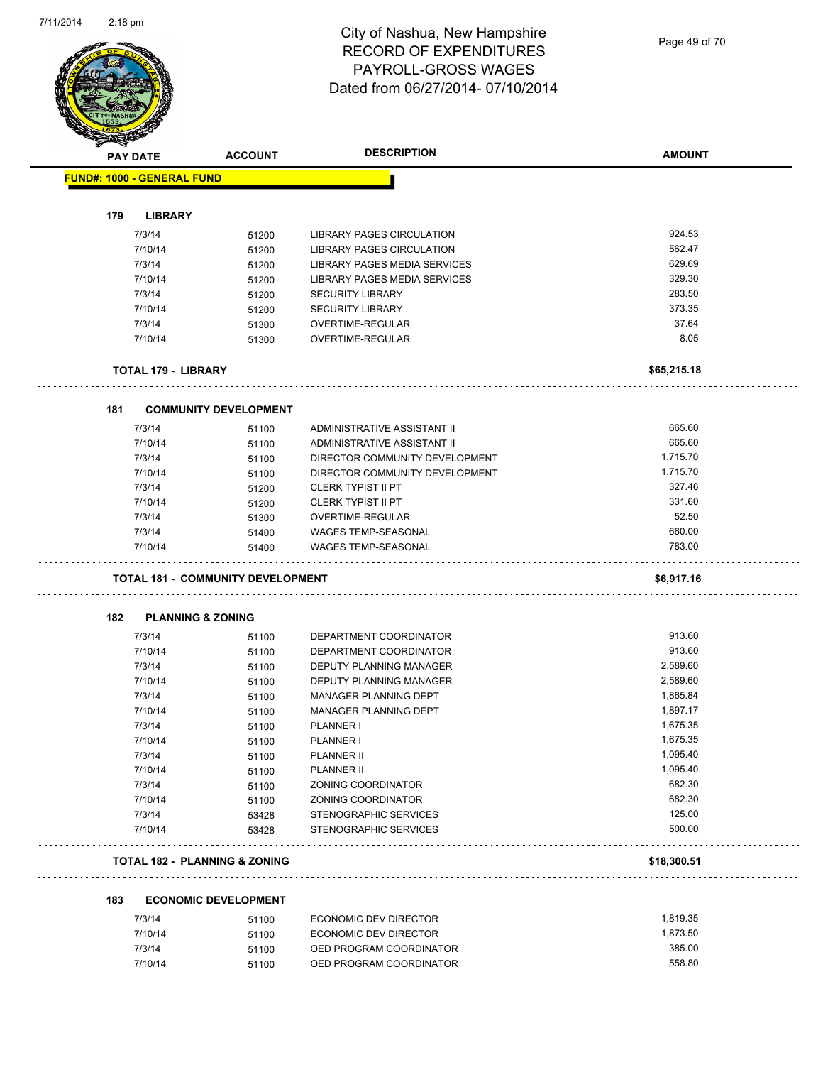Page 49 of 70

|     | <b>PAY DATE</b>                   | <b>ACCOUNT</b>                           | <b>DESCRIPTION</b>                               | <b>AMOUNT</b>      |
|-----|-----------------------------------|------------------------------------------|--------------------------------------------------|--------------------|
|     | <b>FUND#: 1000 - GENERAL FUND</b> |                                          |                                                  |                    |
|     |                                   |                                          |                                                  |                    |
| 179 | <b>LIBRARY</b>                    |                                          |                                                  |                    |
|     | 7/3/14                            | 51200                                    | LIBRARY PAGES CIRCULATION                        | 924.53             |
|     | 7/10/14                           | 51200                                    | LIBRARY PAGES CIRCULATION                        | 562.47             |
|     | 7/3/14                            | 51200                                    | LIBRARY PAGES MEDIA SERVICES                     | 629.69             |
|     | 7/10/14                           | 51200                                    | LIBRARY PAGES MEDIA SERVICES                     | 329.30             |
|     | 7/3/14                            | 51200                                    | <b>SECURITY LIBRARY</b>                          | 283.50             |
|     | 7/10/14                           | 51200                                    | <b>SECURITY LIBRARY</b>                          | 373.35             |
|     | 7/3/14                            | 51300                                    | OVERTIME-REGULAR                                 | 37.64              |
|     | 7/10/14                           | 51300                                    | OVERTIME-REGULAR                                 | 8.05               |
|     | <b>TOTAL 179 - LIBRARY</b>        |                                          |                                                  | \$65,215.18        |
|     |                                   |                                          |                                                  |                    |
| 181 |                                   | <b>COMMUNITY DEVELOPMENT</b>             |                                                  |                    |
|     | 7/3/14                            | 51100                                    | ADMINISTRATIVE ASSISTANT II                      | 665.60             |
|     | 7/10/14                           | 51100                                    | ADMINISTRATIVE ASSISTANT II                      | 665.60             |
|     | 7/3/14                            | 51100                                    | DIRECTOR COMMUNITY DEVELOPMENT                   | 1,715.70           |
|     | 7/10/14                           | 51100                                    | DIRECTOR COMMUNITY DEVELOPMENT                   | 1,715.70           |
|     | 7/3/14                            | 51200                                    | <b>CLERK TYPIST II PT</b>                        | 327.46             |
|     | 7/10/14                           | 51200                                    | <b>CLERK TYPIST II PT</b>                        | 331.60             |
|     | 7/3/14                            | 51300                                    | OVERTIME-REGULAR                                 | 52.50              |
|     | 7/3/14                            | 51400                                    | <b>WAGES TEMP-SEASONAL</b>                       | 660.00             |
|     | 7/10/14                           | 51400                                    | <b>WAGES TEMP-SEASONAL</b>                       | 783.00             |
|     |                                   | <b>TOTAL 181 - COMMUNITY DEVELOPMENT</b> |                                                  | \$6,917.16         |
| 182 | <b>PLANNING &amp; ZONING</b>      |                                          |                                                  |                    |
|     | 7/3/14                            | 51100                                    | DEPARTMENT COORDINATOR                           | 913.60             |
|     | 7/10/14                           | 51100                                    | DEPARTMENT COORDINATOR                           | 913.60             |
|     | 7/3/14                            | 51100                                    | <b>DEPUTY PLANNING MANAGER</b>                   | 2,589.60           |
|     | 7/10/14                           | 51100                                    | <b>DEPUTY PLANNING MANAGER</b>                   |                    |
|     |                                   |                                          |                                                  | 2,589.60           |
|     | 7/3/14                            | 51100                                    | MANAGER PLANNING DEPT                            | 1,865.84           |
|     | 7/10/14                           | 51100                                    | MANAGER PLANNING DEPT                            | 1,897.17           |
|     | 7/3/14                            | 51100                                    | PLANNER I                                        | 1,675.35           |
|     | 7/10/14                           | 51100                                    | PLANNER I                                        | 1,675.35           |
|     | 7/3/14                            | 51100                                    | <b>PLANNER II</b>                                | 1,095.40           |
|     | 7/10/14                           | 51100                                    | <b>PLANNER II</b>                                | 1,095.40           |
|     | 7/3/14                            | 51100                                    | ZONING COORDINATOR                               | 682.30             |
|     | 7/10/14                           | 51100                                    | ZONING COORDINATOR                               | 682.30             |
|     | 7/3/14                            |                                          | STENOGRAPHIC SERVICES                            | 125.00             |
|     | 7/10/14                           | 53428<br>53428                           | STENOGRAPHIC SERVICES                            | 500.00             |
|     |                                   | <b>TOTAL 182 - PLANNING &amp; ZONING</b> |                                                  | \$18,300.51        |
| 183 |                                   | <b>ECONOMIC DEVELOPMENT</b>              |                                                  |                    |
|     |                                   |                                          |                                                  |                    |
|     | 7/3/14                            | 51100                                    | ECONOMIC DEV DIRECTOR                            | 1,819.35           |
|     | 7/10/14<br>7/3/14                 | 51100<br>51100                           | ECONOMIC DEV DIRECTOR<br>OED PROGRAM COORDINATOR | 1,873.50<br>385.00 |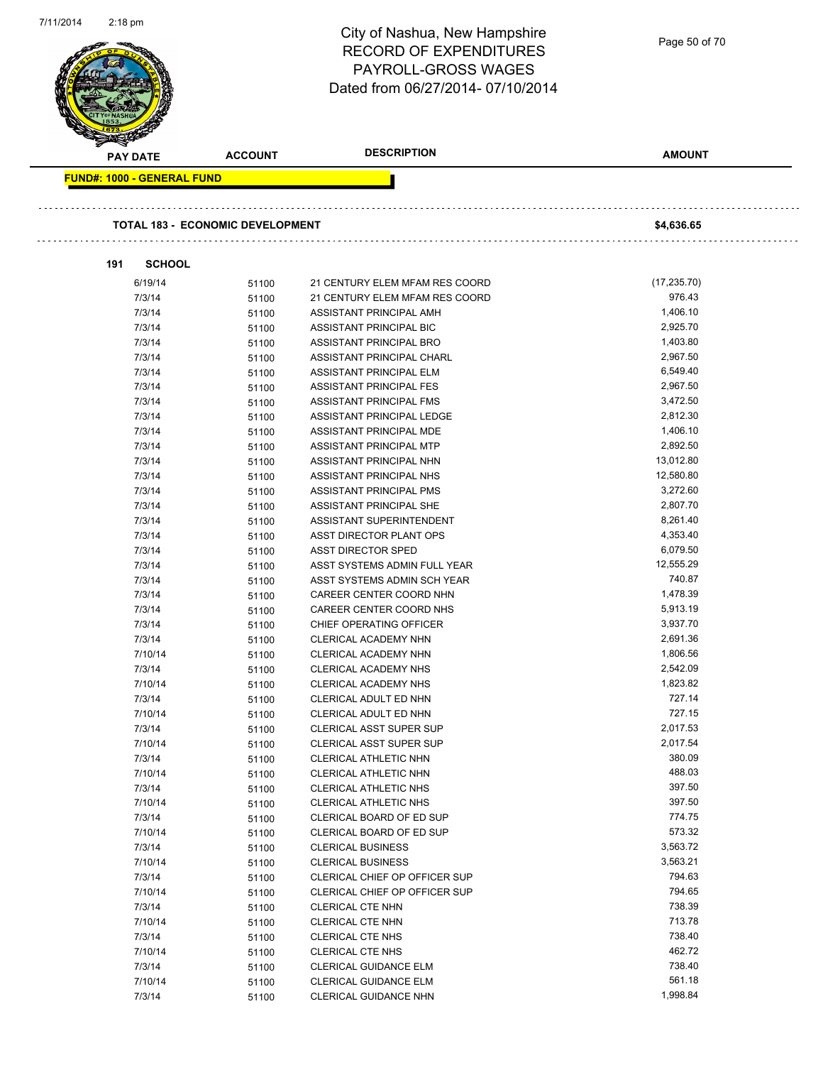| 7/11/2014 | $2:18$ pm                         |                                         | City of Nashua, New Hampshire<br><b>RECORD OF EXPENDITURES</b><br>PAYROLL-GROSS WAGES<br>Dated from 06/27/2014-07/10/2014 | Page 50 of 70         |
|-----------|-----------------------------------|-----------------------------------------|---------------------------------------------------------------------------------------------------------------------------|-----------------------|
|           | <b>PAY DATE</b>                   | <b>ACCOUNT</b>                          | <b>DESCRIPTION</b>                                                                                                        | <b>AMOUNT</b>         |
|           | <b>FUND#: 1000 - GENERAL FUND</b> |                                         |                                                                                                                           |                       |
|           |                                   |                                         |                                                                                                                           |                       |
|           |                                   | <b>TOTAL 183 - ECONOMIC DEVELOPMENT</b> |                                                                                                                           | \$4,636.65            |
| 191       | <b>SCHOOL</b>                     |                                         |                                                                                                                           |                       |
|           | 6/19/14                           | 51100                                   | 21 CENTURY ELEM MFAM RES COORD                                                                                            | (17, 235.70)          |
|           | 7/3/14                            | 51100                                   | 21 CENTURY ELEM MFAM RES COORD                                                                                            | 976.43                |
|           | 7/3/14                            | 51100                                   | ASSISTANT PRINCIPAL AMH                                                                                                   | 1,406.10              |
|           | 7/3/14                            | 51100                                   | ASSISTANT PRINCIPAL BIC                                                                                                   | 2,925.70              |
|           | 7/3/14                            | 51100                                   | ASSISTANT PRINCIPAL BRO                                                                                                   | 1,403.80              |
|           | 7/3/14                            | 51100                                   | ASSISTANT PRINCIPAL CHARL                                                                                                 | 2,967.50              |
|           | 7/3/14                            | 51100                                   | ASSISTANT PRINCIPAL ELM                                                                                                   | 6,549.40              |
|           | 7/3/14                            | 51100                                   | ASSISTANT PRINCIPAL FES                                                                                                   | 2,967.50              |
|           | 7/3/14                            | 51100                                   | ASSISTANT PRINCIPAL FMS                                                                                                   | 3,472.50              |
|           | 7/3/14                            | 51100                                   | ASSISTANT PRINCIPAL LEDGE                                                                                                 | 2,812.30              |
|           | 7/3/14                            | 51100                                   | ASSISTANT PRINCIPAL MDE                                                                                                   | 1,406.10              |
|           | 7/3/14                            | 51100                                   | ASSISTANT PRINCIPAL MTP                                                                                                   | 2,892.50              |
|           | 7/3/14                            | 51100                                   | ASSISTANT PRINCIPAL NHN                                                                                                   | 13,012.80             |
|           | 7/3/14                            | 51100                                   | ASSISTANT PRINCIPAL NHS                                                                                                   | 12,580.80             |
|           | 7/3/14                            | 51100                                   | ASSISTANT PRINCIPAL PMS                                                                                                   | 3,272.60              |
|           | 7/3/14                            | 51100                                   | ASSISTANT PRINCIPAL SHE                                                                                                   | 2,807.70              |
|           | 7/3/14                            | 51100                                   | ASSISTANT SUPERINTENDENT                                                                                                  | 8,261.40              |
|           | 7/3/14                            | 51100                                   | ASST DIRECTOR PLANT OPS                                                                                                   | 4,353.40              |
|           | 7/3/14                            | 51100                                   | ASST DIRECTOR SPED                                                                                                        | 6,079.50<br>12,555.29 |
|           | 7/3/14<br>7/3/14                  | 51100                                   | ASST SYSTEMS ADMIN FULL YEAR<br>ASST SYSTEMS ADMIN SCH YEAR                                                               | 740.87                |
|           | 7/3/14                            | 51100<br>51100                          | CAREER CENTER COORD NHN                                                                                                   | 1,478.39              |
|           | 7/3/14                            | 51100                                   | CAREER CENTER COORD NHS                                                                                                   | 5,913.19              |
|           | 7/3/14                            | 51100                                   | CHIEF OPERATING OFFICER                                                                                                   | 3,937.70              |
|           | 7/3/14                            | 51100                                   | CLERICAL ACADEMY NHN                                                                                                      | 2,691.36              |
|           | 7/10/14                           | 51100                                   | CLERICAL ACADEMY NHN                                                                                                      | 1,806.56              |
|           | 7/3/14                            | 51100                                   | <b>CLERICAL ACADEMY NHS</b>                                                                                               | 2,542.09              |
|           | 7/10/14                           | 51100                                   | CLERICAL ACADEMY NHS                                                                                                      | 1,823.82              |
|           | 7/3/14                            | 51100                                   | CLERICAL ADULT ED NHN                                                                                                     | 727.14                |
|           | 7/10/14                           | 51100                                   | CLERICAL ADULT ED NHN                                                                                                     | 727.15                |
|           | 7/3/14                            | 51100                                   | <b>CLERICAL ASST SUPER SUP</b>                                                                                            | 2,017.53              |
|           | 7/10/14                           | 51100                                   | <b>CLERICAL ASST SUPER SUP</b>                                                                                            | 2,017.54              |
|           | 7/3/14                            | 51100                                   | CLERICAL ATHLETIC NHN                                                                                                     | 380.09                |
|           | 7/10/14                           | 51100                                   | CLERICAL ATHLETIC NHN                                                                                                     | 488.03                |
|           | 7/3/14                            | 51100                                   | <b>CLERICAL ATHLETIC NHS</b>                                                                                              | 397.50                |
|           | 7/10/14                           | 51100                                   | CLERICAL ATHLETIC NHS                                                                                                     | 397.50                |
|           | 7/3/14                            | 51100                                   | CLERICAL BOARD OF ED SUP                                                                                                  | 774.75                |
|           | 7/10/14                           | 51100                                   | CLERICAL BOARD OF ED SUP                                                                                                  | 573.32                |
|           | 7/3/14                            | 51100                                   | <b>CLERICAL BUSINESS</b>                                                                                                  | 3,563.72              |
|           | 7/10/14                           | 51100                                   | <b>CLERICAL BUSINESS</b>                                                                                                  | 3,563.21              |
|           | 7/3/14                            | 51100                                   | CLERICAL CHIEF OP OFFICER SUP                                                                                             | 794.63                |
|           | 7/10/14                           | 51100                                   | CLERICAL CHIEF OP OFFICER SUP                                                                                             | 794.65                |
|           | 7/3/14                            | 51100                                   | <b>CLERICAL CTE NHN</b>                                                                                                   | 738.39                |
|           | 7/10/14                           | 51100                                   | <b>CLERICAL CTE NHN</b>                                                                                                   | 713.78                |
|           | 7/3/14                            | 51100                                   | <b>CLERICAL CTE NHS</b>                                                                                                   | 738.40                |
|           | 7/10/14                           | 51100                                   | <b>CLERICAL CTE NHS</b>                                                                                                   | 462.72<br>738.40      |
|           | 7/3/14<br>7/10/14                 | 51100                                   | CLERICAL GUIDANCE ELM<br>CLERICAL GUIDANCE ELM                                                                            | 561.18                |
|           |                                   | 51100                                   |                                                                                                                           |                       |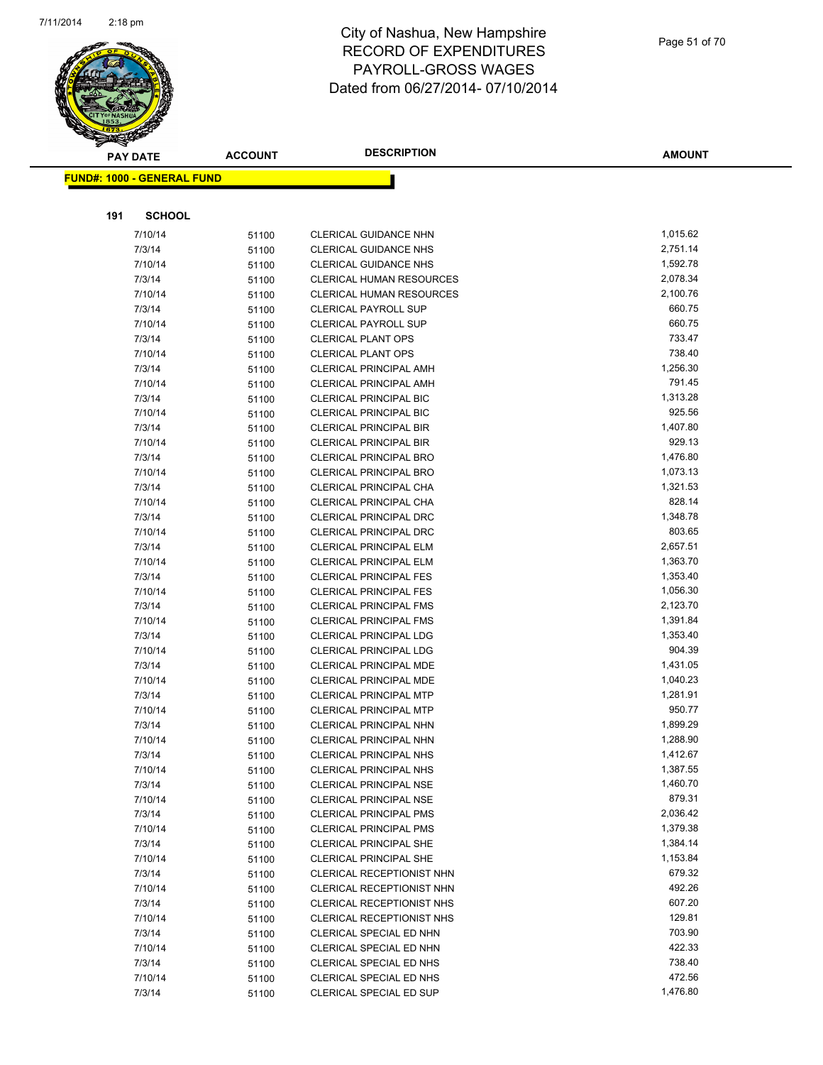

|     | <b>PAY DATE</b>                   | <b>ACCOUNT</b> | <b>DESCRIPTION</b>              | <b>AMOUNT</b> |
|-----|-----------------------------------|----------------|---------------------------------|---------------|
|     | <b>FUND#: 1000 - GENERAL FUND</b> |                |                                 |               |
|     |                                   |                |                                 |               |
| 191 | <b>SCHOOL</b>                     |                |                                 |               |
|     | 7/10/14                           |                | <b>CLERICAL GUIDANCE NHN</b>    | 1,015.62      |
|     | 7/3/14                            | 51100          | <b>CLERICAL GUIDANCE NHS</b>    | 2,751.14      |
|     | 7/10/14                           | 51100          | <b>CLERICAL GUIDANCE NHS</b>    | 1,592.78      |
|     | 7/3/14                            | 51100<br>51100 | <b>CLERICAL HUMAN RESOURCES</b> | 2,078.34      |
|     | 7/10/14                           | 51100          | <b>CLERICAL HUMAN RESOURCES</b> | 2,100.76      |
|     | 7/3/14                            | 51100          | <b>CLERICAL PAYROLL SUP</b>     | 660.75        |
|     | 7/10/14                           | 51100          | <b>CLERICAL PAYROLL SUP</b>     | 660.75        |
|     | 7/3/14                            | 51100          | <b>CLERICAL PLANT OPS</b>       | 733.47        |
|     | 7/10/14                           | 51100          | <b>CLERICAL PLANT OPS</b>       | 738.40        |
|     | 7/3/14                            | 51100          | <b>CLERICAL PRINCIPAL AMH</b>   | 1,256.30      |
|     | 7/10/14                           | 51100          | <b>CLERICAL PRINCIPAL AMH</b>   | 791.45        |
|     | 7/3/14                            | 51100          | <b>CLERICAL PRINCIPAL BIC</b>   | 1,313.28      |
|     | 7/10/14                           | 51100          | <b>CLERICAL PRINCIPAL BIC</b>   | 925.56        |
|     | 7/3/14                            | 51100          | <b>CLERICAL PRINCIPAL BIR</b>   | 1,407.80      |
|     | 7/10/14                           | 51100          | <b>CLERICAL PRINCIPAL BIR</b>   | 929.13        |
|     | 7/3/14                            | 51100          | <b>CLERICAL PRINCIPAL BRO</b>   | 1,476.80      |
|     | 7/10/14                           | 51100          | <b>CLERICAL PRINCIPAL BRO</b>   | 1,073.13      |
|     | 7/3/14                            | 51100          | CLERICAL PRINCIPAL CHA          | 1,321.53      |
|     | 7/10/14                           | 51100          | CLERICAL PRINCIPAL CHA          | 828.14        |
|     | 7/3/14                            | 51100          | CLERICAL PRINCIPAL DRC          | 1,348.78      |
|     | 7/10/14                           | 51100          | <b>CLERICAL PRINCIPAL DRC</b>   | 803.65        |
|     | 7/3/14                            | 51100          | <b>CLERICAL PRINCIPAL ELM</b>   | 2,657.51      |
|     | 7/10/14                           | 51100          | <b>CLERICAL PRINCIPAL ELM</b>   | 1,363.70      |
|     | 7/3/14                            | 51100          | <b>CLERICAL PRINCIPAL FES</b>   | 1,353.40      |
|     | 7/10/14                           | 51100          | <b>CLERICAL PRINCIPAL FES</b>   | 1,056.30      |
|     | 7/3/14                            | 51100          | <b>CLERICAL PRINCIPAL FMS</b>   | 2,123.70      |
|     | 7/10/14                           | 51100          | <b>CLERICAL PRINCIPAL FMS</b>   | 1,391.84      |
|     | 7/3/14                            | 51100          | <b>CLERICAL PRINCIPAL LDG</b>   | 1,353.40      |
|     | 7/10/14                           | 51100          | <b>CLERICAL PRINCIPAL LDG</b>   | 904.39        |
|     | 7/3/14                            | 51100          | CLERICAL PRINCIPAL MDE          | 1,431.05      |
|     | 7/10/14                           | 51100          | CLERICAL PRINCIPAL MDE          | 1,040.23      |
|     | 7/3/14                            | 51100          | <b>CLERICAL PRINCIPAL MTP</b>   | 1,281.91      |
|     | 7/10/14                           | 51100          | CLERICAL PRINCIPAL MTP          | 950.77        |
|     | 7/3/14                            | 51100          | CLERICAL PRINCIPAL NHN          | 1,899.29      |
|     | 7/10/14                           | 51100          | CLERICAL PRINCIPAL NHN          | 1,288.90      |
|     | 7/3/14                            | 51100          | <b>CLERICAL PRINCIPAL NHS</b>   | 1,412.67      |
|     | 7/10/14                           | 51100          | <b>CLERICAL PRINCIPAL NHS</b>   | 1,387.55      |
|     | 7/3/14                            | 51100          | <b>CLERICAL PRINCIPAL NSE</b>   | 1,460.70      |
|     | 7/10/14                           | 51100          | CLERICAL PRINCIPAL NSE          | 879.31        |
|     | 7/3/14                            | 51100          | <b>CLERICAL PRINCIPAL PMS</b>   | 2,036.42      |
|     | 7/10/14                           | 51100          | <b>CLERICAL PRINCIPAL PMS</b>   | 1,379.38      |
|     | 7/3/14                            | 51100          | <b>CLERICAL PRINCIPAL SHE</b>   | 1,384.14      |
|     | 7/10/14                           | 51100          | CLERICAL PRINCIPAL SHE          | 1,153.84      |
|     | 7/3/14                            | 51100          | CLERICAL RECEPTIONIST NHN       | 679.32        |
|     | 7/10/14                           | 51100          | CLERICAL RECEPTIONIST NHN       | 492.26        |
|     | 7/3/14                            | 51100          | CLERICAL RECEPTIONIST NHS       | 607.20        |
|     | 7/10/14                           | 51100          | CLERICAL RECEPTIONIST NHS       | 129.81        |
|     | 7/3/14                            | 51100          | CLERICAL SPECIAL ED NHN         | 703.90        |
|     | 7/10/14                           | 51100          | CLERICAL SPECIAL ED NHN         | 422.33        |
|     | 7/3/14                            | 51100          | CLERICAL SPECIAL ED NHS         | 738.40        |
|     | 7/10/14                           | 51100          | CLERICAL SPECIAL ED NHS         | 472.56        |
|     | 7/3/14                            | 51100          | CLERICAL SPECIAL ED SUP         | 1,476.80      |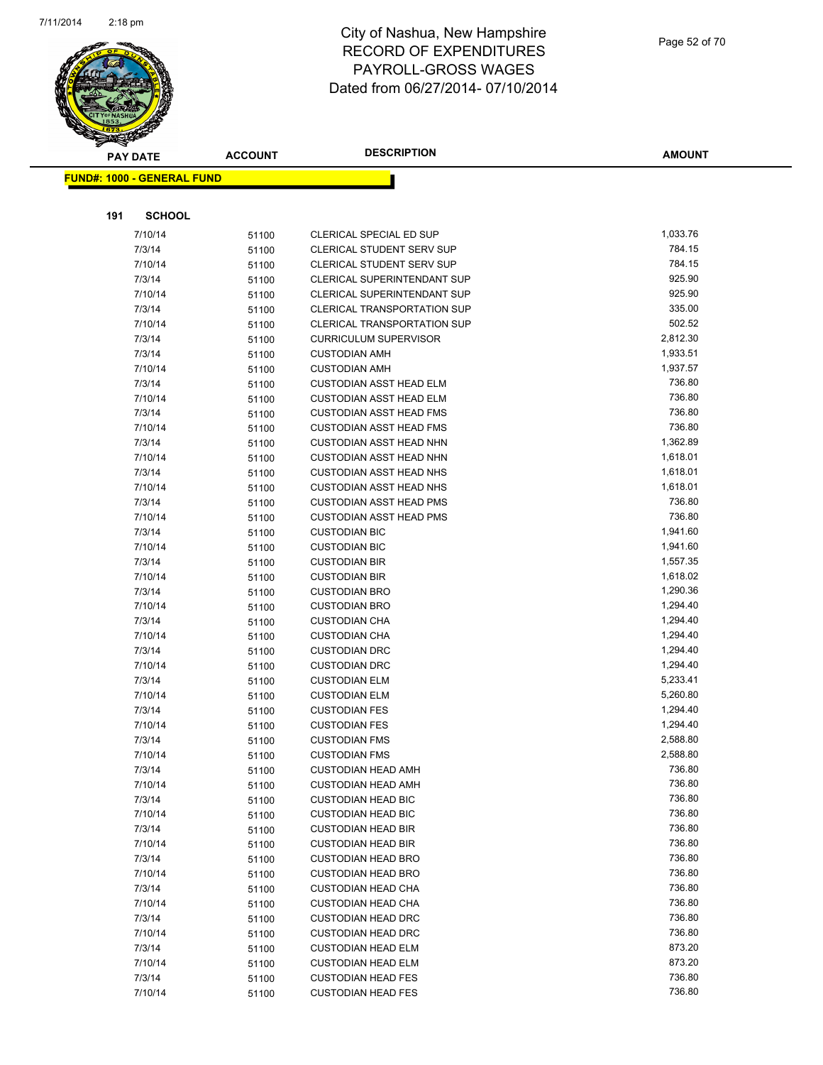

|     | <b>PAY DATE</b>                   | <b>ACCOUNT</b> | <b>DESCRIPTION</b>                                     | <b>AMOUNT</b>      |
|-----|-----------------------------------|----------------|--------------------------------------------------------|--------------------|
|     | <b>FUND#: 1000 - GENERAL FUND</b> |                |                                                        |                    |
|     |                                   |                |                                                        |                    |
|     |                                   |                |                                                        |                    |
| 191 | <b>SCHOOL</b>                     |                |                                                        |                    |
|     | 7/10/14                           | 51100          | CLERICAL SPECIAL ED SUP                                | 1,033.76           |
|     | 7/3/14                            | 51100          | CLERICAL STUDENT SERV SUP                              | 784.15             |
|     | 7/10/14                           | 51100          | <b>CLERICAL STUDENT SERV SUP</b>                       | 784.15             |
|     | 7/3/14                            | 51100          | CLERICAL SUPERINTENDANT SUP                            | 925.90             |
|     | 7/10/14                           | 51100          | CLERICAL SUPERINTENDANT SUP                            | 925.90             |
|     | 7/3/14                            | 51100          | CLERICAL TRANSPORTATION SUP                            | 335.00             |
|     | 7/10/14                           | 51100          | <b>CLERICAL TRANSPORTATION SUP</b>                     | 502.52<br>2,812.30 |
|     | 7/3/14                            | 51100          | <b>CURRICULUM SUPERVISOR</b>                           | 1,933.51           |
|     | 7/3/14<br>7/10/14                 | 51100          | <b>CUSTODIAN AMH</b>                                   | 1,937.57           |
|     | 7/3/14                            | 51100          | <b>CUSTODIAN AMH</b><br><b>CUSTODIAN ASST HEAD ELM</b> | 736.80             |
|     | 7/10/14                           | 51100          | <b>CUSTODIAN ASST HEAD ELM</b>                         | 736.80             |
|     | 7/3/14                            | 51100          | <b>CUSTODIAN ASST HEAD FMS</b>                         | 736.80             |
|     | 7/10/14                           | 51100<br>51100 | <b>CUSTODIAN ASST HEAD FMS</b>                         | 736.80             |
|     | 7/3/14                            | 51100          | <b>CUSTODIAN ASST HEAD NHN</b>                         | 1,362.89           |
|     | 7/10/14                           | 51100          | <b>CUSTODIAN ASST HEAD NHN</b>                         | 1,618.01           |
|     | 7/3/14                            | 51100          | <b>CUSTODIAN ASST HEAD NHS</b>                         | 1,618.01           |
|     | 7/10/14                           | 51100          | <b>CUSTODIAN ASST HEAD NHS</b>                         | 1,618.01           |
|     | 7/3/14                            | 51100          | <b>CUSTODIAN ASST HEAD PMS</b>                         | 736.80             |
|     | 7/10/14                           | 51100          | <b>CUSTODIAN ASST HEAD PMS</b>                         | 736.80             |
|     | 7/3/14                            | 51100          | <b>CUSTODIAN BIC</b>                                   | 1,941.60           |
|     | 7/10/14                           | 51100          | <b>CUSTODIAN BIC</b>                                   | 1,941.60           |
|     | 7/3/14                            | 51100          | <b>CUSTODIAN BIR</b>                                   | 1,557.35           |
|     | 7/10/14                           | 51100          | <b>CUSTODIAN BIR</b>                                   | 1,618.02           |
|     | 7/3/14                            | 51100          | <b>CUSTODIAN BRO</b>                                   | 1,290.36           |
|     | 7/10/14                           | 51100          | <b>CUSTODIAN BRO</b>                                   | 1,294.40           |
|     | 7/3/14                            | 51100          | <b>CUSTODIAN CHA</b>                                   | 1,294.40           |
|     | 7/10/14                           | 51100          | <b>CUSTODIAN CHA</b>                                   | 1,294.40           |
|     | 7/3/14                            | 51100          | <b>CUSTODIAN DRC</b>                                   | 1,294.40           |
|     | 7/10/14                           | 51100          | <b>CUSTODIAN DRC</b>                                   | 1,294.40           |
|     | 7/3/14                            | 51100          | <b>CUSTODIAN ELM</b>                                   | 5,233.41           |
|     | 7/10/14                           | 51100          | <b>CUSTODIAN ELM</b>                                   | 5,260.80           |
|     | 7/3/14                            | 51100          | <b>CUSTODIAN FES</b>                                   | 1,294.40           |
|     | 7/10/14                           | 51100          | <b>CUSTODIAN FES</b>                                   | 1,294.40           |
|     | 7/3/14                            | 51100          | <b>CUSTODIAN FMS</b>                                   | 2,588.80           |
|     | 7/10/14                           | 51100          | <b>CUSTODIAN FMS</b>                                   | 2,588.80           |
|     | 7/3/14                            | 51100          | <b>CUSTODIAN HEAD AMH</b>                              | 736.80             |
|     | 7/10/14                           | 51100          | <b>CUSTODIAN HEAD AMH</b>                              | 736.80             |
|     | 7/3/14                            | 51100          | <b>CUSTODIAN HEAD BIC</b>                              | 736.80             |
|     | 7/10/14                           | 51100          | <b>CUSTODIAN HEAD BIC</b>                              | 736.80             |
|     | 7/3/14                            | 51100          | <b>CUSTODIAN HEAD BIR</b>                              | 736.80             |
|     | 7/10/14                           | 51100          | <b>CUSTODIAN HEAD BIR</b>                              | 736.80             |
|     | 7/3/14                            | 51100          | <b>CUSTODIAN HEAD BRO</b>                              | 736.80             |
|     | 7/10/14                           | 51100          | <b>CUSTODIAN HEAD BRO</b>                              | 736.80             |
|     | 7/3/14                            | 51100          | <b>CUSTODIAN HEAD CHA</b>                              | 736.80             |
|     | 7/10/14                           | 51100          | <b>CUSTODIAN HEAD CHA</b>                              | 736.80             |
|     | 7/3/14                            | 51100          | <b>CUSTODIAN HEAD DRC</b>                              | 736.80             |
|     | 7/10/14                           | 51100          | <b>CUSTODIAN HEAD DRC</b>                              | 736.80             |
|     | 7/3/14                            | 51100          | <b>CUSTODIAN HEAD ELM</b>                              | 873.20             |
|     | 7/10/14                           | 51100          | <b>CUSTODIAN HEAD ELM</b>                              | 873.20             |
|     | 7/3/14                            | 51100          | <b>CUSTODIAN HEAD FES</b>                              | 736.80             |
|     | 7/10/14                           | 51100          | <b>CUSTODIAN HEAD FES</b>                              | 736.80             |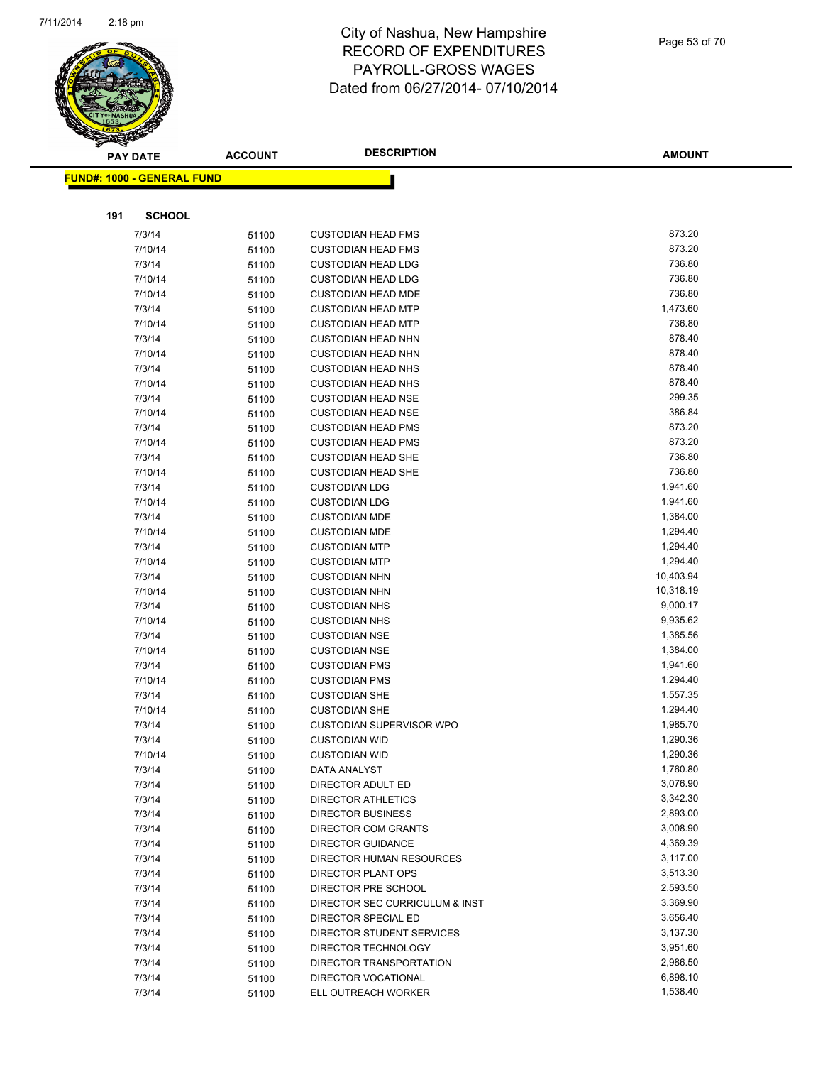

|     | <b>PAY DATE</b>                   | <b>ACCOUNT</b> | <b>DESCRIPTION</b>                           | <b>AMOUNT</b>         |
|-----|-----------------------------------|----------------|----------------------------------------------|-----------------------|
|     | <b>FUND#: 1000 - GENERAL FUND</b> |                |                                              |                       |
|     |                                   |                |                                              |                       |
|     |                                   |                |                                              |                       |
| 191 | <b>SCHOOL</b>                     |                |                                              |                       |
|     | 7/3/14                            | 51100          | <b>CUSTODIAN HEAD FMS</b>                    | 873.20                |
|     | 7/10/14                           | 51100          | <b>CUSTODIAN HEAD FMS</b>                    | 873.20                |
|     | 7/3/14                            | 51100          | <b>CUSTODIAN HEAD LDG</b>                    | 736.80                |
|     | 7/10/14                           | 51100          | <b>CUSTODIAN HEAD LDG</b>                    | 736.80                |
|     | 7/10/14                           | 51100          | <b>CUSTODIAN HEAD MDE</b>                    | 736.80                |
|     | 7/3/14                            | 51100          | <b>CUSTODIAN HEAD MTP</b>                    | 1,473.60              |
|     | 7/10/14                           | 51100          | <b>CUSTODIAN HEAD MTP</b>                    | 736.80                |
|     | 7/3/14                            | 51100          | <b>CUSTODIAN HEAD NHN</b>                    | 878.40                |
|     | 7/10/14                           | 51100          | <b>CUSTODIAN HEAD NHN</b>                    | 878.40                |
|     | 7/3/14                            | 51100          | <b>CUSTODIAN HEAD NHS</b>                    | 878.40                |
|     | 7/10/14                           | 51100          | <b>CUSTODIAN HEAD NHS</b>                    | 878.40                |
|     | 7/3/14                            | 51100          | <b>CUSTODIAN HEAD NSE</b>                    | 299.35                |
|     | 7/10/14                           | 51100          | <b>CUSTODIAN HEAD NSE</b>                    | 386.84                |
|     | 7/3/14                            | 51100          | <b>CUSTODIAN HEAD PMS</b>                    | 873.20                |
|     | 7/10/14                           | 51100          | <b>CUSTODIAN HEAD PMS</b>                    | 873.20                |
|     | 7/3/14                            | 51100          | <b>CUSTODIAN HEAD SHE</b>                    | 736.80                |
|     | 7/10/14                           | 51100          | <b>CUSTODIAN HEAD SHE</b>                    | 736.80                |
|     | 7/3/14                            | 51100          | <b>CUSTODIAN LDG</b>                         | 1,941.60              |
|     | 7/10/14                           | 51100          | <b>CUSTODIAN LDG</b>                         | 1,941.60              |
|     | 7/3/14                            | 51100          | <b>CUSTODIAN MDE</b>                         | 1,384.00              |
|     | 7/10/14                           | 51100          | <b>CUSTODIAN MDE</b>                         | 1,294.40              |
|     | 7/3/14                            | 51100          | <b>CUSTODIAN MTP</b>                         | 1,294.40              |
|     | 7/10/14                           | 51100          | <b>CUSTODIAN MTP</b>                         | 1,294.40              |
|     | 7/3/14                            | 51100          | <b>CUSTODIAN NHN</b>                         | 10,403.94             |
|     | 7/10/14<br>7/3/14                 | 51100          | <b>CUSTODIAN NHN</b><br><b>CUSTODIAN NHS</b> | 10,318.19<br>9,000.17 |
|     | 7/10/14                           | 51100          | <b>CUSTODIAN NHS</b>                         | 9,935.62              |
|     | 7/3/14                            | 51100<br>51100 | <b>CUSTODIAN NSE</b>                         | 1,385.56              |
|     | 7/10/14                           | 51100          | <b>CUSTODIAN NSE</b>                         | 1,384.00              |
|     | 7/3/14                            | 51100          | <b>CUSTODIAN PMS</b>                         | 1,941.60              |
|     | 7/10/14                           | 51100          | <b>CUSTODIAN PMS</b>                         | 1,294.40              |
|     | 7/3/14                            | 51100          | <b>CUSTODIAN SHE</b>                         | 1,557.35              |
|     | 7/10/14                           | 51100          | <b>CUSTODIAN SHE</b>                         | 1,294.40              |
|     | 7/3/14                            | 51100          | CUSTODIAN SUPERVISOR WPO                     | 1,985.70              |
|     | 7/3/14                            | 51100          | <b>CUSTODIAN WID</b>                         | 1,290.36              |
|     | 7/10/14                           | 51100          | <b>CUSTODIAN WID</b>                         | 1,290.36              |
|     | 7/3/14                            | 51100          | DATA ANALYST                                 | 1,760.80              |
|     | 7/3/14                            | 51100          | DIRECTOR ADULT ED                            | 3,076.90              |
|     | 7/3/14                            | 51100          | <b>DIRECTOR ATHLETICS</b>                    | 3,342.30              |
|     | 7/3/14                            | 51100          | <b>DIRECTOR BUSINESS</b>                     | 2,893.00              |
|     | 7/3/14                            | 51100          | DIRECTOR COM GRANTS                          | 3,008.90              |
|     | 7/3/14                            | 51100          | <b>DIRECTOR GUIDANCE</b>                     | 4,369.39              |
|     | 7/3/14                            | 51100          | DIRECTOR HUMAN RESOURCES                     | 3,117.00              |
|     | 7/3/14                            | 51100          | DIRECTOR PLANT OPS                           | 3,513.30              |
|     | 7/3/14                            | 51100          | DIRECTOR PRE SCHOOL                          | 2,593.50              |
|     | 7/3/14                            | 51100          | DIRECTOR SEC CURRICULUM & INST               | 3,369.90              |
|     | 7/3/14                            | 51100          | DIRECTOR SPECIAL ED                          | 3,656.40              |
|     | 7/3/14                            | 51100          | DIRECTOR STUDENT SERVICES                    | 3,137.30              |
|     | 7/3/14                            | 51100          | DIRECTOR TECHNOLOGY                          | 3,951.60              |
|     | 7/3/14                            | 51100          | DIRECTOR TRANSPORTATION                      | 2,986.50              |
|     | 7/3/14                            | 51100          | DIRECTOR VOCATIONAL                          | 6,898.10              |
|     | 7/3/14                            | 51100          | ELL OUTREACH WORKER                          | 1,538.40              |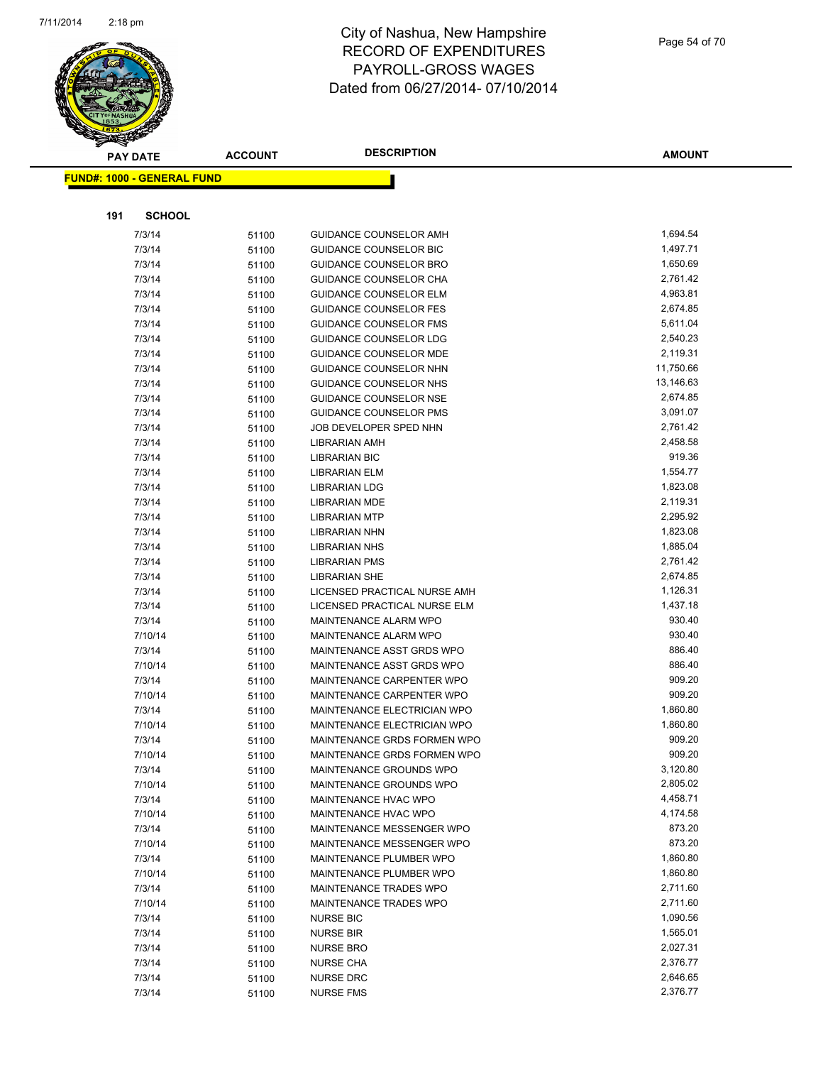

|     | <b>PAY DATE</b>                   | <b>ACCOUNT</b> | <b>DESCRIPTION</b>                                             | <b>AMOUNT</b>        |
|-----|-----------------------------------|----------------|----------------------------------------------------------------|----------------------|
|     | <b>FUND#: 1000 - GENERAL FUND</b> |                |                                                                |                      |
|     |                                   |                |                                                                |                      |
| 191 | <b>SCHOOL</b>                     |                |                                                                |                      |
|     |                                   |                |                                                                | 1,694.54             |
|     | 7/3/14                            | 51100          | <b>GUIDANCE COUNSELOR AMH</b>                                  |                      |
|     | 7/3/14                            | 51100          | GUIDANCE COUNSELOR BIC                                         | 1,497.71             |
|     | 7/3/14                            | 51100          | <b>GUIDANCE COUNSELOR BRO</b>                                  | 1,650.69             |
|     | 7/3/14                            | 51100          | <b>GUIDANCE COUNSELOR CHA</b>                                  | 2,761.42             |
|     | 7/3/14                            | 51100          | <b>GUIDANCE COUNSELOR ELM</b><br><b>GUIDANCE COUNSELOR FES</b> | 4,963.81<br>2,674.85 |
|     | 7/3/14<br>7/3/14                  | 51100          | <b>GUIDANCE COUNSELOR FMS</b>                                  | 5,611.04             |
|     | 7/3/14                            | 51100          | <b>GUIDANCE COUNSELOR LDG</b>                                  | 2,540.23             |
|     | 7/3/14                            | 51100<br>51100 | <b>GUIDANCE COUNSELOR MDE</b>                                  | 2,119.31             |
|     | 7/3/14                            | 51100          | GUIDANCE COUNSELOR NHN                                         | 11,750.66            |
|     | 7/3/14                            | 51100          | GUIDANCE COUNSELOR NHS                                         | 13,146.63            |
|     | 7/3/14                            | 51100          | <b>GUIDANCE COUNSELOR NSE</b>                                  | 2,674.85             |
|     | 7/3/14                            | 51100          | <b>GUIDANCE COUNSELOR PMS</b>                                  | 3,091.07             |
|     | 7/3/14                            | 51100          | JOB DEVELOPER SPED NHN                                         | 2,761.42             |
|     | 7/3/14                            | 51100          | <b>LIBRARIAN AMH</b>                                           | 2,458.58             |
|     | 7/3/14                            | 51100          | <b>LIBRARIAN BIC</b>                                           | 919.36               |
|     | 7/3/14                            | 51100          | <b>LIBRARIAN ELM</b>                                           | 1,554.77             |
|     | 7/3/14                            | 51100          | <b>LIBRARIAN LDG</b>                                           | 1,823.08             |
|     | 7/3/14                            | 51100          | LIBRARIAN MDE                                                  | 2,119.31             |
|     | 7/3/14                            | 51100          | <b>LIBRARIAN MTP</b>                                           | 2,295.92             |
|     | 7/3/14                            | 51100          | <b>LIBRARIAN NHN</b>                                           | 1,823.08             |
|     | 7/3/14                            | 51100          | <b>LIBRARIAN NHS</b>                                           | 1,885.04             |
|     | 7/3/14                            | 51100          | <b>LIBRARIAN PMS</b>                                           | 2,761.42             |
|     | 7/3/14                            | 51100          | LIBRARIAN SHE                                                  | 2,674.85             |
|     | 7/3/14                            | 51100          | LICENSED PRACTICAL NURSE AMH                                   | 1,126.31             |
|     | 7/3/14                            | 51100          | LICENSED PRACTICAL NURSE ELM                                   | 1,437.18             |
|     | 7/3/14                            | 51100          | MAINTENANCE ALARM WPO                                          | 930.40               |
|     | 7/10/14                           | 51100          | <b>MAINTENANCE ALARM WPO</b>                                   | 930.40               |
|     | 7/3/14                            | 51100          | MAINTENANCE ASST GRDS WPO                                      | 886.40               |
|     | 7/10/14                           | 51100          | MAINTENANCE ASST GRDS WPO                                      | 886.40               |
|     | 7/3/14                            | 51100          | MAINTENANCE CARPENTER WPO                                      | 909.20               |
|     | 7/10/14                           | 51100          | MAINTENANCE CARPENTER WPO                                      | 909.20               |
|     | 7/3/14                            | 51100          | MAINTENANCE ELECTRICIAN WPO                                    | 1,860.80             |
|     | 7/10/14                           | 51100          | MAINTENANCE ELECTRICIAN WPO                                    | 1,860.80             |
|     | 7/3/14                            | 51100          | MAINTENANCE GRDS FORMEN WPO                                    | 909.20               |
|     | 7/10/14                           | 51100          | MAINTENANCE GRDS FORMEN WPO                                    | 909.20               |
|     | 7/3/14                            | 51100          | MAINTENANCE GROUNDS WPO                                        | 3,120.80<br>2,805.02 |
|     | 7/10/14                           | 51100          | MAINTENANCE GROUNDS WPO<br>MAINTENANCE HVAC WPO                | 4,458.71             |
|     | 7/3/14<br>7/10/14                 | 51100          | MAINTENANCE HVAC WPO                                           | 4,174.58             |
|     | 7/3/14                            | 51100<br>51100 | MAINTENANCE MESSENGER WPO                                      | 873.20               |
|     | 7/10/14                           | 51100          | MAINTENANCE MESSENGER WPO                                      | 873.20               |
|     | 7/3/14                            | 51100          | MAINTENANCE PLUMBER WPO                                        | 1,860.80             |
|     | 7/10/14                           | 51100          | MAINTENANCE PLUMBER WPO                                        | 1,860.80             |
|     | 7/3/14                            | 51100          | MAINTENANCE TRADES WPO                                         | 2,711.60             |
|     | 7/10/14                           | 51100          | MAINTENANCE TRADES WPO                                         | 2,711.60             |
|     | 7/3/14                            | 51100          | <b>NURSE BIC</b>                                               | 1,090.56             |
|     | 7/3/14                            | 51100          | <b>NURSE BIR</b>                                               | 1,565.01             |
|     | 7/3/14                            | 51100          | <b>NURSE BRO</b>                                               | 2,027.31             |
|     | 7/3/14                            | 51100          | <b>NURSE CHA</b>                                               | 2,376.77             |
|     | 7/3/14                            | 51100          | <b>NURSE DRC</b>                                               | 2,646.65             |
|     | 7/3/14                            | 51100          | <b>NURSE FMS</b>                                               | 2,376.77             |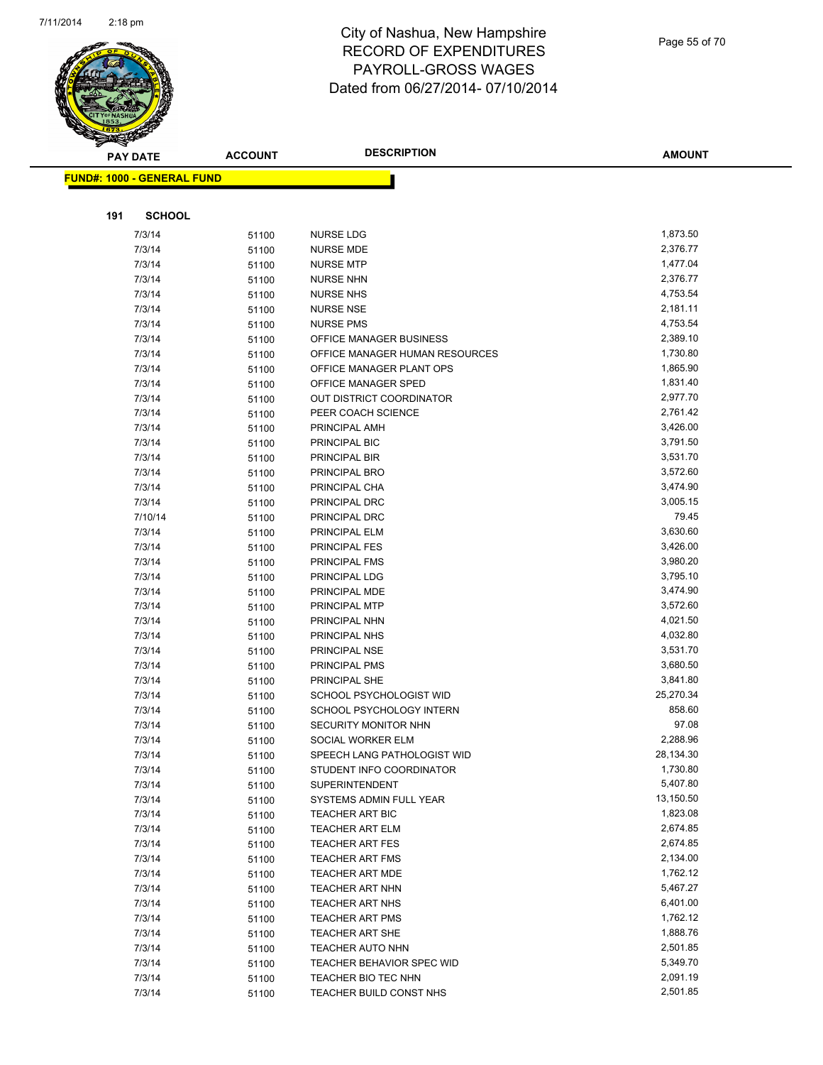

| <b>PAY DATE</b>                   | <b>ACCOUNT</b> | <b>DESCRIPTION</b>                                         | <b>AMOUNT</b>        |
|-----------------------------------|----------------|------------------------------------------------------------|----------------------|
| <b>FUND#: 1000 - GENERAL FUND</b> |                |                                                            |                      |
|                                   |                |                                                            |                      |
|                                   |                |                                                            |                      |
| 191<br><b>SCHOOL</b>              |                |                                                            |                      |
| 7/3/14                            | 51100          | NURSE LDG                                                  | 1,873.50             |
| 7/3/14                            | 51100          | <b>NURSE MDE</b>                                           | 2,376.77             |
| 7/3/14                            | 51100          | <b>NURSE MTP</b>                                           | 1,477.04             |
| 7/3/14                            | 51100          | <b>NURSE NHN</b>                                           | 2,376.77             |
| 7/3/14                            | 51100          | <b>NURSE NHS</b>                                           | 4,753.54             |
| 7/3/14                            | 51100          | <b>NURSE NSE</b>                                           | 2,181.11             |
| 7/3/14                            | 51100          | <b>NURSE PMS</b>                                           | 4,753.54             |
| 7/3/14                            | 51100          | OFFICE MANAGER BUSINESS                                    | 2,389.10<br>1,730.80 |
| 7/3/14<br>7/3/14                  | 51100          | OFFICE MANAGER HUMAN RESOURCES<br>OFFICE MANAGER PLANT OPS | 1,865.90             |
| 7/3/14                            | 51100<br>51100 | OFFICE MANAGER SPED                                        | 1,831.40             |
| 7/3/14                            | 51100          | <b>OUT DISTRICT COORDINATOR</b>                            | 2,977.70             |
| 7/3/14                            | 51100          | PEER COACH SCIENCE                                         | 2,761.42             |
| 7/3/14                            | 51100          | PRINCIPAL AMH                                              | 3,426.00             |
| 7/3/14                            | 51100          | PRINCIPAL BIC                                              | 3,791.50             |
| 7/3/14                            | 51100          | PRINCIPAL BIR                                              | 3,531.70             |
| 7/3/14                            | 51100          | PRINCIPAL BRO                                              | 3,572.60             |
| 7/3/14                            | 51100          | PRINCIPAL CHA                                              | 3,474.90             |
| 7/3/14                            | 51100          | PRINCIPAL DRC                                              | 3,005.15             |
| 7/10/14                           | 51100          | PRINCIPAL DRC                                              | 79.45                |
| 7/3/14                            | 51100          | PRINCIPAL ELM                                              | 3,630.60             |
| 7/3/14                            | 51100          | PRINCIPAL FES                                              | 3,426.00             |
| 7/3/14                            | 51100          | PRINCIPAL FMS                                              | 3,980.20             |
| 7/3/14                            | 51100          | PRINCIPAL LDG                                              | 3,795.10             |
| 7/3/14                            | 51100          | PRINCIPAL MDE                                              | 3,474.90             |
| 7/3/14                            | 51100          | PRINCIPAL MTP                                              | 3,572.60             |
| 7/3/14                            | 51100          | PRINCIPAL NHN                                              | 4,021.50             |
| 7/3/14                            | 51100          | PRINCIPAL NHS                                              | 4,032.80             |
| 7/3/14                            | 51100          | PRINCIPAL NSE                                              | 3,531.70             |
| 7/3/14                            | 51100          | PRINCIPAL PMS                                              | 3,680.50             |
| 7/3/14                            | 51100          | PRINCIPAL SHE                                              | 3,841.80             |
| 7/3/14                            | 51100          | <b>SCHOOL PSYCHOLOGIST WID</b>                             | 25,270.34            |
| 7/3/14                            | 51100          | SCHOOL PSYCHOLOGY INTERN                                   | 858.60               |
| 7/3/14                            | 51100          | SECURITY MONITOR NHN                                       | 97.08                |
| 7/3/14                            | 51100          | SOCIAL WORKER ELM                                          | 2,288.96             |
| 7/3/14                            | 51100          | SPEECH LANG PATHOLOGIST WID                                | 28,134.30            |
| 7/3/14                            | 51100          | STUDENT INFO COORDINATOR<br><b>SUPERINTENDENT</b>          | 1,730.80<br>5,407.80 |
| 7/3/14                            | 51100          |                                                            | 13,150.50            |
| 7/3/14<br>7/3/14                  | 51100          | SYSTEMS ADMIN FULL YEAR<br>TEACHER ART BIC                 | 1,823.08             |
| 7/3/14                            | 51100          | <b>TEACHER ART ELM</b>                                     | 2,674.85             |
| 7/3/14                            | 51100          | <b>TEACHER ART FES</b>                                     | 2,674.85             |
| 7/3/14                            | 51100<br>51100 | <b>TEACHER ART FMS</b>                                     | 2,134.00             |
| 7/3/14                            | 51100          | <b>TEACHER ART MDE</b>                                     | 1,762.12             |
| 7/3/14                            | 51100          | <b>TEACHER ART NHN</b>                                     | 5,467.27             |
| 7/3/14                            | 51100          | <b>TEACHER ART NHS</b>                                     | 6,401.00             |
| 7/3/14                            | 51100          | TEACHER ART PMS                                            | 1,762.12             |
| 7/3/14                            | 51100          | <b>TEACHER ART SHE</b>                                     | 1,888.76             |
| 7/3/14                            | 51100          | TEACHER AUTO NHN                                           | 2,501.85             |
| 7/3/14                            | 51100          | TEACHER BEHAVIOR SPEC WID                                  | 5,349.70             |
| 7/3/14                            | 51100          | TEACHER BIO TEC NHN                                        | 2,091.19             |
| 7/3/14                            | 51100          | TEACHER BUILD CONST NHS                                    | 2,501.85             |
|                                   |                |                                                            |                      |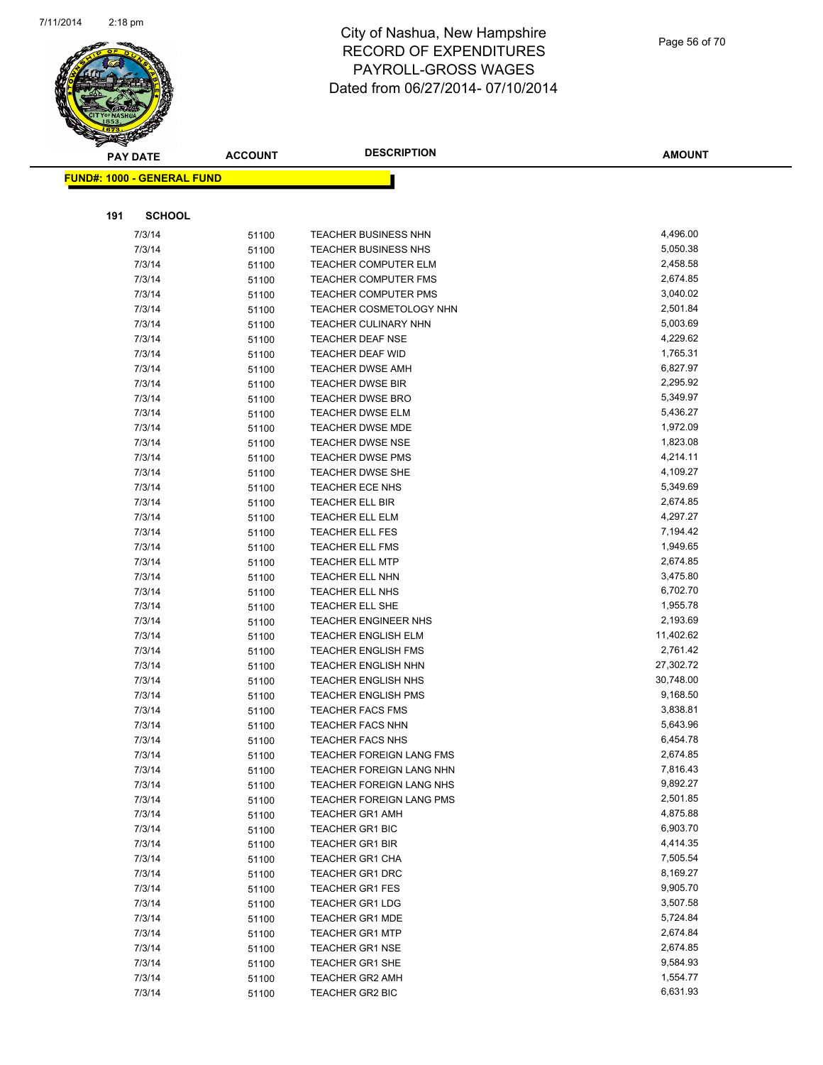

|     | <b>PAY DATE</b>                    | <b>ACCOUNT</b> | <b>DESCRIPTION</b>          | <b>AMOUNT</b> |
|-----|------------------------------------|----------------|-----------------------------|---------------|
|     | <u> FUND#: 1000 - GENERAL FUND</u> |                |                             |               |
|     |                                    |                |                             |               |
|     |                                    |                |                             |               |
| 191 | <b>SCHOOL</b>                      |                |                             |               |
|     | 7/3/14                             | 51100          | TEACHER BUSINESS NHN        | 4,496.00      |
|     | 7/3/14                             | 51100          | TEACHER BUSINESS NHS        | 5,050.38      |
|     | 7/3/14                             | 51100          | <b>TEACHER COMPUTER ELM</b> | 2,458.58      |
|     | 7/3/14                             | 51100          | <b>TEACHER COMPUTER FMS</b> | 2,674.85      |
|     | 7/3/14                             | 51100          | <b>TEACHER COMPUTER PMS</b> | 3,040.02      |
|     | 7/3/14                             | 51100          | TEACHER COSMETOLOGY NHN     | 2,501.84      |
|     | 7/3/14                             | 51100          | TEACHER CULINARY NHN        | 5,003.69      |
|     | 7/3/14                             | 51100          | <b>TEACHER DEAF NSE</b>     | 4,229.62      |
|     | 7/3/14                             | 51100          | <b>TEACHER DEAF WID</b>     | 1,765.31      |
|     | 7/3/14                             | 51100          | <b>TEACHER DWSE AMH</b>     | 6,827.97      |
|     | 7/3/14                             | 51100          | <b>TEACHER DWSE BIR</b>     | 2,295.92      |
|     | 7/3/14                             | 51100          | <b>TEACHER DWSE BRO</b>     | 5,349.97      |
|     | 7/3/14                             | 51100          | <b>TEACHER DWSE ELM</b>     | 5,436.27      |
|     | 7/3/14                             | 51100          | TEACHER DWSE MDE            | 1,972.09      |
|     | 7/3/14                             | 51100          | <b>TEACHER DWSE NSE</b>     | 1,823.08      |
|     | 7/3/14                             | 51100          | <b>TEACHER DWSE PMS</b>     | 4,214.11      |
|     | 7/3/14                             | 51100          | TEACHER DWSE SHE            | 4,109.27      |
|     | 7/3/14                             | 51100          | TEACHER ECE NHS             | 5,349.69      |
|     | 7/3/14                             | 51100          | <b>TEACHER ELL BIR</b>      | 2,674.85      |
|     | 7/3/14                             | 51100          | <b>TEACHER ELL ELM</b>      | 4,297.27      |
|     | 7/3/14                             | 51100          | <b>TEACHER ELL FES</b>      | 7,194.42      |
|     | 7/3/14                             | 51100          | <b>TEACHER ELL FMS</b>      | 1,949.65      |
|     | 7/3/14                             | 51100          | <b>TEACHER ELL MTP</b>      | 2,674.85      |
|     | 7/3/14                             | 51100          | <b>TEACHER ELL NHN</b>      | 3,475.80      |
|     | 7/3/14                             | 51100          | <b>TEACHER ELL NHS</b>      | 6,702.70      |
|     | 7/3/14                             | 51100          | TEACHER ELL SHE             | 1,955.78      |
|     | 7/3/14                             | 51100          | <b>TEACHER ENGINEER NHS</b> | 2,193.69      |
|     | 7/3/14                             | 51100          | <b>TEACHER ENGLISH ELM</b>  | 11,402.62     |
|     | 7/3/14                             | 51100          | <b>TEACHER ENGLISH FMS</b>  | 2,761.42      |
|     | 7/3/14                             | 51100          | <b>TEACHER ENGLISH NHN</b>  | 27,302.72     |
|     | 7/3/14                             | 51100          | <b>TEACHER ENGLISH NHS</b>  | 30,748.00     |
|     | 7/3/14                             | 51100          | <b>TEACHER ENGLISH PMS</b>  | 9,168.50      |
|     | 7/3/14                             | 51100          | <b>TEACHER FACS FMS</b>     | 3,838.81      |
|     | 7/3/14                             | 51100          | <b>TEACHER FACS NHN</b>     | 5,643.96      |
|     | 7/3/14                             | 51100          | <b>TEACHER FACS NHS</b>     | 6,454.78      |
|     | 7/3/14                             | 51100          | TEACHER FOREIGN LANG FMS    | 2,674.85      |
|     | 7/3/14                             | 51100          | TEACHER FOREIGN LANG NHN    | 7,816.43      |
|     | 7/3/14                             | 51100          | TEACHER FOREIGN LANG NHS    | 9,892.27      |
|     | 7/3/14                             | 51100          | TEACHER FOREIGN LANG PMS    | 2,501.85      |
|     | 7/3/14                             | 51100          | <b>TEACHER GR1 AMH</b>      | 4,875.88      |
|     | 7/3/14                             | 51100          | <b>TEACHER GR1 BIC</b>      | 6,903.70      |
|     | 7/3/14                             | 51100          | <b>TEACHER GR1 BIR</b>      | 4,414.35      |
|     | 7/3/14                             | 51100          | <b>TEACHER GR1 CHA</b>      | 7,505.54      |
|     | 7/3/14                             | 51100          | <b>TEACHER GR1 DRC</b>      | 8,169.27      |
|     | 7/3/14                             | 51100          | <b>TEACHER GR1 FES</b>      | 9,905.70      |
|     | 7/3/14                             | 51100          | <b>TEACHER GR1 LDG</b>      | 3,507.58      |
|     | 7/3/14                             | 51100          | <b>TEACHER GR1 MDE</b>      | 5,724.84      |
|     | 7/3/14                             | 51100          | <b>TEACHER GR1 MTP</b>      | 2,674.84      |
|     | 7/3/14                             | 51100          | <b>TEACHER GR1 NSE</b>      | 2,674.85      |
|     | 7/3/14                             | 51100          | <b>TEACHER GR1 SHE</b>      | 9,584.93      |
|     | 7/3/14                             | 51100          | <b>TEACHER GR2 AMH</b>      | 1,554.77      |
|     | 7/3/14                             | 51100          | TEACHER GR2 BIC             | 6,631.93      |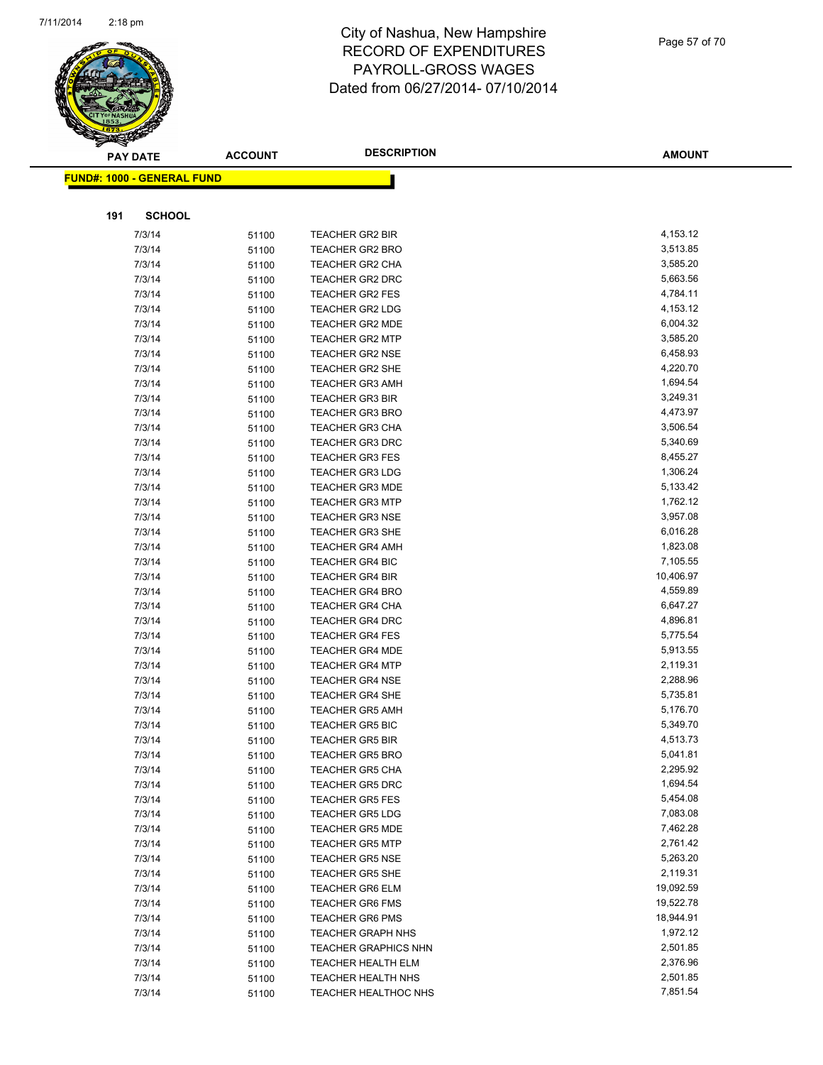

|     | <b>PAY DATE</b>                    | <b>ACCOUNT</b> | <b>DESCRIPTION</b>          | <b>AMOUNT</b> |
|-----|------------------------------------|----------------|-----------------------------|---------------|
|     | <u> FUND#: 1000 - GENERAL FUND</u> |                |                             |               |
|     |                                    |                |                             |               |
|     |                                    |                |                             |               |
| 191 | <b>SCHOOL</b>                      |                |                             |               |
|     | 7/3/14                             | 51100          | TEACHER GR2 BIR             | 4,153.12      |
|     | 7/3/14                             | 51100          | <b>TEACHER GR2 BRO</b>      | 3,513.85      |
|     | 7/3/14                             | 51100          | <b>TEACHER GR2 CHA</b>      | 3,585.20      |
|     | 7/3/14                             | 51100          | TEACHER GR2 DRC             | 5,663.56      |
|     | 7/3/14                             | 51100          | TEACHER GR2 FES             | 4,784.11      |
|     | 7/3/14                             | 51100          | <b>TEACHER GR2 LDG</b>      | 4,153.12      |
|     | 7/3/14                             | 51100          | TEACHER GR2 MDE             | 6,004.32      |
|     | 7/3/14                             | 51100          | <b>TEACHER GR2 MTP</b>      | 3,585.20      |
|     | 7/3/14                             | 51100          | <b>TEACHER GR2 NSE</b>      | 6,458.93      |
|     | 7/3/14                             | 51100          | <b>TEACHER GR2 SHE</b>      | 4,220.70      |
|     | 7/3/14                             | 51100          | <b>TEACHER GR3 AMH</b>      | 1,694.54      |
|     | 7/3/14                             | 51100          | <b>TEACHER GR3 BIR</b>      | 3,249.31      |
|     | 7/3/14                             | 51100          | <b>TEACHER GR3 BRO</b>      | 4,473.97      |
|     | 7/3/14                             | 51100          | <b>TEACHER GR3 CHA</b>      | 3,506.54      |
|     | 7/3/14                             | 51100          | <b>TEACHER GR3 DRC</b>      | 5,340.69      |
|     | 7/3/14                             | 51100          | <b>TEACHER GR3 FES</b>      | 8,455.27      |
|     | 7/3/14                             | 51100          | <b>TEACHER GR3 LDG</b>      | 1,306.24      |
|     | 7/3/14                             | 51100          | <b>TEACHER GR3 MDE</b>      | 5,133.42      |
|     | 7/3/14                             | 51100          | <b>TEACHER GR3 MTP</b>      | 1,762.12      |
|     | 7/3/14                             | 51100          | <b>TEACHER GR3 NSE</b>      | 3,957.08      |
|     | 7/3/14                             | 51100          | <b>TEACHER GR3 SHE</b>      | 6,016.28      |
|     | 7/3/14                             | 51100          | <b>TEACHER GR4 AMH</b>      | 1,823.08      |
|     | 7/3/14                             | 51100          | <b>TEACHER GR4 BIC</b>      | 7,105.55      |
|     | 7/3/14                             | 51100          | <b>TEACHER GR4 BIR</b>      | 10,406.97     |
|     | 7/3/14                             | 51100          | <b>TEACHER GR4 BRO</b>      | 4,559.89      |
|     | 7/3/14                             | 51100          | <b>TEACHER GR4 CHA</b>      | 6,647.27      |
|     | 7/3/14                             | 51100          | <b>TEACHER GR4 DRC</b>      | 4,896.81      |
|     | 7/3/14                             | 51100          | <b>TEACHER GR4 FES</b>      | 5,775.54      |
|     | 7/3/14                             | 51100          | <b>TEACHER GR4 MDE</b>      | 5,913.55      |
|     | 7/3/14                             | 51100          | <b>TEACHER GR4 MTP</b>      | 2,119.31      |
|     | 7/3/14                             | 51100          | <b>TEACHER GR4 NSE</b>      | 2,288.96      |
|     | 7/3/14                             | 51100          | <b>TEACHER GR4 SHE</b>      | 5,735.81      |
|     | 7/3/14                             | 51100          | <b>TEACHER GR5 AMH</b>      | 5,176.70      |
|     | 7/3/14                             | 51100          | <b>TEACHER GR5 BIC</b>      | 5,349.70      |
|     | 7/3/14                             | 51100          | <b>TEACHER GR5 BIR</b>      | 4,513.73      |
|     | 7/3/14                             | 51100          | <b>TEACHER GR5 BRO</b>      | 5,041.81      |
|     | 7/3/14                             | 51100          | <b>TEACHER GR5 CHA</b>      | 2,295.92      |
|     | 7/3/14                             | 51100          | <b>TEACHER GR5 DRC</b>      | 1,694.54      |
|     | 7/3/14                             | 51100          | <b>TEACHER GR5 FES</b>      | 5,454.08      |
|     | 7/3/14                             | 51100          | <b>TEACHER GR5 LDG</b>      | 7,083.08      |
|     | 7/3/14                             | 51100          | <b>TEACHER GR5 MDE</b>      | 7,462.28      |
|     | 7/3/14                             | 51100          | <b>TEACHER GR5 MTP</b>      | 2,761.42      |
|     | 7/3/14                             | 51100          | <b>TEACHER GR5 NSE</b>      | 5,263.20      |
|     | 7/3/14                             | 51100          | <b>TEACHER GR5 SHE</b>      | 2,119.31      |
|     | 7/3/14                             | 51100          | <b>TEACHER GR6 ELM</b>      | 19,092.59     |
|     | 7/3/14                             | 51100          | <b>TEACHER GR6 FMS</b>      | 19,522.78     |
|     | 7/3/14                             | 51100          | <b>TEACHER GR6 PMS</b>      | 18,944.91     |
|     | 7/3/14                             | 51100          | <b>TEACHER GRAPH NHS</b>    | 1,972.12      |
|     | 7/3/14                             | 51100          | <b>TEACHER GRAPHICS NHN</b> | 2,501.85      |
|     | 7/3/14                             | 51100          | TEACHER HEALTH ELM          | 2,376.96      |
|     | 7/3/14                             | 51100          | <b>TEACHER HEALTH NHS</b>   | 2,501.85      |
|     | 7/3/14                             | 51100          | TEACHER HEALTHOC NHS        | 7,851.54      |
|     |                                    |                |                             |               |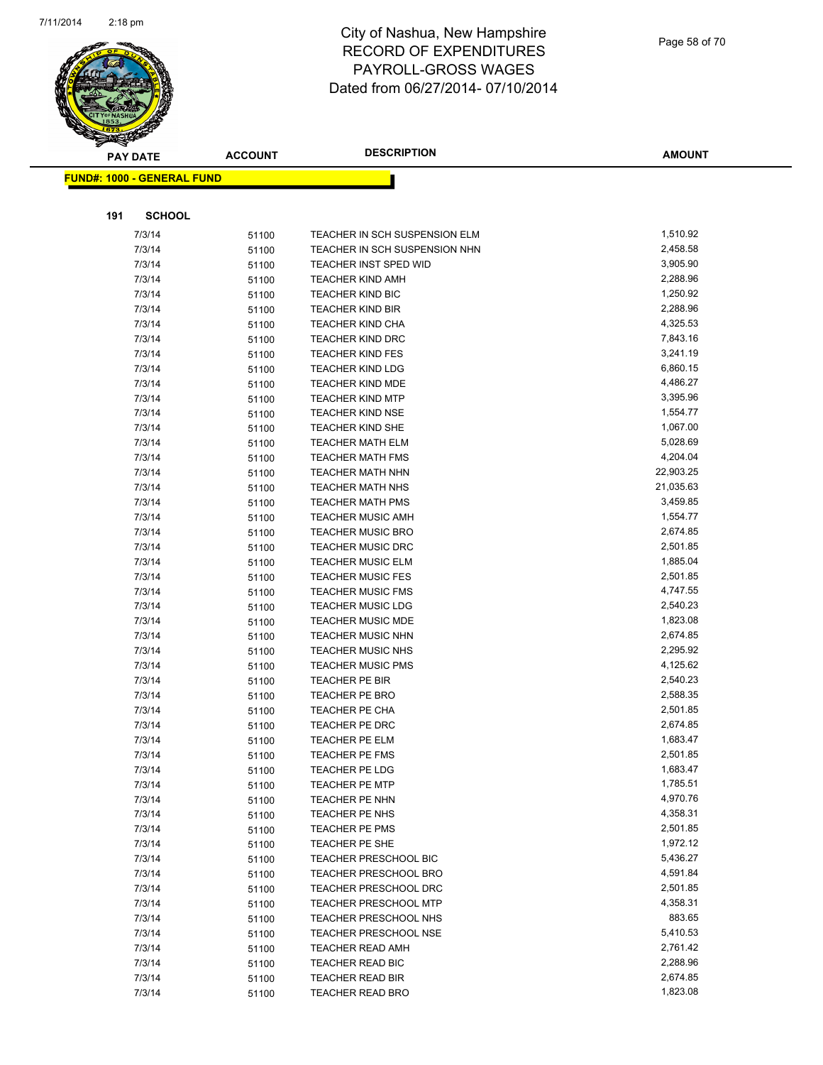

|     | <b>PAY DATE</b>                    | <b>ACCOUNT</b> | <b>DESCRIPTION</b>               | <b>AMOUNT</b>        |
|-----|------------------------------------|----------------|----------------------------------|----------------------|
|     | <u> FUND#: 1000 - GENERAL FUND</u> |                |                                  |                      |
|     |                                    |                |                                  |                      |
|     |                                    |                |                                  |                      |
| 191 | <b>SCHOOL</b>                      |                |                                  |                      |
|     | 7/3/14                             | 51100          | TEACHER IN SCH SUSPENSION ELM    | 1,510.92             |
|     | 7/3/14                             | 51100          | TEACHER IN SCH SUSPENSION NHN    | 2,458.58             |
|     | 7/3/14                             | 51100          | TEACHER INST SPED WID            | 3,905.90             |
|     | 7/3/14                             | 51100          | <b>TEACHER KIND AMH</b>          | 2,288.96             |
|     | 7/3/14                             | 51100          | TEACHER KIND BIC                 | 1,250.92             |
|     | 7/3/14                             | 51100          | <b>TEACHER KIND BIR</b>          | 2,288.96             |
|     | 7/3/14                             | 51100          | <b>TEACHER KIND CHA</b>          | 4,325.53             |
|     | 7/3/14                             | 51100          | <b>TEACHER KIND DRC</b>          | 7,843.16             |
|     | 7/3/14                             | 51100          | <b>TEACHER KIND FES</b>          | 3,241.19             |
|     | 7/3/14                             | 51100          | <b>TEACHER KIND LDG</b>          | 6,860.15             |
|     | 7/3/14                             | 51100          | <b>TEACHER KIND MDE</b>          | 4,486.27             |
|     | 7/3/14                             | 51100          | <b>TEACHER KIND MTP</b>          | 3,395.96             |
|     | 7/3/14                             | 51100          | <b>TEACHER KIND NSE</b>          | 1,554.77             |
|     | 7/3/14                             | 51100          | <b>TEACHER KIND SHE</b>          | 1,067.00             |
|     | 7/3/14                             | 51100          | <b>TEACHER MATH ELM</b>          | 5,028.69             |
|     | 7/3/14                             | 51100          | <b>TEACHER MATH FMS</b>          | 4,204.04             |
|     | 7/3/14                             | 51100          | <b>TEACHER MATH NHN</b>          | 22,903.25            |
|     | 7/3/14                             | 51100          | <b>TEACHER MATH NHS</b>          | 21,035.63            |
|     | 7/3/14                             | 51100          | <b>TEACHER MATH PMS</b>          | 3,459.85             |
|     | 7/3/14                             | 51100          | <b>TEACHER MUSIC AMH</b>         | 1,554.77             |
|     | 7/3/14                             | 51100          | <b>TEACHER MUSIC BRO</b>         | 2,674.85             |
|     | 7/3/14                             | 51100          | <b>TEACHER MUSIC DRC</b>         | 2,501.85             |
|     | 7/3/14                             | 51100          | <b>TEACHER MUSIC ELM</b>         | 1,885.04             |
|     | 7/3/14                             | 51100          | <b>TEACHER MUSIC FES</b>         | 2,501.85             |
|     | 7/3/14                             | 51100          | <b>TEACHER MUSIC FMS</b>         | 4,747.55             |
|     | 7/3/14                             | 51100          | <b>TEACHER MUSIC LDG</b>         | 2,540.23             |
|     | 7/3/14                             | 51100          | <b>TEACHER MUSIC MDE</b>         | 1,823.08             |
|     | 7/3/14                             | 51100          | <b>TEACHER MUSIC NHN</b>         | 2,674.85             |
|     | 7/3/14                             | 51100          | <b>TEACHER MUSIC NHS</b>         | 2,295.92             |
|     | 7/3/14                             | 51100          | <b>TEACHER MUSIC PMS</b>         | 4,125.62<br>2,540.23 |
|     | 7/3/14<br>7/3/14                   | 51100          | TEACHER PE BIR<br>TEACHER PE BRO | 2,588.35             |
|     | 7/3/14                             | 51100          | <b>TEACHER PE CHA</b>            | 2,501.85             |
|     | 7/3/14                             | 51100          | TEACHER PE DRC                   | 2,674.85             |
|     | 7/3/14                             | 51100          | <b>TEACHER PE ELM</b>            | 1,683.47             |
|     | 7/3/14                             | 51100          | TEACHER PE FMS                   | 2,501.85             |
|     | 7/3/14                             | 51100<br>51100 | TEACHER PE LDG                   | 1,683.47             |
|     | 7/3/14                             | 51100          | <b>TEACHER PE MTP</b>            | 1,785.51             |
|     | 7/3/14                             | 51100          | TEACHER PE NHN                   | 4,970.76             |
|     | 7/3/14                             | 51100          | TEACHER PE NHS                   | 4,358.31             |
|     | 7/3/14                             | 51100          | TEACHER PE PMS                   | 2,501.85             |
|     | 7/3/14                             | 51100          | TEACHER PE SHE                   | 1,972.12             |
|     | 7/3/14                             | 51100          | <b>TEACHER PRESCHOOL BIC</b>     | 5,436.27             |
|     | 7/3/14                             | 51100          | TEACHER PRESCHOOL BRO            | 4,591.84             |
|     | 7/3/14                             | 51100          | TEACHER PRESCHOOL DRC            | 2,501.85             |
|     | 7/3/14                             | 51100          | <b>TEACHER PRESCHOOL MTP</b>     | 4,358.31             |
|     | 7/3/14                             | 51100          | TEACHER PRESCHOOL NHS            | 883.65               |
|     | 7/3/14                             | 51100          | <b>TEACHER PRESCHOOL NSE</b>     | 5,410.53             |
|     | 7/3/14                             | 51100          | <b>TEACHER READ AMH</b>          | 2,761.42             |
|     | 7/3/14                             | 51100          | TEACHER READ BIC                 | 2,288.96             |
|     | 7/3/14                             | 51100          | <b>TEACHER READ BIR</b>          | 2,674.85             |
|     | 7/3/14                             | 51100          | <b>TEACHER READ BRO</b>          | 1,823.08             |
|     |                                    |                |                                  |                      |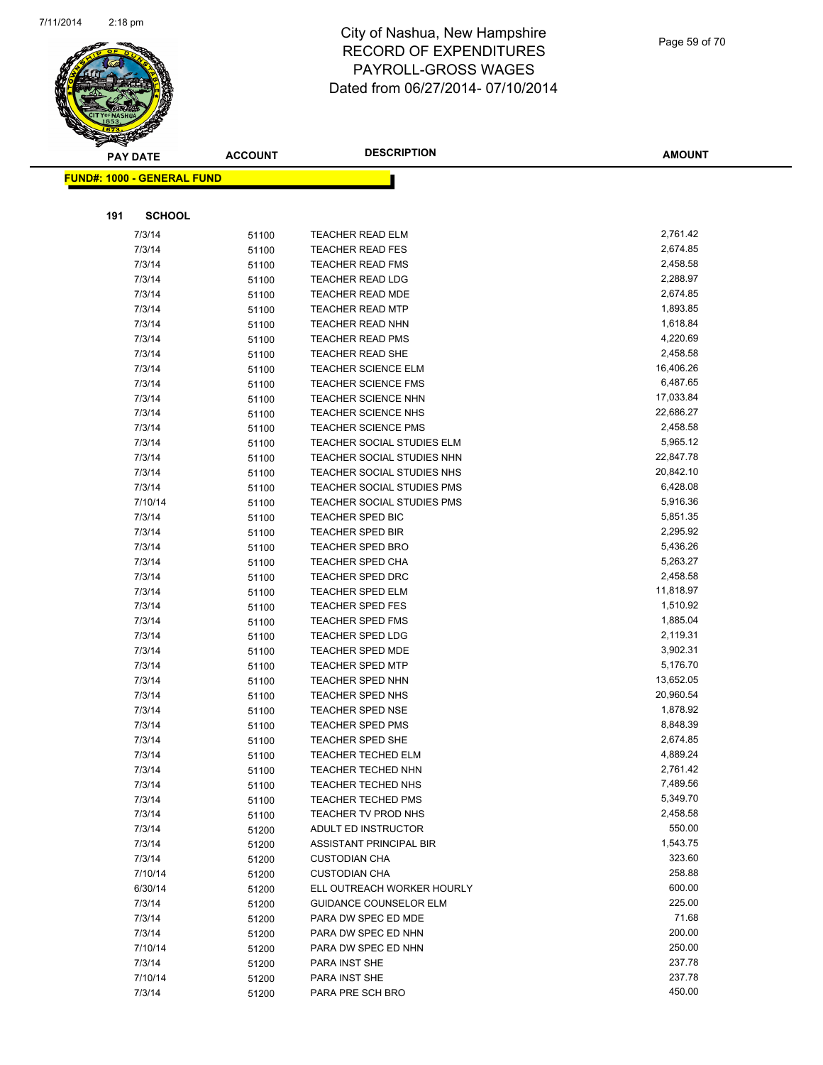

|     | <b>PAY DATE</b>                    | <b>ACCOUNT</b> | <b>DESCRIPTION</b>                   | <b>AMOUNT</b>         |
|-----|------------------------------------|----------------|--------------------------------------|-----------------------|
|     | <u> FUND#: 1000 - GENERAL FUND</u> |                |                                      |                       |
|     |                                    |                |                                      |                       |
|     |                                    |                |                                      |                       |
| 191 | <b>SCHOOL</b>                      |                |                                      |                       |
|     | 7/3/14                             | 51100          | <b>TEACHER READ ELM</b>              | 2,761.42              |
|     | 7/3/14                             | 51100          | <b>TEACHER READ FES</b>              | 2,674.85              |
|     | 7/3/14                             | 51100          | <b>TEACHER READ FMS</b>              | 2,458.58              |
|     | 7/3/14                             | 51100          | <b>TEACHER READ LDG</b>              | 2,288.97              |
|     | 7/3/14                             | 51100          | <b>TEACHER READ MDE</b>              | 2,674.85              |
|     | 7/3/14                             | 51100          | <b>TEACHER READ MTP</b>              | 1,893.85              |
|     | 7/3/14                             | 51100          | <b>TEACHER READ NHN</b>              | 1,618.84              |
|     | 7/3/14                             | 51100          | <b>TEACHER READ PMS</b>              | 4,220.69              |
|     | 7/3/14                             | 51100          | <b>TEACHER READ SHE</b>              | 2,458.58              |
|     | 7/3/14                             | 51100          | <b>TEACHER SCIENCE ELM</b>           | 16,406.26             |
|     | 7/3/14                             | 51100          | <b>TEACHER SCIENCE FMS</b>           | 6,487.65              |
|     | 7/3/14                             | 51100          | <b>TEACHER SCIENCE NHN</b>           | 17,033.84             |
|     | 7/3/14                             | 51100          | <b>TEACHER SCIENCE NHS</b>           | 22,686.27             |
|     | 7/3/14                             | 51100          | <b>TEACHER SCIENCE PMS</b>           | 2,458.58              |
|     | 7/3/14                             | 51100          | TEACHER SOCIAL STUDIES ELM           | 5,965.12              |
|     | 7/3/14                             | 51100          | TEACHER SOCIAL STUDIES NHN           | 22,847.78             |
|     | 7/3/14                             | 51100          | TEACHER SOCIAL STUDIES NHS           | 20,842.10             |
|     | 7/3/14                             | 51100          | TEACHER SOCIAL STUDIES PMS           | 6,428.08              |
|     | 7/10/14                            | 51100          | <b>TEACHER SOCIAL STUDIES PMS</b>    | 5,916.36              |
|     | 7/3/14                             | 51100          | TEACHER SPED BIC                     | 5,851.35              |
|     | 7/3/14                             | 51100          | <b>TEACHER SPED BIR</b>              | 2,295.92              |
|     | 7/3/14                             | 51100          | <b>TEACHER SPED BRO</b>              | 5,436.26<br>5,263.27  |
|     | 7/3/14                             | 51100          | <b>TEACHER SPED CHA</b>              |                       |
|     | 7/3/14                             | 51100          | <b>TEACHER SPED DRC</b>              | 2,458.58<br>11,818.97 |
|     | 7/3/14<br>7/3/14                   | 51100          | TEACHER SPED ELM<br>TEACHER SPED FES | 1,510.92              |
|     | 7/3/14                             | 51100          | <b>TEACHER SPED FMS</b>              | 1,885.04              |
|     | 7/3/14                             | 51100          | <b>TEACHER SPED LDG</b>              | 2,119.31              |
|     | 7/3/14                             | 51100<br>51100 | TEACHER SPED MDE                     | 3,902.31              |
|     | 7/3/14                             | 51100          | <b>TEACHER SPED MTP</b>              | 5,176.70              |
|     | 7/3/14                             | 51100          | <b>TEACHER SPED NHN</b>              | 13,652.05             |
|     | 7/3/14                             | 51100          | <b>TEACHER SPED NHS</b>              | 20,960.54             |
|     | 7/3/14                             | 51100          | <b>TEACHER SPED NSE</b>              | 1,878.92              |
|     | 7/3/14                             | 51100          | <b>TEACHER SPED PMS</b>              | 8,848.39              |
|     | 7/3/14                             | 51100          | <b>TEACHER SPED SHE</b>              | 2,674.85              |
|     | 7/3/14                             | 51100          | TEACHER TECHED ELM                   | 4,889.24              |
|     | 7/3/14                             | 51100          | <b>TEACHER TECHED NHN</b>            | 2,761.42              |
|     | 7/3/14                             | 51100          | <b>TEACHER TECHED NHS</b>            | 7,489.56              |
|     | 7/3/14                             | 51100          | <b>TEACHER TECHED PMS</b>            | 5,349.70              |
|     | 7/3/14                             | 51100          | TEACHER TV PROD NHS                  | 2,458.58              |
|     | 7/3/14                             | 51200          | ADULT ED INSTRUCTOR                  | 550.00                |
|     | 7/3/14                             | 51200          | ASSISTANT PRINCIPAL BIR              | 1,543.75              |
|     | 7/3/14                             | 51200          | <b>CUSTODIAN CHA</b>                 | 323.60                |
|     | 7/10/14                            | 51200          | <b>CUSTODIAN CHA</b>                 | 258.88                |
|     | 6/30/14                            | 51200          | ELL OUTREACH WORKER HOURLY           | 600.00                |
|     | 7/3/14                             | 51200          | <b>GUIDANCE COUNSELOR ELM</b>        | 225.00                |
|     | 7/3/14                             | 51200          | PARA DW SPEC ED MDE                  | 71.68                 |
|     | 7/3/14                             | 51200          | PARA DW SPEC ED NHN                  | 200.00                |
|     | 7/10/14                            | 51200          | PARA DW SPEC ED NHN                  | 250.00                |
|     | 7/3/14                             | 51200          | PARA INST SHE                        | 237.78                |
|     | 7/10/14                            | 51200          | PARA INST SHE                        | 237.78                |
|     | 7/3/14                             | 51200          | PARA PRE SCH BRO                     | 450.00                |
|     |                                    |                |                                      |                       |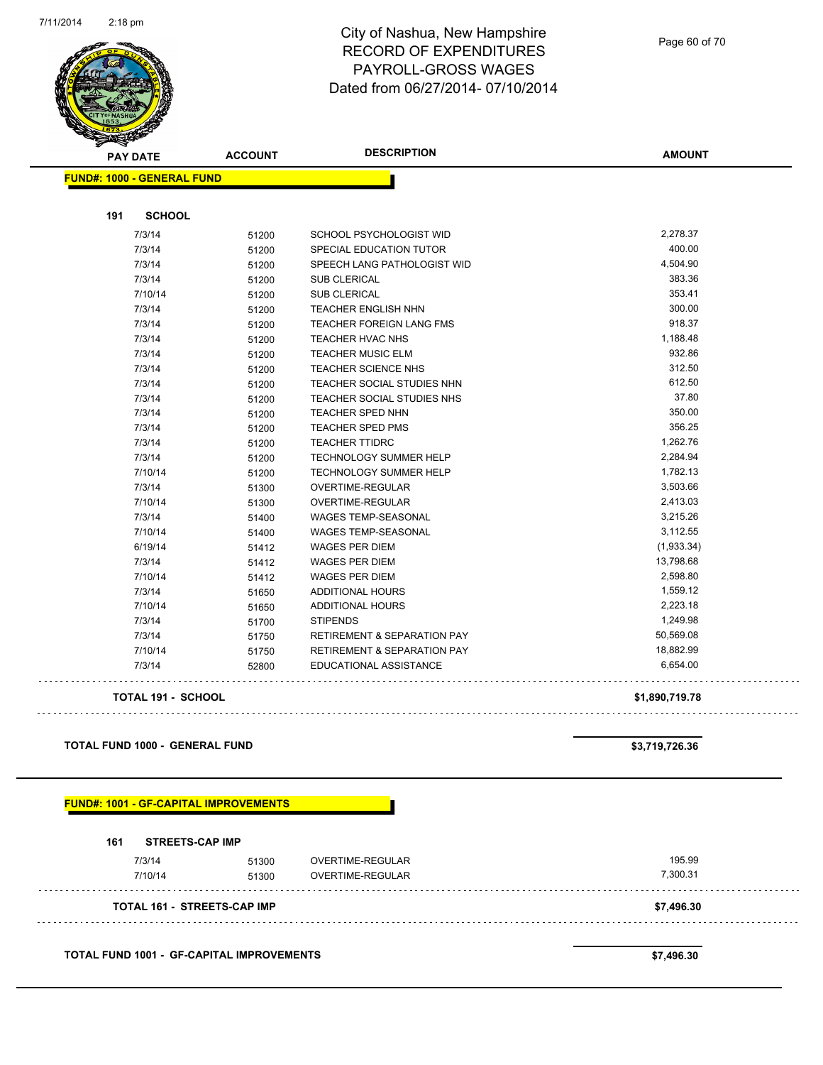

Page 60 of 70

|     | <b>PAY DATE</b>                       | <b>ACCOUNT</b>                                | <b>DESCRIPTION</b>                                     | <b>AMOUNT</b>    |
|-----|---------------------------------------|-----------------------------------------------|--------------------------------------------------------|------------------|
|     | <b>FUND#: 1000 - GENERAL FUND</b>     |                                               |                                                        |                  |
|     |                                       |                                               |                                                        |                  |
| 191 | <b>SCHOOL</b>                         |                                               |                                                        | 2,278.37         |
|     | 7/3/14                                | 51200                                         | SCHOOL PSYCHOLOGIST WID                                | 400.00           |
|     | 7/3/14                                | 51200                                         | SPECIAL EDUCATION TUTOR                                |                  |
|     | 7/3/14                                | 51200                                         | SPEECH LANG PATHOLOGIST WID                            | 4,504.90         |
|     | 7/3/14                                | 51200                                         | <b>SUB CLERICAL</b>                                    | 383.36<br>353.41 |
|     | 7/10/14                               | 51200                                         | <b>SUB CLERICAL</b>                                    |                  |
|     | 7/3/14                                | 51200                                         | TEACHER ENGLISH NHN                                    | 300.00<br>918.37 |
|     | 7/3/14                                | 51200                                         | TEACHER FOREIGN LANG FMS                               | 1,188.48         |
|     | 7/3/14                                | 51200                                         | TEACHER HVAC NHS                                       | 932.86           |
|     | 7/3/14<br>7/3/14                      | 51200                                         | <b>TEACHER MUSIC ELM</b><br><b>TEACHER SCIENCE NHS</b> | 312.50           |
|     | 7/3/14                                | 51200<br>51200                                | TEACHER SOCIAL STUDIES NHN                             | 612.50           |
|     | 7/3/14                                |                                               | TEACHER SOCIAL STUDIES NHS                             | 37.80            |
|     | 7/3/14                                | 51200<br>51200                                | TEACHER SPED NHN                                       | 350.00           |
|     | 7/3/14                                | 51200                                         | <b>TEACHER SPED PMS</b>                                | 356.25           |
|     | 7/3/14                                | 51200                                         | <b>TEACHER TTIDRC</b>                                  | 1,262.76         |
|     | 7/3/14                                | 51200                                         | TECHNOLOGY SUMMER HELP                                 | 2,284.94         |
|     | 7/10/14                               | 51200                                         | TECHNOLOGY SUMMER HELP                                 | 1,782.13         |
|     | 7/3/14                                | 51300                                         | OVERTIME-REGULAR                                       | 3,503.66         |
|     | 7/10/14                               | 51300                                         | OVERTIME-REGULAR                                       | 2,413.03         |
|     | 7/3/14                                | 51400                                         | <b>WAGES TEMP-SEASONAL</b>                             | 3,215.26         |
|     | 7/10/14                               | 51400                                         | WAGES TEMP-SEASONAL                                    | 3,112.55         |
|     | 6/19/14                               | 51412                                         | <b>WAGES PER DIEM</b>                                  | (1,933.34)       |
|     | 7/3/14                                | 51412                                         | <b>WAGES PER DIEM</b>                                  | 13,798.68        |
|     | 7/10/14                               | 51412                                         | <b>WAGES PER DIEM</b>                                  | 2,598.80         |
|     | 7/3/14                                | 51650                                         | <b>ADDITIONAL HOURS</b>                                | 1,559.12         |
|     | 7/10/14                               | 51650                                         | ADDITIONAL HOURS                                       | 2,223.18         |
|     | 7/3/14                                | 51700                                         | <b>STIPENDS</b>                                        | 1,249.98         |
|     | 7/3/14                                | 51750                                         | <b>RETIREMENT &amp; SEPARATION PAY</b>                 | 50,569.08        |
|     | 7/10/14                               | 51750                                         | <b>RETIREMENT &amp; SEPARATION PAY</b>                 | 18,882.99        |
|     | 7/3/14                                | 52800                                         | EDUCATIONAL ASSISTANCE                                 | 6,654.00         |
|     | <b>TOTAL 191 - SCHOOL</b>             |                                               |                                                        | \$1,890,719.78   |
|     |                                       |                                               |                                                        |                  |
|     | <b>TOTAL FUND 1000 - GENERAL FUND</b> |                                               |                                                        | \$3,719,726.36   |
|     |                                       | <u> FUND#: 1001 - GF-CAPITAL IMPROVEMENTS</u> |                                                        |                  |
|     |                                       |                                               |                                                        |                  |
| 161 | <b>STREETS-CAP IMP</b>                |                                               |                                                        |                  |
|     | 7/3/14                                | 51300                                         | OVERTIME-REGULAR                                       | 195.99           |
|     | 7/10/14                               | 51300                                         | OVERTIME-REGULAR                                       | 7,300.31         |
|     |                                       |                                               |                                                        |                  |

**TOTAL FUND 1001 - GF-CAPITAL IMPROVEMENTS \$7,496.30**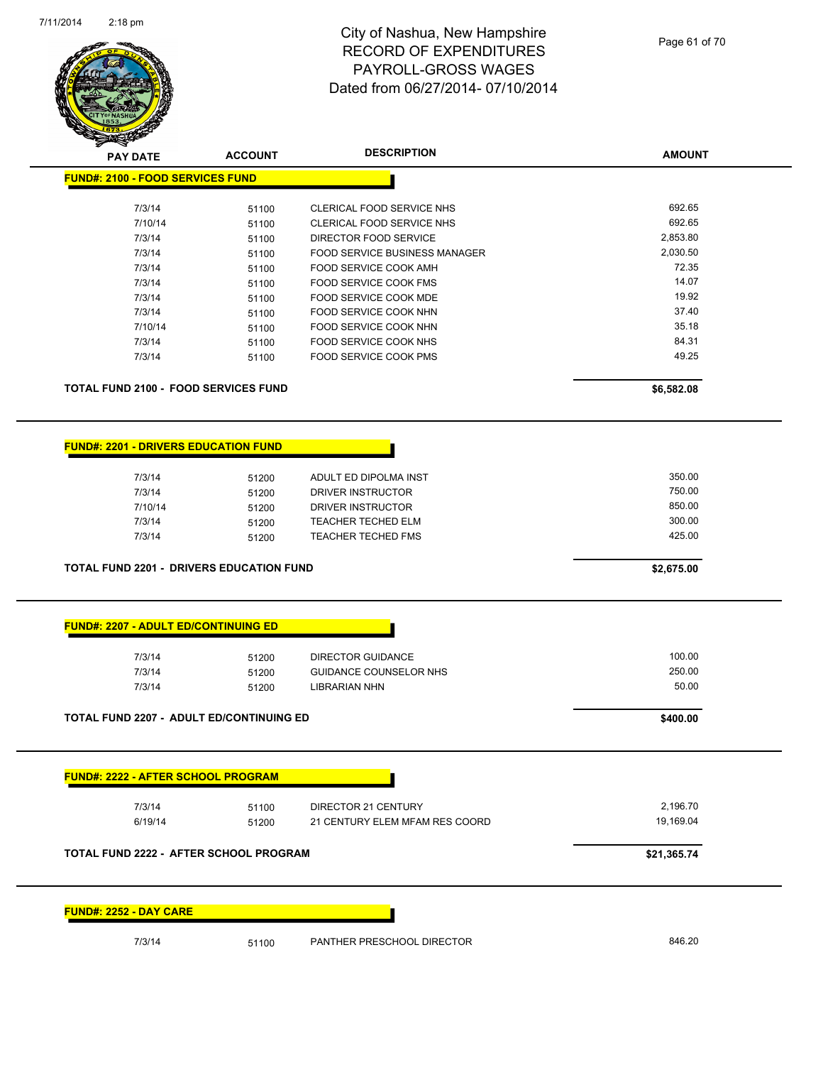

| <b>PAY DATE</b>                                 | <b>ACCOUNT</b> | <b>DESCRIPTION</b>                     | <b>AMOUNT</b> |
|-------------------------------------------------|----------------|----------------------------------------|---------------|
| <b>FUND#: 2100 - FOOD SERVICES FUND</b>         |                |                                        |               |
|                                                 |                |                                        |               |
| 7/3/14                                          | 51100          | CLERICAL FOOD SERVICE NHS              | 692.65        |
| 7/10/14                                         | 51100          | CLERICAL FOOD SERVICE NHS              | 692.65        |
| 7/3/14                                          | 51100          | DIRECTOR FOOD SERVICE                  | 2,853.80      |
| 7/3/14                                          | 51100          | FOOD SERVICE BUSINESS MANAGER          | 2,030.50      |
| 7/3/14                                          | 51100          | FOOD SERVICE COOK AMH                  | 72.35         |
| 7/3/14                                          | 51100          | FOOD SERVICE COOK FMS                  | 14.07         |
| 7/3/14                                          | 51100          | FOOD SERVICE COOK MDE                  | 19.92         |
| 7/3/14                                          | 51100          | FOOD SERVICE COOK NHN                  | 37.40         |
| 7/10/14                                         | 51100          | FOOD SERVICE COOK NHN                  | 35.18         |
| 7/3/14                                          | 51100          | FOOD SERVICE COOK NHS                  | 84.31         |
| 7/3/14                                          | 51100          | FOOD SERVICE COOK PMS                  | 49.25         |
|                                                 |                |                                        |               |
| <b>TOTAL FUND 2100 - FOOD SERVICES FUND</b>     |                |                                        | \$6,582.08    |
| <b>FUND#: 2201 - DRIVERS EDUCATION FUND</b>     |                |                                        |               |
| 7/3/14                                          |                | ADULT ED DIPOLMA INST                  | 350.00        |
|                                                 | 51200          |                                        | 750.00        |
| 7/3/14                                          | 51200          | DRIVER INSTRUCTOR<br>DRIVER INSTRUCTOR | 850.00        |
| 7/10/14                                         | 51200          |                                        | 300.00        |
| 7/3/14                                          | 51200          | <b>TEACHER TECHED ELM</b>              | 425.00        |
| 7/3/14                                          | 51200          | <b>TEACHER TECHED FMS</b>              |               |
| <b>TOTAL FUND 2201 - DRIVERS EDUCATION FUND</b> |                |                                        | \$2,675.00    |
| <b>FUND#: 2207 - ADULT ED/CONTINUING ED</b>     |                |                                        |               |
| 7/3/14                                          | 51200          | <b>DIRECTOR GUIDANCE</b>               | 100.00        |
| 7/3/14                                          | 51200          | <b>GUIDANCE COUNSELOR NHS</b>          | 250.00        |
| 7/3/14                                          | 51200          | <b>LIBRARIAN NHN</b>                   | 50.00         |
| TOTAL FUND 2207 - ADULT ED/CONTINUING ED        |                |                                        | \$400.00      |
|                                                 |                |                                        |               |
| <b>FUND#: 2222 - AFTER SCHOOL PROGRAM</b>       |                |                                        |               |
| 7/3/14                                          | 51100          | DIRECTOR 21 CENTURY                    | 2,196.70      |
| 6/19/14                                         | 51200          | 21 CENTURY ELEM MFAM RES COORD         | 19,169.04     |
|                                                 |                |                                        |               |
| <b>TOTAL FUND 2222 - AFTER SCHOOL PROGRAM</b>   |                |                                        | \$21,365.74   |
| <b>FUND#: 2252 - DAY CARE</b>                   |                |                                        |               |
|                                                 |                |                                        |               |
| 7/3/14                                          | 51100          | PANTHER PRESCHOOL DIRECTOR             | 846.20        |
|                                                 |                |                                        |               |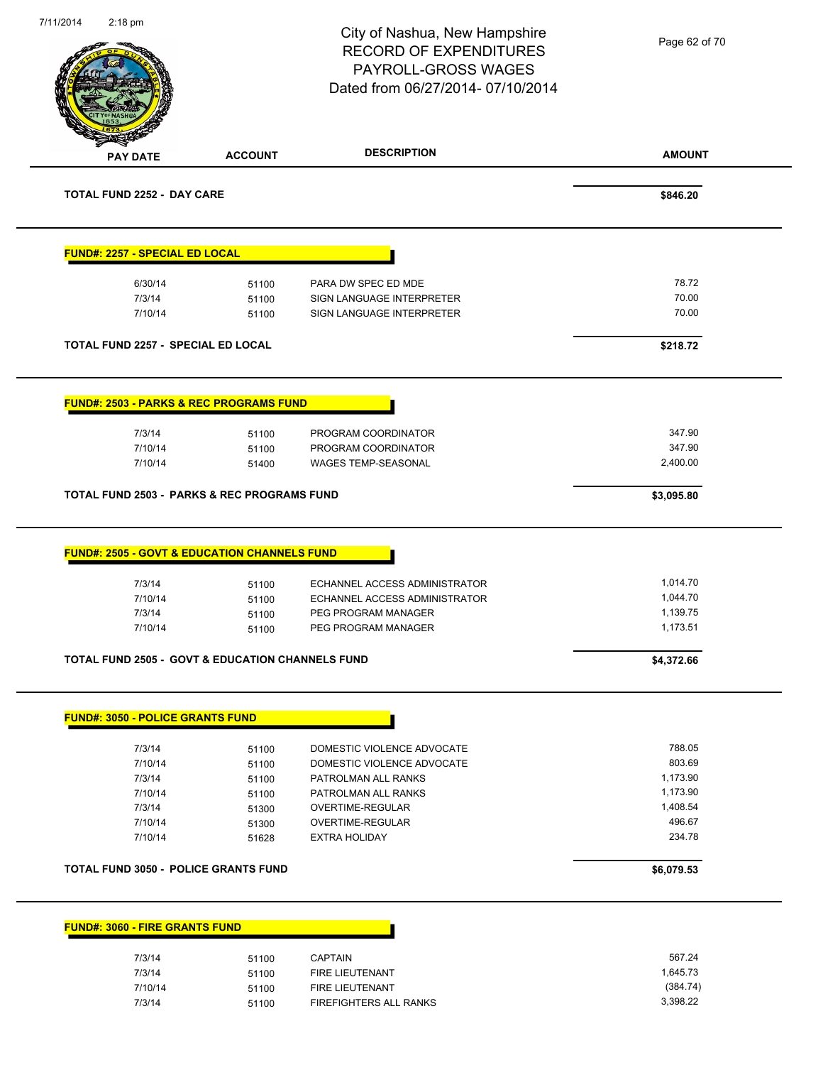| 7/11/2014<br>2:18 pm                      |                                                                                    | City of Nashua, New Hampshire<br><b>RECORD OF EXPENDITURES</b><br>PAYROLL-GROSS WAGES<br>Dated from 06/27/2014-07/10/2014 | Page 62 of 70                    |
|-------------------------------------------|------------------------------------------------------------------------------------|---------------------------------------------------------------------------------------------------------------------------|----------------------------------|
| <b>PAY DATE</b>                           | <b>ACCOUNT</b>                                                                     | <b>DESCRIPTION</b>                                                                                                        | <b>AMOUNT</b>                    |
| <b>TOTAL FUND 2252 - DAY CARE</b>         |                                                                                    |                                                                                                                           | \$846.20                         |
| <b>FUND#: 2257 - SPECIAL ED LOCAL</b>     |                                                                                    |                                                                                                                           |                                  |
| 6/30/14                                   | 51100                                                                              | PARA DW SPEC ED MDE                                                                                                       | 78.72                            |
| 7/3/14                                    | 51100                                                                              | SIGN LANGUAGE INTERPRETER                                                                                                 | 70.00                            |
| 7/10/14                                   | 51100                                                                              | SIGN LANGUAGE INTERPRETER                                                                                                 | 70.00                            |
| <b>TOTAL FUND 2257 - SPECIAL ED LOCAL</b> |                                                                                    |                                                                                                                           | \$218.72                         |
|                                           | <b>FUND#: 2503 - PARKS &amp; REC PROGRAMS FUND</b>                                 |                                                                                                                           |                                  |
| 7/3/14                                    | 51100                                                                              | PROGRAM COORDINATOR                                                                                                       | 347.90                           |
| 7/10/14                                   | 51100                                                                              | PROGRAM COORDINATOR                                                                                                       | 347.90                           |
| 7/10/14                                   | 51400                                                                              | WAGES TEMP-SEASONAL                                                                                                       | 2,400.00                         |
|                                           | <b>TOTAL FUND 2503 - PARKS &amp; REC PROGRAMS FUND</b>                             |                                                                                                                           | \$3,095.80                       |
| 7/3/14<br>7/10/14<br>7/3/14               | <b>FUND#: 2505 - GOVT &amp; EDUCATION CHANNELS FUND</b><br>51100<br>51100<br>51100 | ECHANNEL ACCESS ADMINISTRATOR<br>ECHANNEL ACCESS ADMINISTRATOR<br>PEG PROGRAM MANAGER                                     | 1,014.70<br>1,044.70<br>1,139.75 |
| 7/10/14                                   | 51100                                                                              | PEG PROGRAM MANAGER                                                                                                       | 1,173.51                         |
|                                           | <b>TOTAL FUND 2505 - GOVT &amp; EDUCATION CHANNELS FUND</b>                        |                                                                                                                           | \$4,372.66                       |
| <b>FUND#: 3050 - POLICE GRANTS FUND</b>   |                                                                                    |                                                                                                                           |                                  |
| 7/3/14                                    | 51100                                                                              | DOMESTIC VIOLENCE ADVOCATE                                                                                                | 788.05                           |
| 7/10/14                                   | 51100                                                                              | DOMESTIC VIOLENCE ADVOCATE                                                                                                | 803.69                           |
| 7/3/14                                    | 51100                                                                              | PATROLMAN ALL RANKS                                                                                                       | 1,173.90                         |
| 7/10/14                                   | 51100                                                                              | PATROLMAN ALL RANKS                                                                                                       | 1,173.90                         |
| 7/3/14                                    | 51300                                                                              | OVERTIME-REGULAR                                                                                                          | 1,408.54                         |
| 7/10/14<br>7/10/14                        | 51300<br>51628                                                                     | OVERTIME-REGULAR<br><b>EXTRA HOLIDAY</b>                                                                                  | 496.67<br>234.78                 |
|                                           |                                                                                    |                                                                                                                           |                                  |
|                                           | <b>TOTAL FUND 3050 - POLICE GRANTS FUND</b>                                        |                                                                                                                           | \$6,079.53                       |
| <b>FUND#: 3060 - FIRE GRANTS FUND</b>     |                                                                                    |                                                                                                                           |                                  |
| 7/3/14                                    | 51100                                                                              | <b>CAPTAIN</b>                                                                                                            | 567.24                           |
| 7/3/14                                    | 51100                                                                              | FIRE LIEUTENANT                                                                                                           | 1,645.73                         |
| 7/10/14                                   | 51100                                                                              | FIRE LIEUTENANT                                                                                                           | (384.74)                         |
| 7/3/14                                    | 51100                                                                              | FIREFIGHTERS ALL RANKS                                                                                                    | 3,398.22                         |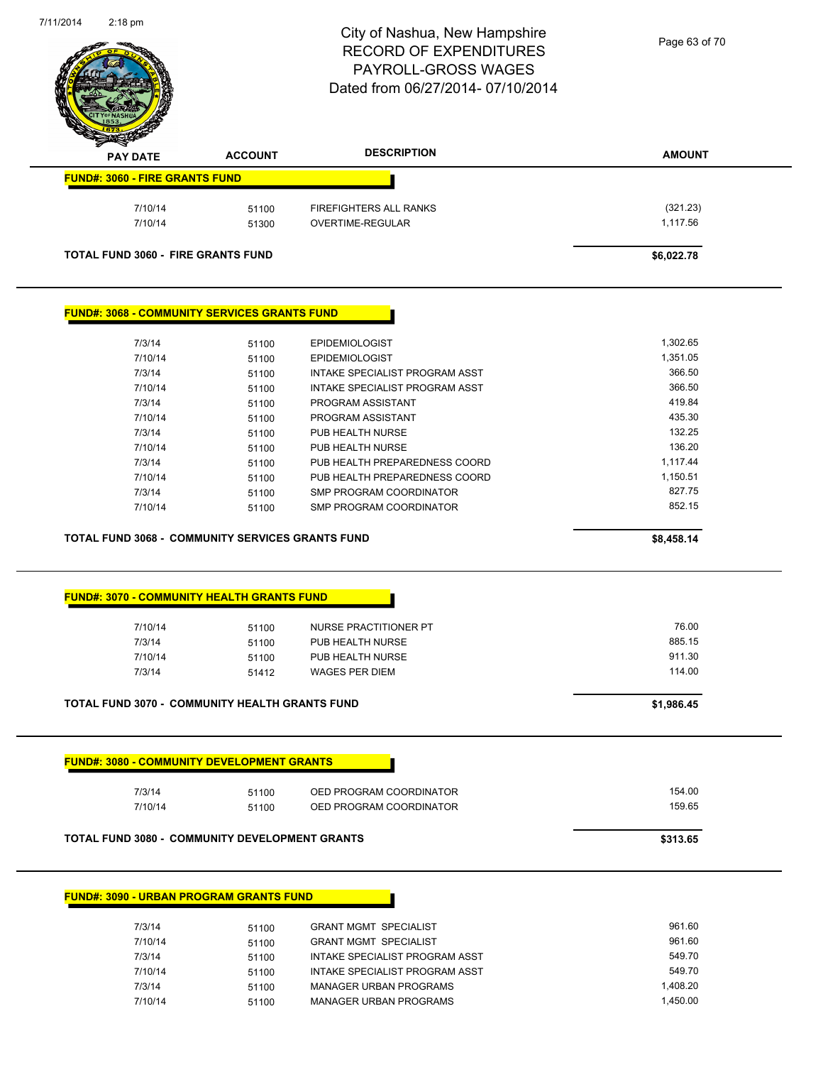

Page 63 of 70

| <b>PAY DATE</b>                                                                                                                                                                                                                                                                                                                          | <b>ACCOUNT</b> | <b>DESCRIPTION</b>                                             | <b>AMOUNT</b>    |
|------------------------------------------------------------------------------------------------------------------------------------------------------------------------------------------------------------------------------------------------------------------------------------------------------------------------------------------|----------------|----------------------------------------------------------------|------------------|
| <b>FUND#: 3060 - FIRE GRANTS FUND</b>                                                                                                                                                                                                                                                                                                    |                |                                                                |                  |
| 7/10/14                                                                                                                                                                                                                                                                                                                                  | 51100          | FIREFIGHTERS ALL RANKS                                         | (321.23)         |
| 7/10/14                                                                                                                                                                                                                                                                                                                                  | 51300          | OVERTIME-REGULAR                                               | 1,117.56         |
| <b>TOTAL FUND 3060 - FIRE GRANTS FUND</b>                                                                                                                                                                                                                                                                                                |                |                                                                | \$6,022.78       |
|                                                                                                                                                                                                                                                                                                                                          |                |                                                                |                  |
| <b>FUND#: 3068 - COMMUNITY SERVICES GRANTS FUND</b>                                                                                                                                                                                                                                                                                      |                |                                                                |                  |
| 7/3/14                                                                                                                                                                                                                                                                                                                                   | 51100          | <b>EPIDEMIOLOGIST</b>                                          | 1,302.65         |
| 7/10/14                                                                                                                                                                                                                                                                                                                                  | 51100          | <b>EPIDEMIOLOGIST</b>                                          | 1,351.05         |
| 7/3/14                                                                                                                                                                                                                                                                                                                                   | 51100          | INTAKE SPECIALIST PROGRAM ASST                                 | 366.50           |
| 7/10/14                                                                                                                                                                                                                                                                                                                                  | 51100          | INTAKE SPECIALIST PROGRAM ASST                                 | 366.50           |
| 7/3/14                                                                                                                                                                                                                                                                                                                                   | 51100          | PROGRAM ASSISTANT                                              | 419.84           |
| 7/10/14                                                                                                                                                                                                                                                                                                                                  | 51100          | PROGRAM ASSISTANT                                              | 435.30           |
| 7/3/14                                                                                                                                                                                                                                                                                                                                   | 51100          | PUB HEALTH NURSE                                               | 132.25           |
| 7/10/14                                                                                                                                                                                                                                                                                                                                  | 51100          | PUB HEALTH NURSE                                               | 136.20           |
| 7/3/14                                                                                                                                                                                                                                                                                                                                   | 51100          | PUB HEALTH PREPAREDNESS COORD                                  | 1,117.44         |
| 7/10/14                                                                                                                                                                                                                                                                                                                                  | 51100          | PUB HEALTH PREPAREDNESS COORD                                  | 1,150.51         |
| 7/3/14                                                                                                                                                                                                                                                                                                                                   | 51100          | SMP PROGRAM COORDINATOR                                        | 827.75           |
| 7/10/14                                                                                                                                                                                                                                                                                                                                  | 51100          | <b>SMP PROGRAM COORDINATOR</b>                                 | 852.15           |
|                                                                                                                                                                                                                                                                                                                                          |                |                                                                |                  |
|                                                                                                                                                                                                                                                                                                                                          |                |                                                                |                  |
|                                                                                                                                                                                                                                                                                                                                          |                |                                                                | \$8,458.14       |
|                                                                                                                                                                                                                                                                                                                                          |                |                                                                |                  |
|                                                                                                                                                                                                                                                                                                                                          |                |                                                                |                  |
|                                                                                                                                                                                                                                                                                                                                          |                |                                                                |                  |
|                                                                                                                                                                                                                                                                                                                                          |                |                                                                | 76.00            |
| 7/10/14                                                                                                                                                                                                                                                                                                                                  | 51100          | NURSE PRACTITIONER PT                                          |                  |
| 7/3/14                                                                                                                                                                                                                                                                                                                                   | 51100          | PUB HEALTH NURSE                                               | 885.15           |
| 7/10/14<br>7/3/14                                                                                                                                                                                                                                                                                                                        | 51100<br>51412 | PUB HEALTH NURSE<br><b>WAGES PER DIEM</b>                      | 911.30<br>114.00 |
|                                                                                                                                                                                                                                                                                                                                          |                |                                                                |                  |
|                                                                                                                                                                                                                                                                                                                                          |                |                                                                | \$1,986.45       |
|                                                                                                                                                                                                                                                                                                                                          |                |                                                                |                  |
|                                                                                                                                                                                                                                                                                                                                          |                |                                                                |                  |
| 7/3/14<br>7/10/14                                                                                                                                                                                                                                                                                                                        | 51100<br>51100 | OED PROGRAM COORDINATOR<br>OED PROGRAM COORDINATOR             | 154.00<br>159.65 |
|                                                                                                                                                                                                                                                                                                                                          |                |                                                                |                  |
|                                                                                                                                                                                                                                                                                                                                          |                |                                                                | \$313.65         |
|                                                                                                                                                                                                                                                                                                                                          |                |                                                                |                  |
|                                                                                                                                                                                                                                                                                                                                          |                |                                                                |                  |
| <b>TOTAL FUND 3068 - COMMUNITY SERVICES GRANTS FUND</b><br><b>FUND#: 3070 - COMMUNITY HEALTH GRANTS FUND</b><br><b>TOTAL FUND 3070 - COMMUNITY HEALTH GRANTS FUND</b><br><b>FUND#: 3080 - COMMUNITY DEVELOPMENT GRANTS</b><br>TOTAL FUND 3080 - COMMUNITY DEVELOPMENT GRANTS<br><b>FUND#: 3090 - URBAN PROGRAM GRANTS FUND</b><br>7/3/14 | 51100          | <b>GRANT MGMT SPECIALIST</b>                                   | 961.60           |
| 7/10/14<br>7/3/14                                                                                                                                                                                                                                                                                                                        | 51100<br>51100 | <b>GRANT MGMT SPECIALIST</b><br>INTAKE SPECIALIST PROGRAM ASST | 961.60<br>549.70 |

7/3/14 51100 MANAGER URBAN PROGRAMS 1,408.20 7/10/14 51100 MANAGER URBAN PROGRAMS 1,450.00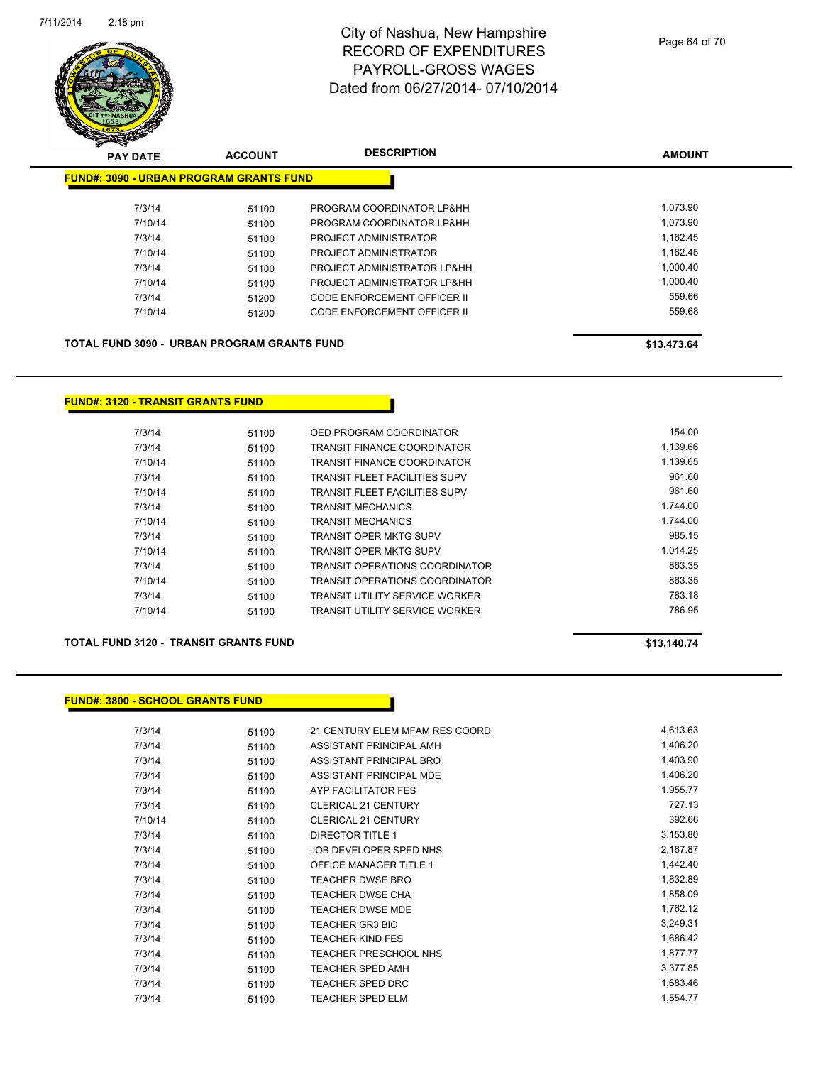

| <b>PAY DATE</b>                                    | <b>ACCOUNT</b> | <b>DESCRIPTION</b>                 | <b>AMOUNT</b> |
|----------------------------------------------------|----------------|------------------------------------|---------------|
| <b>FUND#: 3090 - URBAN PROGRAM GRANTS FUND</b>     |                |                                    |               |
| 7/3/14                                             | 51100          | PROGRAM COORDINATOR LP&HH          | 1,073.90      |
| 7/10/14                                            | 51100          | PROGRAM COORDINATOR LP&HH          | 1.073.90      |
| 7/3/14                                             | 51100          | PROJECT ADMINISTRATOR              | 1,162.45      |
| 7/10/14                                            | 51100          | PROJECT ADMINISTRATOR              | 1,162.45      |
| 7/3/14                                             | 51100          | PROJECT ADMINISTRATOR LP&HH        | 1.000.40      |
| 7/10/14                                            | 51100          | PROJECT ADMINISTRATOR LP&HH        | 1,000.40      |
| 7/3/14                                             | 51200          | CODE ENFORCEMENT OFFICER II        | 559.66        |
| 7/10/14                                            | 51200          | <b>CODE ENFORCEMENT OFFICER II</b> | 559.68        |
| <b>TOTAL FUND 3090 - URBAN PROGRAM GRANTS FUND</b> |                | \$13,473.64                        |               |

#### **FUND#: 3120 - TRANSIT GRANTS FUND**

| 7/3/14  | 51100 | OED PROGRAM COORDINATOR               | 154.00   |
|---------|-------|---------------------------------------|----------|
| 7/3/14  | 51100 | <b>TRANSIT FINANCE COORDINATOR</b>    | 1.139.66 |
| 7/10/14 | 51100 | TRANSIT FINANCE COORDINATOR           | 1,139.65 |
| 7/3/14  | 51100 | <b>TRANSIT FLEET FACILITIES SUPV</b>  | 961.60   |
| 7/10/14 | 51100 | <b>TRANSIT FLEET FACILITIES SUPV</b>  | 961.60   |
| 7/3/14  | 51100 | <b>TRANSIT MECHANICS</b>              | 1.744.00 |
| 7/10/14 | 51100 | <b>TRANSIT MECHANICS</b>              | 1.744.00 |
| 7/3/14  | 51100 | TRANSIT OPER MKTG SUPV                | 985.15   |
| 7/10/14 | 51100 | <b>TRANSIT OPER MKTG SUPV</b>         | 1.014.25 |
| 7/3/14  | 51100 | <b>TRANSIT OPERATIONS COORDINATOR</b> | 863.35   |
| 7/10/14 | 51100 | <b>TRANSIT OPERATIONS COORDINATOR</b> | 863.35   |
| 7/3/14  | 51100 | TRANSIT UTILITY SERVICE WORKER        | 783.18   |
| 7/10/14 | 51100 | TRANSIT UTILITY SERVICE WORKER        | 786.95   |

#### **TOTAL FUND 3120 - TRANSIT GRANTS FUND \$13,140.74**

**FUND#: 3800 - SCHOOL GRANTS FUND**

| 7/3/14  | 51100 | 21 CENTURY ELEM MFAM RES COORD | 4,613.63 |
|---------|-------|--------------------------------|----------|
| 7/3/14  | 51100 | ASSISTANT PRINCIPAL AMH        | 1,406.20 |
| 7/3/14  | 51100 | ASSISTANT PRINCIPAL BRO        | 1,403.90 |
| 7/3/14  | 51100 | ASSISTANT PRINCIPAL MDE        | 1,406.20 |
| 7/3/14  | 51100 | AYP FACILITATOR FES            | 1,955.77 |
| 7/3/14  | 51100 | <b>CLERICAL 21 CENTURY</b>     | 727.13   |
| 7/10/14 | 51100 | <b>CLERICAL 21 CENTURY</b>     | 392.66   |
| 7/3/14  | 51100 | <b>DIRECTOR TITLE 1</b>        | 3,153.80 |
| 7/3/14  | 51100 | JOB DEVELOPER SPED NHS         | 2,167.87 |
| 7/3/14  | 51100 | <b>OFFICE MANAGER TITLE 1</b>  | 1,442.40 |
| 7/3/14  | 51100 | <b>TEACHER DWSE BRO</b>        | 1,832.89 |
| 7/3/14  | 51100 | TEACHER DWSE CHA               | 1,858.09 |
| 7/3/14  | 51100 | <b>TEACHER DWSE MDE</b>        | 1,762.12 |
| 7/3/14  | 51100 | <b>TEACHER GR3 BIC</b>         | 3,249.31 |
| 7/3/14  | 51100 | <b>TEACHER KIND FES</b>        | 1,686.42 |
| 7/3/14  | 51100 | <b>TEACHER PRESCHOOL NHS</b>   | 1,877.77 |
| 7/3/14  | 51100 | <b>TEACHER SPED AMH</b>        | 3,377.85 |
| 7/3/14  | 51100 | <b>TEACHER SPED DRC</b>        | 1,683.46 |
| 7/3/14  | 51100 | <b>TEACHER SPED ELM</b>        | 1,554.77 |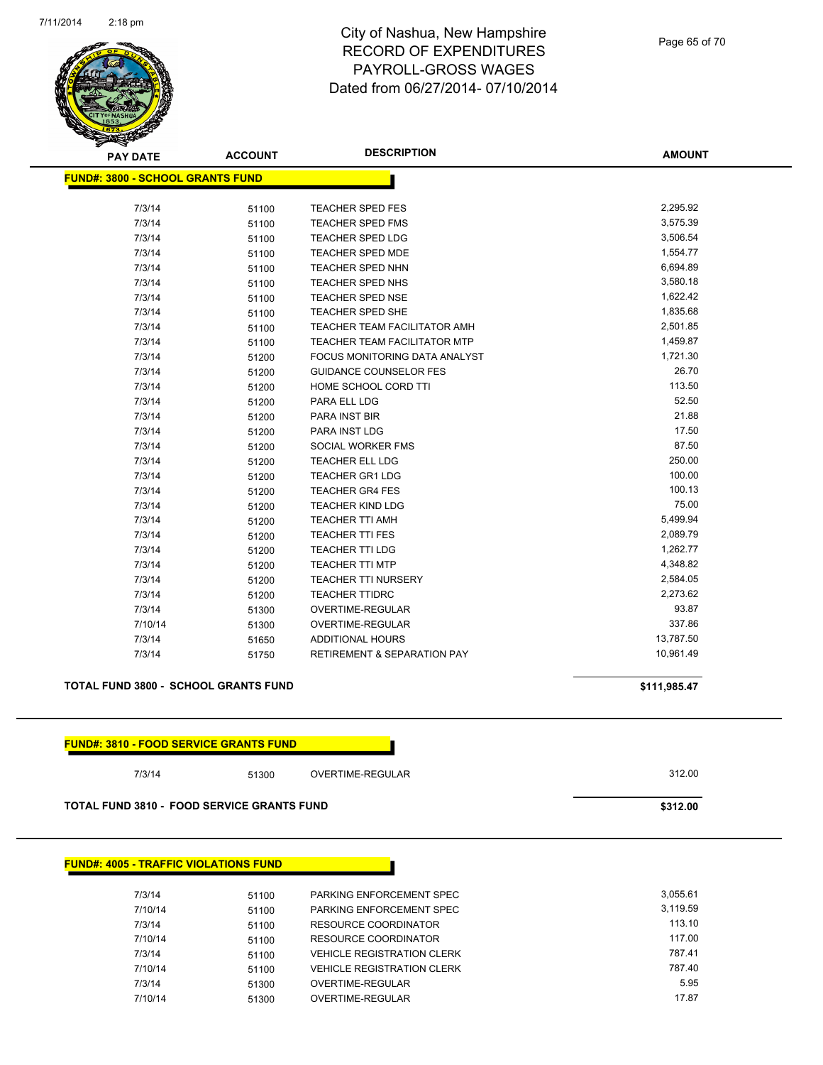

Page 65 of 70

| <b>PAY DATE</b>                                             | <b>ACCOUNT</b> | <b>DESCRIPTION</b>                     | <b>AMOUNT</b> |  |
|-------------------------------------------------------------|----------------|----------------------------------------|---------------|--|
| <b>FUND#: 3800 - SCHOOL GRANTS FUND</b>                     |                |                                        |               |  |
|                                                             |                |                                        |               |  |
| 7/3/14                                                      | 51100          | TEACHER SPED FES                       | 2,295.92      |  |
| 7/3/14                                                      | 51100          | <b>TEACHER SPED FMS</b>                | 3,575.39      |  |
| 7/3/14                                                      | 51100          | TEACHER SPED LDG                       | 3,506.54      |  |
| 7/3/14                                                      | 51100          | TEACHER SPED MDE                       | 1,554.77      |  |
| 7/3/14                                                      | 51100          | TEACHER SPED NHN                       | 6,694.89      |  |
| 7/3/14                                                      | 51100          | TEACHER SPED NHS                       | 3,580.18      |  |
| 7/3/14                                                      | 51100          | <b>TEACHER SPED NSE</b>                | 1,622.42      |  |
| 7/3/14                                                      | 51100          | TEACHER SPED SHE                       | 1,835.68      |  |
| 7/3/14                                                      | 51100          | TEACHER TEAM FACILITATOR AMH           | 2,501.85      |  |
| 7/3/14                                                      | 51100          | <b>TEACHER TEAM FACILITATOR MTP</b>    | 1,459.87      |  |
| 7/3/14                                                      | 51200          | FOCUS MONITORING DATA ANALYST          | 1,721.30      |  |
| 7/3/14                                                      | 51200          | <b>GUIDANCE COUNSELOR FES</b>          | 26.70         |  |
| 7/3/14                                                      | 51200          | HOME SCHOOL CORD TTI                   | 113.50        |  |
| 7/3/14                                                      | 51200          | PARA ELL LDG                           | 52.50         |  |
| 7/3/14                                                      | 51200          | <b>PARA INST BIR</b>                   | 21.88         |  |
| 7/3/14                                                      | 51200          | PARA INST LDG                          | 17.50         |  |
| 7/3/14                                                      | 51200          | SOCIAL WORKER FMS                      | 87.50         |  |
| 7/3/14                                                      | 51200          | <b>TEACHER ELL LDG</b>                 | 250.00        |  |
| 7/3/14                                                      | 51200          | <b>TEACHER GR1 LDG</b>                 | 100.00        |  |
| 7/3/14                                                      | 51200          | <b>TEACHER GR4 FES</b>                 | 100.13        |  |
| 7/3/14                                                      | 51200          | <b>TEACHER KIND LDG</b>                | 75.00         |  |
| 7/3/14                                                      | 51200          | <b>TEACHER TTI AMH</b>                 | 5,499.94      |  |
| 7/3/14                                                      | 51200          | <b>TEACHER TTI FES</b>                 | 2,089.79      |  |
| 7/3/14                                                      | 51200          | <b>TEACHER TTI LDG</b>                 | 1,262.77      |  |
| 7/3/14                                                      | 51200          | <b>TEACHER TTI MTP</b>                 | 4,348.82      |  |
| 7/3/14                                                      | 51200          | <b>TEACHER TTI NURSERY</b>             | 2,584.05      |  |
| 7/3/14                                                      | 51200          | <b>TEACHER TTIDRC</b>                  | 2,273.62      |  |
| 7/3/14                                                      | 51300          | OVERTIME-REGULAR                       | 93.87         |  |
| 7/10/14                                                     | 51300          | OVERTIME-REGULAR                       | 337.86        |  |
| 7/3/14                                                      | 51650          | ADDITIONAL HOURS                       | 13,787.50     |  |
| 7/3/14                                                      | 51750          | <b>RETIREMENT &amp; SEPARATION PAY</b> | 10,961.49     |  |
| <b>TOTAL FUND 3800 - SCHOOL GRANTS FUND</b><br>\$111,985.47 |                |                                        |               |  |
|                                                             |                |                                        |               |  |
| <b>FUND#: 3810 - FOOD SERVICE GRANTS FUND</b>               |                |                                        |               |  |
| 7/3/14                                                      | 51300          | OVERTIME-REGULAR                       | 312.00        |  |

**TOTAL FUND 3810 - FOOD SERVICE GRANTS FUND <b>\$312.00 \$312.00** 

| <b>FUND#: 4005 - TRAFFIC VIOLATIONS FUND</b> |  |
|----------------------------------------------|--|
|----------------------------------------------|--|

| 51100 | PARKING ENFORCEMENT SPEC          | 3.055.61 |
|-------|-----------------------------------|----------|
| 51100 | PARKING ENFORCEMENT SPEC          | 3.119.59 |
| 51100 | RESOURCE COORDINATOR              | 113.10   |
| 51100 | RESOURCE COORDINATOR              | 117.00   |
| 51100 | <b>VEHICLE REGISTRATION CLERK</b> | 787.41   |
| 51100 | <b>VEHICLE REGISTRATION CLERK</b> | 787.40   |
| 51300 | OVERTIME-REGULAR                  | 5.95     |
| 51300 | OVERTIME-REGULAR                  | 17.87    |
|       |                                   |          |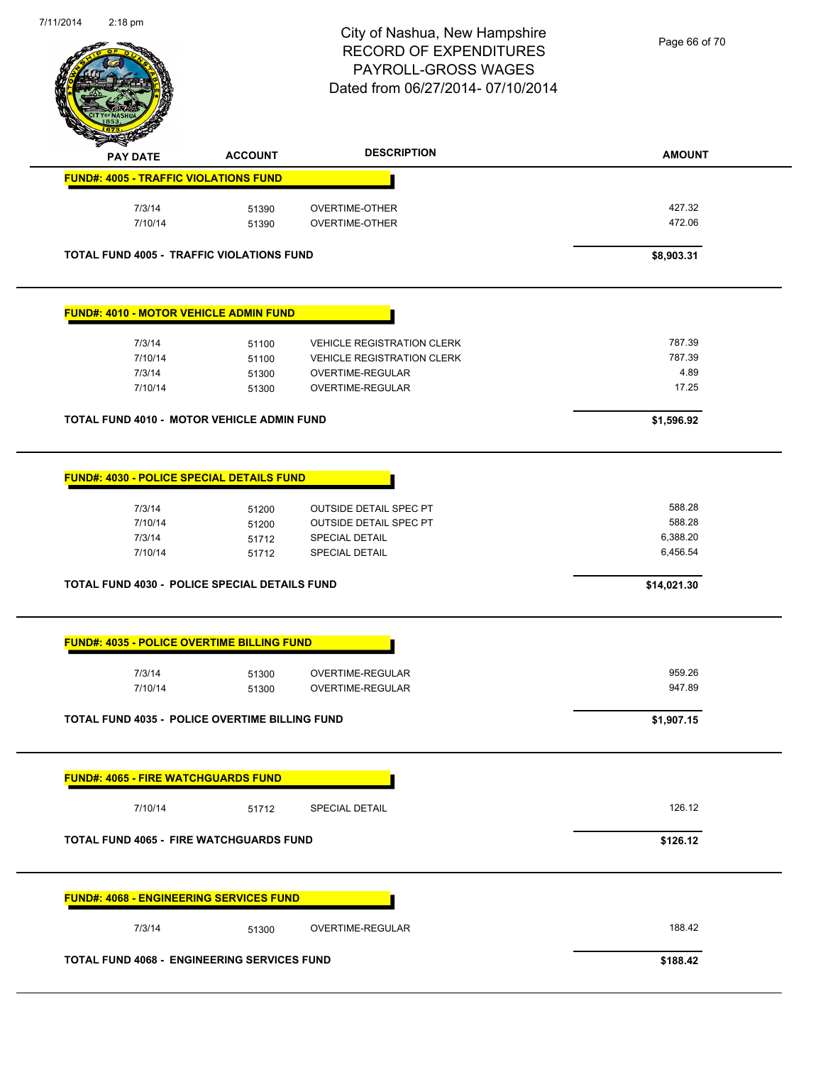

Page 66 of 70

|                                                                                                                                                                                                                                                               | <b>ACCOUNT</b> | <b>DESCRIPTION</b>                      | <b>AMOUNT</b>    |
|---------------------------------------------------------------------------------------------------------------------------------------------------------------------------------------------------------------------------------------------------------------|----------------|-----------------------------------------|------------------|
| <b>PAY DATE</b><br><b>FUND#: 4005 - TRAFFIC VIOLATIONS FUND</b>                                                                                                                                                                                               |                |                                         |                  |
|                                                                                                                                                                                                                                                               |                |                                         |                  |
| 7/3/14<br>7/10/14                                                                                                                                                                                                                                             | 51390<br>51390 | OVERTIME-OTHER<br><b>OVERTIME-OTHER</b> | 427.32<br>472.06 |
| <b>TOTAL FUND 4005 - TRAFFIC VIOLATIONS FUND</b>                                                                                                                                                                                                              |                |                                         | \$8,903.31       |
| <b>FUND#: 4010 - MOTOR VEHICLE ADMIN FUND</b>                                                                                                                                                                                                                 |                |                                         |                  |
| 7/3/14                                                                                                                                                                                                                                                        | 51100          | <b>VEHICLE REGISTRATION CLERK</b>       | 787.39           |
| 7/10/14                                                                                                                                                                                                                                                       | 51100          | <b>VEHICLE REGISTRATION CLERK</b>       | 787.39           |
| 7/3/14<br>7/10/14                                                                                                                                                                                                                                             | 51300          | OVERTIME-REGULAR<br>OVERTIME-REGULAR    | 4.89<br>17.25    |
|                                                                                                                                                                                                                                                               | 51300          |                                         |                  |
| TOTAL FUND 4010 - MOTOR VEHICLE ADMIN FUND                                                                                                                                                                                                                    |                |                                         | \$1,596.92       |
| <b>FUND#: 4030 - POLICE SPECIAL DETAILS FUND</b>                                                                                                                                                                                                              |                |                                         |                  |
| 7/3/14                                                                                                                                                                                                                                                        | 51200          | <b>OUTSIDE DETAIL SPEC PT</b>           | 588.28           |
| 7/10/14                                                                                                                                                                                                                                                       | 51200          | <b>OUTSIDE DETAIL SPEC PT</b>           | 588.28           |
| 7/3/14                                                                                                                                                                                                                                                        | 51712          | <b>SPECIAL DETAIL</b>                   | 6,388.20         |
| 7/10/14                                                                                                                                                                                                                                                       | 51712          | <b>SPECIAL DETAIL</b>                   | 6,456.54         |
| <b>TOTAL FUND 4030 - POLICE SPECIAL DETAILS FUND</b>                                                                                                                                                                                                          |                |                                         | \$14,021.30      |
| <b>FUND#: 4035 - POLICE OVERTIME BILLING FUND</b>                                                                                                                                                                                                             |                |                                         |                  |
|                                                                                                                                                                                                                                                               |                |                                         |                  |
|                                                                                                                                                                                                                                                               |                |                                         |                  |
| 7/3/14<br>7/10/14                                                                                                                                                                                                                                             | 51300<br>51300 | OVERTIME-REGULAR<br>OVERTIME-REGULAR    | 959.26<br>947.89 |
|                                                                                                                                                                                                                                                               |                |                                         | \$1,907.15       |
|                                                                                                                                                                                                                                                               |                |                                         |                  |
| 7/10/14                                                                                                                                                                                                                                                       | 51712          | <b>SPECIAL DETAIL</b>                   | 126.12           |
|                                                                                                                                                                                                                                                               |                |                                         | \$126.12         |
|                                                                                                                                                                                                                                                               |                |                                         |                  |
| 7/3/14                                                                                                                                                                                                                                                        | 51300          | OVERTIME-REGULAR                        | 188.42           |
| <b>TOTAL FUND 4035 - POLICE OVERTIME BILLING FUND</b><br><b>FUND#: 4065 - FIRE WATCHGUARDS FUND</b><br><b>TOTAL FUND 4065 - FIRE WATCHGUARDS FUND</b><br><b>FUND#: 4068 - ENGINEERING SERVICES FUND</b><br><b>TOTAL FUND 4068 - ENGINEERING SERVICES FUND</b> |                |                                         | \$188.42         |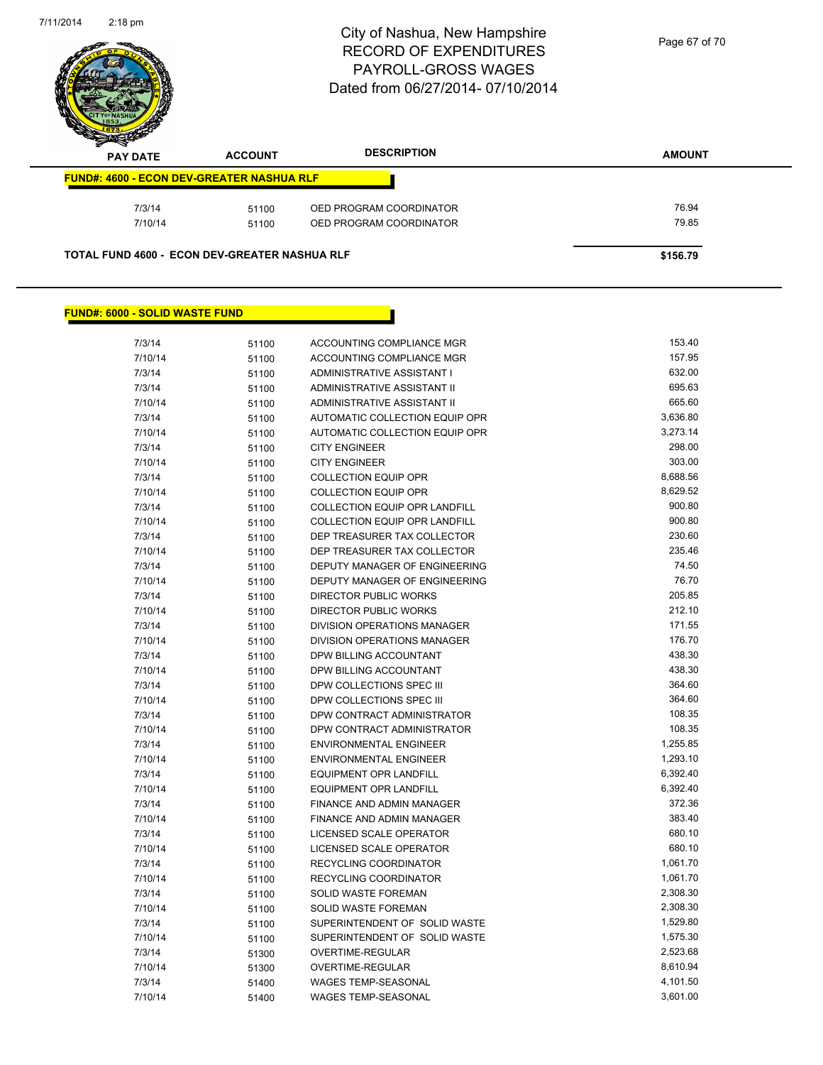

| $\boldsymbol{\nu}$<br>--<br><b>PAY DATE</b> | <b>ACCOUNT</b>                                       | <b>DESCRIPTION</b>      | <b>AMOUNT</b> |
|---------------------------------------------|------------------------------------------------------|-------------------------|---------------|
|                                             | <b>FUND#: 4600 - ECON DEV-GREATER NASHUA RLF</b>     |                         |               |
| 7/3/14                                      | 51100                                                | OED PROGRAM COORDINATOR | 76.94         |
| 7/10/14                                     | 51100                                                | OED PROGRAM COORDINATOR | 79.85         |
|                                             | <b>TOTAL FUND 4600 - ECON DEV-GREATER NASHUA RLF</b> |                         | \$156.79      |

#### **FUND#: 6000 - SOLID WASTE FUND**

| 7/3/14  | 51100 | ACCOUNTING COMPLIANCE MGR            | 153.40   |
|---------|-------|--------------------------------------|----------|
| 7/10/14 | 51100 | ACCOUNTING COMPLIANCE MGR            | 157.95   |
| 7/3/14  | 51100 | ADMINISTRATIVE ASSISTANT I           | 632.00   |
| 7/3/14  | 51100 | ADMINISTRATIVE ASSISTANT II          | 695.63   |
| 7/10/14 | 51100 | ADMINISTRATIVE ASSISTANT II          | 665.60   |
| 7/3/14  | 51100 | AUTOMATIC COLLECTION EQUIP OPR       | 3,636.80 |
| 7/10/14 | 51100 | AUTOMATIC COLLECTION EQUIP OPR       | 3,273.14 |
| 7/3/14  | 51100 | <b>CITY ENGINEER</b>                 | 298.00   |
| 7/10/14 | 51100 | <b>CITY ENGINEER</b>                 | 303.00   |
| 7/3/14  | 51100 | <b>COLLECTION EQUIP OPR</b>          | 8,688.56 |
| 7/10/14 | 51100 | <b>COLLECTION EQUIP OPR</b>          | 8,629.52 |
| 7/3/14  | 51100 | <b>COLLECTION EQUIP OPR LANDFILL</b> | 900.80   |
| 7/10/14 | 51100 | COLLECTION EQUIP OPR LANDFILL        | 900.80   |
| 7/3/14  | 51100 | DEP TREASURER TAX COLLECTOR          | 230.60   |
| 7/10/14 | 51100 | DEP TREASURER TAX COLLECTOR          | 235.46   |
| 7/3/14  | 51100 | DEPUTY MANAGER OF ENGINEERING        | 74.50    |
| 7/10/14 | 51100 | DEPUTY MANAGER OF ENGINEERING        | 76.70    |
| 7/3/14  | 51100 | <b>DIRECTOR PUBLIC WORKS</b>         | 205.85   |
| 7/10/14 | 51100 | <b>DIRECTOR PUBLIC WORKS</b>         | 212.10   |
| 7/3/14  | 51100 | DIVISION OPERATIONS MANAGER          | 171.55   |
| 7/10/14 | 51100 | <b>DIVISION OPERATIONS MANAGER</b>   | 176.70   |
| 7/3/14  | 51100 | DPW BILLING ACCOUNTANT               | 438.30   |
| 7/10/14 | 51100 | DPW BILLING ACCOUNTANT               | 438.30   |
| 7/3/14  | 51100 | DPW COLLECTIONS SPEC III             | 364.60   |
| 7/10/14 | 51100 | DPW COLLECTIONS SPEC III             | 364.60   |
| 7/3/14  | 51100 | DPW CONTRACT ADMINISTRATOR           | 108.35   |
| 7/10/14 | 51100 | DPW CONTRACT ADMINISTRATOR           | 108.35   |
| 7/3/14  | 51100 | ENVIRONMENTAL ENGINEER               | 1,255.85 |
| 7/10/14 | 51100 | <b>ENVIRONMENTAL ENGINEER</b>        | 1,293.10 |
| 7/3/14  | 51100 | <b>EQUIPMENT OPR LANDFILL</b>        | 6,392.40 |
| 7/10/14 | 51100 | <b>EQUIPMENT OPR LANDFILL</b>        | 6,392.40 |
| 7/3/14  | 51100 | FINANCE AND ADMIN MANAGER            | 372.36   |
| 7/10/14 | 51100 | FINANCE AND ADMIN MANAGER            | 383.40   |
| 7/3/14  | 51100 | LICENSED SCALE OPERATOR              | 680.10   |
| 7/10/14 | 51100 | LICENSED SCALE OPERATOR              | 680.10   |
| 7/3/14  | 51100 | <b>RECYCLING COORDINATOR</b>         | 1,061.70 |
| 7/10/14 | 51100 | RECYCLING COORDINATOR                | 1,061.70 |
| 7/3/14  | 51100 | SOLID WASTE FOREMAN                  | 2,308.30 |
| 7/10/14 | 51100 | <b>SOLID WASTE FOREMAN</b>           | 2,308.30 |
| 7/3/14  | 51100 | SUPERINTENDENT OF SOLID WASTE        | 1,529.80 |
| 7/10/14 | 51100 | SUPERINTENDENT OF SOLID WASTE        | 1,575.30 |
| 7/3/14  | 51300 | OVERTIME-REGULAR                     | 2,523.68 |
| 7/10/14 | 51300 | <b>OVERTIME-REGULAR</b>              | 8,610.94 |
| 7/3/14  | 51400 | <b>WAGES TEMP-SEASONAL</b>           | 4,101.50 |
| 7/10/14 | 51400 | <b>WAGES TEMP-SEASONAL</b>           | 3,601.00 |
|         |       |                                      |          |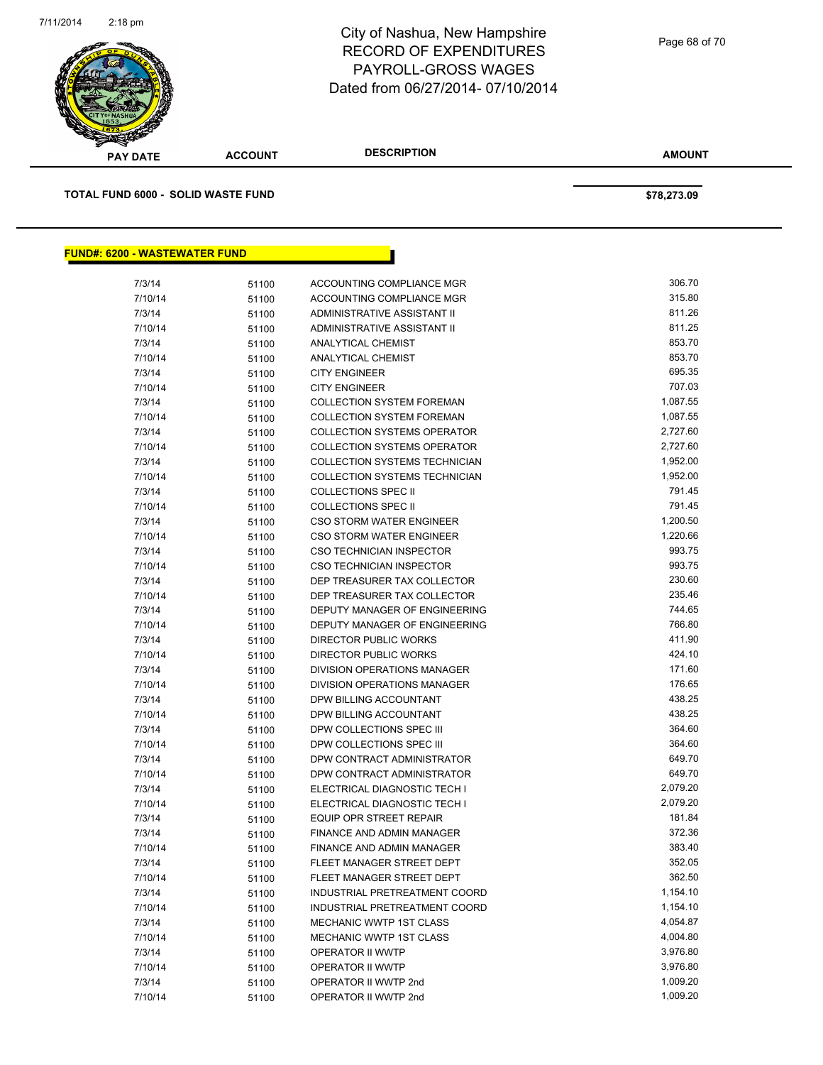

| <b>PAY DATE</b>                           | <b>ACCOUNT</b> | <b>DESCRIPTION</b>                   | <b>AMOUNT</b> |
|-------------------------------------------|----------------|--------------------------------------|---------------|
| <b>TOTAL FUND 6000 - SOLID WASTE FUND</b> |                |                                      | \$78,273.09   |
| <b>FUND#: 6200 - WASTEWATER FUND</b>      |                |                                      |               |
| 7/3/14                                    | 51100          | ACCOUNTING COMPLIANCE MGR            | 306.70        |
| 7/10/14                                   | 51100          | ACCOUNTING COMPLIANCE MGR            | 315.80        |
| 7/3/14                                    | 51100          | ADMINISTRATIVE ASSISTANT II          | 811.26        |
| 7/10/14                                   | 51100          | ADMINISTRATIVE ASSISTANT II          | 811.25        |
| 7/3/14                                    | 51100          | ANALYTICAL CHEMIST                   | 853.70        |
| 7/10/14                                   | 51100          | ANALYTICAL CHEMIST                   | 853.70        |
| 7/3/14                                    | 51100          | <b>CITY ENGINEER</b>                 | 695.35        |
| 7/10/14                                   | 51100          | <b>CITY ENGINEER</b>                 | 707.03        |
| 7/3/14                                    | 51100          | <b>COLLECTION SYSTEM FOREMAN</b>     | 1,087.55      |
| 7/10/14                                   | 51100          | <b>COLLECTION SYSTEM FOREMAN</b>     | 1,087.55      |
| 7/3/14                                    | 51100          | <b>COLLECTION SYSTEMS OPERATOR</b>   | 2,727.60      |
| 7/10/14                                   | 51100          | <b>COLLECTION SYSTEMS OPERATOR</b>   | 2,727.60      |
| 7/3/14                                    | 51100          | <b>COLLECTION SYSTEMS TECHNICIAN</b> | 1,952.00      |
| 7/10/14                                   | 51100          | COLLECTION SYSTEMS TECHNICIAN        | 1,952.00      |
| 7/3/14                                    | 51100          | <b>COLLECTIONS SPEC II</b>           | 791.45        |
| 7/10/14                                   | 51100          | <b>COLLECTIONS SPEC II</b>           | 791.45        |
| 7/3/14                                    | 51100          | <b>CSO STORM WATER ENGINEER</b>      | 1,200.50      |
| 7/10/14                                   | 51100          | <b>CSO STORM WATER ENGINEER</b>      | 1,220.66      |
| 7/3/14                                    | 51100          | <b>CSO TECHNICIAN INSPECTOR</b>      | 993.75        |
| 7/10/14                                   | 51100          | CSO TECHNICIAN INSPECTOR             | 993.75        |
| 7/3/14                                    | 51100          | DEP TREASURER TAX COLLECTOR          | 230.60        |
| 7/10/14                                   | 51100          | DEP TREASURER TAX COLLECTOR          | 235.46        |
| 7/3/14                                    | 51100          | DEPUTY MANAGER OF ENGINEERING        | 744.65        |
| 7/10/14                                   | 51100          | DEPUTY MANAGER OF ENGINEERING        | 766.80        |
| 7/3/14                                    | 51100          | DIRECTOR PUBLIC WORKS                | 411.90        |
| 7/10/14                                   | 51100          | <b>DIRECTOR PUBLIC WORKS</b>         | 424.10        |
| 7/3/14                                    | 51100          | DIVISION OPERATIONS MANAGER          | 171.60        |
| 7/10/14                                   | 51100          | DIVISION OPERATIONS MANAGER          | 176.65        |
| 7/3/14                                    | 51100          | DPW BILLING ACCOUNTANT               | 438.25        |
| 7/10/14                                   | 51100          | DPW BILLING ACCOUNTANT               | 438.25        |
| 7/3/14                                    | 51100          | DPW COLLECTIONS SPEC III             | 364.60        |
| 7/10/14                                   | 51100          | DPW COLLECTIONS SPEC III             | 364.60        |
| 7/3/14                                    | 51100          | DPW CONTRACT ADMINISTRATOR           | 649.70        |
| 7/10/14                                   | 51100          | DPW CONTRACT ADMINISTRATOR           | 649.70        |
| 7/3/14                                    | 51100          | ELECTRICAL DIAGNOSTIC TECH I         | 2,079.20      |
| 7/10/14                                   | 51100          | ELECTRICAL DIAGNOSTIC TECH I         | 2,079.20      |
| 7/3/14                                    | 51100          | EQUIP OPR STREET REPAIR              | 181.84        |
| 7/3/14                                    | 51100          | FINANCE AND ADMIN MANAGER            | 372.36        |
| 7/10/14                                   | 51100          | FINANCE AND ADMIN MANAGER            | 383.40        |
| 7/3/14                                    | 51100          | FLEET MANAGER STREET DEPT            | 352.05        |
| 7/10/14                                   | 51100          | FLEET MANAGER STREET DEPT            | 362.50        |
| 7/3/14                                    | 51100          | INDUSTRIAL PRETREATMENT COORD        | 1,154.10      |
| 7/10/14                                   | 51100          | INDUSTRIAL PRETREATMENT COORD        | 1,154.10      |
| 7/3/14                                    | 51100          | MECHANIC WWTP 1ST CLASS              | 4,054.87      |
| 7/10/14                                   | 51100          | MECHANIC WWTP 1ST CLASS              | 4,004.80      |
| 7/3/14                                    | 51100          | OPERATOR II WWTP                     | 3,976.80      |
| 7/10/14                                   | 51100          | OPERATOR II WWTP                     | 3,976.80      |
| 7/3/14                                    | 51100          | OPERATOR II WWTP 2nd                 | 1,009.20      |

7/10/14 51100 OPERATOR II WWTP 2nd 5/10014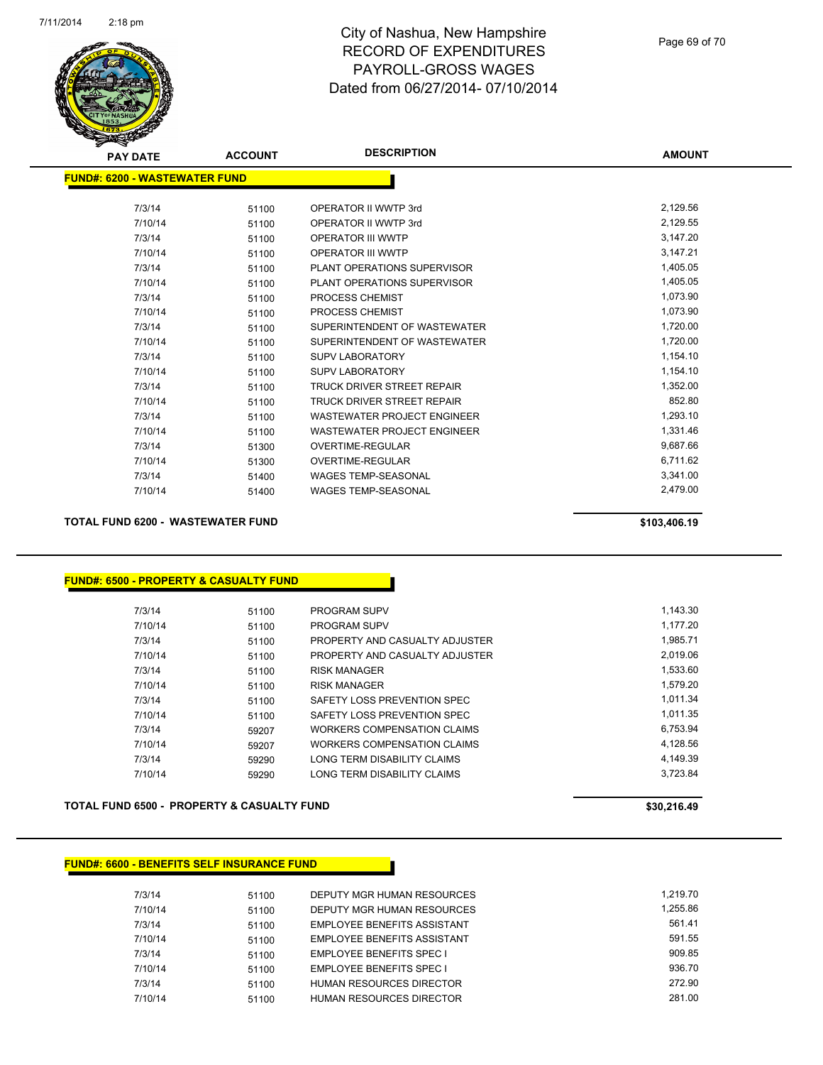

| <b>PAY DATE</b>               | <b>ACCOUNT</b> | <b>DESCRIPTION</b>                 | <b>AMOUNT</b> |
|-------------------------------|----------------|------------------------------------|---------------|
| FUND#: 6200 - WASTEWATER FUND |                |                                    |               |
| 7/3/14                        | 51100          | OPERATOR II WWTP 3rd               | 2,129.56      |
| 7/10/14                       | 51100          | OPERATOR II WWTP 3rd               | 2,129.55      |
| 7/3/14                        | 51100          | <b>OPERATOR III WWTP</b>           | 3,147.20      |
| 7/10/14                       | 51100          | <b>OPERATOR III WWTP</b>           | 3,147.21      |
| 7/3/14                        | 51100          | PLANT OPERATIONS SUPERVISOR        | 1,405.05      |
| 7/10/14                       | 51100          | PLANT OPERATIONS SUPERVISOR        | 1,405.05      |
| 7/3/14                        | 51100          | PROCESS CHEMIST                    | 1,073.90      |
| 7/10/14                       | 51100          | <b>PROCESS CHEMIST</b>             | 1,073.90      |
| 7/3/14                        | 51100          | SUPERINTENDENT OF WASTEWATER       | 1,720.00      |
| 7/10/14                       | 51100          | SUPERINTENDENT OF WASTEWATER       | 1,720.00      |
| 7/3/14                        | 51100          | <b>SUPV LABORATORY</b>             | 1,154.10      |
| 7/10/14                       | 51100          | <b>SUPV LABORATORY</b>             | 1,154.10      |
| 7/3/14                        | 51100          | TRUCK DRIVER STREET REPAIR         | 1,352.00      |
| 7/10/14                       | 51100          | <b>TRUCK DRIVER STREET REPAIR</b>  | 852.80        |
| 7/3/14                        | 51100          | <b>WASTEWATER PROJECT ENGINEER</b> | 1,293.10      |
| 7/10/14                       | 51100          | <b>WASTEWATER PROJECT ENGINEER</b> | 1,331.46      |
| 7/3/14                        | 51300          | <b>OVERTIME-REGULAR</b>            | 9,687.66      |
| 7/10/14                       | 51300          | <b>OVERTIME-REGULAR</b>            | 6,711.62      |
| 7/3/14                        | 51400          | <b>WAGES TEMP-SEASONAL</b>         | 3,341.00      |
| 7/10/14                       | 51400          | <b>WAGES TEMP-SEASONAL</b>         | 2,479.00      |
|                               |                |                                    |               |

#### **TOTAL FUND 6200 - WASTEWATER FUND \$103,406.19**

#### **FUND#: 6500 - PROPERTY & CASUALTY FUND**

| 7/3/14  | 51100 | <b>PROGRAM SUPV</b>            | 1,143.30 |
|---------|-------|--------------------------------|----------|
| 7/10/14 | 51100 | <b>PROGRAM SUPV</b>            | 1.177.20 |
| 7/3/14  | 51100 | PROPERTY AND CASUALTY ADJUSTER | 1,985.71 |
| 7/10/14 | 51100 | PROPERTY AND CASUALTY ADJUSTER | 2,019.06 |
| 7/3/14  | 51100 | <b>RISK MANAGER</b>            | 1.533.60 |
| 7/10/14 | 51100 | <b>RISK MANAGER</b>            | 1.579.20 |
| 7/3/14  | 51100 | SAFETY LOSS PREVENTION SPEC    | 1.011.34 |
| 7/10/14 | 51100 | SAFETY LOSS PREVENTION SPEC    | 1.011.35 |
| 7/3/14  | 59207 | WORKERS COMPENSATION CLAIMS    | 6,753.94 |
| 7/10/14 | 59207 | WORKERS COMPENSATION CLAIMS    | 4.128.56 |
| 7/3/14  | 59290 | LONG TERM DISABILITY CLAIMS    | 4.149.39 |
| 7/10/14 | 59290 | LONG TERM DISABILITY CLAIMS    | 3.723.84 |
|         |       |                                |          |

#### **TOTAL FUND 6500 - PROPERTY & CASUALTY FUND \$30,216.49**

#### **FUND#: 6600 - BENEFITS SELF INSURANCE FUND**

| 7/3/14  | 51100 | DEPUTY MGR HUMAN RESOURCES         | 1.219.70 |
|---------|-------|------------------------------------|----------|
| 7/10/14 | 51100 | DEPUTY MGR HUMAN RESOURCES         | 1.255.86 |
| 7/3/14  | 51100 | <b>EMPLOYEE BENEFITS ASSISTANT</b> | 561.41   |
| 7/10/14 | 51100 | <b>EMPLOYEE BENEFITS ASSISTANT</b> | 591.55   |
| 7/3/14  | 51100 | <b>EMPLOYEE BENEFITS SPEC I</b>    | 909.85   |
| 7/10/14 | 51100 | <b>EMPLOYEE BENEFITS SPEC I</b>    | 936.70   |
| 7/3/14  | 51100 | HUMAN RESOURCES DIRECTOR           | 272.90   |
| 7/10/14 | 51100 | HUMAN RESOURCES DIRECTOR           | 281.00   |
|         |       |                                    |          |